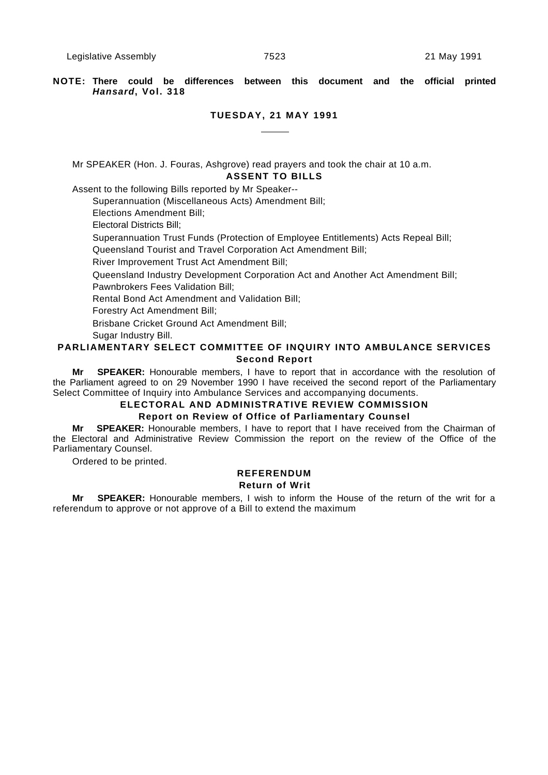**NOTE: There could be differences between this document and the official printed Hansard, Vol. 318**

## **TUESDAY, 21 MAY 1991**

Mr SPEAKER (Hon. J. Fouras, Ashgrove) read prayers and took the chair at 10 a.m. **ASSENT TO BILLS**

Assent to the following Bills reported by Mr Speaker--

Superannuation (Miscellaneous Acts) Amendment Bill;

Elections Amendment Bill;

Electoral Districts Bill;

Superannuation Trust Funds (Protection of Employee Entitlements) Acts Repeal Bill;

Queensland Tourist and Travel Corporation Act Amendment Bill;

River Improvement Trust Act Amendment Bill;

Queensland Industry Development Corporation Act and Another Act Amendment Bill;

Pawnbrokers Fees Validation Bill;

Rental Bond Act Amendment and Validation Bill;

Forestry Act Amendment Bill;

Brisbane Cricket Ground Act Amendment Bill;

Sugar Industry Bill.

## **PARLIAMENTARY SELECT COMMITTEE OF INQUIRY INTO AMBULANCE SERVICES Second Report**

**Mr SPEAKER:** Honourable members, I have to report that in accordance with the resolution of the Parliament agreed to on 29 November 1990 I have received the second report of the Parliamentary Select Committee of Inquiry into Ambulance Services and accompanying documents.

# **ELECTORAL AND ADMINISTRATIVE REVIEW COMMISSION**

## **Report on Review of Office of Parliamentary Counsel**

**Mr SPEAKER:** Honourable members, I have to report that I have received from the Chairman of the Electoral and Administrative Review Commission the report on the review of the Office of the Parliamentary Counsel.

Ordered to be printed.

## **REFERENDUM Return of Writ**

**Mr SPEAKER:** Honourable members, I wish to inform the House of the return of the writ for a referendum to approve or not approve of a Bill to extend the maximum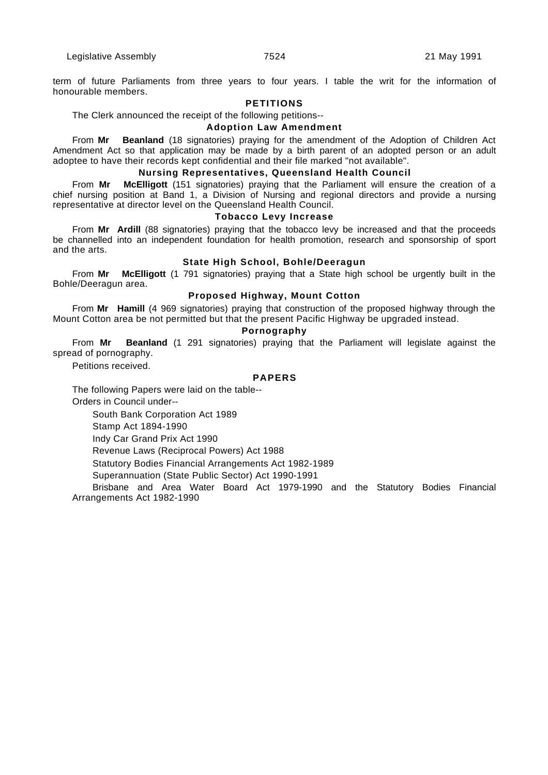term of future Parliaments from three years to four years. I table the writ for the information of honourable members.

## **PETITIONS**

The Clerk announced the receipt of the following petitions--

#### **Adoption Law Amendment**

From **Mr Beanland** (18 signatories) praying for the amendment of the Adoption of Children Act Amendment Act so that application may be made by a birth parent of an adopted person or an adult adoptee to have their records kept confidential and their file marked "not available".

#### **Nursing Representatives, Queensland Health Council**

From **Mr McElligott** (151 signatories) praying that the Parliament will ensure the creation of a chief nursing position at Band 1, a Division of Nursing and regional directors and provide a nursing representative at director level on the Queensland Health Council.

#### **Tobacco Levy Increase**

From **Mr Ardill** (88 signatories) praying that the tobacco levy be increased and that the proceeds be channelled into an independent foundation for health promotion, research and sponsorship of sport and the arts.

#### **State High School, Bohle/Deeragun**

From **Mr McElligott** (1 791 signatories) praying that a State high school be urgently built in the Bohle/Deeragun area.

#### **Proposed Highway, Mount Cotton**

From **Mr Hamill** (4 969 signatories) praying that construction of the proposed highway through the Mount Cotton area be not permitted but that the present Pacific Highway be upgraded instead.

## **Pornography**

From **Mr Beanland** (1 291 signatories) praying that the Parliament will legislate against the spread of pornography.

Petitions received.

## **PAPERS**

The following Papers were laid on the table--

Orders in Council under--

South Bank Corporation Act 1989

Stamp Act 1894-1990

Indy Car Grand Prix Act 1990

Revenue Laws (Reciprocal Powers) Act 1988

Statutory Bodies Financial Arrangements Act 1982-1989

Superannuation (State Public Sector) Act 1990-1991

Brisbane and Area Water Board Act 1979-1990 and the Statutory Bodies Financial Arrangements Act 1982-1990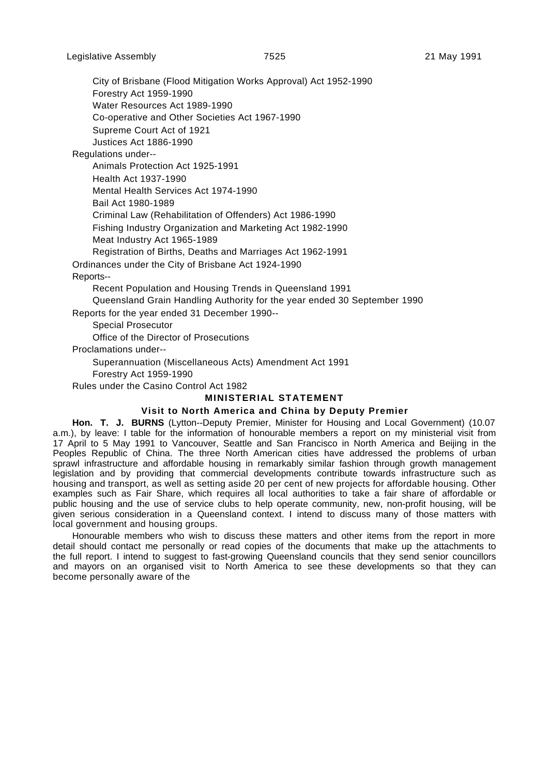City of Brisbane (Flood Mitigation Works Approval) Act 1952-1990

Forestry Act 1959-1990 Water Resources Act 1989-1990

Co-operative and Other Societies Act 1967-1990

Supreme Court Act of 1921

Justices Act 1886-1990

Regulations under--

Animals Protection Act 1925-1991 Health Act 1937-1990 Mental Health Services Act 1974-1990 Bail Act 1980-1989 Criminal Law (Rehabilitation of Offenders) Act 1986-1990 Fishing Industry Organization and Marketing Act 1982-1990 Meat Industry Act 1965-1989 Registration of Births, Deaths and Marriages Act 1962-1991

Ordinances under the City of Brisbane Act 1924-1990

Reports--

Recent Population and Housing Trends in Queensland 1991 Queensland Grain Handling Authority for the year ended 30 September 1990

Reports for the year ended 31 December 1990--

Special Prosecutor

Office of the Director of Prosecutions

Proclamations under--

Superannuation (Miscellaneous Acts) Amendment Act 1991

Forestry Act 1959-1990

Rules under the Casino Control Act 1982

#### **MINISTERIAL STATEMENT**

## **Visit to North America and China by Deputy Premier**

**Hon. T. J. BURNS** (Lytton--Deputy Premier, Minister for Housing and Local Government) (10.07 a.m.), by leave: I table for the information of honourable members a report on my ministerial visit from 17 April to 5 May 1991 to Vancouver, Seattle and San Francisco in North America and Beijing in the Peoples Republic of China. The three North American cities have addressed the problems of urban sprawl infrastructure and affordable housing in remarkably similar fashion through growth management legislation and by providing that commercial developments contribute towards infrastructure such as housing and transport, as well as setting aside 20 per cent of new projects for affordable housing. Other examples such as Fair Share, which requires all local authorities to take a fair share of affordable or public housing and the use of service clubs to help operate community, new, non-profit housing, will be given serious consideration in a Queensland context. I intend to discuss many of those matters with local government and housing groups.

Honourable members who wish to discuss these matters and other items from the report in more detail should contact me personally or read copies of the documents that make up the attachments to the full report. I intend to suggest to fast-growing Queensland councils that they send senior councillors and mayors on an organised visit to North America to see these developments so that they can become personally aware of the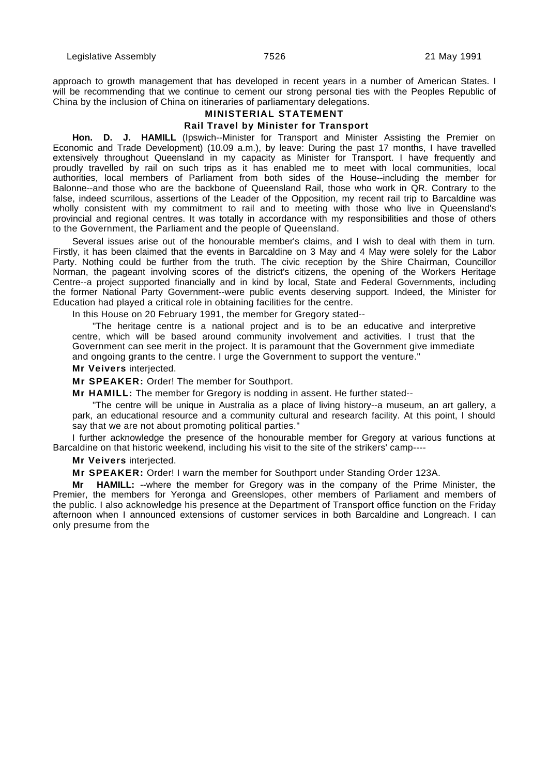approach to growth management that has developed in recent years in a number of American States. I will be recommending that we continue to cement our strong personal ties with the Peoples Republic of China by the inclusion of China on itineraries of parliamentary delegations.

## **MINISTERIAL STATEMENT**

#### **Rail Travel by Minister for Transport**

**Hon. D. J. HAMILL** (Ipswich--Minister for Transport and Minister Assisting the Premier on Economic and Trade Development) (10.09 a.m.), by leave: During the past 17 months, I have travelled extensively throughout Queensland in my capacity as Minister for Transport. I have frequently and proudly travelled by rail on such trips as it has enabled me to meet with local communities, local authorities, local members of Parliament from both sides of the House--including the member for Balonne--and those who are the backbone of Queensland Rail, those who work in QR. Contrary to the false, indeed scurrilous, assertions of the Leader of the Opposition, my recent rail trip to Barcaldine was wholly consistent with my commitment to rail and to meeting with those who live in Queensland's provincial and regional centres. It was totally in accordance with my responsibilities and those of others to the Government, the Parliament and the people of Queensland.

Several issues arise out of the honourable member's claims, and I wish to deal with them in turn. Firstly, it has been claimed that the events in Barcaldine on 3 May and 4 May were solely for the Labor Party. Nothing could be further from the truth. The civic reception by the Shire Chairman, Councillor Norman, the pageant involving scores of the district's citizens, the opening of the Workers Heritage Centre--a project supported financially and in kind by local, State and Federal Governments, including the former National Party Government--were public events deserving support. Indeed, the Minister for Education had played a critical role in obtaining facilities for the centre.

In this House on 20 February 1991, the member for Gregory stated--

"The heritage centre is a national project and is to be an educative and interpretive centre, which will be based around community involvement and activities. I trust that the Government can see merit in the project. It is paramount that the Government give immediate and ongoing grants to the centre. I urge the Government to support the venture."

## **Mr Veivers** interjected.

**Mr SPEAKER:** Order! The member for Southport.

**Mr HAMILL:** The member for Gregory is nodding in assent. He further stated--

"The centre will be unique in Australia as a place of living history--a museum, an art gallery, a park, an educational resource and a community cultural and research facility. At this point, I should say that we are not about promoting political parties."

I further acknowledge the presence of the honourable member for Gregory at various functions at Barcaldine on that historic weekend, including his visit to the site of the strikers' camp----

**Mr Veivers** interjected.

**Mr SPEAKER:** Order! I warn the member for Southport under Standing Order 123A.

**Mr HAMILL:** --where the member for Gregory was in the company of the Prime Minister, the Premier, the members for Yeronga and Greenslopes, other members of Parliament and members of the public. I also acknowledge his presence at the Department of Transport office function on the Friday afternoon when I announced extensions of customer services in both Barcaldine and Longreach. I can only presume from the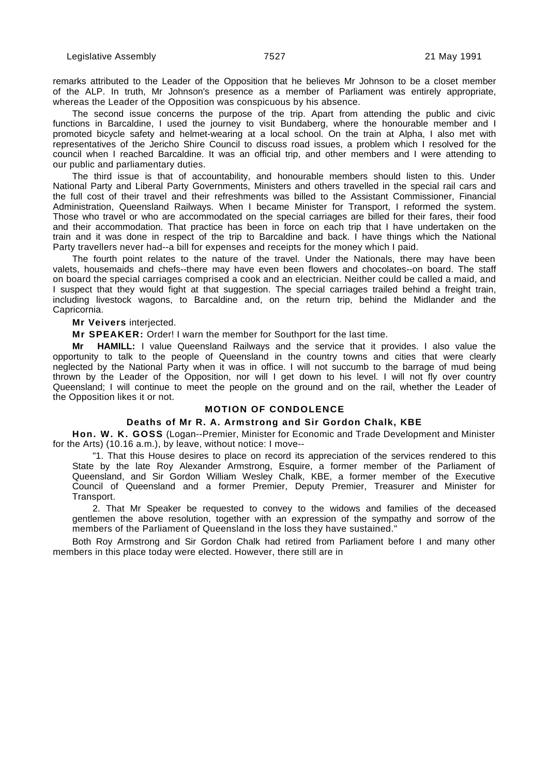remarks attributed to the Leader of the Opposition that he believes Mr Johnson to be a closet member of the ALP. In truth, Mr Johnson's presence as a member of Parliament was entirely appropriate, whereas the Leader of the Opposition was conspicuous by his absence.

The second issue concerns the purpose of the trip. Apart from attending the public and civic functions in Barcaldine, I used the journey to visit Bundaberg, where the honourable member and I promoted bicycle safety and helmet-wearing at a local school. On the train at Alpha, I also met with representatives of the Jericho Shire Council to discuss road issues, a problem which I resolved for the council when I reached Barcaldine. It was an official trip, and other members and I were attending to our public and parliamentary duties.

The third issue is that of accountability, and honourable members should listen to this. Under National Party and Liberal Party Governments, Ministers and others travelled in the special rail cars and the full cost of their travel and their refreshments was billed to the Assistant Commissioner, Financial Administration, Queensland Railways. When I became Minister for Transport, I reformed the system. Those who travel or who are accommodated on the special carriages are billed for their fares, their food and their accommodation. That practice has been in force on each trip that I have undertaken on the train and it was done in respect of the trip to Barcaldine and back. I have things which the National Party travellers never had--a bill for expenses and receipts for the money which I paid.

The fourth point relates to the nature of the travel. Under the Nationals, there may have been valets, housemaids and chefs--there may have even been flowers and chocolates--on board. The staff on board the special carriages comprised a cook and an electrician. Neither could be called a maid, and I suspect that they would fight at that suggestion. The special carriages trailed behind a freight train, including livestock wagons, to Barcaldine and, on the return trip, behind the Midlander and the Capricornia.

#### **Mr Veivers** interjected.

**Mr SPEAKER:** Order! I warn the member for Southport for the last time.

**Mr HAMILL:** I value Queensland Railways and the service that it provides. I also value the opportunity to talk to the people of Queensland in the country towns and cities that were clearly neglected by the National Party when it was in office. I will not succumb to the barrage of mud being thrown by the Leader of the Opposition, nor will I get down to his level. I will not fly over country Queensland; I will continue to meet the people on the ground and on the rail, whether the Leader of the Opposition likes it or not.

## **MOTION OF CONDOLENCE**

## **Deaths of Mr R. A. Armstrong and Sir Gordon Chalk, KBE**

**Hon. W. K. GOSS** (Logan--Premier, Minister for Economic and Trade Development and Minister for the Arts) (10.16 a.m.), by leave, without notice: I move--

"1. That this House desires to place on record its appreciation of the services rendered to this State by the late Roy Alexander Armstrong, Esquire, a former member of the Parliament of Queensland, and Sir Gordon William Wesley Chalk, KBE, a former member of the Executive Council of Queensland and a former Premier, Deputy Premier, Treasurer and Minister for Transport.

2. That Mr Speaker be requested to convey to the widows and families of the deceased gentlemen the above resolution, together with an expression of the sympathy and sorrow of the members of the Parliament of Queensland in the loss they have sustained."

Both Roy Armstrong and Sir Gordon Chalk had retired from Parliament before I and many other members in this place today were elected. However, there still are in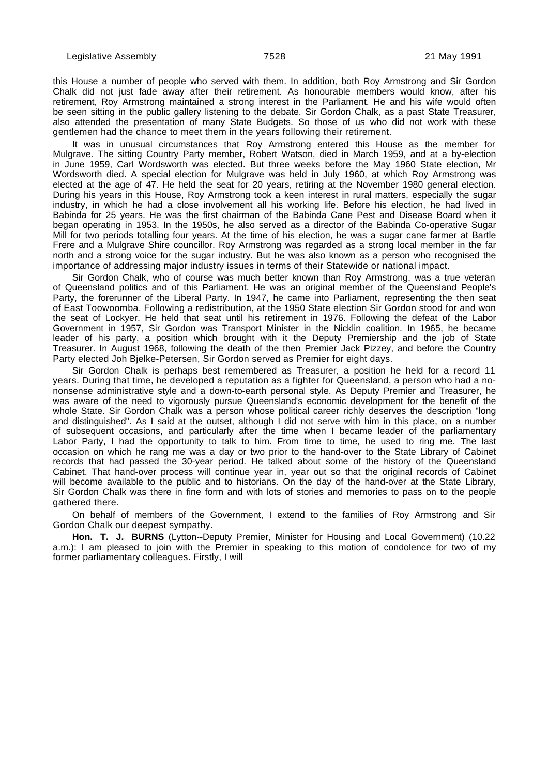this House a number of people who served with them. In addition, both Roy Armstrong and Sir Gordon Chalk did not just fade away after their retirement. As honourable members would know, after his retirement, Roy Armstrong maintained a strong interest in the Parliament. He and his wife would often be seen sitting in the public gallery listening to the debate. Sir Gordon Chalk, as a past State Treasurer, also attended the presentation of many State Budgets. So those of us who did not work with these gentlemen had the chance to meet them in the years following their retirement.

It was in unusual circumstances that Roy Armstrong entered this House as the member for Mulgrave. The sitting Country Party member, Robert Watson, died in March 1959, and at a by-election in June 1959, Carl Wordsworth was elected. But three weeks before the May 1960 State election, Mr Wordsworth died. A special election for Mulgrave was held in July 1960, at which Roy Armstrong was elected at the age of 47. He held the seat for 20 years, retiring at the November 1980 general election. During his years in this House, Roy Armstrong took a keen interest in rural matters, especially the sugar industry, in which he had a close involvement all his working life. Before his election, he had lived in Babinda for 25 years. He was the first chairman of the Babinda Cane Pest and Disease Board when it began operating in 1953. In the 1950s, he also served as a director of the Babinda Co-operative Sugar Mill for two periods totalling four years. At the time of his election, he was a sugar cane farmer at Bartle Frere and a Mulgrave Shire councillor. Roy Armstrong was regarded as a strong local member in the far north and a strong voice for the sugar industry. But he was also known as a person who recognised the importance of addressing major industry issues in terms of their Statewide or national impact.

Sir Gordon Chalk, who of course was much better known than Roy Armstrong, was a true veteran of Queensland politics and of this Parliament. He was an original member of the Queensland People's Party, the forerunner of the Liberal Party. In 1947, he came into Parliament, representing the then seat of East Toowoomba. Following a redistribution, at the 1950 State election Sir Gordon stood for and won the seat of Lockyer. He held that seat until his retirement in 1976. Following the defeat of the Labor Government in 1957, Sir Gordon was Transport Minister in the Nicklin coalition. In 1965, he became leader of his party, a position which brought with it the Deputy Premiership and the job of State Treasurer. In August 1968, following the death of the then Premier Jack Pizzey, and before the Country Party elected Joh Bjelke-Petersen, Sir Gordon served as Premier for eight days.

Sir Gordon Chalk is perhaps best remembered as Treasurer, a position he held for a record 11 years. During that time, he developed a reputation as a fighter for Queensland, a person who had a nononsense administrative style and a down-to-earth personal style. As Deputy Premier and Treasurer, he was aware of the need to vigorously pursue Queensland's economic development for the benefit of the whole State. Sir Gordon Chalk was a person whose political career richly deserves the description "long and distinguished". As I said at the outset, although I did not serve with him in this place, on a number of subsequent occasions, and particularly after the time when I became leader of the parliamentary Labor Party, I had the opportunity to talk to him. From time to time, he used to ring me. The last occasion on which he rang me was a day or two prior to the hand-over to the State Library of Cabinet records that had passed the 30-year period. He talked about some of the history of the Queensland Cabinet. That hand-over process will continue year in, year out so that the original records of Cabinet will become available to the public and to historians. On the day of the hand-over at the State Library, Sir Gordon Chalk was there in fine form and with lots of stories and memories to pass on to the people gathered there.

On behalf of members of the Government, I extend to the families of Roy Armstrong and Sir Gordon Chalk our deepest sympathy.

**Hon. T. J. BURNS** (Lytton--Deputy Premier, Minister for Housing and Local Government) (10.22 a.m.): I am pleased to join with the Premier in speaking to this motion of condolence for two of my former parliamentary colleagues. Firstly, I will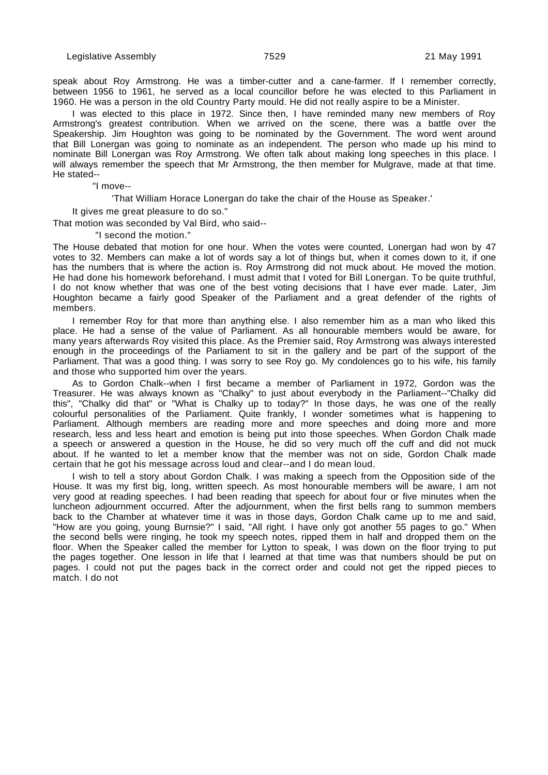speak about Roy Armstrong. He was a timber-cutter and a cane-farmer. If I remember correctly, between 1956 to 1961, he served as a local councillor before he was elected to this Parliament in 1960. He was a person in the old Country Party mould. He did not really aspire to be a Minister.

I was elected to this place in 1972. Since then, I have reminded many new members of Roy Armstrong's greatest contribution. When we arrived on the scene, there was a battle over the Speakership. Jim Houghton was going to be nominated by the Government. The word went around that Bill Lonergan was going to nominate as an independent. The person who made up his mind to nominate Bill Lonergan was Roy Armstrong. We often talk about making long speeches in this place. I will always remember the speech that Mr Armstrong, the then member for Mulgrave, made at that time. He stated--

"I move--

'That William Horace Lonergan do take the chair of the House as Speaker.'

It gives me great pleasure to do so."

That motion was seconded by Val Bird, who said--

"I second the motion."

The House debated that motion for one hour. When the votes were counted, Lonergan had won by 47 votes to 32. Members can make a lot of words say a lot of things but, when it comes down to it, if one has the numbers that is where the action is. Roy Armstrong did not muck about. He moved the motion. He had done his homework beforehand. I must admit that I voted for Bill Lonergan. To be quite truthful, I do not know whether that was one of the best voting decisions that I have ever made. Later, Jim Houghton became a fairly good Speaker of the Parliament and a great defender of the rights of members.

I remember Roy for that more than anything else. I also remember him as a man who liked this place. He had a sense of the value of Parliament. As all honourable members would be aware, for many years afterwards Roy visited this place. As the Premier said, Roy Armstrong was always interested enough in the proceedings of the Parliament to sit in the gallery and be part of the support of the Parliament. That was a good thing. I was sorry to see Roy go. My condolences go to his wife, his family and those who supported him over the years.

As to Gordon Chalk--when I first became a member of Parliament in 1972, Gordon was the Treasurer. He was always known as "Chalky" to just about everybody in the Parliament--"Chalky did this", "Chalky did that" or "What is Chalky up to today?" In those days, he was one of the really colourful personalities of the Parliament. Quite frankly, I wonder sometimes what is happening to Parliament. Although members are reading more and more speeches and doing more and more research, less and less heart and emotion is being put into those speeches. When Gordon Chalk made a speech or answered a question in the House, he did so very much off the cuff and did not muck about. If he wanted to let a member know that the member was not on side, Gordon Chalk made certain that he got his message across loud and clear--and I do mean loud.

I wish to tell a story about Gordon Chalk. I was making a speech from the Opposition side of the House. It was my first big, long, written speech. As most honourable members will be aware, I am not very good at reading speeches. I had been reading that speech for about four or five minutes when the luncheon adjournment occurred. After the adjournment, when the first bells rang to summon members back to the Chamber at whatever time it was in those days, Gordon Chalk came up to me and said, "How are you going, young Burnsie?" I said, "All right. I have only got another 55 pages to go." When the second bells were ringing, he took my speech notes, ripped them in half and dropped them on the floor. When the Speaker called the member for Lytton to speak, I was down on the floor trying to put the pages together. One lesson in life that I learned at that time was that numbers should be put on pages. I could not put the pages back in the correct order and could not get the ripped pieces to match. I do not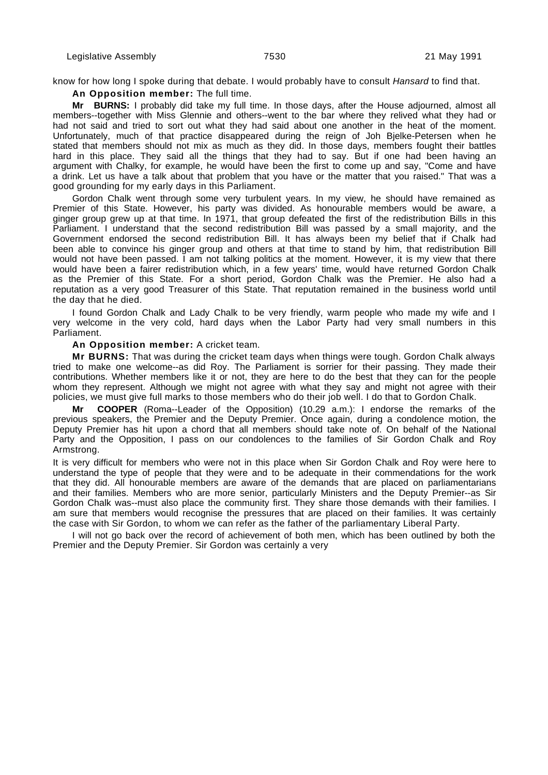know for how long I spoke during that debate. I would probably have to consult Hansard to find that.

**An Opposition member:** The full time.

**Mr BURNS:** I probably did take my full time. In those days, after the House adjourned, almost all members--together with Miss Glennie and others--went to the bar where they relived what they had or had not said and tried to sort out what they had said about one another in the heat of the moment. Unfortunately, much of that practice disappeared during the reign of Joh Bjelke-Petersen when he stated that members should not mix as much as they did. In those days, members fought their battles hard in this place. They said all the things that they had to say. But if one had been having an argument with Chalky, for example, he would have been the first to come up and say, "Come and have a drink. Let us have a talk about that problem that you have or the matter that you raised." That was a good grounding for my early days in this Parliament.

Gordon Chalk went through some very turbulent years. In my view, he should have remained as Premier of this State. However, his party was divided. As honourable members would be aware, a ginger group grew up at that time. In 1971, that group defeated the first of the redistribution Bills in this Parliament. I understand that the second redistribution Bill was passed by a small majority, and the Government endorsed the second redistribution Bill. It has always been my belief that if Chalk had been able to convince his ginger group and others at that time to stand by him, that redistribution Bill would not have been passed. I am not talking politics at the moment. However, it is my view that there would have been a fairer redistribution which, in a few years' time, would have returned Gordon Chalk as the Premier of this State. For a short period, Gordon Chalk was the Premier. He also had a reputation as a very good Treasurer of this State. That reputation remained in the business world until the day that he died.

I found Gordon Chalk and Lady Chalk to be very friendly, warm people who made my wife and I very welcome in the very cold, hard days when the Labor Party had very small numbers in this Parliament.

**An Opposition member:** A cricket team.

**Mr BURNS:** That was during the cricket team days when things were tough. Gordon Chalk always tried to make one welcome--as did Roy. The Parliament is sorrier for their passing. They made their contributions. Whether members like it or not, they are here to do the best that they can for the people whom they represent. Although we might not agree with what they say and might not agree with their policies, we must give full marks to those members who do their job well. I do that to Gordon Chalk.

**Mr COOPER** (Roma--Leader of the Opposition) (10.29 a.m.): I endorse the remarks of the previous speakers, the Premier and the Deputy Premier. Once again, during a condolence motion, the Deputy Premier has hit upon a chord that all members should take note of. On behalf of the National Party and the Opposition, I pass on our condolences to the families of Sir Gordon Chalk and Roy Armstrong.

It is very difficult for members who were not in this place when Sir Gordon Chalk and Roy were here to understand the type of people that they were and to be adequate in their commendations for the work that they did. All honourable members are aware of the demands that are placed on parliamentarians and their families. Members who are more senior, particularly Ministers and the Deputy Premier--as Sir Gordon Chalk was--must also place the community first. They share those demands with their families. I am sure that members would recognise the pressures that are placed on their families. It was certainly the case with Sir Gordon, to whom we can refer as the father of the parliamentary Liberal Party.

I will not go back over the record of achievement of both men, which has been outlined by both the Premier and the Deputy Premier. Sir Gordon was certainly a very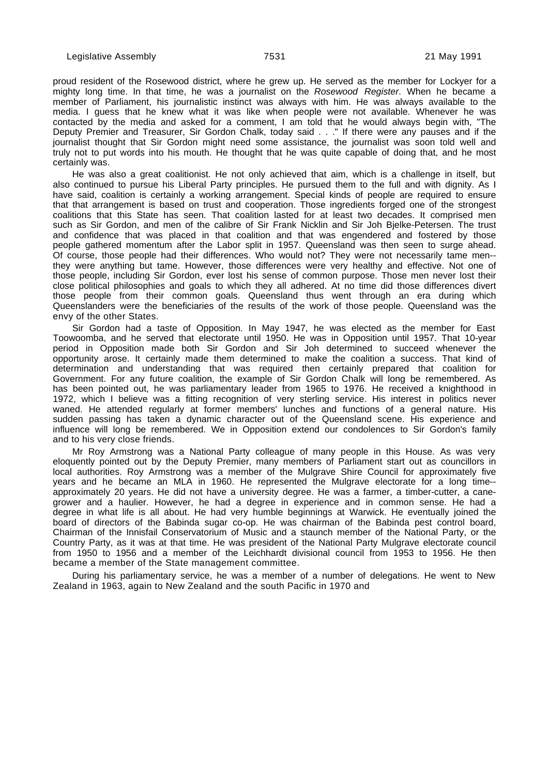proud resident of the Rosewood district, where he grew up. He served as the member for Lockyer for a mighty long time. In that time, he was a journalist on the Rosewood Register. When he became a member of Parliament, his journalistic instinct was always with him. He was always available to the media. I guess that he knew what it was like when people were not available. Whenever he was contacted by the media and asked for a comment, I am told that he would always begin with, "The Deputy Premier and Treasurer, Sir Gordon Chalk, today said . . ." If there were any pauses and if the journalist thought that Sir Gordon might need some assistance, the journalist was soon told well and truly not to put words into his mouth. He thought that he was quite capable of doing that, and he most certainly was.

He was also a great coalitionist. He not only achieved that aim, which is a challenge in itself, but also continued to pursue his Liberal Party principles. He pursued them to the full and with dignity. As I have said, coalition is certainly a working arrangement. Special kinds of people are required to ensure that that arrangement is based on trust and cooperation. Those ingredients forged one of the strongest coalitions that this State has seen. That coalition lasted for at least two decades. It comprised men such as Sir Gordon, and men of the calibre of Sir Frank Nicklin and Sir Joh Bjelke-Petersen. The trust and confidence that was placed in that coalition and that was engendered and fostered by those people gathered momentum after the Labor split in 1957. Queensland was then seen to surge ahead. Of course, those people had their differences. Who would not? They were not necessarily tame men- they were anything but tame. However, those differences were very healthy and effective. Not one of those people, including Sir Gordon, ever lost his sense of common purpose. Those men never lost their close political philosophies and goals to which they all adhered. At no time did those differences divert those people from their common goals. Queensland thus went through an era during which Queenslanders were the beneficiaries of the results of the work of those people. Queensland was the envy of the other States.

Sir Gordon had a taste of Opposition. In May 1947, he was elected as the member for East Toowoomba, and he served that electorate until 1950. He was in Opposition until 1957. That 10-year period in Opposition made both Sir Gordon and Sir Joh determined to succeed whenever the opportunity arose. It certainly made them determined to make the coalition a success. That kind of determination and understanding that was required then certainly prepared that coalition for Government. For any future coalition, the example of Sir Gordon Chalk will long be remembered. As has been pointed out, he was parliamentary leader from 1965 to 1976. He received a knighthood in 1972, which I believe was a fitting recognition of very sterling service. His interest in politics never waned. He attended regularly at former members' lunches and functions of a general nature. His sudden passing has taken a dynamic character out of the Queensland scene. His experience and influence will long be remembered. We in Opposition extend our condolences to Sir Gordon's family and to his very close friends.

Mr Roy Armstrong was a National Party colleague of many people in this House. As was very eloquently pointed out by the Deputy Premier, many members of Parliament start out as councillors in local authorities. Roy Armstrong was a member of the Mulgrave Shire Council for approximately five years and he became an MLA in 1960. He represented the Mulgrave electorate for a long time- approximately 20 years. He did not have a university degree. He was a farmer, a timber-cutter, a canegrower and a haulier. However, he had a degree in experience and in common sense. He had a degree in what life is all about. He had very humble beginnings at Warwick. He eventually joined the board of directors of the Babinda sugar co-op. He was chairman of the Babinda pest control board, Chairman of the Innisfail Conservatorium of Music and a staunch member of the National Party, or the Country Party, as it was at that time. He was president of the National Party Mulgrave electorate council from 1950 to 1956 and a member of the Leichhardt divisional council from 1953 to 1956. He then became a member of the State management committee.

During his parliamentary service, he was a member of a number of delegations. He went to New Zealand in 1963, again to New Zealand and the south Pacific in 1970 and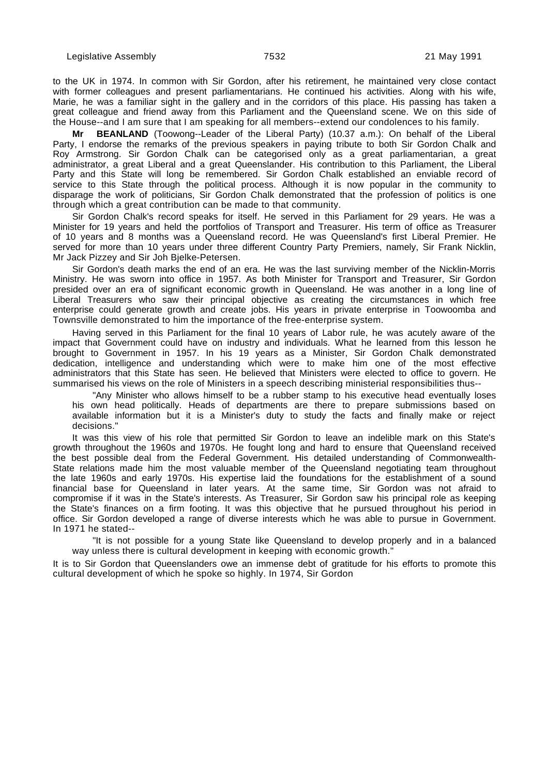to the UK in 1974. In common with Sir Gordon, after his retirement, he maintained very close contact with former colleagues and present parliamentarians. He continued his activities. Along with his wife, Marie, he was a familiar sight in the gallery and in the corridors of this place. His passing has taken a great colleague and friend away from this Parliament and the Queensland scene. We on this side of the House--and I am sure that I am speaking for all members--extend our condolences to his family.

**BEANLAND** (Toowong--Leader of the Liberal Party) (10.37 a.m.): On behalf of the Liberal Party, I endorse the remarks of the previous speakers in paying tribute to both Sir Gordon Chalk and Roy Armstrong. Sir Gordon Chalk can be categorised only as a great parliamentarian, a great administrator, a great Liberal and a great Queenslander. His contribution to this Parliament, the Liberal Party and this State will long be remembered. Sir Gordon Chalk established an enviable record of service to this State through the political process. Although it is now popular in the community to disparage the work of politicians, Sir Gordon Chalk demonstrated that the profession of politics is one through which a great contribution can be made to that community.

Sir Gordon Chalk's record speaks for itself. He served in this Parliament for 29 years. He was a Minister for 19 years and held the portfolios of Transport and Treasurer. His term of office as Treasurer of 10 years and 8 months was a Queensland record. He was Queensland's first Liberal Premier. He served for more than 10 years under three different Country Party Premiers, namely, Sir Frank Nicklin, Mr Jack Pizzey and Sir Joh Bjelke-Petersen.

Sir Gordon's death marks the end of an era. He was the last surviving member of the Nicklin-Morris Ministry. He was sworn into office in 1957. As both Minister for Transport and Treasurer, Sir Gordon presided over an era of significant economic growth in Queensland. He was another in a long line of Liberal Treasurers who saw their principal objective as creating the circumstances in which free enterprise could generate growth and create jobs. His years in private enterprise in Toowoomba and Townsville demonstrated to him the importance of the free-enterprise system.

Having served in this Parliament for the final 10 years of Labor rule, he was acutely aware of the impact that Government could have on industry and individuals. What he learned from this lesson he brought to Government in 1957. In his 19 years as a Minister, Sir Gordon Chalk demonstrated dedication, intelligence and understanding which were to make him one of the most effective administrators that this State has seen. He believed that Ministers were elected to office to govern. He summarised his views on the role of Ministers in a speech describing ministerial responsibilities thus--

"Any Minister who allows himself to be a rubber stamp to his executive head eventually loses his own head politically. Heads of departments are there to prepare submissions based on available information but it is a Minister's duty to study the facts and finally make or reject decisions."

It was this view of his role that permitted Sir Gordon to leave an indelible mark on this State's growth throughout the 1960s and 1970s. He fought long and hard to ensure that Queensland received the best possible deal from the Federal Government. His detailed understanding of Commonwealth-State relations made him the most valuable member of the Queensland negotiating team throughout the late 1960s and early 1970s. His expertise laid the foundations for the establishment of a sound financial base for Queensland in later years. At the same time, Sir Gordon was not afraid to compromise if it was in the State's interests. As Treasurer, Sir Gordon saw his principal role as keeping the State's finances on a firm footing. It was this objective that he pursued throughout his period in office. Sir Gordon developed a range of diverse interests which he was able to pursue in Government. In 1971 he stated--

"It is not possible for a young State like Queensland to develop properly and in a balanced way unless there is cultural development in keeping with economic growth."

It is to Sir Gordon that Queenslanders owe an immense debt of gratitude for his efforts to promote this cultural development of which he spoke so highly. In 1974, Sir Gordon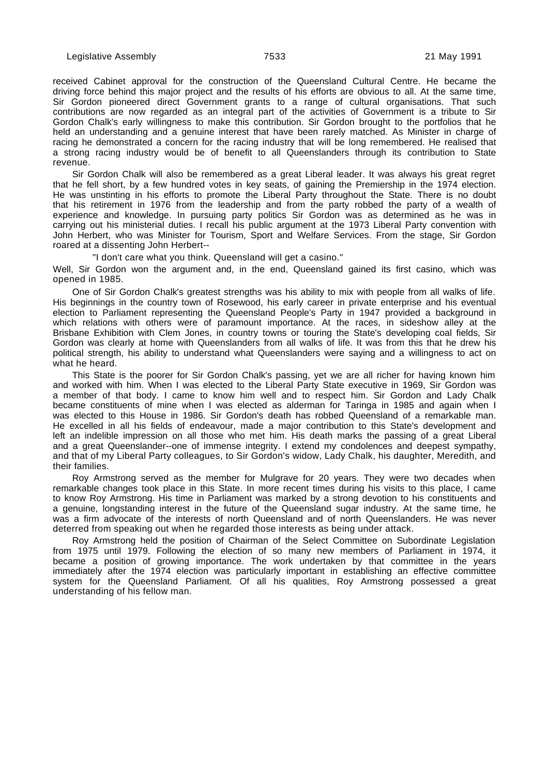received Cabinet approval for the construction of the Queensland Cultural Centre. He became the driving force behind this major project and the results of his efforts are obvious to all. At the same time, Sir Gordon pioneered direct Government grants to a range of cultural organisations. That such contributions are now regarded as an integral part of the activities of Government is a tribute to Sir Gordon Chalk's early willingness to make this contribution. Sir Gordon brought to the portfolios that he held an understanding and a genuine interest that have been rarely matched. As Minister in charge of racing he demonstrated a concern for the racing industry that will be long remembered. He realised that a strong racing industry would be of benefit to all Queenslanders through its contribution to State revenue.

Sir Gordon Chalk will also be remembered as a great Liberal leader. It was always his great regret that he fell short, by a few hundred votes in key seats, of gaining the Premiership in the 1974 election. He was unstinting in his efforts to promote the Liberal Party throughout the State. There is no doubt that his retirement in 1976 from the leadership and from the party robbed the party of a wealth of experience and knowledge. In pursuing party politics Sir Gordon was as determined as he was in carrying out his ministerial duties. I recall his public argument at the 1973 Liberal Party convention with John Herbert, who was Minister for Tourism, Sport and Welfare Services. From the stage, Sir Gordon roared at a dissenting John Herbert--

"I don't care what you think. Queensland will get a casino."

Well, Sir Gordon won the argument and, in the end, Queensland gained its first casino, which was opened in 1985.

One of Sir Gordon Chalk's greatest strengths was his ability to mix with people from all walks of life. His beginnings in the country town of Rosewood, his early career in private enterprise and his eventual election to Parliament representing the Queensland People's Party in 1947 provided a background in which relations with others were of paramount importance. At the races, in sideshow alley at the Brisbane Exhibition with Clem Jones, in country towns or touring the State's developing coal fields, Sir Gordon was clearly at home with Queenslanders from all walks of life. It was from this that he drew his political strength, his ability to understand what Queenslanders were saying and a willingness to act on what he heard.

This State is the poorer for Sir Gordon Chalk's passing, yet we are all richer for having known him and worked with him. When I was elected to the Liberal Party State executive in 1969, Sir Gordon was a member of that body. I came to know him well and to respect him. Sir Gordon and Lady Chalk became constituents of mine when I was elected as alderman for Taringa in 1985 and again when I was elected to this House in 1986. Sir Gordon's death has robbed Queensland of a remarkable man. He excelled in all his fields of endeavour, made a major contribution to this State's development and left an indelible impression on all those who met him. His death marks the passing of a great Liberal and a great Queenslander--one of immense integrity. I extend my condolences and deepest sympathy, and that of my Liberal Party colleagues, to Sir Gordon's widow, Lady Chalk, his daughter, Meredith, and their families.

Roy Armstrong served as the member for Mulgrave for 20 years. They were two decades when remarkable changes took place in this State. In more recent times during his visits to this place, I came to know Roy Armstrong. His time in Parliament was marked by a strong devotion to his constituents and a genuine, longstanding interest in the future of the Queensland sugar industry. At the same time, he was a firm advocate of the interests of north Queensland and of north Queenslanders. He was never deterred from speaking out when he regarded those interests as being under attack.

Roy Armstrong held the position of Chairman of the Select Committee on Subordinate Legislation from 1975 until 1979. Following the election of so many new members of Parliament in 1974, it became a position of growing importance. The work undertaken by that committee in the years immediately after the 1974 election was particularly important in establishing an effective committee system for the Queensland Parliament. Of all his qualities, Roy Armstrong possessed a great understanding of his fellow man.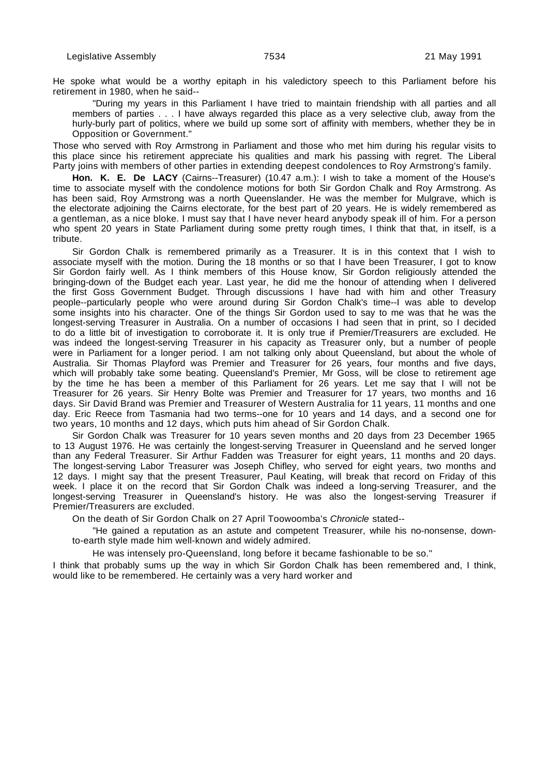He spoke what would be a worthy epitaph in his valedictory speech to this Parliament before his retirement in 1980, when he said--

"During my years in this Parliament I have tried to maintain friendship with all parties and all members of parties . . . I have always regarded this place as a very selective club, away from the hurly-burly part of politics, where we build up some sort of affinity with members, whether they be in Opposition or Government."

Those who served with Roy Armstrong in Parliament and those who met him during his regular visits to this place since his retirement appreciate his qualities and mark his passing with regret. The Liberal Party joins with members of other parties in extending deepest condolences to Roy Armstrong's family.

**Hon. K. E. De LACY** (Cairns--Treasurer) (10.47 a.m.): I wish to take a moment of the House's time to associate myself with the condolence motions for both Sir Gordon Chalk and Roy Armstrong. As has been said, Roy Armstrong was a north Queenslander. He was the member for Mulgrave, which is the electorate adjoining the Cairns electorate, for the best part of 20 years. He is widely remembered as a gentleman, as a nice bloke. I must say that I have never heard anybody speak ill of him. For a person who spent 20 years in State Parliament during some pretty rough times, I think that that, in itself, is a tribute.

Sir Gordon Chalk is remembered primarily as a Treasurer. It is in this context that I wish to associate myself with the motion. During the 18 months or so that I have been Treasurer, I got to know Sir Gordon fairly well. As I think members of this House know, Sir Gordon religiously attended the bringing-down of the Budget each year. Last year, he did me the honour of attending when I delivered the first Goss Government Budget. Through discussions I have had with him and other Treasury people--particularly people who were around during Sir Gordon Chalk's time--I was able to develop some insights into his character. One of the things Sir Gordon used to say to me was that he was the longest-serving Treasurer in Australia. On a number of occasions I had seen that in print, so I decided to do a little bit of investigation to corroborate it. It is only true if Premier/Treasurers are excluded. He was indeed the longest-serving Treasurer in his capacity as Treasurer only, but a number of people were in Parliament for a longer period. I am not talking only about Queensland, but about the whole of Australia. Sir Thomas Playford was Premier and Treasurer for 26 years, four months and five days, which will probably take some beating. Queensland's Premier, Mr Goss, will be close to retirement age by the time he has been a member of this Parliament for 26 years. Let me say that I will not be Treasurer for 26 years. Sir Henry Bolte was Premier and Treasurer for 17 years, two months and 16 days. Sir David Brand was Premier and Treasurer of Western Australia for 11 years, 11 months and one day. Eric Reece from Tasmania had two terms--one for 10 years and 14 days, and a second one for two years, 10 months and 12 days, which puts him ahead of Sir Gordon Chalk.

Sir Gordon Chalk was Treasurer for 10 years seven months and 20 days from 23 December 1965 to 13 August 1976. He was certainly the longest-serving Treasurer in Queensland and he served longer than any Federal Treasurer. Sir Arthur Fadden was Treasurer for eight years, 11 months and 20 days. The longest-serving Labor Treasurer was Joseph Chifley, who served for eight years, two months and 12 days. I might say that the present Treasurer, Paul Keating, will break that record on Friday of this week. I place it on the record that Sir Gordon Chalk was indeed a long-serving Treasurer, and the longest-serving Treasurer in Queensland's history. He was also the longest-serving Treasurer if Premier/Treasurers are excluded.

On the death of Sir Gordon Chalk on 27 April Toowoomba's Chronicle stated--

"He gained a reputation as an astute and competent Treasurer, while his no-nonsense, downto-earth style made him well-known and widely admired.

He was intensely pro-Queensland, long before it became fashionable to be so."

I think that probably sums up the way in which Sir Gordon Chalk has been remembered and, I think, would like to be remembered. He certainly was a very hard worker and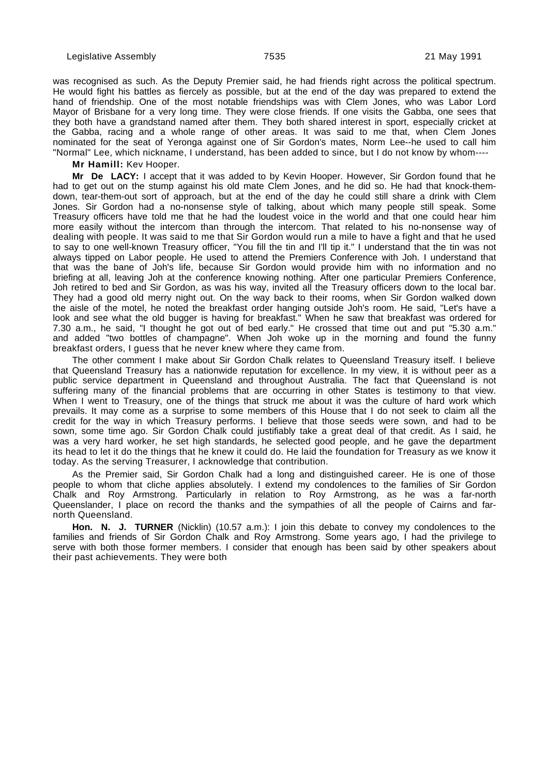was recognised as such. As the Deputy Premier said, he had friends right across the political spectrum. He would fight his battles as fiercely as possible, but at the end of the day was prepared to extend the hand of friendship. One of the most notable friendships was with Clem Jones, who was Labor Lord Mayor of Brisbane for a very long time. They were close friends. If one visits the Gabba, one sees that they both have a grandstand named after them. They both shared interest in sport, especially cricket at the Gabba, racing and a whole range of other areas. It was said to me that, when Clem Jones nominated for the seat of Yeronga against one of Sir Gordon's mates, Norm Lee--he used to call him "Normal" Lee, which nickname, I understand, has been added to since, but I do not know by whom----

**Mr Hamill:** Kev Hooper.

**Mr De LACY:** I accept that it was added to by Kevin Hooper. However, Sir Gordon found that he had to get out on the stump against his old mate Clem Jones, and he did so. He had that knock-themdown, tear-them-out sort of approach, but at the end of the day he could still share a drink with Clem Jones. Sir Gordon had a no-nonsense style of talking, about which many people still speak. Some Treasury officers have told me that he had the loudest voice in the world and that one could hear him more easily without the intercom than through the intercom. That related to his no-nonsense way of dealing with people. It was said to me that Sir Gordon would run a mile to have a fight and that he used to say to one well-known Treasury officer, "You fill the tin and I'll tip it." I understand that the tin was not always tipped on Labor people. He used to attend the Premiers Conference with Joh. I understand that that was the bane of Joh's life, because Sir Gordon would provide him with no information and no briefing at all, leaving Joh at the conference knowing nothing. After one particular Premiers Conference, Joh retired to bed and Sir Gordon, as was his way, invited all the Treasury officers down to the local bar. They had a good old merry night out. On the way back to their rooms, when Sir Gordon walked down the aisle of the motel, he noted the breakfast order hanging outside Joh's room. He said, "Let's have a look and see what the old bugger is having for breakfast." When he saw that breakfast was ordered for 7.30 a.m., he said, "I thought he got out of bed early." He crossed that time out and put "5.30 a.m." and added "two bottles of champagne". When Joh woke up in the morning and found the funny breakfast orders, I guess that he never knew where they came from.

The other comment I make about Sir Gordon Chalk relates to Queensland Treasury itself. I believe that Queensland Treasury has a nationwide reputation for excellence. In my view, it is without peer as a public service department in Queensland and throughout Australia. The fact that Queensland is not suffering many of the financial problems that are occurring in other States is testimony to that view. When I went to Treasury, one of the things that struck me about it was the culture of hard work which prevails. It may come as a surprise to some members of this House that I do not seek to claim all the credit for the way in which Treasury performs. I believe that those seeds were sown, and had to be sown, some time ago. Sir Gordon Chalk could justifiably take a great deal of that credit. As I said, he was a very hard worker, he set high standards, he selected good people, and he gave the department its head to let it do the things that he knew it could do. He laid the foundation for Treasury as we know it today. As the serving Treasurer, I acknowledge that contribution.

As the Premier said, Sir Gordon Chalk had a long and distinguished career. He is one of those people to whom that cliche applies absolutely. I extend my condolences to the families of Sir Gordon Chalk and Roy Armstrong. Particularly in relation to Roy Armstrong, as he was a far-north Queenslander, I place on record the thanks and the sympathies of all the people of Cairns and farnorth Queensland.

**Hon. N. J. TURNER** (Nicklin) (10.57 a.m.): I join this debate to convey my condolences to the families and friends of Sir Gordon Chalk and Roy Armstrong. Some years ago, I had the privilege to serve with both those former members. I consider that enough has been said by other speakers about their past achievements. They were both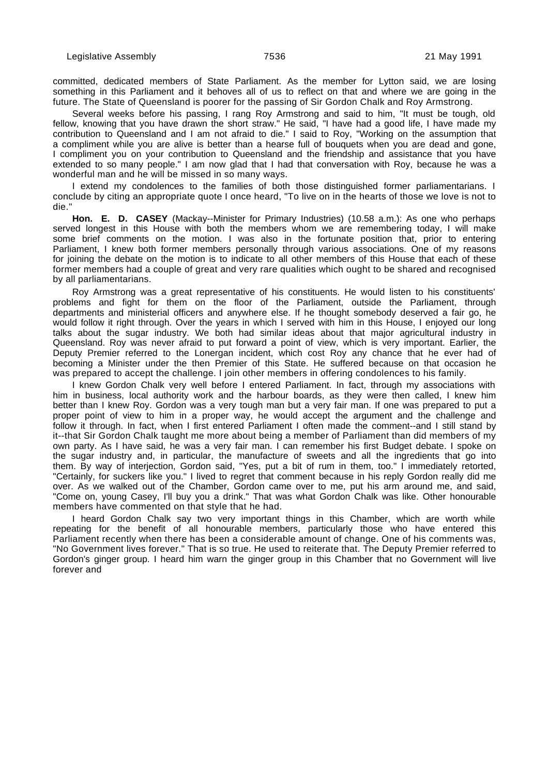committed, dedicated members of State Parliament. As the member for Lytton said, we are losing something in this Parliament and it behoves all of us to reflect on that and where we are going in the future. The State of Queensland is poorer for the passing of Sir Gordon Chalk and Roy Armstrong.

Several weeks before his passing, I rang Roy Armstrong and said to him, "It must be tough, old fellow, knowing that you have drawn the short straw." He said, "I have had a good life, I have made my contribution to Queensland and I am not afraid to die." I said to Roy, "Working on the assumption that a compliment while you are alive is better than a hearse full of bouquets when you are dead and gone, I compliment you on your contribution to Queensland and the friendship and assistance that you have extended to so many people." I am now glad that I had that conversation with Roy, because he was a wonderful man and he will be missed in so many ways.

I extend my condolences to the families of both those distinguished former parliamentarians. I conclude by citing an appropriate quote I once heard, "To live on in the hearts of those we love is not to die."

**Hon. E. D. CASEY** (Mackay--Minister for Primary Industries) (10.58 a.m.): As one who perhaps served longest in this House with both the members whom we are remembering today, I will make some brief comments on the motion. I was also in the fortunate position that, prior to entering Parliament, I knew both former members personally through various associations. One of my reasons for joining the debate on the motion is to indicate to all other members of this House that each of these former members had a couple of great and very rare qualities which ought to be shared and recognised by all parliamentarians.

Roy Armstrong was a great representative of his constituents. He would listen to his constituents' problems and fight for them on the floor of the Parliament, outside the Parliament, through departments and ministerial officers and anywhere else. If he thought somebody deserved a fair go, he would follow it right through. Over the years in which I served with him in this House, I enjoyed our long talks about the sugar industry. We both had similar ideas about that major agricultural industry in Queensland. Roy was never afraid to put forward a point of view, which is very important. Earlier, the Deputy Premier referred to the Lonergan incident, which cost Roy any chance that he ever had of becoming a Minister under the then Premier of this State. He suffered because on that occasion he was prepared to accept the challenge. I join other members in offering condolences to his family.

I knew Gordon Chalk very well before I entered Parliament. In fact, through my associations with him in business, local authority work and the harbour boards, as they were then called, I knew him better than I knew Roy. Gordon was a very tough man but a very fair man. If one was prepared to put a proper point of view to him in a proper way, he would accept the argument and the challenge and follow it through. In fact, when I first entered Parliament I often made the comment--and I still stand by it--that Sir Gordon Chalk taught me more about being a member of Parliament than did members of my own party. As I have said, he was a very fair man. I can remember his first Budget debate. I spoke on the sugar industry and, in particular, the manufacture of sweets and all the ingredients that go into them. By way of interjection, Gordon said, "Yes, put a bit of rum in them, too." I immediately retorted, "Certainly, for suckers like you." I lived to regret that comment because in his reply Gordon really did me over. As we walked out of the Chamber, Gordon came over to me, put his arm around me, and said, "Come on, young Casey, I'll buy you a drink." That was what Gordon Chalk was like. Other honourable members have commented on that style that he had.

I heard Gordon Chalk say two very important things in this Chamber, which are worth while repeating for the benefit of all honourable members, particularly those who have entered this Parliament recently when there has been a considerable amount of change. One of his comments was, "No Government lives forever." That is so true. He used to reiterate that. The Deputy Premier referred to Gordon's ginger group. I heard him warn the ginger group in this Chamber that no Government will live forever and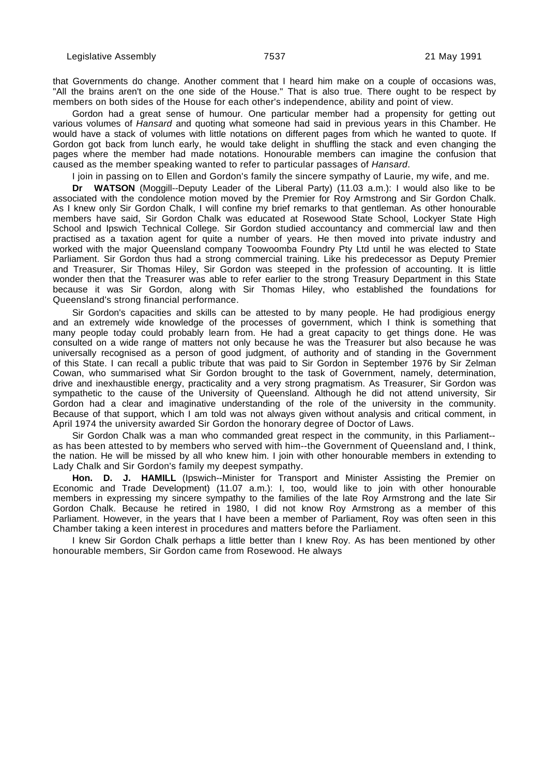that Governments do change. Another comment that I heard him make on a couple of occasions was, "All the brains aren't on the one side of the House." That is also true. There ought to be respect by members on both sides of the House for each other's independence, ability and point of view.

Gordon had a great sense of humour. One particular member had a propensity for getting out various volumes of Hansard and quoting what someone had said in previous years in this Chamber. He would have a stack of volumes with little notations on different pages from which he wanted to quote. If Gordon got back from lunch early, he would take delight in shuffling the stack and even changing the pages where the member had made notations. Honourable members can imagine the confusion that caused as the member speaking wanted to refer to particular passages of Hansard.

I join in passing on to Ellen and Gordon's family the sincere sympathy of Laurie, my wife, and me.

**Dr WATSON** (Moggill--Deputy Leader of the Liberal Party) (11.03 a.m.): I would also like to be associated with the condolence motion moved by the Premier for Roy Armstrong and Sir Gordon Chalk. As I knew only Sir Gordon Chalk, I will confine my brief remarks to that gentleman. As other honourable members have said, Sir Gordon Chalk was educated at Rosewood State School, Lockyer State High School and Ipswich Technical College. Sir Gordon studied accountancy and commercial law and then practised as a taxation agent for quite a number of years. He then moved into private industry and worked with the major Queensland company Toowoomba Foundry Pty Ltd until he was elected to State Parliament. Sir Gordon thus had a strong commercial training. Like his predecessor as Deputy Premier and Treasurer, Sir Thomas Hiley, Sir Gordon was steeped in the profession of accounting. It is little wonder then that the Treasurer was able to refer earlier to the strong Treasury Department in this State because it was Sir Gordon, along with Sir Thomas Hiley, who established the foundations for Queensland's strong financial performance.

Sir Gordon's capacities and skills can be attested to by many people. He had prodigious energy and an extremely wide knowledge of the processes of government, which I think is something that many people today could probably learn from. He had a great capacity to get things done. He was consulted on a wide range of matters not only because he was the Treasurer but also because he was universally recognised as a person of good judgment, of authority and of standing in the Government of this State. I can recall a public tribute that was paid to Sir Gordon in September 1976 by Sir Zelman Cowan, who summarised what Sir Gordon brought to the task of Government, namely, determination, drive and inexhaustible energy, practicality and a very strong pragmatism. As Treasurer, Sir Gordon was sympathetic to the cause of the University of Queensland. Although he did not attend university, Sir Gordon had a clear and imaginative understanding of the role of the university in the community. Because of that support, which I am told was not always given without analysis and critical comment, in April 1974 the university awarded Sir Gordon the honorary degree of Doctor of Laws.

Sir Gordon Chalk was a man who commanded great respect in the community, in this Parliament- as has been attested to by members who served with him--the Government of Queensland and, I think, the nation. He will be missed by all who knew him. I join with other honourable members in extending to Lady Chalk and Sir Gordon's family my deepest sympathy.

Hon. D. J. HAMILL (Ipswich--Minister for Transport and Minister Assisting the Premier on Economic and Trade Development) (11.07 a.m.): I, too, would like to join with other honourable members in expressing my sincere sympathy to the families of the late Roy Armstrong and the late Sir Gordon Chalk. Because he retired in 1980, I did not know Roy Armstrong as a member of this Parliament. However, in the years that I have been a member of Parliament, Roy was often seen in this Chamber taking a keen interest in procedures and matters before the Parliament.

I knew Sir Gordon Chalk perhaps a little better than I knew Roy. As has been mentioned by other honourable members, Sir Gordon came from Rosewood. He always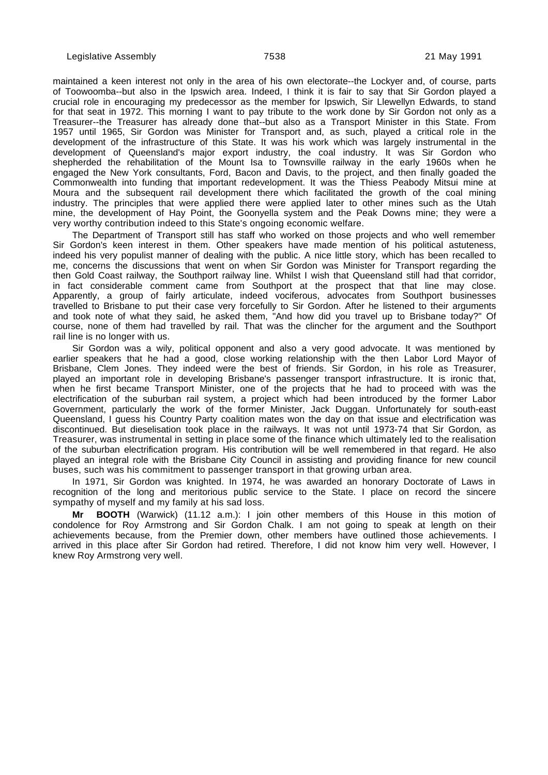maintained a keen interest not only in the area of his own electorate--the Lockyer and, of course, parts of Toowoomba--but also in the Ipswich area. Indeed, I think it is fair to say that Sir Gordon played a crucial role in encouraging my predecessor as the member for Ipswich, Sir Llewellyn Edwards, to stand for that seat in 1972. This morning I want to pay tribute to the work done by Sir Gordon not only as a Treasurer--the Treasurer has already done that--but also as a Transport Minister in this State. From 1957 until 1965, Sir Gordon was Minister for Transport and, as such, played a critical role in the development of the infrastructure of this State. It was his work which was largely instrumental in the development of Queensland's major export industry, the coal industry. It was Sir Gordon who shepherded the rehabilitation of the Mount Isa to Townsville railway in the early 1960s when he engaged the New York consultants, Ford, Bacon and Davis, to the project, and then finally goaded the Commonwealth into funding that important redevelopment. It was the Thiess Peabody Mitsui mine at Moura and the subsequent rail development there which facilitated the growth of the coal mining industry. The principles that were applied there were applied later to other mines such as the Utah mine, the development of Hay Point, the Goonyella system and the Peak Downs mine; they were a very worthy contribution indeed to this State's ongoing economic welfare.

The Department of Transport still has staff who worked on those projects and who well remember Sir Gordon's keen interest in them. Other speakers have made mention of his political astuteness, indeed his very populist manner of dealing with the public. A nice little story, which has been recalled to me, concerns the discussions that went on when Sir Gordon was Minister for Transport regarding the then Gold Coast railway, the Southport railway line. Whilst I wish that Queensland still had that corridor, in fact considerable comment came from Southport at the prospect that that line may close. Apparently, a group of fairly articulate, indeed vociferous, advocates from Southport businesses travelled to Brisbane to put their case very forcefully to Sir Gordon. After he listened to their arguments and took note of what they said, he asked them, "And how did you travel up to Brisbane today?" Of course, none of them had travelled by rail. That was the clincher for the argument and the Southport rail line is no longer with us.

Sir Gordon was a wily, political opponent and also a very good advocate. It was mentioned by earlier speakers that he had a good, close working relationship with the then Labor Lord Mayor of Brisbane, Clem Jones. They indeed were the best of friends. Sir Gordon, in his role as Treasurer, played an important role in developing Brisbane's passenger transport infrastructure. It is ironic that, when he first became Transport Minister, one of the projects that he had to proceed with was the electrification of the suburban rail system, a project which had been introduced by the former Labor Government, particularly the work of the former Minister, Jack Duggan. Unfortunately for south-east Queensland, I guess his Country Party coalition mates won the day on that issue and electrification was discontinued. But dieselisation took place in the railways. It was not until 1973-74 that Sir Gordon, as Treasurer, was instrumental in setting in place some of the finance which ultimately led to the realisation of the suburban electrification program. His contribution will be well remembered in that regard. He also played an integral role with the Brisbane City Council in assisting and providing finance for new council buses, such was his commitment to passenger transport in that growing urban area.

In 1971, Sir Gordon was knighted. In 1974, he was awarded an honorary Doctorate of Laws in recognition of the long and meritorious public service to the State. I place on record the sincere sympathy of myself and my family at his sad loss.

**Mr BOOTH** (Warwick) (11.12 a.m.): I join other members of this House in this motion of condolence for Roy Armstrong and Sir Gordon Chalk. I am not going to speak at length on their achievements because, from the Premier down, other members have outlined those achievements. I arrived in this place after Sir Gordon had retired. Therefore, I did not know him very well. However, I knew Roy Armstrong very well.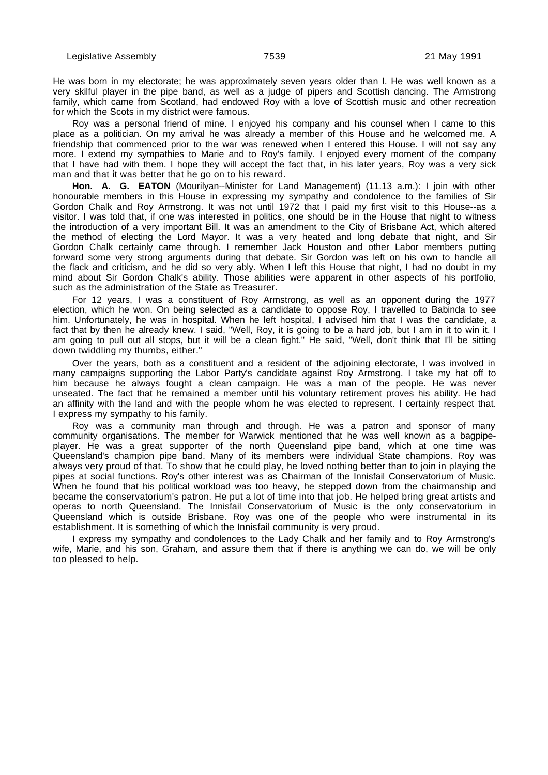He was born in my electorate; he was approximately seven years older than I. He was well known as a very skilful player in the pipe band, as well as a judge of pipers and Scottish dancing. The Armstrong family, which came from Scotland, had endowed Roy with a love of Scottish music and other recreation for which the Scots in my district were famous.

Roy was a personal friend of mine. I enjoyed his company and his counsel when I came to this place as a politician. On my arrival he was already a member of this House and he welcomed me. A friendship that commenced prior to the war was renewed when I entered this House. I will not say any more. I extend my sympathies to Marie and to Roy's family. I enjoyed every moment of the company that I have had with them. I hope they will accept the fact that, in his later years, Roy was a very sick man and that it was better that he go on to his reward.

**Hon. A. G. EATON** (Mourilyan--Minister for Land Management) (11.13 a.m.): I join with other honourable members in this House in expressing my sympathy and condolence to the families of Sir Gordon Chalk and Roy Armstrong. It was not until 1972 that I paid my first visit to this House--as a visitor. I was told that, if one was interested in politics, one should be in the House that night to witness the introduction of a very important Bill. It was an amendment to the City of Brisbane Act, which altered the method of electing the Lord Mayor. It was a very heated and long debate that night, and Sir Gordon Chalk certainly came through. I remember Jack Houston and other Labor members putting forward some very strong arguments during that debate. Sir Gordon was left on his own to handle all the flack and criticism, and he did so very ably. When I left this House that night, I had no doubt in my mind about Sir Gordon Chalk's ability. Those abilities were apparent in other aspects of his portfolio, such as the administration of the State as Treasurer.

For 12 years, I was a constituent of Roy Armstrong, as well as an opponent during the 1977 election, which he won. On being selected as a candidate to oppose Roy, I travelled to Babinda to see him. Unfortunately, he was in hospital. When he left hospital, I advised him that I was the candidate, a fact that by then he already knew. I said, "Well, Roy, it is going to be a hard job, but I am in it to win it. I am going to pull out all stops, but it will be a clean fight." He said, "Well, don't think that I'll be sitting down twiddling my thumbs, either."

Over the years, both as a constituent and a resident of the adjoining electorate, I was involved in many campaigns supporting the Labor Party's candidate against Roy Armstrong. I take my hat off to him because he always fought a clean campaign. He was a man of the people. He was never unseated. The fact that he remained a member until his voluntary retirement proves his ability. He had an affinity with the land and with the people whom he was elected to represent. I certainly respect that. I express my sympathy to his family.

Roy was a community man through and through. He was a patron and sponsor of many community organisations. The member for Warwick mentioned that he was well known as a bagpipeplayer. He was a great supporter of the north Queensland pipe band, which at one time was Queensland's champion pipe band. Many of its members were individual State champions. Roy was always very proud of that. To show that he could play, he loved nothing better than to join in playing the pipes at social functions. Roy's other interest was as Chairman of the Innisfail Conservatorium of Music. When he found that his political workload was too heavy, he stepped down from the chairmanship and became the conservatorium's patron. He put a lot of time into that job. He helped bring great artists and operas to north Queensland. The Innisfail Conservatorium of Music is the only conservatorium in Queensland which is outside Brisbane. Roy was one of the people who were instrumental in its establishment. It is something of which the Innisfail community is very proud.

I express my sympathy and condolences to the Lady Chalk and her family and to Roy Armstrong's wife, Marie, and his son, Graham, and assure them that if there is anything we can do, we will be only too pleased to help.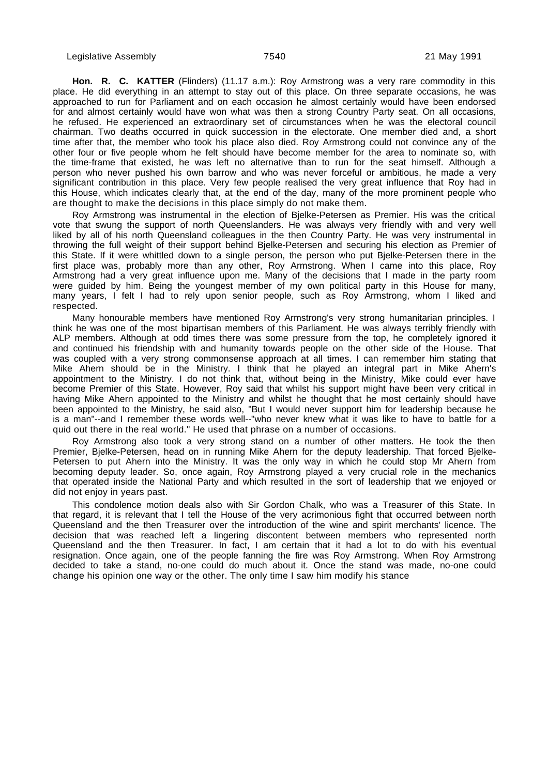**Hon. R. C. KATTER** (Flinders) (11.17 a.m.): Roy Armstrong was a very rare commodity in this place. He did everything in an attempt to stay out of this place. On three separate occasions, he was approached to run for Parliament and on each occasion he almost certainly would have been endorsed for and almost certainly would have won what was then a strong Country Party seat. On all occasions, he refused. He experienced an extraordinary set of circumstances when he was the electoral council chairman. Two deaths occurred in quick succession in the electorate. One member died and, a short time after that, the member who took his place also died. Roy Armstrong could not convince any of the other four or five people whom he felt should have become member for the area to nominate so, with the time-frame that existed, he was left no alternative than to run for the seat himself. Although a person who never pushed his own barrow and who was never forceful or ambitious, he made a very significant contribution in this place. Very few people realised the very great influence that Roy had in this House, which indicates clearly that, at the end of the day, many of the more prominent people who are thought to make the decisions in this place simply do not make them.

Roy Armstrong was instrumental in the election of Bjelke-Petersen as Premier. His was the critical vote that swung the support of north Queenslanders. He was always very friendly with and very well liked by all of his north Queensland colleagues in the then Country Party. He was very instrumental in throwing the full weight of their support behind Bjelke-Petersen and securing his election as Premier of this State. If it were whittled down to a single person, the person who put Bjelke-Petersen there in the first place was, probably more than any other, Roy Armstrong. When I came into this place, Roy Armstrong had a very great influence upon me. Many of the decisions that I made in the party room were guided by him. Being the youngest member of my own political party in this House for many, many years, I felt I had to rely upon senior people, such as Roy Armstrong, whom I liked and respected.

Many honourable members have mentioned Roy Armstrong's very strong humanitarian principles. I think he was one of the most bipartisan members of this Parliament. He was always terribly friendly with ALP members. Although at odd times there was some pressure from the top, he completely ignored it and continued his friendship with and humanity towards people on the other side of the House. That was coupled with a very strong commonsense approach at all times. I can remember him stating that Mike Ahern should be in the Ministry. I think that he played an integral part in Mike Ahern's appointment to the Ministry. I do not think that, without being in the Ministry, Mike could ever have become Premier of this State. However, Roy said that whilst his support might have been very critical in having Mike Ahern appointed to the Ministry and whilst he thought that he most certainly should have been appointed to the Ministry, he said also, "But I would never support him for leadership because he is a man"--and I remember these words well--"who never knew what it was like to have to battle for a quid out there in the real world." He used that phrase on a number of occasions.

Roy Armstrong also took a very strong stand on a number of other matters. He took the then Premier, Bjelke-Petersen, head on in running Mike Ahern for the deputy leadership. That forced Bjelke-Petersen to put Ahern into the Ministry. It was the only way in which he could stop Mr Ahern from becoming deputy leader. So, once again, Roy Armstrong played a very crucial role in the mechanics that operated inside the National Party and which resulted in the sort of leadership that we enjoyed or did not enjoy in years past.

This condolence motion deals also with Sir Gordon Chalk, who was a Treasurer of this State. In that regard, it is relevant that I tell the House of the very acrimonious fight that occurred between north Queensland and the then Treasurer over the introduction of the wine and spirit merchants' licence. The decision that was reached left a lingering discontent between members who represented north Queensland and the then Treasurer. In fact, I am certain that it had a lot to do with his eventual resignation. Once again, one of the people fanning the fire was Roy Armstrong. When Roy Armstrong decided to take a stand, no-one could do much about it. Once the stand was made, no-one could change his opinion one way or the other. The only time I saw him modify his stance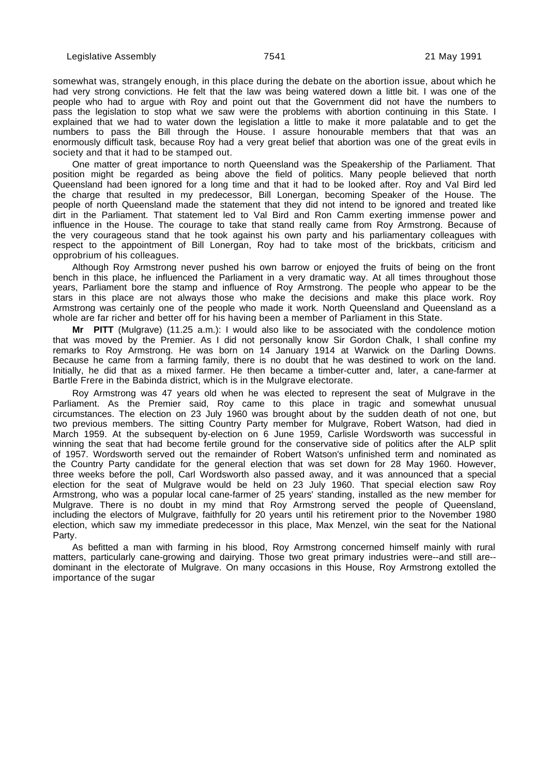somewhat was, strangely enough, in this place during the debate on the abortion issue, about which he had very strong convictions. He felt that the law was being watered down a little bit. I was one of the people who had to argue with Roy and point out that the Government did not have the numbers to pass the legislation to stop what we saw were the problems with abortion continuing in this State. I explained that we had to water down the legislation a little to make it more palatable and to get the numbers to pass the Bill through the House. I assure honourable members that that was an enormously difficult task, because Roy had a very great belief that abortion was one of the great evils in society and that it had to be stamped out.

One matter of great importance to north Queensland was the Speakership of the Parliament. That position might be regarded as being above the field of politics. Many people believed that north Queensland had been ignored for a long time and that it had to be looked after. Roy and Val Bird led the charge that resulted in my predecessor, Bill Lonergan, becoming Speaker of the House. The people of north Queensland made the statement that they did not intend to be ignored and treated like dirt in the Parliament. That statement led to Val Bird and Ron Camm exerting immense power and influence in the House. The courage to take that stand really came from Roy Armstrong. Because of the very courageous stand that he took against his own party and his parliamentary colleagues with respect to the appointment of Bill Lonergan, Roy had to take most of the brickbats, criticism and opprobrium of his colleagues.

Although Roy Armstrong never pushed his own barrow or enjoyed the fruits of being on the front bench in this place, he influenced the Parliament in a very dramatic way. At all times throughout those years, Parliament bore the stamp and influence of Roy Armstrong. The people who appear to be the stars in this place are not always those who make the decisions and make this place work. Roy Armstrong was certainly one of the people who made it work. North Queensland and Queensland as a whole are far richer and better off for his having been a member of Parliament in this State.

**Mr PITT** (Mulgrave) (11.25 a.m.): I would also like to be associated with the condolence motion that was moved by the Premier. As I did not personally know Sir Gordon Chalk, I shall confine my remarks to Roy Armstrong. He was born on 14 January 1914 at Warwick on the Darling Downs. Because he came from a farming family, there is no doubt that he was destined to work on the land. Initially, he did that as a mixed farmer. He then became a timber-cutter and, later, a cane-farmer at Bartle Frere in the Babinda district, which is in the Mulgrave electorate.

Roy Armstrong was 47 years old when he was elected to represent the seat of Mulgrave in the Parliament. As the Premier said, Roy came to this place in tragic and somewhat unusual circumstances. The election on 23 July 1960 was brought about by the sudden death of not one, but two previous members. The sitting Country Party member for Mulgrave, Robert Watson, had died in March 1959. At the subsequent by-election on 6 June 1959, Carlisle Wordsworth was successful in winning the seat that had become fertile ground for the conservative side of politics after the ALP split of 1957. Wordsworth served out the remainder of Robert Watson's unfinished term and nominated as the Country Party candidate for the general election that was set down for 28 May 1960. However, three weeks before the poll, Carl Wordsworth also passed away, and it was announced that a special election for the seat of Mulgrave would be held on 23 July 1960. That special election saw Roy Armstrong, who was a popular local cane-farmer of 25 years' standing, installed as the new member for Mulgrave. There is no doubt in my mind that Roy Armstrong served the people of Queensland, including the electors of Mulgrave, faithfully for 20 years until his retirement prior to the November 1980 election, which saw my immediate predecessor in this place, Max Menzel, win the seat for the National Party.

As befitted a man with farming in his blood, Roy Armstrong concerned himself mainly with rural matters, particularly cane-growing and dairying. Those two great primary industries were--and still are- dominant in the electorate of Mulgrave. On many occasions in this House, Roy Armstrong extolled the importance of the sugar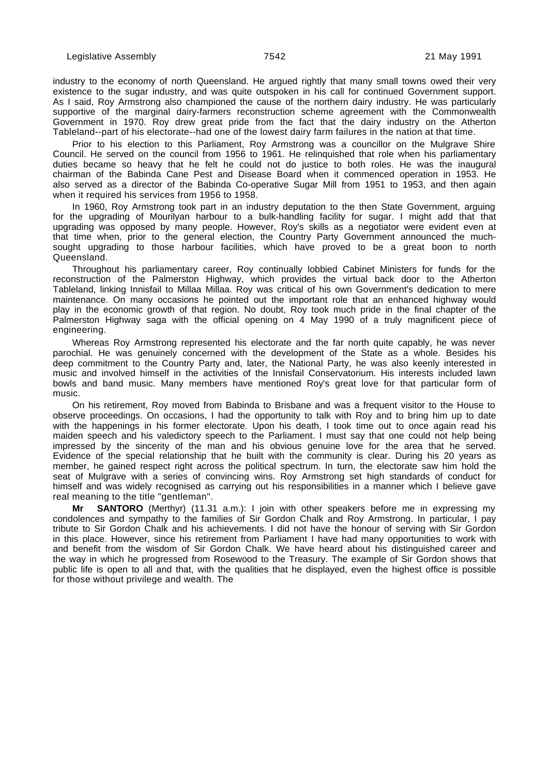industry to the economy of north Queensland. He argued rightly that many small towns owed their very existence to the sugar industry, and was quite outspoken in his call for continued Government support. As I said, Roy Armstrong also championed the cause of the northern dairy industry. He was particularly supportive of the marginal dairy-farmers reconstruction scheme agreement with the Commonwealth Government in 1970. Roy drew great pride from the fact that the dairy industry on the Atherton Tableland--part of his electorate--had one of the lowest dairy farm failures in the nation at that time.

Prior to his election to this Parliament, Roy Armstrong was a councillor on the Mulgrave Shire Council. He served on the council from 1956 to 1961. He relinquished that role when his parliamentary duties became so heavy that he felt he could not do justice to both roles. He was the inaugural chairman of the Babinda Cane Pest and Disease Board when it commenced operation in 1953. He also served as a director of the Babinda Co-operative Sugar Mill from 1951 to 1953, and then again when it required his services from 1956 to 1958.

In 1960, Roy Armstrong took part in an industry deputation to the then State Government, arguing for the upgrading of Mourilyan harbour to a bulk-handling facility for sugar. I might add that that upgrading was opposed by many people. However, Roy's skills as a negotiator were evident even at that time when, prior to the general election, the Country Party Government announced the muchsought upgrading to those harbour facilities, which have proved to be a great boon to north Queensland.

Throughout his parliamentary career, Roy continually lobbied Cabinet Ministers for funds for the reconstruction of the Palmerston Highway, which provides the virtual back door to the Atherton Tableland, linking Innisfail to Millaa Millaa. Roy was critical of his own Government's dedication to mere maintenance. On many occasions he pointed out the important role that an enhanced highway would play in the economic growth of that region. No doubt, Roy took much pride in the final chapter of the Palmerston Highway saga with the official opening on 4 May 1990 of a truly magnificent piece of engineering.

Whereas Roy Armstrong represented his electorate and the far north quite capably, he was never parochial. He was genuinely concerned with the development of the State as a whole. Besides his deep commitment to the Country Party and, later, the National Party, he was also keenly interested in music and involved himself in the activities of the Innisfail Conservatorium. His interests included lawn bowls and band music. Many members have mentioned Roy's great love for that particular form of music.

On his retirement, Roy moved from Babinda to Brisbane and was a frequent visitor to the House to observe proceedings. On occasions, I had the opportunity to talk with Roy and to bring him up to date with the happenings in his former electorate. Upon his death, I took time out to once again read his maiden speech and his valedictory speech to the Parliament. I must say that one could not help being impressed by the sincerity of the man and his obvious genuine love for the area that he served. Evidence of the special relationship that he built with the community is clear. During his 20 years as member, he gained respect right across the political spectrum. In turn, the electorate saw him hold the seat of Mulgrave with a series of convincing wins. Roy Armstrong set high standards of conduct for himself and was widely recognised as carrying out his responsibilities in a manner which I believe gave real meaning to the title "gentleman".

**SANTORO** (Merthyr) (11.31 a.m.): I join with other speakers before me in expressing my condolences and sympathy to the families of Sir Gordon Chalk and Roy Armstrong. In particular, I pay tribute to Sir Gordon Chalk and his achievements. I did not have the honour of serving with Sir Gordon in this place. However, since his retirement from Parliament I have had many opportunities to work with and benefit from the wisdom of Sir Gordon Chalk. We have heard about his distinguished career and the way in which he progressed from Rosewood to the Treasury. The example of Sir Gordon shows that public life is open to all and that, with the qualities that he displayed, even the highest office is possible for those without privilege and wealth. The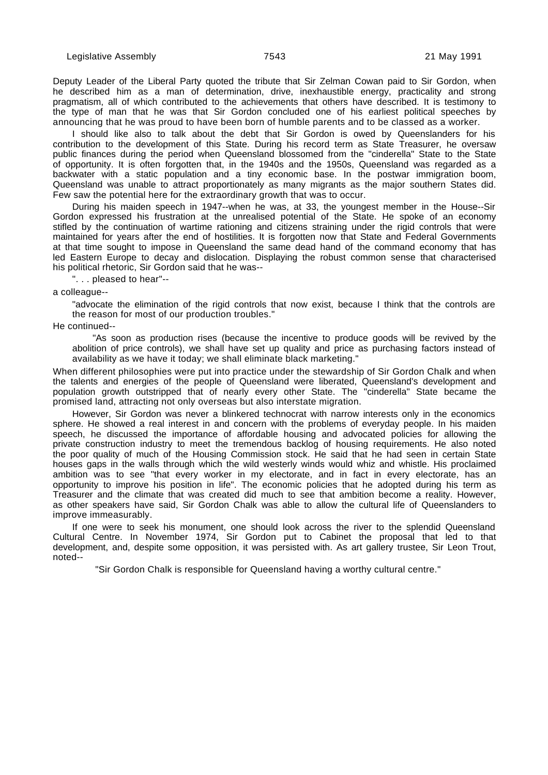Deputy Leader of the Liberal Party quoted the tribute that Sir Zelman Cowan paid to Sir Gordon, when he described him as a man of determination, drive, inexhaustible energy, practicality and strong pragmatism, all of which contributed to the achievements that others have described. It is testimony to the type of man that he was that Sir Gordon concluded one of his earliest political speeches by announcing that he was proud to have been born of humble parents and to be classed as a worker.

I should like also to talk about the debt that Sir Gordon is owed by Queenslanders for his contribution to the development of this State. During his record term as State Treasurer, he oversaw public finances during the period when Queensland blossomed from the "cinderella" State to the State of opportunity. It is often forgotten that, in the 1940s and the 1950s, Queensland was regarded as a backwater with a static population and a tiny economic base. In the postwar immigration boom, Queensland was unable to attract proportionately as many migrants as the major southern States did. Few saw the potential here for the extraordinary growth that was to occur.

During his maiden speech in 1947--when he was, at 33, the youngest member in the House--Sir Gordon expressed his frustration at the unrealised potential of the State. He spoke of an economy stifled by the continuation of wartime rationing and citizens straining under the rigid controls that were maintained for years after the end of hostilities. It is forgotten now that State and Federal Governments at that time sought to impose in Queensland the same dead hand of the command economy that has led Eastern Europe to decay and dislocation. Displaying the robust common sense that characterised his political rhetoric, Sir Gordon said that he was--

". . . pleased to hear"--

a colleague--

"advocate the elimination of the rigid controls that now exist, because I think that the controls are the reason for most of our production troubles."

He continued--

"As soon as production rises (because the incentive to produce goods will be revived by the abolition of price controls), we shall have set up quality and price as purchasing factors instead of availability as we have it today; we shall eliminate black marketing."

When different philosophies were put into practice under the stewardship of Sir Gordon Chalk and when the talents and energies of the people of Queensland were liberated, Queensland's development and population growth outstripped that of nearly every other State. The "cinderella" State became the promised land, attracting not only overseas but also interstate migration.

However, Sir Gordon was never a blinkered technocrat with narrow interests only in the economics sphere. He showed a real interest in and concern with the problems of everyday people. In his maiden speech, he discussed the importance of affordable housing and advocated policies for allowing the private construction industry to meet the tremendous backlog of housing requirements. He also noted the poor quality of much of the Housing Commission stock. He said that he had seen in certain State houses gaps in the walls through which the wild westerly winds would whiz and whistle. His proclaimed ambition was to see "that every worker in my electorate, and in fact in every electorate, has an opportunity to improve his position in life". The economic policies that he adopted during his term as Treasurer and the climate that was created did much to see that ambition become a reality. However, as other speakers have said, Sir Gordon Chalk was able to allow the cultural life of Queenslanders to improve immeasurably.

If one were to seek his monument, one should look across the river to the splendid Queensland Cultural Centre. In November 1974, Sir Gordon put to Cabinet the proposal that led to that development, and, despite some opposition, it was persisted with. As art gallery trustee, Sir Leon Trout, noted--

"Sir Gordon Chalk is responsible for Queensland having a worthy cultural centre."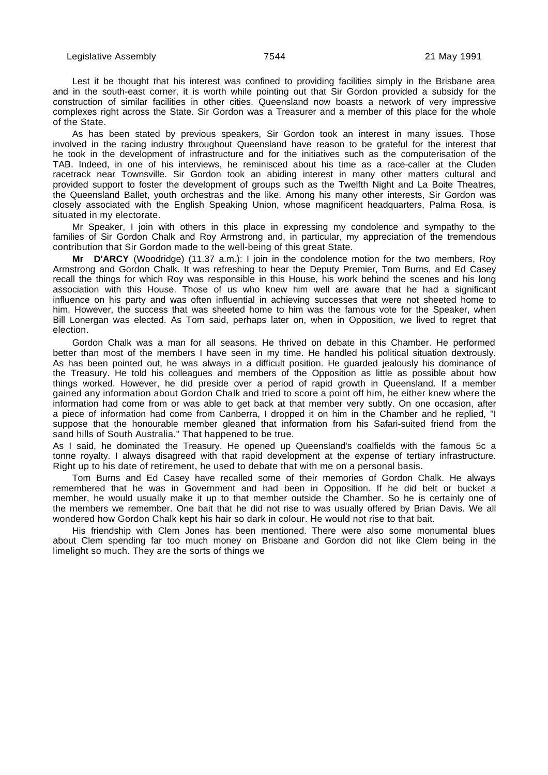Lest it be thought that his interest was confined to providing facilities simply in the Brisbane area and in the south-east corner, it is worth while pointing out that Sir Gordon provided a subsidy for the construction of similar facilities in other cities. Queensland now boasts a network of very impressive complexes right across the State. Sir Gordon was a Treasurer and a member of this place for the whole of the State.

As has been stated by previous speakers, Sir Gordon took an interest in many issues. Those involved in the racing industry throughout Queensland have reason to be grateful for the interest that he took in the development of infrastructure and for the initiatives such as the computerisation of the TAB. Indeed, in one of his interviews, he reminisced about his time as a race-caller at the Cluden racetrack near Townsville. Sir Gordon took an abiding interest in many other matters cultural and provided support to foster the development of groups such as the Twelfth Night and La Boite Theatres, the Queensland Ballet, youth orchestras and the like. Among his many other interests, Sir Gordon was closely associated with the English Speaking Union, whose magnificent headquarters, Palma Rosa, is situated in my electorate.

Mr Speaker, I join with others in this place in expressing my condolence and sympathy to the families of Sir Gordon Chalk and Roy Armstrong and, in particular, my appreciation of the tremendous contribution that Sir Gordon made to the well-being of this great State.

**Mr D'ARCY** (Woodridge) (11.37 a.m.): I join in the condolence motion for the two members, Roy Armstrong and Gordon Chalk. It was refreshing to hear the Deputy Premier, Tom Burns, and Ed Casey recall the things for which Roy was responsible in this House, his work behind the scenes and his long association with this House. Those of us who knew him well are aware that he had a significant influence on his party and was often influential in achieving successes that were not sheeted home to him. However, the success that was sheeted home to him was the famous vote for the Speaker, when Bill Lonergan was elected. As Tom said, perhaps later on, when in Opposition, we lived to regret that election.

Gordon Chalk was a man for all seasons. He thrived on debate in this Chamber. He performed better than most of the members I have seen in my time. He handled his political situation dextrously. As has been pointed out, he was always in a difficult position. He guarded jealously his dominance of the Treasury. He told his colleagues and members of the Opposition as little as possible about how things worked. However, he did preside over a period of rapid growth in Queensland. If a member gained any information about Gordon Chalk and tried to score a point off him, he either knew where the information had come from or was able to get back at that member very subtly. On one occasion, after a piece of information had come from Canberra, I dropped it on him in the Chamber and he replied, "I suppose that the honourable member gleaned that information from his Safari-suited friend from the sand hills of South Australia." That happened to be true.

As I said, he dominated the Treasury. He opened up Queensland's coalfields with the famous 5c a tonne royalty. I always disagreed with that rapid development at the expense of tertiary infrastructure. Right up to his date of retirement, he used to debate that with me on a personal basis.

Tom Burns and Ed Casey have recalled some of their memories of Gordon Chalk. He always remembered that he was in Government and had been in Opposition. If he did belt or bucket a member, he would usually make it up to that member outside the Chamber. So he is certainly one of the members we remember. One bait that he did not rise to was usually offered by Brian Davis. We all wondered how Gordon Chalk kept his hair so dark in colour. He would not rise to that bait.

His friendship with Clem Jones has been mentioned. There were also some monumental blues about Clem spending far too much money on Brisbane and Gordon did not like Clem being in the limelight so much. They are the sorts of things we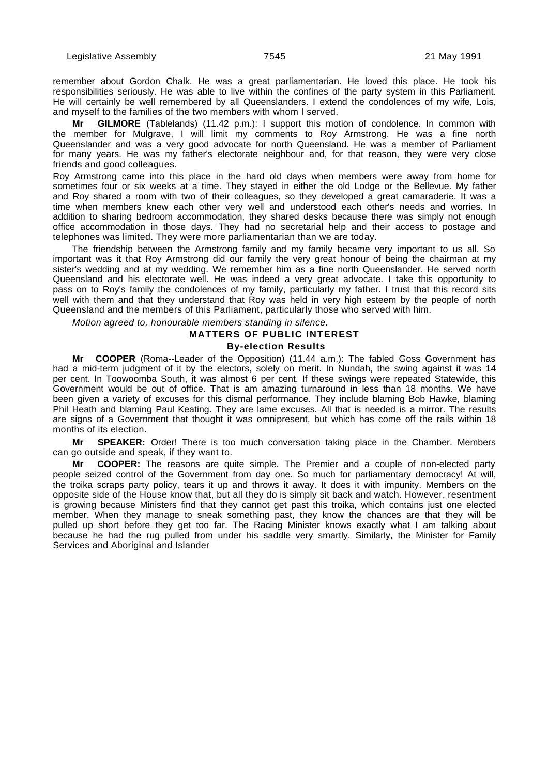remember about Gordon Chalk. He was a great parliamentarian. He loved this place. He took his responsibilities seriously. He was able to live within the confines of the party system in this Parliament. He will certainly be well remembered by all Queenslanders. I extend the condolences of my wife, Lois, and myself to the families of the two members with whom I served.

**Mr GILMORE** (Tablelands) (11.42 p.m.): I support this motion of condolence. In common with the member for Mulgrave, I will limit my comments to Roy Armstrong. He was a fine north Queenslander and was a very good advocate for north Queensland. He was a member of Parliament for many years. He was my father's electorate neighbour and, for that reason, they were very close friends and good colleagues.

Roy Armstrong came into this place in the hard old days when members were away from home for sometimes four or six weeks at a time. They stayed in either the old Lodge or the Bellevue. My father and Roy shared a room with two of their colleagues, so they developed a great camaraderie. It was a time when members knew each other very well and understood each other's needs and worries. In addition to sharing bedroom accommodation, they shared desks because there was simply not enough office accommodation in those days. They had no secretarial help and their access to postage and telephones was limited. They were more parliamentarian than we are today.

The friendship between the Armstrong family and my family became very important to us all. So important was it that Roy Armstrong did our family the very great honour of being the chairman at my sister's wedding and at my wedding. We remember him as a fine north Queenslander. He served north Queensland and his electorate well. He was indeed a very great advocate. I take this opportunity to pass on to Roy's family the condolences of my family, particularly my father. I trust that this record sits well with them and that they understand that Roy was held in very high esteem by the people of north Queensland and the members of this Parliament, particularly those who served with him.

Motion agreed to, honourable members standing in silence.

## **MATTERS OF PUBLIC INTEREST By-election Results**

**Mr COOPER** (Roma--Leader of the Opposition) (11.44 a.m.): The fabled Goss Government has had a mid-term judgment of it by the electors, solely on merit. In Nundah, the swing against it was 14 per cent. In Toowoomba South, it was almost 6 per cent. If these swings were repeated Statewide, this Government would be out of office. That is am amazing turnaround in less than 18 months. We have been given a variety of excuses for this dismal performance. They include blaming Bob Hawke, blaming Phil Heath and blaming Paul Keating. They are lame excuses. All that is needed is a mirror. The results are signs of a Government that thought it was omnipresent, but which has come off the rails within 18 months of its election.

**Mr SPEAKER:** Order! There is too much conversation taking place in the Chamber. Members can go outside and speak, if they want to.

**Mr COOPER:** The reasons are quite simple. The Premier and a couple of non-elected party people seized control of the Government from day one. So much for parliamentary democracy! At will, the troika scraps party policy, tears it up and throws it away. It does it with impunity. Members on the opposite side of the House know that, but all they do is simply sit back and watch. However, resentment is growing because Ministers find that they cannot get past this troika, which contains just one elected member. When they manage to sneak something past, they know the chances are that they will be pulled up short before they get too far. The Racing Minister knows exactly what I am talking about because he had the rug pulled from under his saddle very smartly. Similarly, the Minister for Family Services and Aboriginal and Islander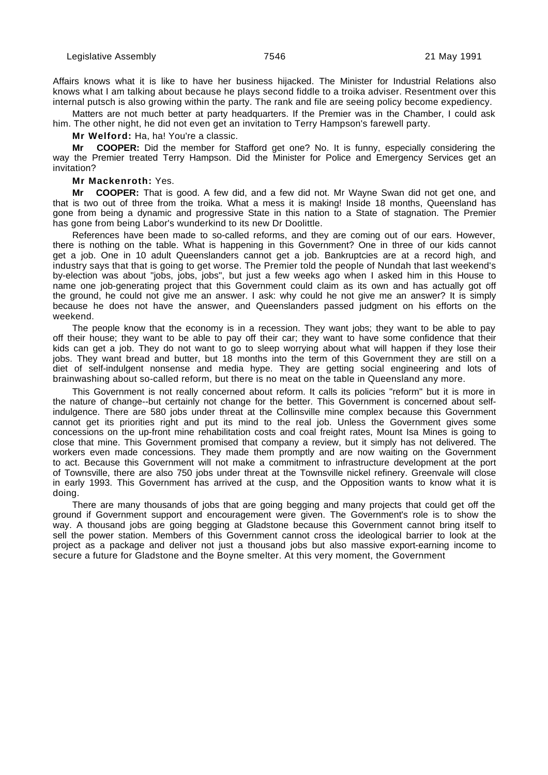Affairs knows what it is like to have her business hijacked. The Minister for Industrial Relations also knows what I am talking about because he plays second fiddle to a troika adviser. Resentment over this internal putsch is also growing within the party. The rank and file are seeing policy become expediency.

Matters are not much better at party headquarters. If the Premier was in the Chamber, I could ask him. The other night, he did not even get an invitation to Terry Hampson's farewell party.

**Mr Welford:** Ha, ha! You're a classic.

**Mr COOPER:** Did the member for Stafford get one? No. It is funny, especially considering the way the Premier treated Terry Hampson. Did the Minister for Police and Emergency Services get an invitation?

#### **Mr Mackenroth:** Yes.

**Mr COOPER:** That is good. A few did, and a few did not. Mr Wayne Swan did not get one, and that is two out of three from the troika. What a mess it is making! Inside 18 months, Queensland has gone from being a dynamic and progressive State in this nation to a State of stagnation. The Premier has gone from being Labor's wunderkind to its new Dr Doolittle.

References have been made to so-called reforms, and they are coming out of our ears. However, there is nothing on the table. What is happening in this Government? One in three of our kids cannot get a job. One in 10 adult Queenslanders cannot get a job. Bankruptcies are at a record high, and industry says that that is going to get worse. The Premier told the people of Nundah that last weekend's by-election was about "jobs, jobs, jobs", but just a few weeks ago when I asked him in this House to name one job-generating project that this Government could claim as its own and has actually got off the ground, he could not give me an answer. I ask: why could he not give me an answer? It is simply because he does not have the answer, and Queenslanders passed judgment on his efforts on the weekend.

The people know that the economy is in a recession. They want jobs; they want to be able to pay off their house; they want to be able to pay off their car; they want to have some confidence that their kids can get a job. They do not want to go to sleep worrying about what will happen if they lose their jobs. They want bread and butter, but 18 months into the term of this Government they are still on a diet of self-indulgent nonsense and media hype. They are getting social engineering and lots of brainwashing about so-called reform, but there is no meat on the table in Queensland any more.

This Government is not really concerned about reform. It calls its policies "reform" but it is more in the nature of change--but certainly not change for the better. This Government is concerned about selfindulgence. There are 580 jobs under threat at the Collinsville mine complex because this Government cannot get its priorities right and put its mind to the real job. Unless the Government gives some concessions on the up-front mine rehabilitation costs and coal freight rates, Mount Isa Mines is going to close that mine. This Government promised that company a review, but it simply has not delivered. The workers even made concessions. They made them promptly and are now waiting on the Government to act. Because this Government will not make a commitment to infrastructure development at the port of Townsville, there are also 750 jobs under threat at the Townsville nickel refinery. Greenvale will close in early 1993. This Government has arrived at the cusp, and the Opposition wants to know what it is doing.

There are many thousands of jobs that are going begging and many projects that could get off the ground if Government support and encouragement were given. The Government's role is to show the way. A thousand jobs are going begging at Gladstone because this Government cannot bring itself to sell the power station. Members of this Government cannot cross the ideological barrier to look at the project as a package and deliver not just a thousand jobs but also massive export-earning income to secure a future for Gladstone and the Boyne smelter. At this very moment, the Government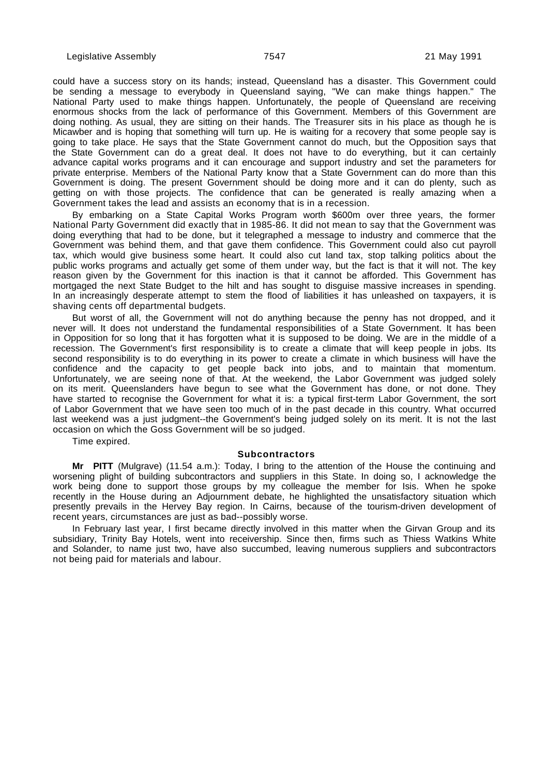could have a success story on its hands; instead, Queensland has a disaster. This Government could be sending a message to everybody in Queensland saying, "We can make things happen." The National Party used to make things happen. Unfortunately, the people of Queensland are receiving enormous shocks from the lack of performance of this Government. Members of this Government are doing nothing. As usual, they are sitting on their hands. The Treasurer sits in his place as though he is Micawber and is hoping that something will turn up. He is waiting for a recovery that some people say is going to take place. He says that the State Government cannot do much, but the Opposition says that the State Government can do a great deal. It does not have to do everything, but it can certainly advance capital works programs and it can encourage and support industry and set the parameters for private enterprise. Members of the National Party know that a State Government can do more than this Government is doing. The present Government should be doing more and it can do plenty, such as getting on with those projects. The confidence that can be generated is really amazing when a Government takes the lead and assists an economy that is in a recession.

By embarking on a State Capital Works Program worth \$600m over three years, the former National Party Government did exactly that in 1985-86. It did not mean to say that the Government was doing everything that had to be done, but it telegraphed a message to industry and commerce that the Government was behind them, and that gave them confidence. This Government could also cut payroll tax, which would give business some heart. It could also cut land tax, stop talking politics about the public works programs and actually get some of them under way, but the fact is that it will not. The key reason given by the Government for this inaction is that it cannot be afforded. This Government has mortgaged the next State Budget to the hilt and has sought to disguise massive increases in spending. In an increasingly desperate attempt to stem the flood of liabilities it has unleashed on taxpayers, it is shaving cents off departmental budgets.

But worst of all, the Government will not do anything because the penny has not dropped, and it never will. It does not understand the fundamental responsibilities of a State Government. It has been in Opposition for so long that it has forgotten what it is supposed to be doing. We are in the middle of a recession. The Government's first responsibility is to create a climate that will keep people in jobs. Its second responsibility is to do everything in its power to create a climate in which business will have the confidence and the capacity to get people back into jobs, and to maintain that momentum. Unfortunately, we are seeing none of that. At the weekend, the Labor Government was judged solely on its merit. Queenslanders have begun to see what the Government has done, or not done. They have started to recognise the Government for what it is: a typical first-term Labor Government, the sort of Labor Government that we have seen too much of in the past decade in this country. What occurred last weekend was a just judgment--the Government's being judged solely on its merit. It is not the last occasion on which the Goss Government will be so judged.

Time expired.

#### **Subcontractors**

**Mr PITT** (Mulgrave) (11.54 a.m.): Today, I bring to the attention of the House the continuing and worsening plight of building subcontractors and suppliers in this State. In doing so, I acknowledge the work being done to support those groups by my colleague the member for Isis. When he spoke recently in the House during an Adjournment debate, he highlighted the unsatisfactory situation which presently prevails in the Hervey Bay region. In Cairns, because of the tourism-driven development of recent years, circumstances are just as bad--possibly worse.

In February last year, I first became directly involved in this matter when the Girvan Group and its subsidiary, Trinity Bay Hotels, went into receivership. Since then, firms such as Thiess Watkins White and Solander, to name just two, have also succumbed, leaving numerous suppliers and subcontractors not being paid for materials and labour.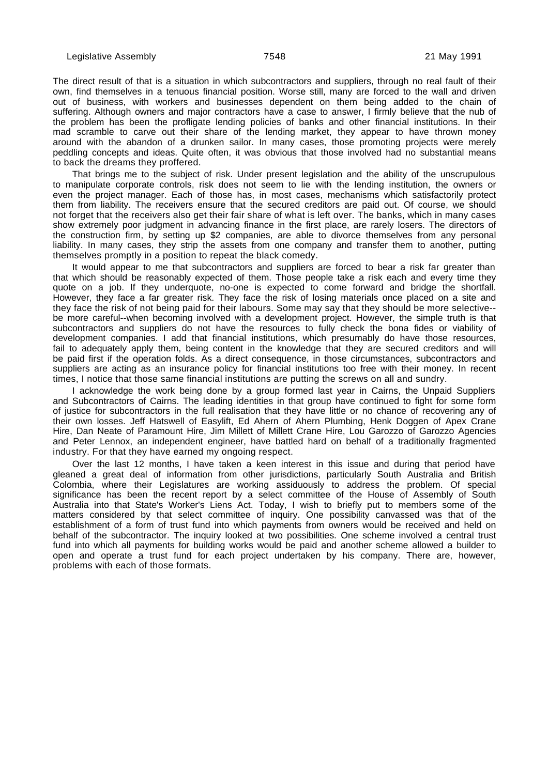The direct result of that is a situation in which subcontractors and suppliers, through no real fault of their own, find themselves in a tenuous financial position. Worse still, many are forced to the wall and driven out of business, with workers and businesses dependent on them being added to the chain of suffering. Although owners and major contractors have a case to answer, I firmly believe that the nub of the problem has been the profligate lending policies of banks and other financial institutions. In their mad scramble to carve out their share of the lending market, they appear to have thrown money around with the abandon of a drunken sailor. In many cases, those promoting projects were merely peddling concepts and ideas. Quite often, it was obvious that those involved had no substantial means to back the dreams they proffered.

That brings me to the subject of risk. Under present legislation and the ability of the unscrupulous to manipulate corporate controls, risk does not seem to lie with the lending institution, the owners or even the project manager. Each of those has, in most cases, mechanisms which satisfactorily protect them from liability. The receivers ensure that the secured creditors are paid out. Of course, we should not forget that the receivers also get their fair share of what is left over. The banks, which in many cases show extremely poor judgment in advancing finance in the first place, are rarely losers. The directors of the construction firm, by setting up \$2 companies, are able to divorce themselves from any personal liability. In many cases, they strip the assets from one company and transfer them to another, putting themselves promptly in a position to repeat the black comedy.

It would appear to me that subcontractors and suppliers are forced to bear a risk far greater than that which should be reasonably expected of them. Those people take a risk each and every time they quote on a job. If they underquote, no-one is expected to come forward and bridge the shortfall. However, they face a far greater risk. They face the risk of losing materials once placed on a site and they face the risk of not being paid for their labours. Some may say that they should be more selective- be more careful--when becoming involved with a development project. However, the simple truth is that subcontractors and suppliers do not have the resources to fully check the bona fides or viability of development companies. I add that financial institutions, which presumably do have those resources, fail to adequately apply them, being content in the knowledge that they are secured creditors and will be paid first if the operation folds. As a direct consequence, in those circumstances, subcontractors and suppliers are acting as an insurance policy for financial institutions too free with their money. In recent times, I notice that those same financial institutions are putting the screws on all and sundry.

I acknowledge the work being done by a group formed last year in Cairns, the Unpaid Suppliers and Subcontractors of Cairns. The leading identities in that group have continued to fight for some form of justice for subcontractors in the full realisation that they have little or no chance of recovering any of their own losses. Jeff Hatswell of Easylift, Ed Ahern of Ahern Plumbing, Henk Doggen of Apex Crane Hire, Dan Neate of Paramount Hire, Jim Millett of Millett Crane Hire, Lou Garozzo of Garozzo Agencies and Peter Lennox, an independent engineer, have battled hard on behalf of a traditionally fragmented industry. For that they have earned my ongoing respect.

Over the last 12 months, I have taken a keen interest in this issue and during that period have gleaned a great deal of information from other jurisdictions, particularly South Australia and British Colombia, where their Legislatures are working assiduously to address the problem. Of special significance has been the recent report by a select committee of the House of Assembly of South Australia into that State's Worker's Liens Act. Today, I wish to briefly put to members some of the matters considered by that select committee of inquiry. One possibility canvassed was that of the establishment of a form of trust fund into which payments from owners would be received and held on behalf of the subcontractor. The inquiry looked at two possibilities. One scheme involved a central trust fund into which all payments for building works would be paid and another scheme allowed a builder to open and operate a trust fund for each project undertaken by his company. There are, however, problems with each of those formats.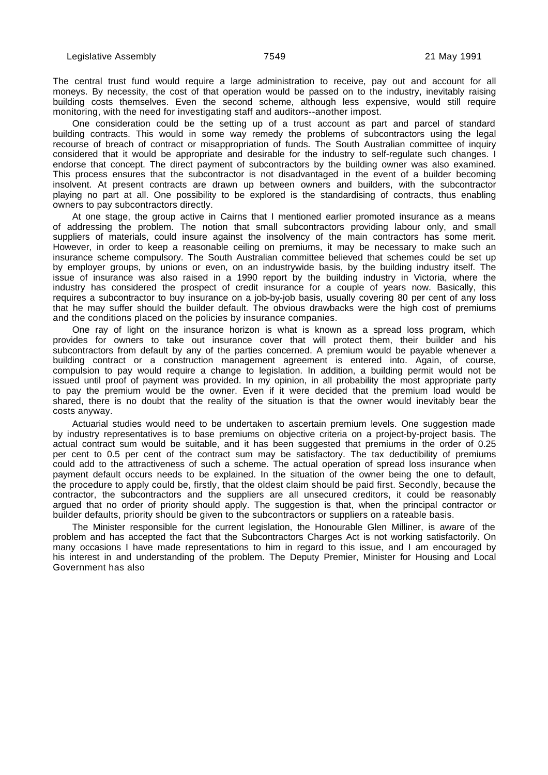The central trust fund would require a large administration to receive, pay out and account for all moneys. By necessity, the cost of that operation would be passed on to the industry, inevitably raising building costs themselves. Even the second scheme, although less expensive, would still require monitoring, with the need for investigating staff and auditors--another impost.

One consideration could be the setting up of a trust account as part and parcel of standard building contracts. This would in some way remedy the problems of subcontractors using the legal recourse of breach of contract or misappropriation of funds. The South Australian committee of inquiry considered that it would be appropriate and desirable for the industry to self-regulate such changes. I endorse that concept. The direct payment of subcontractors by the building owner was also examined. This process ensures that the subcontractor is not disadvantaged in the event of a builder becoming insolvent. At present contracts are drawn up between owners and builders, with the subcontractor playing no part at all. One possibility to be explored is the standardising of contracts, thus enabling owners to pay subcontractors directly.

At one stage, the group active in Cairns that I mentioned earlier promoted insurance as a means of addressing the problem. The notion that small subcontractors providing labour only, and small suppliers of materials, could insure against the insolvency of the main contractors has some merit. However, in order to keep a reasonable ceiling on premiums, it may be necessary to make such an insurance scheme compulsory. The South Australian committee believed that schemes could be set up by employer groups, by unions or even, on an industrywide basis, by the building industry itself. The issue of insurance was also raised in a 1990 report by the building industry in Victoria, where the industry has considered the prospect of credit insurance for a couple of years now. Basically, this requires a subcontractor to buy insurance on a job-by-job basis, usually covering 80 per cent of any loss that he may suffer should the builder default. The obvious drawbacks were the high cost of premiums and the conditions placed on the policies by insurance companies.

One ray of light on the insurance horizon is what is known as a spread loss program, which provides for owners to take out insurance cover that will protect them, their builder and his subcontractors from default by any of the parties concerned. A premium would be payable whenever a building contract or a construction management agreement is entered into. Again, of course, compulsion to pay would require a change to legislation. In addition, a building permit would not be issued until proof of payment was provided. In my opinion, in all probability the most appropriate party to pay the premium would be the owner. Even if it were decided that the premium load would be shared, there is no doubt that the reality of the situation is that the owner would inevitably bear the costs anyway.

Actuarial studies would need to be undertaken to ascertain premium levels. One suggestion made by industry representatives is to base premiums on objective criteria on a project-by-project basis. The actual contract sum would be suitable, and it has been suggested that premiums in the order of 0.25 per cent to 0.5 per cent of the contract sum may be satisfactory. The tax deductibility of premiums could add to the attractiveness of such a scheme. The actual operation of spread loss insurance when payment default occurs needs to be explained. In the situation of the owner being the one to default, the procedure to apply could be, firstly, that the oldest claim should be paid first. Secondly, because the contractor, the subcontractors and the suppliers are all unsecured creditors, it could be reasonably argued that no order of priority should apply. The suggestion is that, when the principal contractor or builder defaults, priority should be given to the subcontractors or suppliers on a rateable basis.

The Minister responsible for the current legislation, the Honourable Glen Milliner, is aware of the problem and has accepted the fact that the Subcontractors Charges Act is not working satisfactorily. On many occasions I have made representations to him in regard to this issue, and I am encouraged by his interest in and understanding of the problem. The Deputy Premier, Minister for Housing and Local Government has also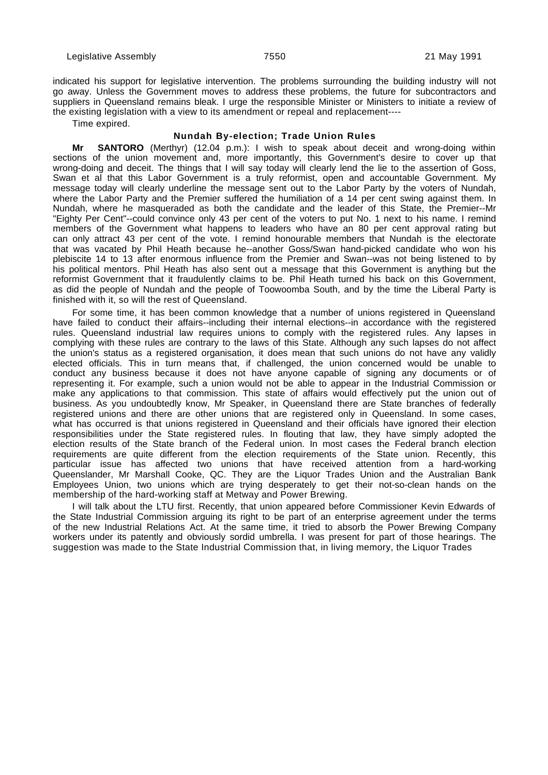indicated his support for legislative intervention. The problems surrounding the building industry will not go away. Unless the Government moves to address these problems, the future for subcontractors and suppliers in Queensland remains bleak. I urge the responsible Minister or Ministers to initiate a review of the existing legislation with a view to its amendment or repeal and replacement----

Time expired.

#### **Nundah By-election; Trade Union Rules**

**Mr SANTORO** (Merthyr) (12.04 p.m.): I wish to speak about deceit and wrong-doing within sections of the union movement and, more importantly, this Government's desire to cover up that wrong-doing and deceit. The things that I will say today will clearly lend the lie to the assertion of Goss, Swan et al that this Labor Government is a truly reformist, open and accountable Government. My message today will clearly underline the message sent out to the Labor Party by the voters of Nundah, where the Labor Party and the Premier suffered the humiliation of a 14 per cent swing against them. In Nundah, where he masqueraded as both the candidate and the leader of this State, the Premier--Mr "Eighty Per Cent"--could convince only 43 per cent of the voters to put No. 1 next to his name. I remind members of the Government what happens to leaders who have an 80 per cent approval rating but can only attract 43 per cent of the vote. I remind honourable members that Nundah is the electorate that was vacated by Phil Heath because he--another Goss/Swan hand-picked candidate who won his plebiscite 14 to 13 after enormous influence from the Premier and Swan--was not being listened to by his political mentors. Phil Heath has also sent out a message that this Government is anything but the reformist Government that it fraudulently claims to be. Phil Heath turned his back on this Government, as did the people of Nundah and the people of Toowoomba South, and by the time the Liberal Party is finished with it, so will the rest of Queensland.

For some time, it has been common knowledge that a number of unions registered in Queensland have failed to conduct their affairs--including their internal elections--in accordance with the registered rules. Queensland industrial law requires unions to comply with the registered rules. Any lapses in complying with these rules are contrary to the laws of this State. Although any such lapses do not affect the union's status as a registered organisation, it does mean that such unions do not have any validly elected officials. This in turn means that, if challenged, the union concerned would be unable to conduct any business because it does not have anyone capable of signing any documents or of representing it. For example, such a union would not be able to appear in the Industrial Commission or make any applications to that commission. This state of affairs would effectively put the union out of business. As you undoubtedly know, Mr Speaker, in Queensland there are State branches of federally registered unions and there are other unions that are registered only in Queensland. In some cases, what has occurred is that unions registered in Queensland and their officials have ignored their election responsibilities under the State registered rules. In flouting that law, they have simply adopted the election results of the State branch of the Federal union. In most cases the Federal branch election requirements are quite different from the election requirements of the State union. Recently, this particular issue has affected two unions that have received attention from a hard-working Queenslander, Mr Marshall Cooke, QC. They are the Liquor Trades Union and the Australian Bank Employees Union, two unions which are trying desperately to get their not-so-clean hands on the membership of the hard-working staff at Metway and Power Brewing.

I will talk about the LTU first. Recently, that union appeared before Commissioner Kevin Edwards of the State Industrial Commission arguing its right to be part of an enterprise agreement under the terms of the new Industrial Relations Act. At the same time, it tried to absorb the Power Brewing Company workers under its patently and obviously sordid umbrella. I was present for part of those hearings. The suggestion was made to the State Industrial Commission that, in living memory, the Liquor Trades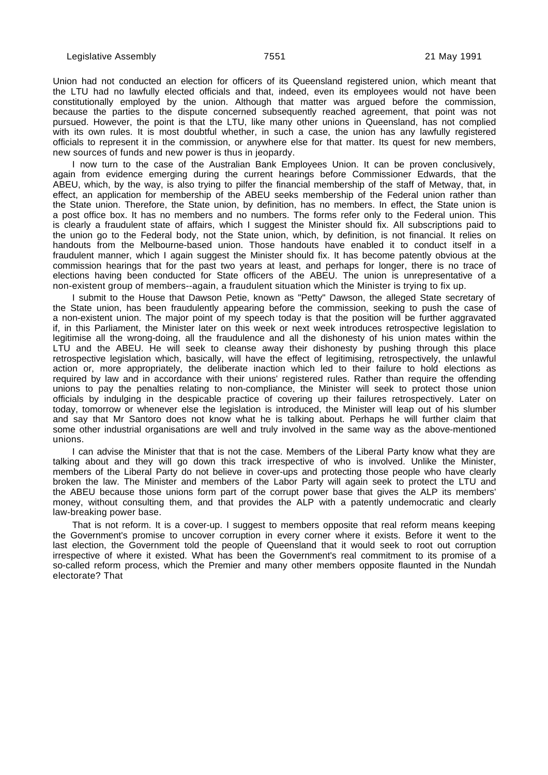Union had not conducted an election for officers of its Queensland registered union, which meant that the LTU had no lawfully elected officials and that, indeed, even its employees would not have been constitutionally employed by the union. Although that matter was argued before the commission, because the parties to the dispute concerned subsequently reached agreement, that point was not pursued. However, the point is that the LTU, like many other unions in Queensland, has not complied with its own rules. It is most doubtful whether, in such a case, the union has any lawfully registered officials to represent it in the commission, or anywhere else for that matter. Its quest for new members, new sources of funds and new power is thus in jeopardy.

I now turn to the case of the Australian Bank Employees Union. It can be proven conclusively, again from evidence emerging during the current hearings before Commissioner Edwards, that the ABEU, which, by the way, is also trying to pilfer the financial membership of the staff of Metway, that, in effect, an application for membership of the ABEU seeks membership of the Federal union rather than the State union. Therefore, the State union, by definition, has no members. In effect, the State union is a post office box. It has no members and no numbers. The forms refer only to the Federal union. This is clearly a fraudulent state of affairs, which I suggest the Minister should fix. All subscriptions paid to the union go to the Federal body, not the State union, which, by definition, is not financial. It relies on handouts from the Melbourne-based union. Those handouts have enabled it to conduct itself in a fraudulent manner, which I again suggest the Minister should fix. It has become patently obvious at the commission hearings that for the past two years at least, and perhaps for longer, there is no trace of elections having been conducted for State officers of the ABEU. The union is unrepresentative of a non-existent group of members--again, a fraudulent situation which the Minister is trying to fix up.

I submit to the House that Dawson Petie, known as "Petty" Dawson, the alleged State secretary of the State union, has been fraudulently appearing before the commission, seeking to push the case of a non-existent union. The major point of my speech today is that the position will be further aggravated if, in this Parliament, the Minister later on this week or next week introduces retrospective legislation to legitimise all the wrong-doing, all the fraudulence and all the dishonesty of his union mates within the LTU and the ABEU. He will seek to cleanse away their dishonesty by pushing through this place retrospective legislation which, basically, will have the effect of legitimising, retrospectively, the unlawful action or, more appropriately, the deliberate inaction which led to their failure to hold elections as required by law and in accordance with their unions' registered rules. Rather than require the offending unions to pay the penalties relating to non-compliance, the Minister will seek to protect those union officials by indulging in the despicable practice of covering up their failures retrospectively. Later on today, tomorrow or whenever else the legislation is introduced, the Minister will leap out of his slumber and say that Mr Santoro does not know what he is talking about. Perhaps he will further claim that some other industrial organisations are well and truly involved in the same way as the above-mentioned unions.

I can advise the Minister that that is not the case. Members of the Liberal Party know what they are talking about and they will go down this track irrespective of who is involved. Unlike the Minister, members of the Liberal Party do not believe in cover-ups and protecting those people who have clearly broken the law. The Minister and members of the Labor Party will again seek to protect the LTU and the ABEU because those unions form part of the corrupt power base that gives the ALP its members' money, without consulting them, and that provides the ALP with a patently undemocratic and clearly law-breaking power base.

That is not reform. It is a cover-up. I suggest to members opposite that real reform means keeping the Government's promise to uncover corruption in every corner where it exists. Before it went to the last election, the Government told the people of Queensland that it would seek to root out corruption irrespective of where it existed. What has been the Government's real commitment to its promise of a so-called reform process, which the Premier and many other members opposite flaunted in the Nundah electorate? That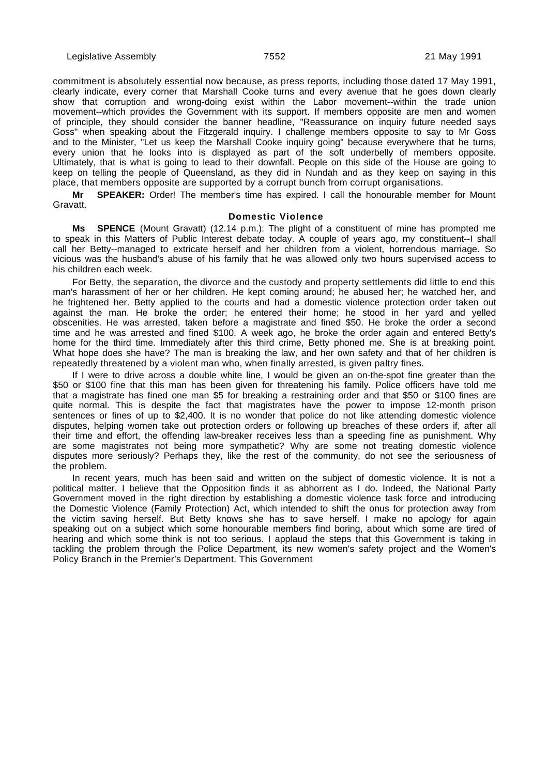commitment is absolutely essential now because, as press reports, including those dated 17 May 1991, clearly indicate, every corner that Marshall Cooke turns and every avenue that he goes down clearly show that corruption and wrong-doing exist within the Labor movement--within the trade union movement--which provides the Government with its support. If members opposite are men and women of principle, they should consider the banner headline, "Reassurance on inquiry future needed says Goss" when speaking about the Fitzgerald inquiry. I challenge members opposite to say to Mr Goss and to the Minister, "Let us keep the Marshall Cooke inquiry going" because everywhere that he turns, every union that he looks into is displayed as part of the soft underbelly of members opposite. Ultimately, that is what is going to lead to their downfall. People on this side of the House are going to keep on telling the people of Queensland, as they did in Nundah and as they keep on saying in this place, that members opposite are supported by a corrupt bunch from corrupt organisations.

**Mr SPEAKER:** Order! The member's time has expired. I call the honourable member for Mount Gravatt.

#### **Domestic Violence**

**Ms SPENCE** (Mount Gravatt) (12.14 p.m.): The plight of a constituent of mine has prompted me to speak in this Matters of Public Interest debate today. A couple of years ago, my constituent--I shall call her Betty--managed to extricate herself and her children from a violent, horrendous marriage. So vicious was the husband's abuse of his family that he was allowed only two hours supervised access to his children each week.

For Betty, the separation, the divorce and the custody and property settlements did little to end this man's harassment of her or her children. He kept coming around; he abused her; he watched her, and he frightened her. Betty applied to the courts and had a domestic violence protection order taken out against the man. He broke the order; he entered their home; he stood in her yard and yelled obscenities. He was arrested, taken before a magistrate and fined \$50. He broke the order a second time and he was arrested and fined \$100. A week ago, he broke the order again and entered Betty's home for the third time. Immediately after this third crime, Betty phoned me. She is at breaking point. What hope does she have? The man is breaking the law, and her own safety and that of her children is repeatedly threatened by a violent man who, when finally arrested, is given paltry fines.

If I were to drive across a double white line, I would be given an on-the-spot fine greater than the \$50 or \$100 fine that this man has been given for threatening his family. Police officers have told me that a magistrate has fined one man \$5 for breaking a restraining order and that \$50 or \$100 fines are quite normal. This is despite the fact that magistrates have the power to impose 12-month prison sentences or fines of up to \$2,400. It is no wonder that police do not like attending domestic violence disputes, helping women take out protection orders or following up breaches of these orders if, after all their time and effort, the offending law-breaker receives less than a speeding fine as punishment. Why are some magistrates not being more sympathetic? Why are some not treating domestic violence disputes more seriously? Perhaps they, like the rest of the community, do not see the seriousness of the problem.

In recent years, much has been said and written on the subject of domestic violence. It is not a political matter. I believe that the Opposition finds it as abhorrent as I do. Indeed, the National Party Government moved in the right direction by establishing a domestic violence task force and introducing the Domestic Violence (Family Protection) Act, which intended to shift the onus for protection away from the victim saving herself. But Betty knows she has to save herself. I make no apology for again speaking out on a subject which some honourable members find boring, about which some are tired of hearing and which some think is not too serious. I applaud the steps that this Government is taking in tackling the problem through the Police Department, its new women's safety project and the Women's Policy Branch in the Premier's Department. This Government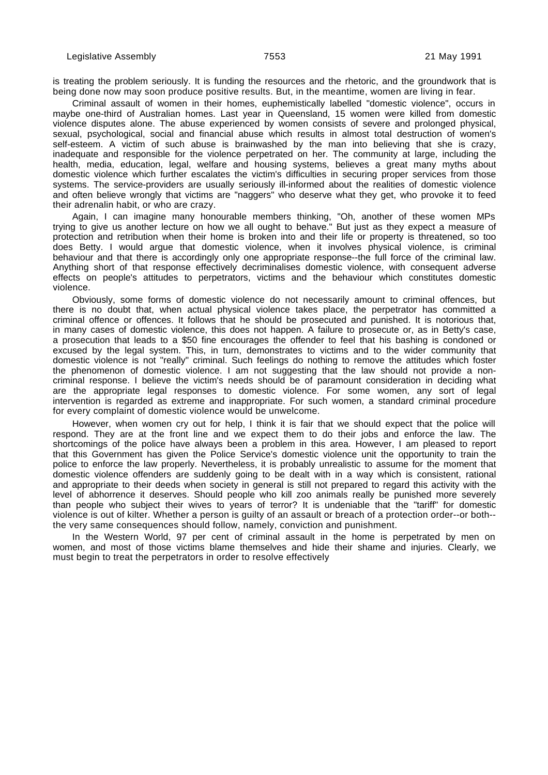is treating the problem seriously. It is funding the resources and the rhetoric, and the groundwork that is being done now may soon produce positive results. But, in the meantime, women are living in fear.

Criminal assault of women in their homes, euphemistically labelled "domestic violence", occurs in maybe one-third of Australian homes. Last year in Queensland, 15 women were killed from domestic violence disputes alone. The abuse experienced by women consists of severe and prolonged physical, sexual, psychological, social and financial abuse which results in almost total destruction of women's self-esteem. A victim of such abuse is brainwashed by the man into believing that she is crazy, inadequate and responsible for the violence perpetrated on her. The community at large, including the health, media, education, legal, welfare and housing systems, believes a great many myths about domestic violence which further escalates the victim's difficulties in securing proper services from those systems. The service-providers are usually seriously ill-informed about the realities of domestic violence and often believe wrongly that victims are "naggers" who deserve what they get, who provoke it to feed their adrenalin habit, or who are crazy.

Again, I can imagine many honourable members thinking, "Oh, another of these women MPs trying to give us another lecture on how we all ought to behave." But just as they expect a measure of protection and retribution when their home is broken into and their life or property is threatened, so too does Betty. I would argue that domestic violence, when it involves physical violence, is criminal behaviour and that there is accordingly only one appropriate response--the full force of the criminal law. Anything short of that response effectively decriminalises domestic violence, with consequent adverse effects on people's attitudes to perpetrators, victims and the behaviour which constitutes domestic violence.

Obviously, some forms of domestic violence do not necessarily amount to criminal offences, but there is no doubt that, when actual physical violence takes place, the perpetrator has committed a criminal offence or offences. It follows that he should be prosecuted and punished. It is notorious that, in many cases of domestic violence, this does not happen. A failure to prosecute or, as in Betty's case, a prosecution that leads to a \$50 fine encourages the offender to feel that his bashing is condoned or excused by the legal system. This, in turn, demonstrates to victims and to the wider community that domestic violence is not "really" criminal. Such feelings do nothing to remove the attitudes which foster the phenomenon of domestic violence. I am not suggesting that the law should not provide a noncriminal response. I believe the victim's needs should be of paramount consideration in deciding what are the appropriate legal responses to domestic violence. For some women, any sort of legal intervention is regarded as extreme and inappropriate. For such women, a standard criminal procedure for every complaint of domestic violence would be unwelcome.

However, when women cry out for help, I think it is fair that we should expect that the police will respond. They are at the front line and we expect them to do their jobs and enforce the law. The shortcomings of the police have always been a problem in this area. However, I am pleased to report that this Government has given the Police Service's domestic violence unit the opportunity to train the police to enforce the law properly. Nevertheless, it is probably unrealistic to assume for the moment that domestic violence offenders are suddenly going to be dealt with in a way which is consistent, rational and appropriate to their deeds when society in general is still not prepared to regard this activity with the level of abhorrence it deserves. Should people who kill zoo animals really be punished more severely than people who subject their wives to years of terror? It is undeniable that the "tariff" for domestic violence is out of kilter. Whether a person is guilty of an assault or breach of a protection order--or both- the very same consequences should follow, namely, conviction and punishment.

In the Western World, 97 per cent of criminal assault in the home is perpetrated by men on women, and most of those victims blame themselves and hide their shame and injuries. Clearly, we must begin to treat the perpetrators in order to resolve effectively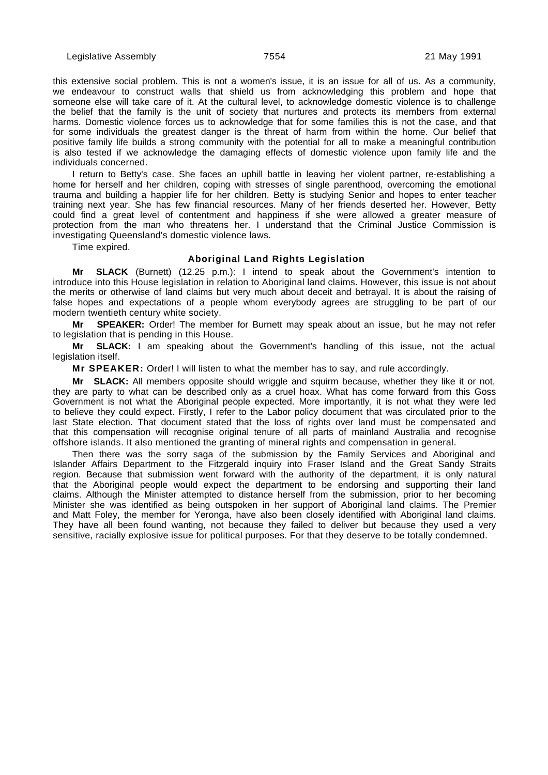this extensive social problem. This is not a women's issue, it is an issue for all of us. As a community, we endeavour to construct walls that shield us from acknowledging this problem and hope that someone else will take care of it. At the cultural level, to acknowledge domestic violence is to challenge the belief that the family is the unit of society that nurtures and protects its members from external harms. Domestic violence forces us to acknowledge that for some families this is not the case, and that for some individuals the greatest danger is the threat of harm from within the home. Our belief that positive family life builds a strong community with the potential for all to make a meaningful contribution is also tested if we acknowledge the damaging effects of domestic violence upon family life and the individuals concerned.

I return to Betty's case. She faces an uphill battle in leaving her violent partner, re-establishing a home for herself and her children, coping with stresses of single parenthood, overcoming the emotional trauma and building a happier life for her children. Betty is studying Senior and hopes to enter teacher training next year. She has few financial resources. Many of her friends deserted her. However, Betty could find a great level of contentment and happiness if she were allowed a greater measure of protection from the man who threatens her. I understand that the Criminal Justice Commission is investigating Queensland's domestic violence laws.

Time expired.

#### **Aboriginal Land Rights Legislation**

**Mr SLACK** (Burnett) (12.25 p.m.): I intend to speak about the Government's intention to introduce into this House legislation in relation to Aboriginal land claims. However, this issue is not about the merits or otherwise of land claims but very much about deceit and betrayal. It is about the raising of false hopes and expectations of a people whom everybody agrees are struggling to be part of our modern twentieth century white society.

**Mr SPEAKER:** Order! The member for Burnett may speak about an issue, but he may not refer to legislation that is pending in this House.

**Mr SLACK:** I am speaking about the Government's handling of this issue, not the actual legislation itself.

**Mr SPEAKER:** Order! I will listen to what the member has to say, and rule accordingly.

**Mr** SLACK: All members opposite should wriggle and squirm because, whether they like it or not, they are party to what can be described only as a cruel hoax. What has come forward from this Goss Government is not what the Aboriginal people expected. More importantly, it is not what they were led to believe they could expect. Firstly, I refer to the Labor policy document that was circulated prior to the last State election. That document stated that the loss of rights over land must be compensated and that this compensation will recognise original tenure of all parts of mainland Australia and recognise offshore islands. It also mentioned the granting of mineral rights and compensation in general.

Then there was the sorry saga of the submission by the Family Services and Aboriginal and Islander Affairs Department to the Fitzgerald inquiry into Fraser Island and the Great Sandy Straits region. Because that submission went forward with the authority of the department, it is only natural that the Aboriginal people would expect the department to be endorsing and supporting their land claims. Although the Minister attempted to distance herself from the submission, prior to her becoming Minister she was identified as being outspoken in her support of Aboriginal land claims. The Premier and Matt Foley, the member for Yeronga, have also been closely identified with Aboriginal land claims. They have all been found wanting, not because they failed to deliver but because they used a very sensitive, racially explosive issue for political purposes. For that they deserve to be totally condemned.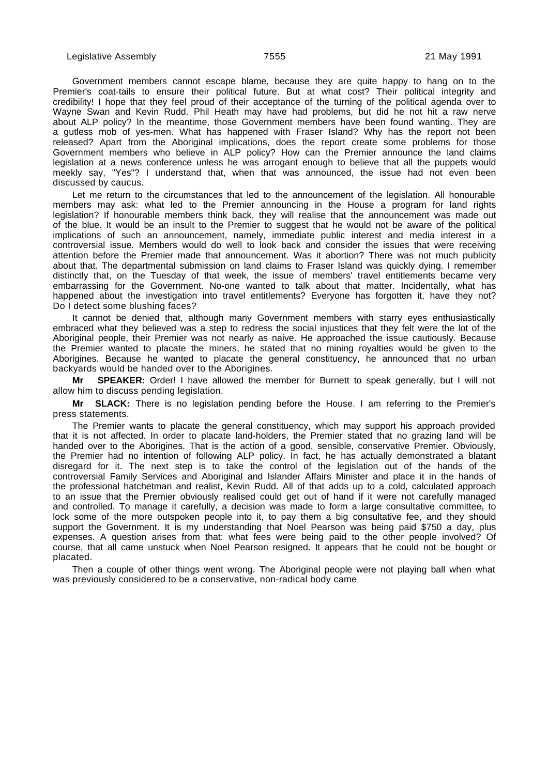Government members cannot escape blame, because they are quite happy to hang on to the Premier's coat-tails to ensure their political future. But at what cost? Their political integrity and credibility! I hope that they feel proud of their acceptance of the turning of the political agenda over to Wayne Swan and Kevin Rudd. Phil Heath may have had problems, but did he not hit a raw nerve about ALP policy? In the meantime, those Government members have been found wanting. They are a gutless mob of yes-men. What has happened with Fraser Island? Why has the report not been released? Apart from the Aboriginal implications, does the report create some problems for those Government members who believe in ALP policy? How can the Premier announce the land claims legislation at a news conference unless he was arrogant enough to believe that all the puppets would meekly say, "Yes"? I understand that, when that was announced, the issue had not even been discussed by caucus.

Let me return to the circumstances that led to the announcement of the legislation. All honourable members may ask: what led to the Premier announcing in the House a program for land rights legislation? If honourable members think back, they will realise that the announcement was made out of the blue. It would be an insult to the Premier to suggest that he would not be aware of the political implications of such an announcement, namely, immediate public interest and media interest in a controversial issue. Members would do well to look back and consider the issues that were receiving attention before the Premier made that announcement. Was it abortion? There was not much publicity about that. The departmental submission on land claims to Fraser Island was quickly dying. I remember distinctly that, on the Tuesday of that week, the issue of members' travel entitlements became very embarrassing for the Government. No-one wanted to talk about that matter. Incidentally, what has happened about the investigation into travel entitlements? Everyone has forgotten it, have they not? Do I detect some blushing faces?

It cannot be denied that, although many Government members with starry eyes enthusiastically embraced what they believed was a step to redress the social injustices that they felt were the lot of the Aboriginal people, their Premier was not nearly as naive. He approached the issue cautiously. Because the Premier wanted to placate the miners, he stated that no mining royalties would be given to the Aborigines. Because he wanted to placate the general constituency, he announced that no urban backyards would be handed over to the Aborigines.

**Mr SPEAKER:** Order! I have allowed the member for Burnett to speak generally, but I will not allow him to discuss pending legislation.

**Mr SLACK:** There is no legislation pending before the House. I am referring to the Premier's press statements.

The Premier wants to placate the general constituency, which may support his approach provided that it is not affected. In order to placate land-holders, the Premier stated that no grazing land will be handed over to the Aborigines. That is the action of a good, sensible, conservative Premier. Obviously, the Premier had no intention of following ALP policy. In fact, he has actually demonstrated a blatant disregard for it. The next step is to take the control of the legislation out of the hands of the controversial Family Services and Aboriginal and Islander Affairs Minister and place it in the hands of the professional hatchetman and realist, Kevin Rudd. All of that adds up to a cold, calculated approach to an issue that the Premier obviously realised could get out of hand if it were not carefully managed and controlled. To manage it carefully, a decision was made to form a large consultative committee, to lock some of the more outspoken people into it, to pay them a big consultative fee, and they should support the Government. It is my understanding that Noel Pearson was being paid \$750 a day, plus expenses. A question arises from that: what fees were being paid to the other people involved? Of course, that all came unstuck when Noel Pearson resigned. It appears that he could not be bought or placated.

Then a couple of other things went wrong. The Aboriginal people were not playing ball when what was previously considered to be a conservative, non-radical body came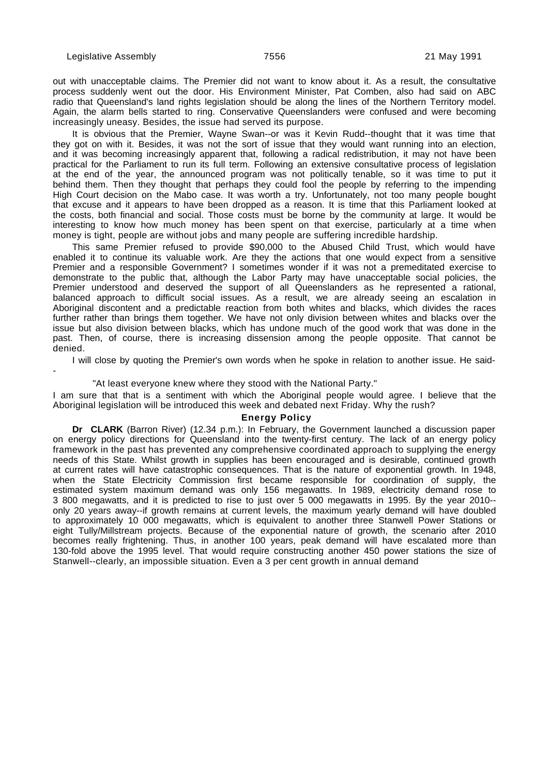-

out with unacceptable claims. The Premier did not want to know about it. As a result, the consultative process suddenly went out the door. His Environment Minister, Pat Comben, also had said on ABC radio that Queensland's land rights legislation should be along the lines of the Northern Territory model. Again, the alarm bells started to ring. Conservative Queenslanders were confused and were becoming increasingly uneasy. Besides, the issue had served its purpose.

It is obvious that the Premier, Wayne Swan--or was it Kevin Rudd--thought that it was time that they got on with it. Besides, it was not the sort of issue that they would want running into an election, and it was becoming increasingly apparent that, following a radical redistribution, it may not have been practical for the Parliament to run its full term. Following an extensive consultative process of legislation at the end of the year, the announced program was not politically tenable, so it was time to put it behind them. Then they thought that perhaps they could fool the people by referring to the impending High Court decision on the Mabo case. It was worth a try. Unfortunately, not too many people bought that excuse and it appears to have been dropped as a reason. It is time that this Parliament looked at the costs, both financial and social. Those costs must be borne by the community at large. It would be interesting to know how much money has been spent on that exercise, particularly at a time when money is tight, people are without jobs and many people are suffering incredible hardship.

This same Premier refused to provide \$90,000 to the Abused Child Trust, which would have enabled it to continue its valuable work. Are they the actions that one would expect from a sensitive Premier and a responsible Government? I sometimes wonder if it was not a premeditated exercise to demonstrate to the public that, although the Labor Party may have unacceptable social policies, the Premier understood and deserved the support of all Queenslanders as he represented a rational, balanced approach to difficult social issues. As a result, we are already seeing an escalation in Aboriginal discontent and a predictable reaction from both whites and blacks, which divides the races further rather than brings them together. We have not only division between whites and blacks over the issue but also division between blacks, which has undone much of the good work that was done in the past. Then, of course, there is increasing dissension among the people opposite. That cannot be denied.

I will close by quoting the Premier's own words when he spoke in relation to another issue. He said-

#### "At least everyone knew where they stood with the National Party."

I am sure that that is a sentiment with which the Aboriginal people would agree. I believe that the Aboriginal legislation will be introduced this week and debated next Friday. Why the rush?

#### **Energy Policy**

**Dr CLARK** (Barron River) (12.34 p.m.): In February, the Government launched a discussion paper on energy policy directions for Queensland into the twenty-first century. The lack of an energy policy framework in the past has prevented any comprehensive coordinated approach to supplying the energy needs of this State. Whilst growth in supplies has been encouraged and is desirable, continued growth at current rates will have catastrophic consequences. That is the nature of exponential growth. In 1948, when the State Electricity Commission first became responsible for coordination of supply, the estimated system maximum demand was only 156 megawatts. In 1989, electricity demand rose to 3 800 megawatts, and it is predicted to rise to just over 5 000 megawatts in 1995. By the year 2010- only 20 years away--if growth remains at current levels, the maximum yearly demand will have doubled to approximately 10 000 megawatts, which is equivalent to another three Stanwell Power Stations or eight Tully/Millstream projects. Because of the exponential nature of growth, the scenario after 2010 becomes really frightening. Thus, in another 100 years, peak demand will have escalated more than 130-fold above the 1995 level. That would require constructing another 450 power stations the size of Stanwell--clearly, an impossible situation. Even a 3 per cent growth in annual demand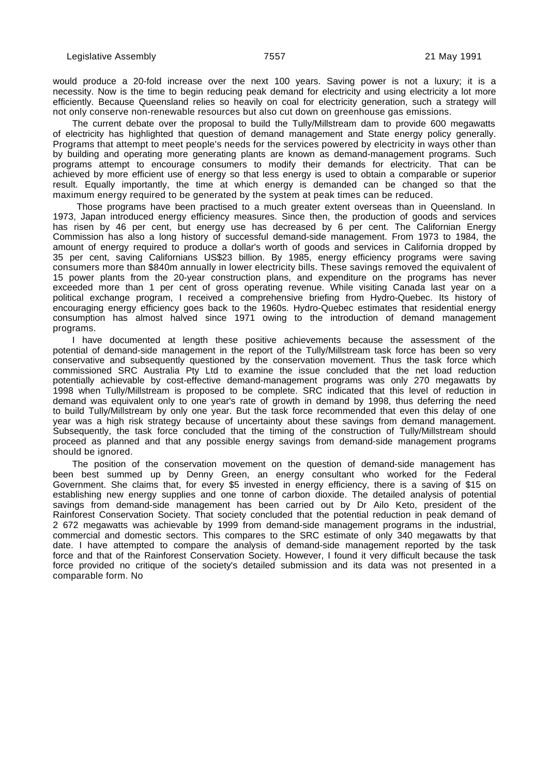would produce a 20-fold increase over the next 100 years. Saving power is not a luxury; it is a necessity. Now is the time to begin reducing peak demand for electricity and using electricity a lot more efficiently. Because Queensland relies so heavily on coal for electricity generation, such a strategy will not only conserve non-renewable resources but also cut down on greenhouse gas emissions.

The current debate over the proposal to build the Tully/Millstream dam to provide 600 megawatts of electricity has highlighted that question of demand management and State energy policy generally. Programs that attempt to meet people's needs for the services powered by electricity in ways other than by building and operating more generating plants are known as demand-management programs. Such programs attempt to encourage consumers to modify their demands for electricity. That can be achieved by more efficient use of energy so that less energy is used to obtain a comparable or superior result. Equally importantly, the time at which energy is demanded can be changed so that the maximum energy required to be generated by the system at peak times can be reduced.

 Those programs have been practised to a much greater extent overseas than in Queensland. In 1973, Japan introduced energy efficiency measures. Since then, the production of goods and services has risen by 46 per cent, but energy use has decreased by 6 per cent. The Californian Energy Commission has also a long history of successful demand-side management. From 1973 to 1984, the amount of energy required to produce a dollar's worth of goods and services in California dropped by 35 per cent, saving Californians US\$23 billion. By 1985, energy efficiency programs were saving consumers more than \$840m annually in lower electricity bills. These savings removed the equivalent of 15 power plants from the 20-year construction plans, and expenditure on the programs has never exceeded more than 1 per cent of gross operating revenue. While visiting Canada last year on a political exchange program, I received a comprehensive briefing from Hydro-Quebec. Its history of encouraging energy efficiency goes back to the 1960s. Hydro-Quebec estimates that residential energy consumption has almost halved since 1971 owing to the introduction of demand management programs.

I have documented at length these positive achievements because the assessment of the potential of demand-side management in the report of the Tully/Millstream task force has been so very conservative and subsequently questioned by the conservation movement. Thus the task force which commissioned SRC Australia Pty Ltd to examine the issue concluded that the net load reduction potentially achievable by cost-effective demand-management programs was only 270 megawatts by 1998 when Tully/Millstream is proposed to be complete. SRC indicated that this level of reduction in demand was equivalent only to one year's rate of growth in demand by 1998, thus deferring the need to build Tully/Millstream by only one year. But the task force recommended that even this delay of one year was a high risk strategy because of uncertainty about these savings from demand management. Subsequently, the task force concluded that the timing of the construction of Tully/Millstream should proceed as planned and that any possible energy savings from demand-side management programs should be ignored.

The position of the conservation movement on the question of demand-side management has been best summed up by Denny Green, an energy consultant who worked for the Federal Government. She claims that, for every \$5 invested in energy efficiency, there is a saving of \$15 on establishing new energy supplies and one tonne of carbon dioxide. The detailed analysis of potential savings from demand-side management has been carried out by Dr Ailo Keto, president of the Rainforest Conservation Society. That society concluded that the potential reduction in peak demand of 2 672 megawatts was achievable by 1999 from demand-side management programs in the industrial, commercial and domestic sectors. This compares to the SRC estimate of only 340 megawatts by that date. I have attempted to compare the analysis of demand-side management reported by the task force and that of the Rainforest Conservation Society. However, I found it very difficult because the task force provided no critique of the society's detailed submission and its data was not presented in a comparable form. No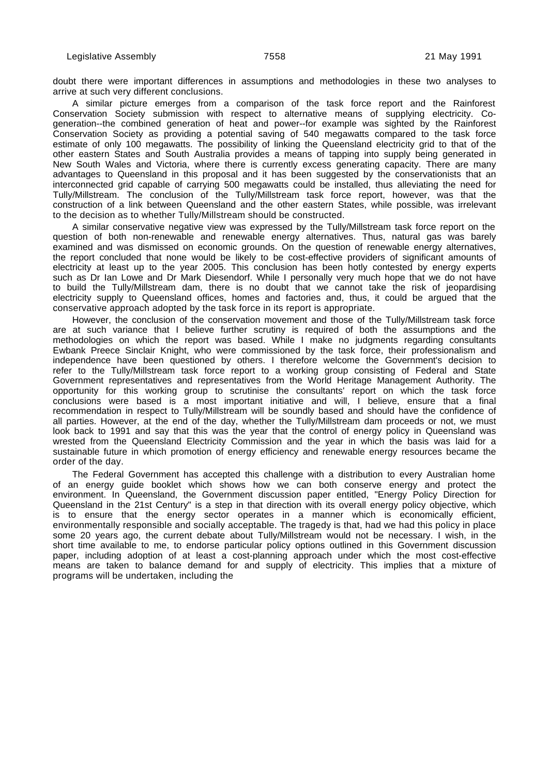doubt there were important differences in assumptions and methodologies in these two analyses to arrive at such very different conclusions.

A similar picture emerges from a comparison of the task force report and the Rainforest Conservation Society submission with respect to alternative means of supplying electricity. Cogeneration--the combined generation of heat and power--for example was sighted by the Rainforest Conservation Society as providing a potential saving of 540 megawatts compared to the task force estimate of only 100 megawatts. The possibility of linking the Queensland electricity grid to that of the other eastern States and South Australia provides a means of tapping into supply being generated in New South Wales and Victoria, where there is currently excess generating capacity. There are many advantages to Queensland in this proposal and it has been suggested by the conservationists that an interconnected grid capable of carrying 500 megawatts could be installed, thus alleviating the need for Tully/Millstream. The conclusion of the Tully/Millstream task force report, however, was that the construction of a link between Queensland and the other eastern States, while possible, was irrelevant to the decision as to whether Tully/Millstream should be constructed.

A similar conservative negative view was expressed by the Tully/Millstream task force report on the question of both non-renewable and renewable energy alternatives. Thus, natural gas was barely examined and was dismissed on economic grounds. On the question of renewable energy alternatives, the report concluded that none would be likely to be cost-effective providers of significant amounts of electricity at least up to the year 2005. This conclusion has been hotly contested by energy experts such as Dr Ian Lowe and Dr Mark Diesendorf. While I personally very much hope that we do not have to build the Tully/Millstream dam, there is no doubt that we cannot take the risk of jeopardising electricity supply to Queensland offices, homes and factories and, thus, it could be argued that the conservative approach adopted by the task force in its report is appropriate.

However, the conclusion of the conservation movement and those of the Tully/Millstream task force are at such variance that I believe further scrutiny is required of both the assumptions and the methodologies on which the report was based. While I make no judgments regarding consultants Ewbank Preece Sinclair Knight, who were commissioned by the task force, their professionalism and independence have been questioned by others. I therefore welcome the Government's decision to refer to the Tully/Millstream task force report to a working group consisting of Federal and State Government representatives and representatives from the World Heritage Management Authority. The opportunity for this working group to scrutinise the consultants' report on which the task force conclusions were based is a most important initiative and will, I believe, ensure that a final recommendation in respect to Tully/Millstream will be soundly based and should have the confidence of all parties. However, at the end of the day, whether the Tully/Millstream dam proceeds or not, we must look back to 1991 and say that this was the year that the control of energy policy in Queensland was wrested from the Queensland Electricity Commission and the year in which the basis was laid for a sustainable future in which promotion of energy efficiency and renewable energy resources became the order of the day.

The Federal Government has accepted this challenge with a distribution to every Australian home of an energy guide booklet which shows how we can both conserve energy and protect the environment. In Queensland, the Government discussion paper entitled, "Energy Policy Direction for Queensland in the 21st Century" is a step in that direction with its overall energy policy objective, which is to ensure that the energy sector operates in a manner which is economically efficient, environmentally responsible and socially acceptable. The tragedy is that, had we had this policy in place some 20 years ago, the current debate about Tully/Millstream would not be necessary. I wish, in the short time available to me, to endorse particular policy options outlined in this Government discussion paper, including adoption of at least a cost-planning approach under which the most cost-effective means are taken to balance demand for and supply of electricity. This implies that a mixture of programs will be undertaken, including the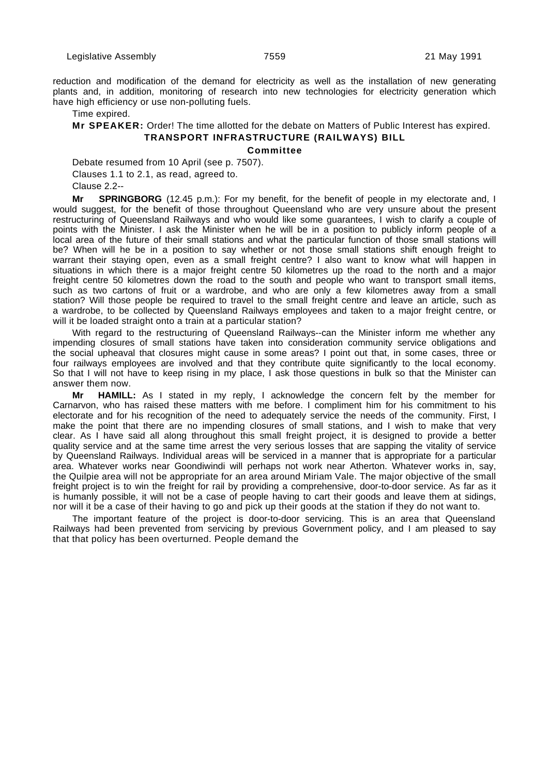reduction and modification of the demand for electricity as well as the installation of new generating plants and, in addition, monitoring of research into new technologies for electricity generation which have high efficiency or use non-polluting fuels.

Time expired.

## **Mr SPEAKER:** Order! The time allotted for the debate on Matters of Public Interest has expired. **TRANSPORT INFRASTRUCTURE (RAILWAYS) BILL**

## **Committee**

Debate resumed from 10 April (see p. 7507).

Clauses 1.1 to 2.1, as read, agreed to.

Clause 2.2--

**Mr SPRINGBORG** (12.45 p.m.): For my benefit, for the benefit of people in my electorate and, I would suggest, for the benefit of those throughout Queensland who are very unsure about the present restructuring of Queensland Railways and who would like some guarantees, I wish to clarify a couple of points with the Minister. I ask the Minister when he will be in a position to publicly inform people of a local area of the future of their small stations and what the particular function of those small stations will be? When will he be in a position to say whether or not those small stations shift enough freight to warrant their staying open, even as a small freight centre? I also want to know what will happen in situations in which there is a major freight centre 50 kilometres up the road to the north and a major freight centre 50 kilometres down the road to the south and people who want to transport small items, such as two cartons of fruit or a wardrobe, and who are only a few kilometres away from a small station? Will those people be required to travel to the small freight centre and leave an article, such as a wardrobe, to be collected by Queensland Railways employees and taken to a major freight centre, or will it be loaded straight onto a train at a particular station?

With regard to the restructuring of Queensland Railways--can the Minister inform me whether any impending closures of small stations have taken into consideration community service obligations and the social upheaval that closures might cause in some areas? I point out that, in some cases, three or four railways employees are involved and that they contribute quite significantly to the local economy. So that I will not have to keep rising in my place, I ask those questions in bulk so that the Minister can answer them now.

**Mr HAMILL:** As I stated in my reply, I acknowledge the concern felt by the member for Carnarvon, who has raised these matters with me before. I compliment him for his commitment to his electorate and for his recognition of the need to adequately service the needs of the community. First, I make the point that there are no impending closures of small stations, and I wish to make that very clear. As I have said all along throughout this small freight project, it is designed to provide a better quality service and at the same time arrest the very serious losses that are sapping the vitality of service by Queensland Railways. Individual areas will be serviced in a manner that is appropriate for a particular area. Whatever works near Goondiwindi will perhaps not work near Atherton. Whatever works in, say, the Quilpie area will not be appropriate for an area around Miriam Vale. The major objective of the small freight project is to win the freight for rail by providing a comprehensive, door-to-door service. As far as it is humanly possible, it will not be a case of people having to cart their goods and leave them at sidings, nor will it be a case of their having to go and pick up their goods at the station if they do not want to.

The important feature of the project is door-to-door servicing. This is an area that Queensland Railways had been prevented from servicing by previous Government policy, and I am pleased to say that that policy has been overturned. People demand the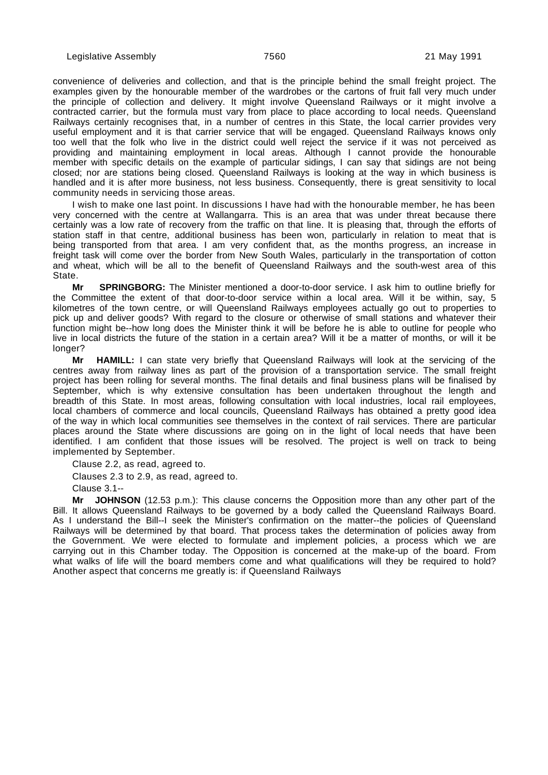convenience of deliveries and collection, and that is the principle behind the small freight project. The examples given by the honourable member of the wardrobes or the cartons of fruit fall very much under the principle of collection and delivery. It might involve Queensland Railways or it might involve a contracted carrier, but the formula must vary from place to place according to local needs. Queensland Railways certainly recognises that, in a number of centres in this State, the local carrier provides very useful employment and it is that carrier service that will be engaged. Queensland Railways knows only too well that the folk who live in the district could well reject the service if it was not perceived as providing and maintaining employment in local areas. Although I cannot provide the honourable member with specific details on the example of particular sidings, I can say that sidings are not being closed; nor are stations being closed. Queensland Railways is looking at the way in which business is handled and it is after more business, not less business. Consequently, there is great sensitivity to local community needs in servicing those areas.

I wish to make one last point. In discussions I have had with the honourable member, he has been very concerned with the centre at Wallangarra. This is an area that was under threat because there certainly was a low rate of recovery from the traffic on that line. It is pleasing that, through the efforts of station staff in that centre, additional business has been won, particularly in relation to meat that is being transported from that area. I am very confident that, as the months progress, an increase in freight task will come over the border from New South Wales, particularly in the transportation of cotton and wheat, which will be all to the benefit of Queensland Railways and the south-west area of this State.

**Mr SPRINGBORG:** The Minister mentioned a door-to-door service. I ask him to outline briefly for the Committee the extent of that door-to-door service within a local area. Will it be within, say, 5 kilometres of the town centre, or will Queensland Railways employees actually go out to properties to pick up and deliver goods? With regard to the closure or otherwise of small stations and whatever their function might be--how long does the Minister think it will be before he is able to outline for people who live in local districts the future of the station in a certain area? Will it be a matter of months, or will it be longer?

**Mr HAMILL:** I can state very briefly that Queensland Railways will look at the servicing of the centres away from railway lines as part of the provision of a transportation service. The small freight project has been rolling for several months. The final details and final business plans will be finalised by September, which is why extensive consultation has been undertaken throughout the length and breadth of this State. In most areas, following consultation with local industries, local rail employees, local chambers of commerce and local councils, Queensland Railways has obtained a pretty good idea of the way in which local communities see themselves in the context of rail services. There are particular places around the State where discussions are going on in the light of local needs that have been identified. I am confident that those issues will be resolved. The project is well on track to being implemented by September.

Clause 2.2, as read, agreed to. Clauses 2.3 to 2.9, as read, agreed to. Clause 3.1--

**Mr JOHNSON** (12.53 p.m.): This clause concerns the Opposition more than any other part of the Bill. It allows Queensland Railways to be governed by a body called the Queensland Railways Board. As I understand the Bill--I seek the Minister's confirmation on the matter--the policies of Queensland Railways will be determined by that board. That process takes the determination of policies away from the Government. We were elected to formulate and implement policies, a process which we are carrying out in this Chamber today. The Opposition is concerned at the make-up of the board. From what walks of life will the board members come and what qualifications will they be required to hold? Another aspect that concerns me greatly is: if Queensland Railways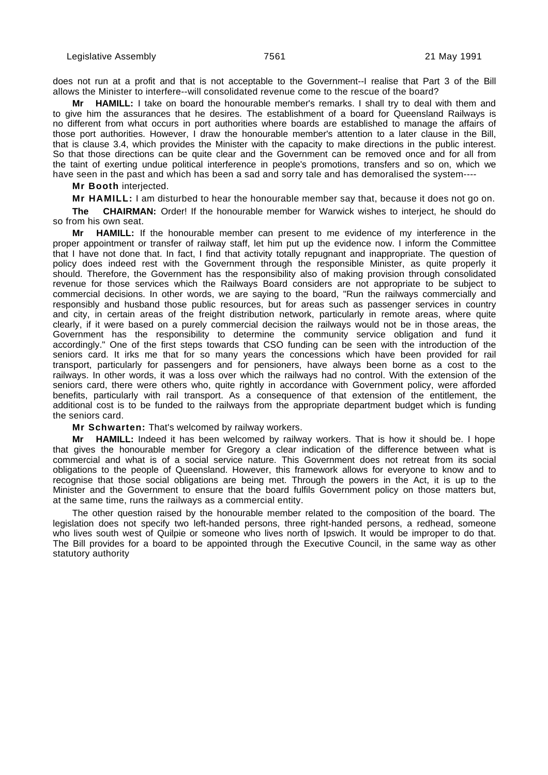does not run at a profit and that is not acceptable to the Government--I realise that Part 3 of the Bill allows the Minister to interfere--will consolidated revenue come to the rescue of the board?

**Mr HAMILL:** I take on board the honourable member's remarks. I shall try to deal with them and to give him the assurances that he desires. The establishment of a board for Queensland Railways is no different from what occurs in port authorities where boards are established to manage the affairs of those port authorities. However, I draw the honourable member's attention to a later clause in the Bill, that is clause 3.4, which provides the Minister with the capacity to make directions in the public interest. So that those directions can be quite clear and the Government can be removed once and for all from the taint of exerting undue political interference in people's promotions, transfers and so on, which we have seen in the past and which has been a sad and sorry tale and has demoralised the system----

**Mr Booth** interjected.

**Mr HAMILL:** I am disturbed to hear the honourable member say that, because it does not go on.

**The CHAIRMAN:** Order! If the honourable member for Warwick wishes to interject, he should do so from his own seat.

**Mr HAMILL:** If the honourable member can present to me evidence of my interference in the proper appointment or transfer of railway staff, let him put up the evidence now. I inform the Committee that I have not done that. In fact, I find that activity totally repugnant and inappropriate. The question of policy does indeed rest with the Government through the responsible Minister, as quite properly it should. Therefore, the Government has the responsibility also of making provision through consolidated revenue for those services which the Railways Board considers are not appropriate to be subject to commercial decisions. In other words, we are saying to the board, "Run the railways commercially and responsibly and husband those public resources, but for areas such as passenger services in country and city, in certain areas of the freight distribution network, particularly in remote areas, where quite clearly, if it were based on a purely commercial decision the railways would not be in those areas, the Government has the responsibility to determine the community service obligation and fund it accordingly." One of the first steps towards that CSO funding can be seen with the introduction of the seniors card. It irks me that for so many years the concessions which have been provided for rail transport, particularly for passengers and for pensioners, have always been borne as a cost to the railways. In other words, it was a loss over which the railways had no control. With the extension of the seniors card, there were others who, quite rightly in accordance with Government policy, were afforded benefits, particularly with rail transport. As a consequence of that extension of the entitlement, the additional cost is to be funded to the railways from the appropriate department budget which is funding the seniors card.

**Mr Schwarten:** That's welcomed by railway workers.

**Mr HAMILL:** Indeed it has been welcomed by railway workers. That is how it should be. I hope that gives the honourable member for Gregory a clear indication of the difference between what is commercial and what is of a social service nature. This Government does not retreat from its social obligations to the people of Queensland. However, this framework allows for everyone to know and to recognise that those social obligations are being met. Through the powers in the Act, it is up to the Minister and the Government to ensure that the board fulfils Government policy on those matters but, at the same time, runs the railways as a commercial entity.

The other question raised by the honourable member related to the composition of the board. The legislation does not specify two left-handed persons, three right-handed persons, a redhead, someone who lives south west of Quilpie or someone who lives north of Ipswich. It would be improper to do that. The Bill provides for a board to be appointed through the Executive Council, in the same way as other statutory authority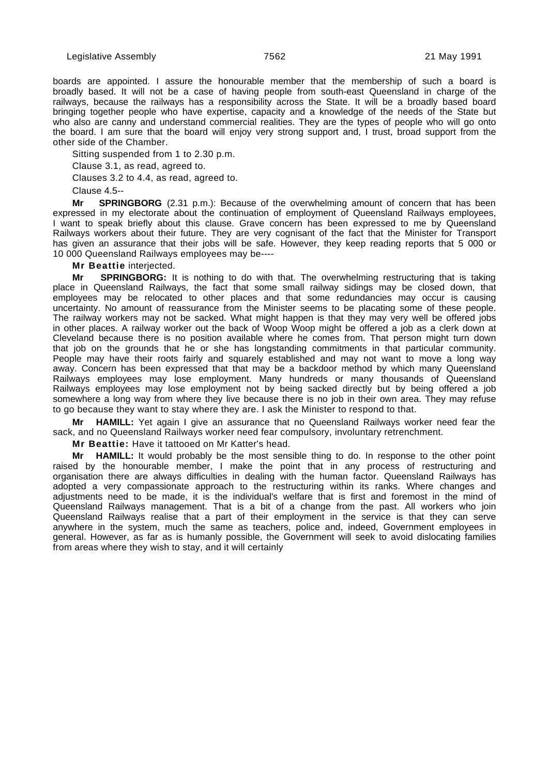boards are appointed. I assure the honourable member that the membership of such a board is broadly based. It will not be a case of having people from south-east Queensland in charge of the railways, because the railways has a responsibility across the State. It will be a broadly based board bringing together people who have expertise, capacity and a knowledge of the needs of the State but who also are canny and understand commercial realities. They are the types of people who will go onto the board. I am sure that the board will enjoy very strong support and, I trust, broad support from the other side of the Chamber.

Sitting suspended from 1 to 2.30 p.m. Clause 3.1, as read, agreed to. Clauses 3.2 to 4.4, as read, agreed to.

Clause 4.5--

**Mr SPRINGBORG** (2.31 p.m.): Because of the overwhelming amount of concern that has been expressed in my electorate about the continuation of employment of Queensland Railways employees, I want to speak briefly about this clause. Grave concern has been expressed to me by Queensland Railways workers about their future. They are very cognisant of the fact that the Minister for Transport has given an assurance that their jobs will be safe. However, they keep reading reports that 5 000 or 10 000 Queensland Railways employees may be----

**Mr Beattie** interjected.

**Mr SPRINGBORG:** It is nothing to do with that. The overwhelming restructuring that is taking place in Queensland Railways, the fact that some small railway sidings may be closed down, that employees may be relocated to other places and that some redundancies may occur is causing uncertainty. No amount of reassurance from the Minister seems to be placating some of these people. The railway workers may not be sacked. What might happen is that they may very well be offered jobs in other places. A railway worker out the back of Woop Woop might be offered a job as a clerk down at Cleveland because there is no position available where he comes from. That person might turn down that job on the grounds that he or she has longstanding commitments in that particular community. People may have their roots fairly and squarely established and may not want to move a long way away. Concern has been expressed that that may be a backdoor method by which many Queensland Railways employees may lose employment. Many hundreds or many thousands of Queensland Railways employees may lose employment not by being sacked directly but by being offered a job somewhere a long way from where they live because there is no job in their own area. They may refuse to go because they want to stay where they are. I ask the Minister to respond to that.

**Mr HAMILL:** Yet again I give an assurance that no Queensland Railways worker need fear the sack, and no Queensland Railways worker need fear compulsory, involuntary retrenchment.

**Mr Beattie:** Have it tattooed on Mr Katter's head.

**Mr HAMILL:** It would probably be the most sensible thing to do. In response to the other point raised by the honourable member, I make the point that in any process of restructuring and organisation there are always difficulties in dealing with the human factor. Queensland Railways has adopted a very compassionate approach to the restructuring within its ranks. Where changes and adjustments need to be made, it is the individual's welfare that is first and foremost in the mind of Queensland Railways management. That is a bit of a change from the past. All workers who join Queensland Railways realise that a part of their employment in the service is that they can serve anywhere in the system, much the same as teachers, police and, indeed, Government employees in general. However, as far as is humanly possible, the Government will seek to avoid dislocating families from areas where they wish to stay, and it will certainly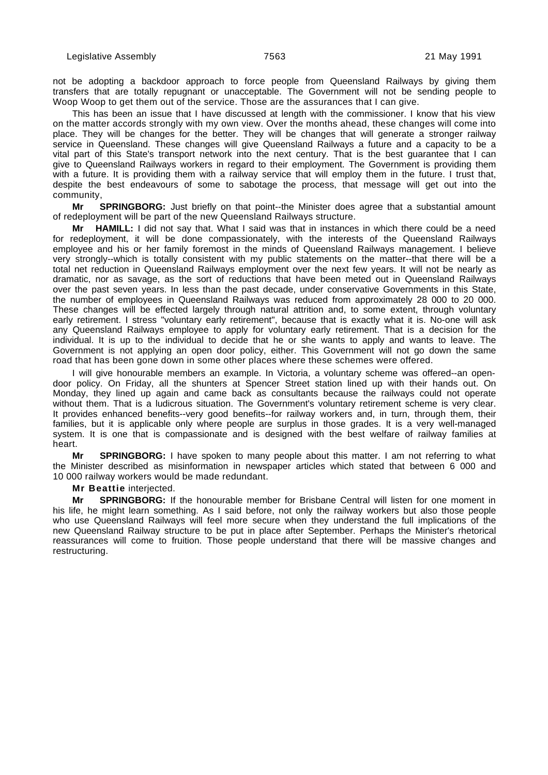not be adopting a backdoor approach to force people from Queensland Railways by giving them transfers that are totally repugnant or unacceptable. The Government will not be sending people to Woop Woop to get them out of the service. Those are the assurances that I can give.

This has been an issue that I have discussed at length with the commissioner. I know that his view on the matter accords strongly with my own view. Over the months ahead, these changes will come into place. They will be changes for the better. They will be changes that will generate a stronger railway service in Queensland. These changes will give Queensland Railways a future and a capacity to be a vital part of this State's transport network into the next century. That is the best guarantee that I can give to Queensland Railways workers in regard to their employment. The Government is providing them with a future. It is providing them with a railway service that will employ them in the future. I trust that, despite the best endeavours of some to sabotage the process, that message will get out into the community,

**Mr SPRINGBORG:** Just briefly on that point--the Minister does agree that a substantial amount of redeployment will be part of the new Queensland Railways structure.

**Mr HAMILL:** I did not say that. What I said was that in instances in which there could be a need for redeployment, it will be done compassionately, with the interests of the Queensland Railways employee and his or her family foremost in the minds of Queensland Railways management. I believe very strongly--which is totally consistent with my public statements on the matter--that there will be a total net reduction in Queensland Railways employment over the next few years. It will not be nearly as dramatic, nor as savage, as the sort of reductions that have been meted out in Queensland Railways over the past seven years. In less than the past decade, under conservative Governments in this State, the number of employees in Queensland Railways was reduced from approximately 28 000 to 20 000. These changes will be effected largely through natural attrition and, to some extent, through voluntary early retirement. I stress "voluntary early retirement", because that is exactly what it is. No-one will ask any Queensland Railways employee to apply for voluntary early retirement. That is a decision for the individual. It is up to the individual to decide that he or she wants to apply and wants to leave. The Government is not applying an open door policy, either. This Government will not go down the same road that has been gone down in some other places where these schemes were offered.

I will give honourable members an example. In Victoria, a voluntary scheme was offered--an opendoor policy. On Friday, all the shunters at Spencer Street station lined up with their hands out. On Monday, they lined up again and came back as consultants because the railways could not operate without them. That is a ludicrous situation. The Government's voluntary retirement scheme is very clear. It provides enhanced benefits--very good benefits--for railway workers and, in turn, through them, their families, but it is applicable only where people are surplus in those grades. It is a very well-managed system. It is one that is compassionate and is designed with the best welfare of railway families at heart.

**Mr SPRINGBORG:** I have spoken to many people about this matter. I am not referring to what the Minister described as misinformation in newspaper articles which stated that between 6 000 and 10 000 railway workers would be made redundant.

## **Mr Beattie** interjected.

**Mr SPRINGBORG:** If the honourable member for Brisbane Central will listen for one moment in his life, he might learn something. As I said before, not only the railway workers but also those people who use Queensland Railways will feel more secure when they understand the full implications of the new Queensland Railway structure to be put in place after September. Perhaps the Minister's rhetorical reassurances will come to fruition. Those people understand that there will be massive changes and restructuring.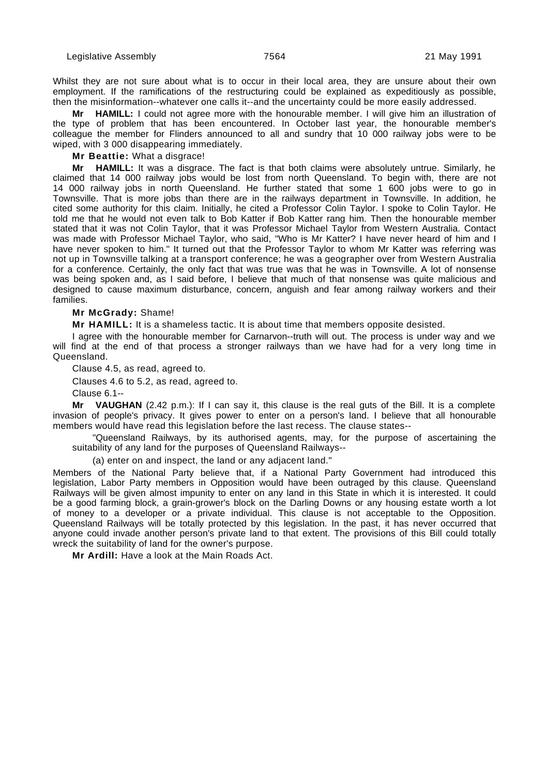Whilst they are not sure about what is to occur in their local area, they are unsure about their own employment. If the ramifications of the restructuring could be explained as expeditiously as possible, then the misinformation--whatever one calls it--and the uncertainty could be more easily addressed.

**Mr HAMILL:** I could not agree more with the honourable member. I will give him an illustration of the type of problem that has been encountered. In October last year, the honourable member's colleague the member for Flinders announced to all and sundry that 10 000 railway jobs were to be wiped, with 3 000 disappearing immediately.

**Mr Beattie:** What a disgrace!

**Mr HAMILL:** It was a disgrace. The fact is that both claims were absolutely untrue. Similarly, he claimed that 14 000 railway jobs would be lost from north Queensland. To begin with, there are not 14 000 railway jobs in north Queensland. He further stated that some 1 600 jobs were to go in Townsville. That is more jobs than there are in the railways department in Townsville. In addition, he cited some authority for this claim. Initially, he cited a Professor Colin Taylor. I spoke to Colin Taylor. He told me that he would not even talk to Bob Katter if Bob Katter rang him. Then the honourable member stated that it was not Colin Taylor, that it was Professor Michael Taylor from Western Australia. Contact was made with Professor Michael Taylor, who said, "Who is Mr Katter? I have never heard of him and I have never spoken to him." It turned out that the Professor Taylor to whom Mr Katter was referring was not up in Townsville talking at a transport conference; he was a geographer over from Western Australia for a conference. Certainly, the only fact that was true was that he was in Townsville. A lot of nonsense was being spoken and, as I said before, I believe that much of that nonsense was quite malicious and designed to cause maximum disturbance, concern, anguish and fear among railway workers and their families.

### **Mr McGrady:** Shame!

**Mr HAMILL:** It is a shameless tactic. It is about time that members opposite desisted.

I agree with the honourable member for Carnarvon--truth will out. The process is under way and we will find at the end of that process a stronger railways than we have had for a very long time in Queensland.

Clause 4.5, as read, agreed to.

Clauses 4.6 to 5.2, as read, agreed to.

Clause 6.1--

**Mr VAUGHAN** (2.42 p.m.): If I can say it, this clause is the real guts of the Bill. It is a complete invasion of people's privacy. It gives power to enter on a person's land. I believe that all honourable members would have read this legislation before the last recess. The clause states--

"Queensland Railways, by its authorised agents, may, for the purpose of ascertaining the suitability of any land for the purposes of Queensland Railways--

(a) enter on and inspect, the land or any adjacent land."

Members of the National Party believe that, if a National Party Government had introduced this legislation, Labor Party members in Opposition would have been outraged by this clause. Queensland Railways will be given almost impunity to enter on any land in this State in which it is interested. It could be a good farming block, a grain-grower's block on the Darling Downs or any housing estate worth a lot of money to a developer or a private individual. This clause is not acceptable to the Opposition. Queensland Railways will be totally protected by this legislation. In the past, it has never occurred that anyone could invade another person's private land to that extent. The provisions of this Bill could totally wreck the suitability of land for the owner's purpose.

**Mr Ardill:** Have a look at the Main Roads Act.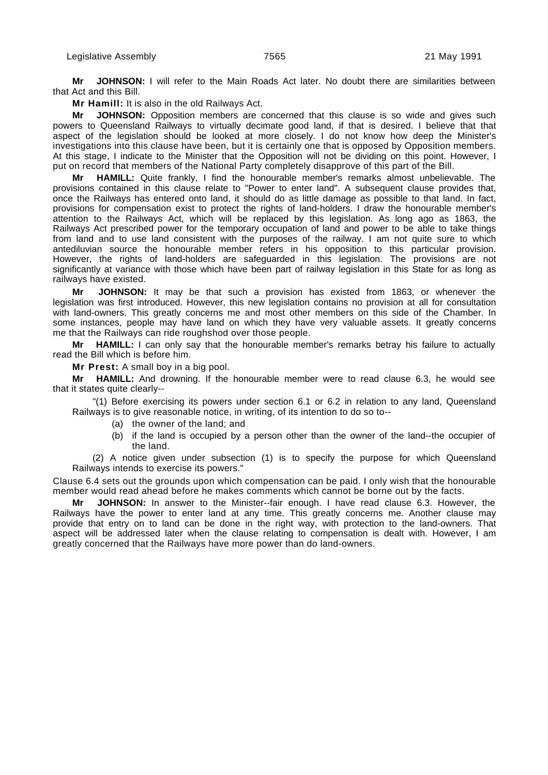**Mr JOHNSON:** I will refer to the Main Roads Act later. No doubt there are similarities between that Act and this Bill.

**Mr Hamill:** It is also in the old Railways Act.

**Mr JOHNSON:** Opposition members are concerned that this clause is so wide and gives such powers to Queensland Railways to virtually decimate good land, if that is desired. I believe that that aspect of the legislation should be looked at more closely. I do not know how deep the Minister's investigations into this clause have been, but it is certainly one that is opposed by Opposition members. At this stage, I indicate to the Minister that the Opposition will not be dividing on this point. However, I put on record that members of the National Party completely disapprove of this part of the Bill.

HAMILL: Quite frankly, I find the honourable member's remarks almost unbelievable. The provisions contained in this clause relate to "Power to enter land". A subsequent clause provides that, once the Railways has entered onto land, it should do as little damage as possible to that land. In fact, provisions for compensation exist to protect the rights of land-holders. I draw the honourable member's attention to the Railways Act, which will be replaced by this legislation. As long ago as 1863, the Railways Act prescribed power for the temporary occupation of land and power to be able to take things from land and to use land consistent with the purposes of the railway. I am not quite sure to which antediluvian source the honourable member refers in his opposition to this particular provision. However, the rights of land-holders are safeguarded in this legislation. The provisions are not significantly at variance with those which have been part of railway legislation in this State for as long as railways have existed.

**Mr JOHNSON:** It may be that such a provision has existed from 1863, or whenever the legislation was first introduced. However, this new legislation contains no provision at all for consultation with land-owners. This greatly concerns me and most other members on this side of the Chamber. In some instances, people may have land on which they have very valuable assets. It greatly concerns me that the Railways can ride roughshod over those people.

**Mr HAMILL:** I can only say that the honourable member's remarks betray his failure to actually read the Bill which is before him.

**Mr Prest:** A small boy in a big pool.

**Mr HAMILL:** And drowning. If the honourable member were to read clause 6.3, he would see that it states quite clearly--

"(1) Before exercising its powers under section 6.1 or 6.2 in relation to any land, Queensland Railways is to give reasonable notice, in writing, of its intention to do so to--

- (a) the owner of the land; and
- (b) if the land is occupied by a person other than the owner of the land--the occupier of the land.

(2) A notice given under subsection (1) is to specify the purpose for which Queensland Railways intends to exercise its powers."

Clause 6.4 sets out the grounds upon which compensation can be paid. I only wish that the honourable member would read ahead before he makes comments which cannot be borne out by the facts.

**Mr JOHNSON:** In answer to the Minister--fair enough. I have read clause 6.3. However, the Railways have the power to enter land at any time. This greatly concerns me. Another clause may provide that entry on to land can be done in the right way, with protection to the land-owners. That aspect will be addressed later when the clause relating to compensation is dealt with. However, I am greatly concerned that the Railways have more power than do land-owners.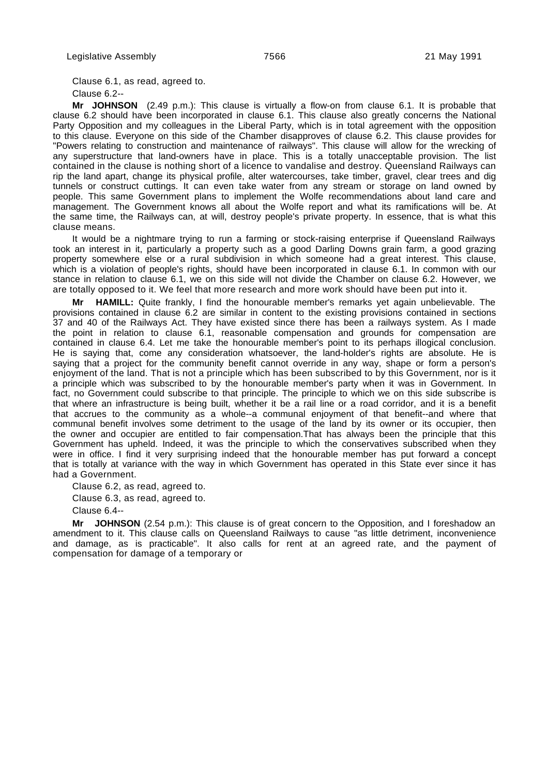Clause 6.1, as read, agreed to. Clause 6.2--

**Mr JOHNSON** (2.49 p.m.): This clause is virtually a flow-on from clause 6.1. It is probable that clause 6.2 should have been incorporated in clause 6.1. This clause also greatly concerns the National Party Opposition and my colleagues in the Liberal Party, which is in total agreement with the opposition to this clause. Everyone on this side of the Chamber disapproves of clause 6.2. This clause provides for "Powers relating to construction and maintenance of railways". This clause will allow for the wrecking of any superstructure that land-owners have in place. This is a totally unacceptable provision. The list contained in the clause is nothing short of a licence to vandalise and destroy. Queensland Railways can rip the land apart, change its physical profile, alter watercourses, take timber, gravel, clear trees and dig tunnels or construct cuttings. It can even take water from any stream or storage on land owned by people. This same Government plans to implement the Wolfe recommendations about land care and management. The Government knows all about the Wolfe report and what its ramifications will be. At the same time, the Railways can, at will, destroy people's private property. In essence, that is what this clause means.

It would be a nightmare trying to run a farming or stock-raising enterprise if Queensland Railways took an interest in it, particularly a property such as a good Darling Downs grain farm, a good grazing property somewhere else or a rural subdivision in which someone had a great interest. This clause, which is a violation of people's rights, should have been incorporated in clause 6.1. In common with our stance in relation to clause 6.1, we on this side will not divide the Chamber on clause 6.2. However, we are totally opposed to it. We feel that more research and more work should have been put into it.

**HAMILL:** Quite frankly, I find the honourable member's remarks yet again unbelievable. The provisions contained in clause 6.2 are similar in content to the existing provisions contained in sections 37 and 40 of the Railways Act. They have existed since there has been a railways system. As I made the point in relation to clause 6.1, reasonable compensation and grounds for compensation are contained in clause 6.4. Let me take the honourable member's point to its perhaps illogical conclusion. He is saying that, come any consideration whatsoever, the land-holder's rights are absolute. He is saying that a project for the community benefit cannot override in any way, shape or form a person's enjoyment of the land. That is not a principle which has been subscribed to by this Government, nor is it a principle which was subscribed to by the honourable member's party when it was in Government. In fact, no Government could subscribe to that principle. The principle to which we on this side subscribe is that where an infrastructure is being built, whether it be a rail line or a road corridor, and it is a benefit that accrues to the community as a whole--a communal enjoyment of that benefit--and where that communal benefit involves some detriment to the usage of the land by its owner or its occupier, then the owner and occupier are entitled to fair compensation.That has always been the principle that this Government has upheld. Indeed, it was the principle to which the conservatives subscribed when they were in office. I find it very surprising indeed that the honourable member has put forward a concept that is totally at variance with the way in which Government has operated in this State ever since it has had a Government.

Clause 6.2, as read, agreed to. Clause 6.3, as read, agreed to. Clause 6.4--

**Mr JOHNSON** (2.54 p.m.): This clause is of great concern to the Opposition, and I foreshadow an amendment to it. This clause calls on Queensland Railways to cause "as little detriment, inconvenience and damage, as is practicable". It also calls for rent at an agreed rate, and the payment of compensation for damage of a temporary or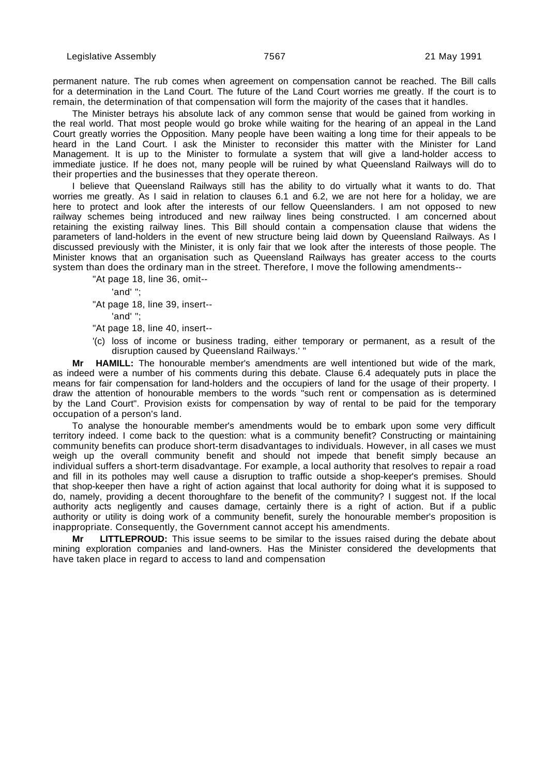permanent nature. The rub comes when agreement on compensation cannot be reached. The Bill calls for a determination in the Land Court. The future of the Land Court worries me greatly. If the court is to remain, the determination of that compensation will form the majority of the cases that it handles.

The Minister betrays his absolute lack of any common sense that would be gained from working in the real world. That most people would go broke while waiting for the hearing of an appeal in the Land Court greatly worries the Opposition. Many people have been waiting a long time for their appeals to be heard in the Land Court. I ask the Minister to reconsider this matter with the Minister for Land Management. It is up to the Minister to formulate a system that will give a land-holder access to immediate justice. If he does not, many people will be ruined by what Queensland Railways will do to their properties and the businesses that they operate thereon.

I believe that Queensland Railways still has the ability to do virtually what it wants to do. That worries me greatly. As I said in relation to clauses 6.1 and 6.2, we are not here for a holiday, we are here to protect and look after the interests of our fellow Queenslanders. I am not opposed to new railway schemes being introduced and new railway lines being constructed. I am concerned about retaining the existing railway lines. This Bill should contain a compensation clause that widens the parameters of land-holders in the event of new structure being laid down by Queensland Railways. As I discussed previously with the Minister, it is only fair that we look after the interests of those people. The Minister knows that an organisation such as Queensland Railways has greater access to the courts system than does the ordinary man in the street. Therefore, I move the following amendments--

"At page 18, line 36, omit--

'and' ";

"At page 18, line 39, insert--

'and' ";

"At page 18, line 40, insert--

'(c) loss of income or business trading, either temporary or permanent, as a result of the disruption caused by Queensland Railways.' "

**Mr HAMILL:** The honourable member's amendments are well intentioned but wide of the mark, as indeed were a number of his comments during this debate. Clause 6.4 adequately puts in place the means for fair compensation for land-holders and the occupiers of land for the usage of their property. I draw the attention of honourable members to the words "such rent or compensation as is determined by the Land Court". Provision exists for compensation by way of rental to be paid for the temporary occupation of a person's land.

To analyse the honourable member's amendments would be to embark upon some very difficult territory indeed. I come back to the question: what is a community benefit? Constructing or maintaining community benefits can produce short-term disadvantages to individuals. However, in all cases we must weigh up the overall community benefit and should not impede that benefit simply because an individual suffers a short-term disadvantage. For example, a local authority that resolves to repair a road and fill in its potholes may well cause a disruption to traffic outside a shop-keeper's premises. Should that shop-keeper then have a right of action against that local authority for doing what it is supposed to do, namely, providing a decent thoroughfare to the benefit of the community? I suggest not. If the local authority acts negligently and causes damage, certainly there is a right of action. But if a public authority or utility is doing work of a community benefit, surely the honourable member's proposition is inappropriate. Consequently, the Government cannot accept his amendments.

**Mr LITTLEPROUD:** This issue seems to be similar to the issues raised during the debate about mining exploration companies and land-owners. Has the Minister considered the developments that have taken place in regard to access to land and compensation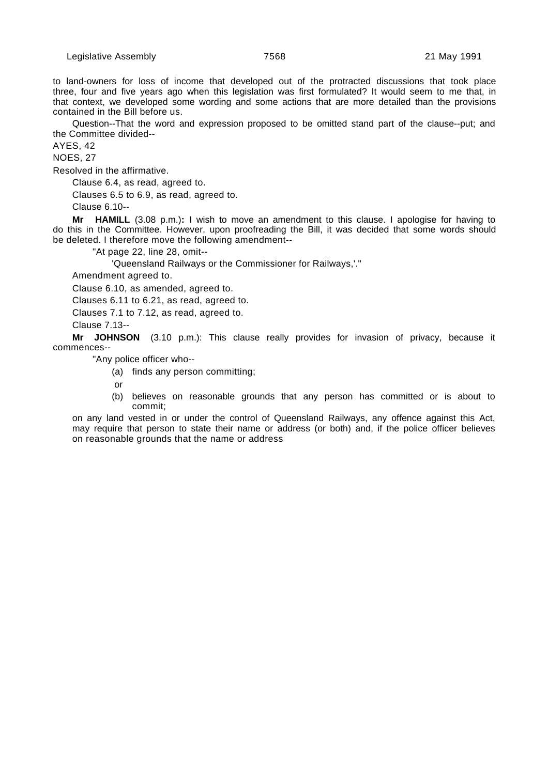to land-owners for loss of income that developed out of the protracted discussions that took place three, four and five years ago when this legislation was first formulated? It would seem to me that, in that context, we developed some wording and some actions that are more detailed than the provisions contained in the Bill before us.

Question--That the word and expression proposed to be omitted stand part of the clause--put; and the Committee divided--

AYES, 42

NOES, 27

Resolved in the affirmative.

Clause 6.4, as read, agreed to.

Clauses 6.5 to 6.9, as read, agreed to.

Clause 6.10--

**Mr HAMILL** (3.08 p.m.)**:** I wish to move an amendment to this clause. I apologise for having to do this in the Committee. However, upon proofreading the Bill, it was decided that some words should be deleted. I therefore move the following amendment--

"At page 22, line 28, omit--

'Queensland Railways or the Commissioner for Railways,'."

Amendment agreed to.

Clause 6.10, as amended, agreed to.

Clauses 6.11 to 6.21, as read, agreed to.

Clauses 7.1 to 7.12, as read, agreed to.

Clause 7.13--

**Mr JOHNSON** (3.10 p.m.): This clause really provides for invasion of privacy, because it commences--

"Any police officer who--

(a) finds any person committing;

or

(b) believes on reasonable grounds that any person has committed or is about to commit;

on any land vested in or under the control of Queensland Railways, any offence against this Act, may require that person to state their name or address (or both) and, if the police officer believes on reasonable grounds that the name or address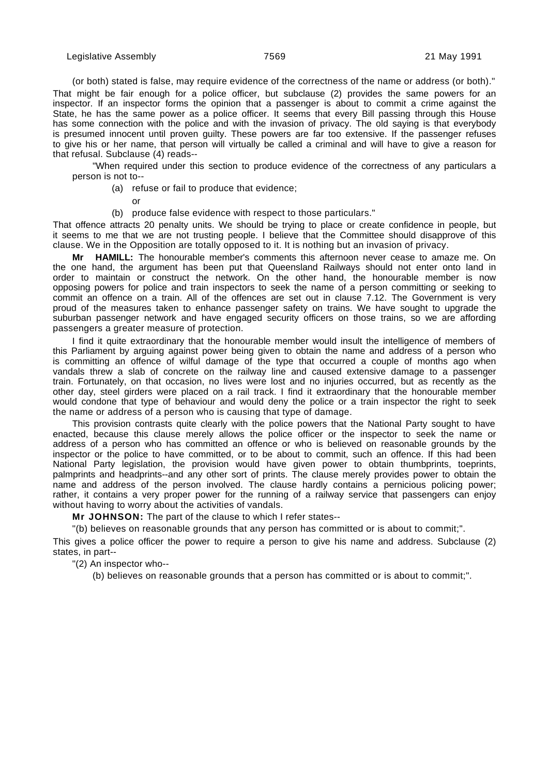(or both) stated is false, may require evidence of the correctness of the name or address (or both)." That might be fair enough for a police officer, but subclause (2) provides the same powers for an inspector. If an inspector forms the opinion that a passenger is about to commit a crime against the State, he has the same power as a police officer. It seems that every Bill passing through this House has some connection with the police and with the invasion of privacy. The old saying is that everybody is presumed innocent until proven guilty. These powers are far too extensive. If the passenger refuses to give his or her name, that person will virtually be called a criminal and will have to give a reason for that refusal. Subclause (4) reads--

"When required under this section to produce evidence of the correctness of any particulars a person is not to--

- (a) refuse or fail to produce that evidence;
	- or
- (b) produce false evidence with respect to those particulars."

That offence attracts 20 penalty units. We should be trying to place or create confidence in people, but it seems to me that we are not trusting people. I believe that the Committee should disapprove of this clause. We in the Opposition are totally opposed to it. It is nothing but an invasion of privacy.

**Mr HAMILL:** The honourable member's comments this afternoon never cease to amaze me. On the one hand, the argument has been put that Queensland Railways should not enter onto land in order to maintain or construct the network. On the other hand, the honourable member is now opposing powers for police and train inspectors to seek the name of a person committing or seeking to commit an offence on a train. All of the offences are set out in clause 7.12. The Government is very proud of the measures taken to enhance passenger safety on trains. We have sought to upgrade the suburban passenger network and have engaged security officers on those trains, so we are affording passengers a greater measure of protection.

I find it quite extraordinary that the honourable member would insult the intelligence of members of this Parliament by arguing against power being given to obtain the name and address of a person who is committing an offence of wilful damage of the type that occurred a couple of months ago when vandals threw a slab of concrete on the railway line and caused extensive damage to a passenger train. Fortunately, on that occasion, no lives were lost and no injuries occurred, but as recently as the other day, steel girders were placed on a rail track. I find it extraordinary that the honourable member would condone that type of behaviour and would deny the police or a train inspector the right to seek the name or address of a person who is causing that type of damage.

This provision contrasts quite clearly with the police powers that the National Party sought to have enacted, because this clause merely allows the police officer or the inspector to seek the name or address of a person who has committed an offence or who is believed on reasonable grounds by the inspector or the police to have committed, or to be about to commit, such an offence. If this had been National Party legislation, the provision would have given power to obtain thumbprints, toeprints, palmprints and headprints--and any other sort of prints. The clause merely provides power to obtain the name and address of the person involved. The clause hardly contains a pernicious policing power; rather, it contains a very proper power for the running of a railway service that passengers can enjoy without having to worry about the activities of vandals.

**Mr JOHNSON:** The part of the clause to which I refer states--

"(b) believes on reasonable grounds that any person has committed or is about to commit;".

This gives a police officer the power to require a person to give his name and address. Subclause (2) states, in part--

"(2) An inspector who--

(b) believes on reasonable grounds that a person has committed or is about to commit;".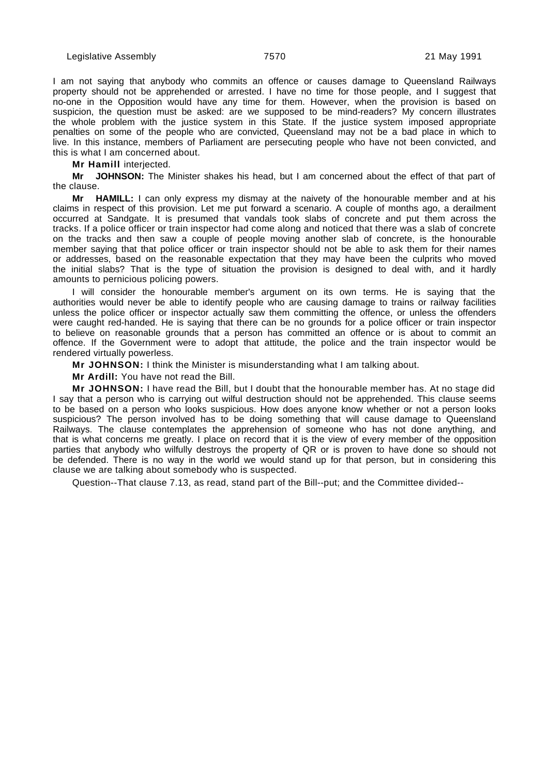I am not saying that anybody who commits an offence or causes damage to Queensland Railways property should not be apprehended or arrested. I have no time for those people, and I suggest that no-one in the Opposition would have any time for them. However, when the provision is based on suspicion, the question must be asked: are we supposed to be mind-readers? My concern illustrates the whole problem with the justice system in this State. If the justice system imposed appropriate penalties on some of the people who are convicted, Queensland may not be a bad place in which to live. In this instance, members of Parliament are persecuting people who have not been convicted, and this is what I am concerned about.

**Mr Hamill** interjected.

**Mr JOHNSON:** The Minister shakes his head, but I am concerned about the effect of that part of the clause.

**Mr HAMILL:** I can only express my dismay at the naivety of the honourable member and at his claims in respect of this provision. Let me put forward a scenario. A couple of months ago, a derailment occurred at Sandgate. It is presumed that vandals took slabs of concrete and put them across the tracks. If a police officer or train inspector had come along and noticed that there was a slab of concrete on the tracks and then saw a couple of people moving another slab of concrete, is the honourable member saying that that police officer or train inspector should not be able to ask them for their names or addresses, based on the reasonable expectation that they may have been the culprits who moved the initial slabs? That is the type of situation the provision is designed to deal with, and it hardly amounts to pernicious policing powers.

I will consider the honourable member's argument on its own terms. He is saying that the authorities would never be able to identify people who are causing damage to trains or railway facilities unless the police officer or inspector actually saw them committing the offence, or unless the offenders were caught red-handed. He is saying that there can be no grounds for a police officer or train inspector to believe on reasonable grounds that a person has committed an offence or is about to commit an offence. If the Government were to adopt that attitude, the police and the train inspector would be rendered virtually powerless.

**Mr JOHNSON:** I think the Minister is misunderstanding what I am talking about.

**Mr Ardill:** You have not read the Bill.

**Mr JOHNSON:** I have read the Bill, but I doubt that the honourable member has. At no stage did I say that a person who is carrying out wilful destruction should not be apprehended. This clause seems to be based on a person who looks suspicious. How does anyone know whether or not a person looks suspicious? The person involved has to be doing something that will cause damage to Queensland Railways. The clause contemplates the apprehension of someone who has not done anything, and that is what concerns me greatly. I place on record that it is the view of every member of the opposition parties that anybody who wilfully destroys the property of QR or is proven to have done so should not be defended. There is no way in the world we would stand up for that person, but in considering this clause we are talking about somebody who is suspected.

Question--That clause 7.13, as read, stand part of the Bill--put; and the Committee divided--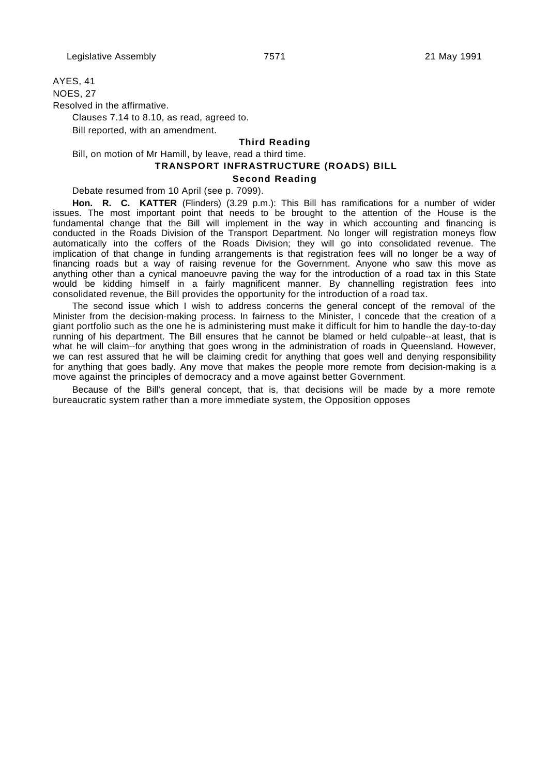AYES, 41

NOES, 27

Resolved in the affirmative.

Clauses 7.14 to 8.10, as read, agreed to.

Bill reported, with an amendment.

### **Third Reading**

Bill, on motion of Mr Hamill, by leave, read a third time.

 **TRANSPORT INFRASTRUCTURE (ROADS) BILL**

# **Second Reading**

Debate resumed from 10 April (see p. 7099).

**Hon. R. C. KATTER** (Flinders) (3.29 p.m.): This Bill has ramifications for a number of wider issues. The most important point that needs to be brought to the attention of the House is the fundamental change that the Bill will implement in the way in which accounting and financing is conducted in the Roads Division of the Transport Department. No longer will registration moneys flow automatically into the coffers of the Roads Division; they will go into consolidated revenue. The implication of that change in funding arrangements is that registration fees will no longer be a way of financing roads but a way of raising revenue for the Government. Anyone who saw this move as anything other than a cynical manoeuvre paving the way for the introduction of a road tax in this State would be kidding himself in a fairly magnificent manner. By channelling registration fees into consolidated revenue, the Bill provides the opportunity for the introduction of a road tax.

The second issue which I wish to address concerns the general concept of the removal of the Minister from the decision-making process. In fairness to the Minister, I concede that the creation of a giant portfolio such as the one he is administering must make it difficult for him to handle the day-to-day running of his department. The Bill ensures that he cannot be blamed or held culpable--at least, that is what he will claim--for anything that goes wrong in the administration of roads in Queensland. However, we can rest assured that he will be claiming credit for anything that goes well and denying responsibility for anything that goes badly. Any move that makes the people more remote from decision-making is a move against the principles of democracy and a move against better Government.

Because of the Bill's general concept, that is, that decisions will be made by a more remote bureaucratic system rather than a more immediate system, the Opposition opposes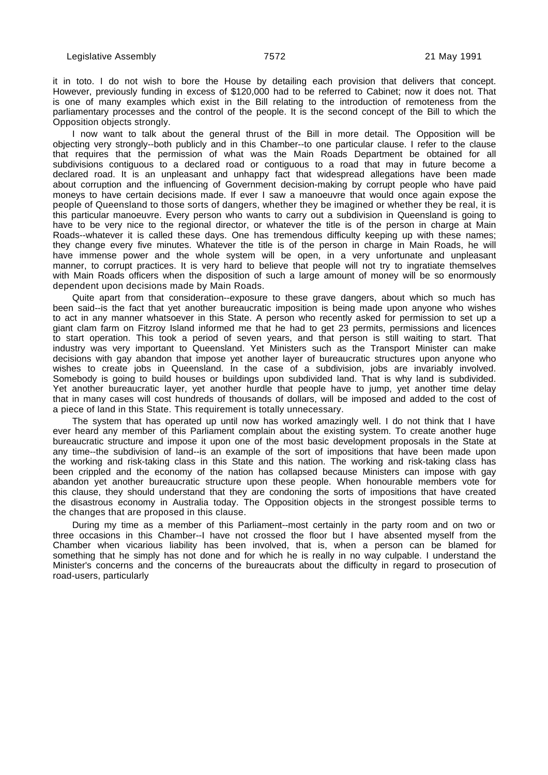it in toto. I do not wish to bore the House by detailing each provision that delivers that concept. However, previously funding in excess of \$120,000 had to be referred to Cabinet; now it does not. That is one of many examples which exist in the Bill relating to the introduction of remoteness from the parliamentary processes and the control of the people. It is the second concept of the Bill to which the Opposition objects strongly.

I now want to talk about the general thrust of the Bill in more detail. The Opposition will be objecting very strongly--both publicly and in this Chamber--to one particular clause. I refer to the clause that requires that the permission of what was the Main Roads Department be obtained for all subdivisions contiguous to a declared road or contiguous to a road that may in future become a declared road. It is an unpleasant and unhappy fact that widespread allegations have been made about corruption and the influencing of Government decision-making by corrupt people who have paid moneys to have certain decisions made. If ever I saw a manoeuvre that would once again expose the people of Queensland to those sorts of dangers, whether they be imagined or whether they be real, it is this particular manoeuvre. Every person who wants to carry out a subdivision in Queensland is going to have to be very nice to the regional director, or whatever the title is of the person in charge at Main Roads--whatever it is called these days. One has tremendous difficulty keeping up with these names; they change every five minutes. Whatever the title is of the person in charge in Main Roads, he will have immense power and the whole system will be open, in a very unfortunate and unpleasant manner, to corrupt practices. It is very hard to believe that people will not try to ingratiate themselves with Main Roads officers when the disposition of such a large amount of money will be so enormously dependent upon decisions made by Main Roads.

Quite apart from that consideration--exposure to these grave dangers, about which so much has been said--is the fact that yet another bureaucratic imposition is being made upon anyone who wishes to act in any manner whatsoever in this State. A person who recently asked for permission to set up a giant clam farm on Fitzroy Island informed me that he had to get 23 permits, permissions and licences to start operation. This took a period of seven years, and that person is still waiting to start. That industry was very important to Queensland. Yet Ministers such as the Transport Minister can make decisions with gay abandon that impose yet another layer of bureaucratic structures upon anyone who wishes to create jobs in Queensland. In the case of a subdivision, jobs are invariably involved. Somebody is going to build houses or buildings upon subdivided land. That is why land is subdivided. Yet another bureaucratic layer, yet another hurdle that people have to jump, yet another time delay that in many cases will cost hundreds of thousands of dollars, will be imposed and added to the cost of a piece of land in this State. This requirement is totally unnecessary.

The system that has operated up until now has worked amazingly well. I do not think that I have ever heard any member of this Parliament complain about the existing system. To create another huge bureaucratic structure and impose it upon one of the most basic development proposals in the State at any time--the subdivision of land--is an example of the sort of impositions that have been made upon the working and risk-taking class in this State and this nation. The working and risk-taking class has been crippled and the economy of the nation has collapsed because Ministers can impose with gay abandon yet another bureaucratic structure upon these people. When honourable members vote for this clause, they should understand that they are condoning the sorts of impositions that have created the disastrous economy in Australia today. The Opposition objects in the strongest possible terms to the changes that are proposed in this clause.

During my time as a member of this Parliament--most certainly in the party room and on two or three occasions in this Chamber--I have not crossed the floor but I have absented myself from the Chamber when vicarious liability has been involved, that is, when a person can be blamed for something that he simply has not done and for which he is really in no way culpable. I understand the Minister's concerns and the concerns of the bureaucrats about the difficulty in regard to prosecution of road-users, particularly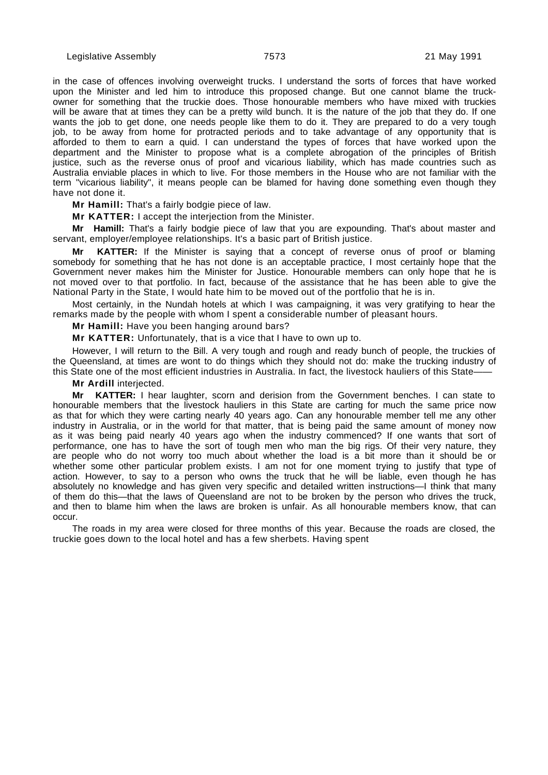in the case of offences involving overweight trucks. I understand the sorts of forces that have worked upon the Minister and led him to introduce this proposed change. But one cannot blame the truckowner for something that the truckie does. Those honourable members who have mixed with truckies will be aware that at times they can be a pretty wild bunch. It is the nature of the job that they do. If one wants the job to get done, one needs people like them to do it. They are prepared to do a very tough job, to be away from home for protracted periods and to take advantage of any opportunity that is afforded to them to earn a quid. I can understand the types of forces that have worked upon the department and the Minister to propose what is a complete abrogation of the principles of British justice, such as the reverse onus of proof and vicarious liability, which has made countries such as Australia enviable places in which to live. For those members in the House who are not familiar with the term "vicarious liability", it means people can be blamed for having done something even though they have not done it.

**Mr Hamill:** That's a fairly bodgie piece of law.

**Mr KATTER:** I accept the interjection from the Minister.

**Mr Hamill:** That's a fairly bodgie piece of law that you are expounding. That's about master and servant, employer/employee relationships. It's a basic part of British justice.

**Mr KATTER:** If the Minister is saying that a concept of reverse onus of proof or blaming somebody for something that he has not done is an acceptable practice, I most certainly hope that the Government never makes him the Minister for Justice. Honourable members can only hope that he is not moved over to that portfolio. In fact, because of the assistance that he has been able to give the National Party in the State, I would hate him to be moved out of the portfolio that he is in.

Most certainly, in the Nundah hotels at which I was campaigning, it was very gratifying to hear the remarks made by the people with whom I spent a considerable number of pleasant hours.

**Mr Hamill:** Have you been hanging around bars?

**Mr KATTER:** Unfortunately, that is a vice that I have to own up to.

However, I will return to the Bill. A very tough and rough and ready bunch of people, the truckies of the Queensland, at times are wont to do things which they should not do: make the trucking industry of this State one of the most efficient industries in Australia. In fact, the livestock hauliers of this State–

### **Mr Ardill** interjected.

**Mr KATTER:** I hear laughter, scorn and derision from the Government benches. I can state to honourable members that the livestock hauliers in this State are carting for much the same price now as that for which they were carting nearly 40 years ago. Can any honourable member tell me any other industry in Australia, or in the world for that matter, that is being paid the same amount of money now as it was being paid nearly 40 years ago when the industry commenced? If one wants that sort of performance, one has to have the sort of tough men who man the big rigs. Of their very nature, they are people who do not worry too much about whether the load is a bit more than it should be or whether some other particular problem exists. I am not for one moment trying to justify that type of action. However, to say to a person who owns the truck that he will be liable, even though he has absolutely no knowledge and has given very specific and detailed written instructions—I think that many of them do this—that the laws of Queensland are not to be broken by the person who drives the truck, and then to blame him when the laws are broken is unfair. As all honourable members know, that can occur.

The roads in my area were closed for three months of this year. Because the roads are closed, the truckie goes down to the local hotel and has a few sherbets. Having spent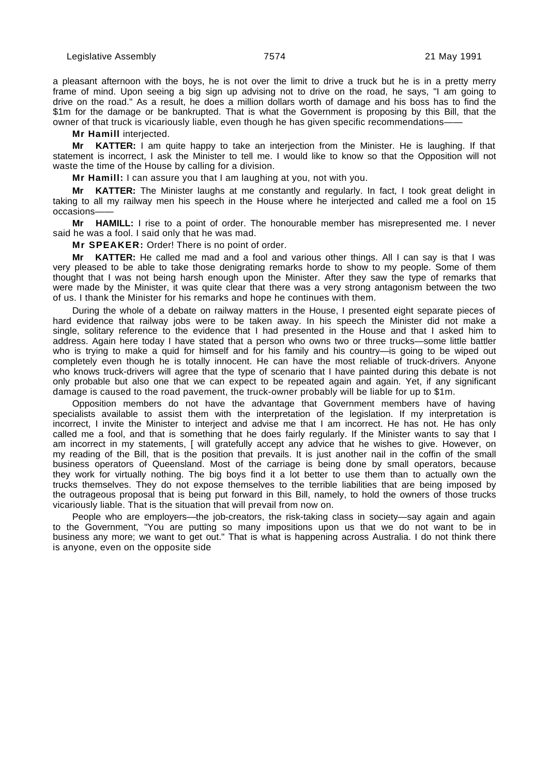a pleasant afternoon with the boys, he is not over the limit to drive a truck but he is in a pretty merry frame of mind. Upon seeing a big sign up advising not to drive on the road, he says, "I am going to drive on the road." As a result, he does a million dollars worth of damage and his boss has to find the \$1m for the damage or be bankrupted. That is what the Government is proposing by this Bill, that the owner of that truck is vicariously liable, even though he has given specific recommendations-

**Mr Hamill** interjected.

**Mr KATTER:** I am quite happy to take an interjection from the Minister. He is laughing. If that statement is incorrect, I ask the Minister to tell me. I would like to know so that the Opposition will not waste the time of the House by calling for a division.

**Mr Hamill:** I can assure you that I am laughing at you, not with you.

**Mr KATTER:** The Minister laughs at me constantly and regularly. In fact, I took great delight in taking to all my railway men his speech in the House where he interjected and called me a fool on 15 occasions——

**Mr HAMILL:** I rise to a point of order. The honourable member has misrepresented me. I never said he was a fool. I said only that he was mad.

**Mr SPEAKER:** Order! There is no point of order.

**Mr KATTER:** He called me mad and a fool and various other things. All I can say is that I was very pleased to be able to take those denigrating remarks horde to show to my people. Some of them thought that I was not being harsh enough upon the Minister. After they saw the type of remarks that were made by the Minister, it was quite clear that there was a very strong antagonism between the two of us. I thank the Minister for his remarks and hope he continues with them.

During the whole of a debate on railway matters in the House, I presented eight separate pieces of hard evidence that railway jobs were to be taken away. In his speech the Minister did not make a single, solitary reference to the evidence that I had presented in the House and that I asked him to address. Again here today I have stated that a person who owns two or three trucks—some little battler who is trying to make a quid for himself and for his family and his country—is going to be wiped out completely even though he is totally innocent. He can have the most reliable of truck-drivers. Anyone who knows truck-drivers will agree that the type of scenario that I have painted during this debate is not only probable but also one that we can expect to be repeated again and again. Yet, if any significant damage is caused to the road pavement, the truck-owner probably will be liable for up to \$1m.

Opposition members do not have the advantage that Government members have of having specialists available to assist them with the interpretation of the legislation. If my interpretation is incorrect, I invite the Minister to interject and advise me that I am incorrect. He has not. He has only called me a fool, and that is something that he does fairly regularly. If the Minister wants to say that I am incorrect in my statements, [ will gratefully accept any advice that he wishes to give. However, on my reading of the Bill, that is the position that prevails. It is just another nail in the coffin of the small business operators of Queensland. Most of the carriage is being done by small operators, because they work for virtually nothing. The big boys find it a lot better to use them than to actually own the trucks themselves. They do not expose themselves to the terrible liabilities that are being imposed by the outrageous proposal that is being put forward in this Bill, namely, to hold the owners of those trucks vicariously liable. That is the situation that will prevail from now on.

People who are employers—the job-creators, the risk-taking class in society—say again and again to the Government, "You are putting so many impositions upon us that we do not want to be in business any more; we want to get out." That is what is happening across Australia. I do not think there is anyone, even on the opposite side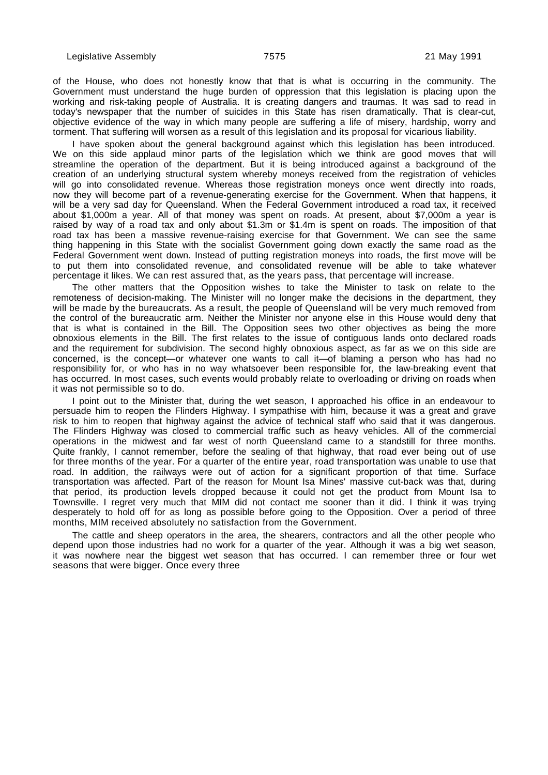of the House, who does not honestly know that that is what is occurring in the community. The Government must understand the huge burden of oppression that this legislation is placing upon the working and risk-taking people of Australia. It is creating dangers and traumas. It was sad to read in today's newspaper that the number of suicides in this State has risen dramatically. That is clear-cut, objective evidence of the way in which many people are suffering a life of misery, hardship, worry and torment. That suffering will worsen as a result of this legislation and its proposal for vicarious liability.

I have spoken about the general background against which this legislation has been introduced. We on this side applaud minor parts of the legislation which we think are good moves that will streamline the operation of the department. But it is being introduced against a background of the creation of an underlying structural system whereby moneys received from the registration of vehicles will go into consolidated revenue. Whereas those registration moneys once went directly into roads, now they will become part of a revenue-generating exercise for the Government. When that happens, it will be a very sad day for Queensland. When the Federal Government introduced a road tax, it received about \$1,000m a year. All of that money was spent on roads. At present, about \$7,000m a year is raised by way of a road tax and only about \$1.3m or \$1.4m is spent on roads. The imposition of that road tax has been a massive revenue-raising exercise for that Government. We can see the same thing happening in this State with the socialist Government going down exactly the same road as the Federal Government went down. Instead of putting registration moneys into roads, the first move will be to put them into consolidated revenue, and consolidated revenue will be able to take whatever percentage it likes. We can rest assured that, as the years pass, that percentage will increase.

The other matters that the Opposition wishes to take the Minister to task on relate to the remoteness of decision-making. The Minister will no longer make the decisions in the department, they will be made by the bureaucrats. As a result, the people of Queensland will be very much removed from the control of the bureaucratic arm. Neither the Minister nor anyone else in this House would deny that that is what is contained in the Bill. The Opposition sees two other objectives as being the more obnoxious elements in the Bill. The first relates to the issue of contiguous lands onto declared roads and the requirement for subdivision. The second highly obnoxious aspect, as far as we on this side are concerned, is the concept—or whatever one wants to call it—of blaming a person who has had no responsibility for, or who has in no way whatsoever been responsible for, the law-breaking event that has occurred. In most cases, such events would probably relate to overloading or driving on roads when it was not permissible so to do.

I point out to the Minister that, during the wet season, I approached his office in an endeavour to persuade him to reopen the Flinders Highway. I sympathise with him, because it was a great and grave risk to him to reopen that highway against the advice of technical staff who said that it was dangerous. The Flinders Highway was closed to commercial traffic such as heavy vehicles. All of the commercial operations in the midwest and far west of north Queensland came to a standstill for three months. Quite frankly, I cannot remember, before the sealing of that highway, that road ever being out of use for three months of the year. For a quarter of the entire year, road transportation was unable to use that road. In addition, the railways were out of action for a significant proportion of that time. Surface transportation was affected. Part of the reason for Mount Isa Mines' massive cut-back was that, during that period, its production levels dropped because it could not get the product from Mount Isa to Townsville. I regret very much that MIM did not contact me sooner than it did. I think it was trying desperately to hold off for as long as possible before going to the Opposition. Over a period of three months, MIM received absolutely no satisfaction from the Government.

The cattle and sheep operators in the area, the shearers, contractors and all the other people who depend upon those industries had no work for a quarter of the year. Although it was a big wet season, it was nowhere near the biggest wet season that has occurred. I can remember three or four wet seasons that were bigger. Once every three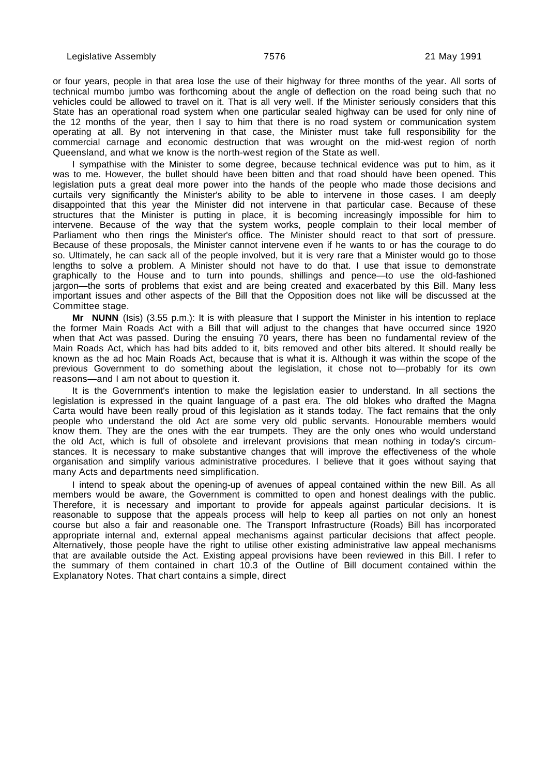or four years, people in that area lose the use of their highway for three months of the year. All sorts of technical mumbo jumbo was forthcoming about the angle of deflection on the road being such that no vehicles could be allowed to travel on it. That is all very well. If the Minister seriously considers that this State has an operational road system when one particular sealed highway can be used for only nine of the 12 months of the year, then I say to him that there is no road system or communication system operating at all. By not intervening in that case, the Minister must take full responsibility for the commercial carnage and economic destruction that was wrought on the mid-west region of north Queensland, and what we know is the north-west region of the State as well.

I sympathise with the Minister to some degree, because technical evidence was put to him, as it was to me. However, the bullet should have been bitten and that road should have been opened. This legislation puts a great deal more power into the hands of the people who made those decisions and curtails very significantly the Minister's ability to be able to intervene in those cases. I am deeply disappointed that this year the Minister did not intervene in that particular case. Because of these structures that the Minister is putting in place, it is becoming increasingly impossible for him to intervene. Because of the way that the system works, people complain to their local member of Parliament who then rings the Minister's office. The Minister should react to that sort of pressure. Because of these proposals, the Minister cannot intervene even if he wants to or has the courage to do so. Ultimately, he can sack all of the people involved, but it is very rare that a Minister would go to those lengths to solve a problem. A Minister should not have to do that. I use that issue to demonstrate graphically to the House and to turn into pounds, shillings and pence—to use the old-fashioned jargon—the sorts of problems that exist and are being created and exacerbated by this Bill. Many less important issues and other aspects of the Bill that the Opposition does not like will be discussed at the Committee stage.

**Mr NUNN** (Isis) (3.55 p.m.): It is with pleasure that I support the Minister in his intention to replace the former Main Roads Act with a Bill that will adjust to the changes that have occurred since 1920 when that Act was passed. During the ensuing 70 years, there has been no fundamental review of the Main Roads Act, which has had bits added to it, bits removed and other bits altered. It should really be known as the ad hoc Main Roads Act, because that is what it is. Although it was within the scope of the previous Government to do something about the legislation, it chose not to—probably for its own reasons—and I am not about to question it.

It is the Government's intention to make the legislation easier to understand. In all sections the legislation is expressed in the quaint language of a past era. The old blokes who drafted the Magna Carta would have been really proud of this legislation as it stands today. The fact remains that the only people who understand the old Act are some very old public servants. Honourable members would know them. They are the ones with the ear trumpets. They are the only ones who would understand the old Act, which is full of obsolete and irrelevant provisions that mean nothing in today's circumstances. It is necessary to make substantive changes that will improve the effectiveness of the whole organisation and simplify various administrative procedures. I believe that it goes without saying that many Acts and departments need simplification.

I intend to speak about the opening-up of avenues of appeal contained within the new Bill. As all members would be aware, the Government is committed to open and honest dealings with the public. Therefore, it is necessary and important to provide for appeals against particular decisions. It is reasonable to suppose that the appeals process will help to keep all parties on not only an honest course but also a fair and reasonable one. The Transport Infrastructure (Roads) Bill has incorporated appropriate internal and, external appeal mechanisms against particular decisions that affect people. Alternatively, those people have the right to utilise other existing administrative law appeal mechanisms that are available outside the Act. Existing appeal provisions have been reviewed in this Bill. I refer to the summary of them contained in chart 10.3 of the Outline of Bill document contained within the Explanatory Notes. That chart contains a simple, direct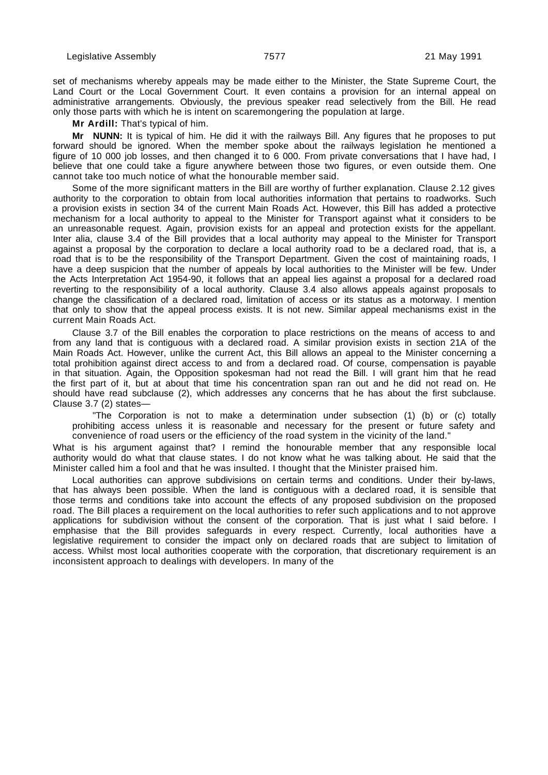set of mechanisms whereby appeals may be made either to the Minister, the State Supreme Court, the Land Court or the Local Government Court. It even contains a provision for an internal appeal on administrative arrangements. Obviously, the previous speaker read selectively from the Bill. He read only those parts with which he is intent on scaremongering the population at large.

**Mr Ardill:** That's typical of him.

**Mr NUNN:** It is typical of him. He did it with the railways Bill. Any figures that he proposes to put forward should be ignored. When the member spoke about the railways legislation he mentioned a figure of 10 000 job losses, and then changed it to 6 000. From private conversations that I have had, I believe that one could take a figure anywhere between those two figures, or even outside them. One cannot take too much notice of what the honourable member said.

Some of the more significant matters in the Bill are worthy of further explanation. Clause 2.12 gives authority to the corporation to obtain from local authorities information that pertains to roadworks. Such a provision exists in section 34 of the current Main Roads Act. However, this Bill has added a protective mechanism for a local authority to appeal to the Minister for Transport against what it considers to be an unreasonable request. Again, provision exists for an appeal and protection exists for the appellant. Inter alia, clause 3.4 of the Bill provides that a local authority may appeal to the Minister for Transport against a proposal by the corporation to declare a local authority road to be a declared road, that is, a road that is to be the responsibility of the Transport Department. Given the cost of maintaining roads, I have a deep suspicion that the number of appeals by local authorities to the Minister will be few. Under the Acts Interpretation Act 1954-90, it follows that an appeal lies against a proposal for a declared road reverting to the responsibility of a local authority. Clause 3.4 also allows appeals against proposals to change the classification of a declared road, limitation of access or its status as a motorway. I mention that only to show that the appeal process exists. It is not new. Similar appeal mechanisms exist in the current Main Roads Act.

Clause 3.7 of the Bill enables the corporation to place restrictions on the means of access to and from any land that is contiguous with a declared road. A similar provision exists in section 21A of the Main Roads Act. However, unlike the current Act, this Bill allows an appeal to the Minister concerning a total prohibition against direct access to and from a declared road. Of course, compensation is payable in that situation. Again, the Opposition spokesman had not read the Bill. I will grant him that he read the first part of it, but at about that time his concentration span ran out and he did not read on. He should have read subclause (2), which addresses any concerns that he has about the first subclause. Clause 3.7 (2) states—

"The Corporation is not to make a determination under subsection (1) (b) or (c) totally prohibiting access unless it is reasonable and necessary for the present or future safety and convenience of road users or the efficiency of the road system in the vicinity of the land."

What is his argument against that? I remind the honourable member that any responsible local authority would do what that clause states. I do not know what he was talking about. He said that the Minister called him a fool and that he was insulted. I thought that the Minister praised him.

Local authorities can approve subdivisions on certain terms and conditions. Under their by-laws, that has always been possible. When the land is contiguous with a declared road, it is sensible that those terms and conditions take into account the effects of any proposed subdivision on the proposed road. The Bill places a requirement on the local authorities to refer such applications and to not approve applications for subdivision without the consent of the corporation. That is just what I said before. I emphasise that the Bill provides safeguards in every respect. Currently, local authorities have a legislative requirement to consider the impact only on declared roads that are subject to limitation of access. Whilst most local authorities cooperate with the corporation, that discretionary requirement is an inconsistent approach to dealings with developers. In many of the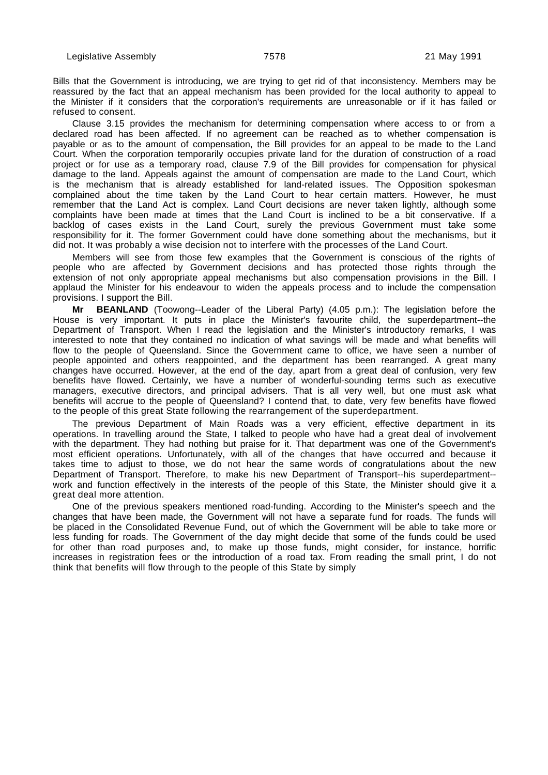Bills that the Government is introducing, we are trying to get rid of that inconsistency. Members may be reassured by the fact that an appeal mechanism has been provided for the local authority to appeal to the Minister if it considers that the corporation's requirements are unreasonable or if it has failed or refused to consent.

Clause 3.15 provides the mechanism for determining compensation where access to or from a declared road has been affected. If no agreement can be reached as to whether compensation is payable or as to the amount of compensation, the Bill provides for an appeal to be made to the Land Court. When the corporation temporarily occupies private land for the duration of construction of a road project or for use as a temporary road, clause 7.9 of the Bill provides for compensation for physical damage to the land. Appeals against the amount of compensation are made to the Land Court, which is the mechanism that is already established for land-related issues. The Opposition spokesman complained about the time taken by the Land Court to hear certain matters. However, he must remember that the Land Act is complex. Land Court decisions are never taken lightly, although some complaints have been made at times that the Land Court is inclined to be a bit conservative. If a backlog of cases exists in the Land Court, surely the previous Government must take some responsibility for it. The former Government could have done something about the mechanisms, but it did not. It was probably a wise decision not to interfere with the processes of the Land Court.

Members will see from those few examples that the Government is conscious of the rights of people who are affected by Government decisions and has protected those rights through the extension of not only appropriate appeal mechanisms but also compensation provisions in the Bill. I applaud the Minister for his endeavour to widen the appeals process and to include the compensation provisions. I support the Bill.

**Mr BEANLAND** (Toowong--Leader of the Liberal Party) (4.05 p.m.): The legislation before the House is very important. It puts in place the Minister's favourite child, the superdepartment--the Department of Transport. When I read the legislation and the Minister's introductory remarks, I was interested to note that they contained no indication of what savings will be made and what benefits will flow to the people of Queensland. Since the Government came to office, we have seen a number of people appointed and others reappointed, and the department has been rearranged. A great many changes have occurred. However, at the end of the day, apart from a great deal of confusion, very few benefits have flowed. Certainly, we have a number of wonderful-sounding terms such as executive managers, executive directors, and principal advisers. That is all very well, but one must ask what benefits will accrue to the people of Queensland? I contend that, to date, very few benefits have flowed to the people of this great State following the rearrangement of the superdepartment.

The previous Department of Main Roads was a very efficient, effective department in its operations. In travelling around the State, I talked to people who have had a great deal of involvement with the department. They had nothing but praise for it. That department was one of the Government's most efficient operations. Unfortunately, with all of the changes that have occurred and because it takes time to adjust to those, we do not hear the same words of congratulations about the new Department of Transport. Therefore, to make his new Department of Transport--his superdepartment- work and function effectively in the interests of the people of this State, the Minister should give it a great deal more attention.

One of the previous speakers mentioned road-funding. According to the Minister's speech and the changes that have been made, the Government will not have a separate fund for roads. The funds will be placed in the Consolidated Revenue Fund, out of which the Government will be able to take more or less funding for roads. The Government of the day might decide that some of the funds could be used for other than road purposes and, to make up those funds, might consider, for instance, horrific increases in registration fees or the introduction of a road tax. From reading the small print, I do not think that benefits will flow through to the people of this State by simply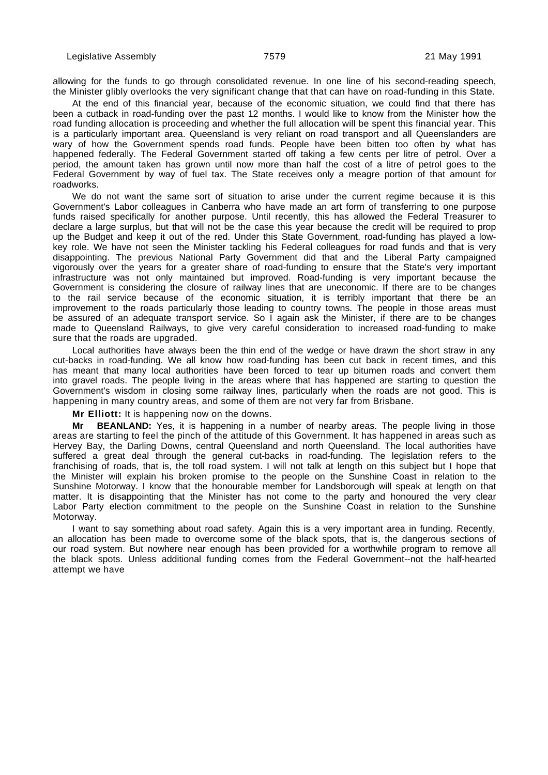allowing for the funds to go through consolidated revenue. In one line of his second-reading speech, the Minister glibly overlooks the very significant change that that can have on road-funding in this State.

At the end of this financial year, because of the economic situation, we could find that there has been a cutback in road-funding over the past 12 months. I would like to know from the Minister how the road funding allocation is proceeding and whether the full allocation will be spent this financial year. This is a particularly important area. Queensland is very reliant on road transport and all Queenslanders are wary of how the Government spends road funds. People have been bitten too often by what has happened federally. The Federal Government started off taking a few cents per litre of petrol. Over a period, the amount taken has grown until now more than half the cost of a litre of petrol goes to the Federal Government by way of fuel tax. The State receives only a meagre portion of that amount for roadworks.

We do not want the same sort of situation to arise under the current regime because it is this Government's Labor colleagues in Canberra who have made an art form of transferring to one purpose funds raised specifically for another purpose. Until recently, this has allowed the Federal Treasurer to declare a large surplus, but that will not be the case this year because the credit will be required to prop up the Budget and keep it out of the red. Under this State Government, road-funding has played a lowkey role. We have not seen the Minister tackling his Federal colleagues for road funds and that is very disappointing. The previous National Party Government did that and the Liberal Party campaigned vigorously over the years for a greater share of road-funding to ensure that the State's very important infrastructure was not only maintained but improved. Road-funding is very important because the Government is considering the closure of railway lines that are uneconomic. If there are to be changes to the rail service because of the economic situation, it is terribly important that there be an improvement to the roads particularly those leading to country towns. The people in those areas must be assured of an adequate transport service. So I again ask the Minister, if there are to be changes made to Queensland Railways, to give very careful consideration to increased road-funding to make sure that the roads are upgraded.

Local authorities have always been the thin end of the wedge or have drawn the short straw in any cut-backs in road-funding. We all know how road-funding has been cut back in recent times, and this has meant that many local authorities have been forced to tear up bitumen roads and convert them into gravel roads. The people living in the areas where that has happened are starting to question the Government's wisdom in closing some railway lines, particularly when the roads are not good. This is happening in many country areas, and some of them are not very far from Brisbane.

**Mr Elliott:** It is happening now on the downs.

**Mr BEANLAND:** Yes, it is happening in a number of nearby areas. The people living in those areas are starting to feel the pinch of the attitude of this Government. It has happened in areas such as Hervey Bay, the Darling Downs, central Queensland and north Queensland. The local authorities have suffered a great deal through the general cut-backs in road-funding. The legislation refers to the franchising of roads, that is, the toll road system. I will not talk at length on this subject but I hope that the Minister will explain his broken promise to the people on the Sunshine Coast in relation to the Sunshine Motorway. I know that the honourable member for Landsborough will speak at length on that matter. It is disappointing that the Minister has not come to the party and honoured the very clear Labor Party election commitment to the people on the Sunshine Coast in relation to the Sunshine Motorway.

I want to say something about road safety. Again this is a very important area in funding. Recently, an allocation has been made to overcome some of the black spots, that is, the dangerous sections of our road system. But nowhere near enough has been provided for a worthwhile program to remove all the black spots. Unless additional funding comes from the Federal Government--not the half-hearted attempt we have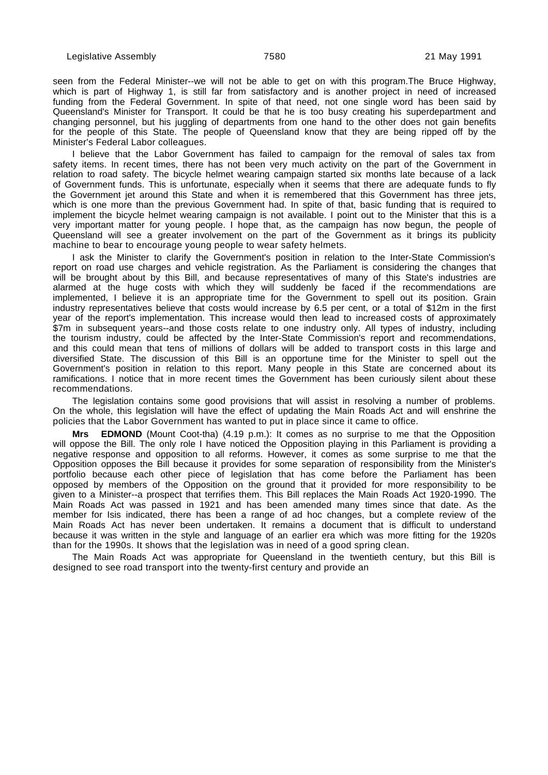seen from the Federal Minister--we will not be able to get on with this program.The Bruce Highway, which is part of Highway 1, is still far from satisfactory and is another project in need of increased funding from the Federal Government. In spite of that need, not one single word has been said by Queensland's Minister for Transport. It could be that he is too busy creating his superdepartment and changing personnel, but his juggling of departments from one hand to the other does not gain benefits for the people of this State. The people of Queensland know that they are being ripped off by the Minister's Federal Labor colleagues.

I believe that the Labor Government has failed to campaign for the removal of sales tax from safety items. In recent times, there has not been very much activity on the part of the Government in relation to road safety. The bicycle helmet wearing campaign started six months late because of a lack of Government funds. This is unfortunate, especially when it seems that there are adequate funds to fly the Government jet around this State and when it is remembered that this Government has three jets, which is one more than the previous Government had. In spite of that, basic funding that is required to implement the bicycle helmet wearing campaign is not available. I point out to the Minister that this is a very important matter for young people. I hope that, as the campaign has now begun, the people of Queensland will see a greater involvement on the part of the Government as it brings its publicity machine to bear to encourage young people to wear safety helmets.

I ask the Minister to clarify the Government's position in relation to the Inter-State Commission's report on road use charges and vehicle registration. As the Parliament is considering the changes that will be brought about by this Bill, and because representatives of many of this State's industries are alarmed at the huge costs with which they will suddenly be faced if the recommendations are implemented, I believe it is an appropriate time for the Government to spell out its position. Grain industry representatives believe that costs would increase by 6.5 per cent, or a total of \$12m in the first year of the report's implementation. This increase would then lead to increased costs of approximately \$7m in subsequent years--and those costs relate to one industry only. All types of industry, including the tourism industry, could be affected by the Inter-State Commission's report and recommendations, and this could mean that tens of millions of dollars will be added to transport costs in this large and diversified State. The discussion of this Bill is an opportune time for the Minister to spell out the Government's position in relation to this report. Many people in this State are concerned about its ramifications. I notice that in more recent times the Government has been curiously silent about these recommendations.

The legislation contains some good provisions that will assist in resolving a number of problems. On the whole, this legislation will have the effect of updating the Main Roads Act and will enshrine the policies that the Labor Government has wanted to put in place since it came to office.

**Mrs EDMOND** (Mount Coot-tha) (4.19 p.m.): It comes as no surprise to me that the Opposition will oppose the Bill. The only role I have noticed the Opposition playing in this Parliament is providing a negative response and opposition to all reforms. However, it comes as some surprise to me that the Opposition opposes the Bill because it provides for some separation of responsibility from the Minister's portfolio because each other piece of legislation that has come before the Parliament has been opposed by members of the Opposition on the ground that it provided for more responsibility to be given to a Minister--a prospect that terrifies them. This Bill replaces the Main Roads Act 1920-1990. The Main Roads Act was passed in 1921 and has been amended many times since that date. As the member for Isis indicated, there has been a range of ad hoc changes, but a complete review of the Main Roads Act has never been undertaken. It remains a document that is difficult to understand because it was written in the style and language of an earlier era which was more fitting for the 1920s than for the 1990s. It shows that the legislation was in need of a good spring clean.

The Main Roads Act was appropriate for Queensland in the twentieth century, but this Bill is designed to see road transport into the twenty-first century and provide an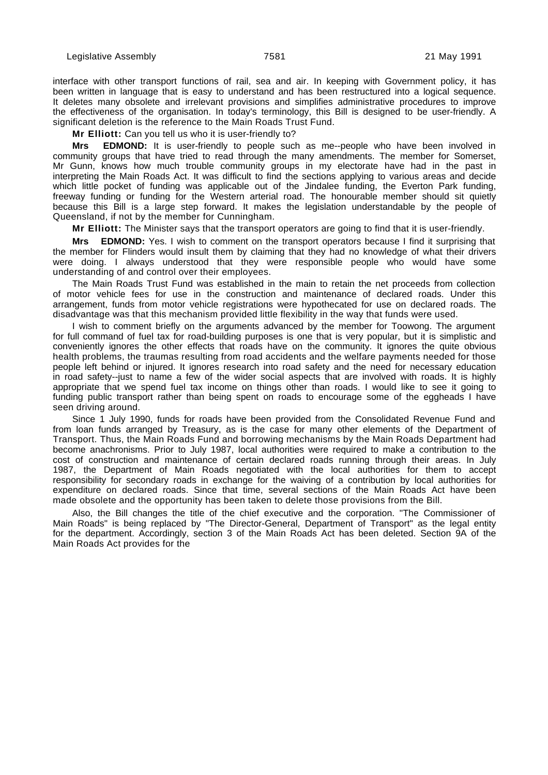interface with other transport functions of rail, sea and air. In keeping with Government policy, it has been written in language that is easy to understand and has been restructured into a logical sequence. It deletes many obsolete and irrelevant provisions and simplifies administrative procedures to improve the effectiveness of the organisation. In today's terminology, this Bill is designed to be user-friendly. A significant deletion is the reference to the Main Roads Trust Fund.

**Mr Elliott:** Can you tell us who it is user-friendly to?

**Mrs EDMOND:** It is user-friendly to people such as me--people who have been involved in community groups that have tried to read through the many amendments. The member for Somerset, Mr Gunn, knows how much trouble community groups in my electorate have had in the past in interpreting the Main Roads Act. It was difficult to find the sections applying to various areas and decide which little pocket of funding was applicable out of the Jindalee funding, the Everton Park funding, freeway funding or funding for the Western arterial road. The honourable member should sit quietly because this Bill is a large step forward. It makes the legislation understandable by the people of Queensland, if not by the member for Cunningham.

**Mr Elliott:** The Minister says that the transport operators are going to find that it is user-friendly.

**Mrs EDMOND:** Yes. I wish to comment on the transport operators because I find it surprising that the member for Flinders would insult them by claiming that they had no knowledge of what their drivers were doing. I always understood that they were responsible people who would have some understanding of and control over their employees.

The Main Roads Trust Fund was established in the main to retain the net proceeds from collection of motor vehicle fees for use in the construction and maintenance of declared roads. Under this arrangement, funds from motor vehicle registrations were hypothecated for use on declared roads. The disadvantage was that this mechanism provided little flexibility in the way that funds were used.

I wish to comment briefly on the arguments advanced by the member for Toowong. The argument for full command of fuel tax for road-building purposes is one that is very popular, but it is simplistic and conveniently ignores the other effects that roads have on the community. It ignores the quite obvious health problems, the traumas resulting from road accidents and the welfare payments needed for those people left behind or injured. It ignores research into road safety and the need for necessary education in road safety--just to name a few of the wider social aspects that are involved with roads. It is highly appropriate that we spend fuel tax income on things other than roads. I would like to see it going to funding public transport rather than being spent on roads to encourage some of the eggheads I have seen driving around.

Since 1 July 1990, funds for roads have been provided from the Consolidated Revenue Fund and from loan funds arranged by Treasury, as is the case for many other elements of the Department of Transport. Thus, the Main Roads Fund and borrowing mechanisms by the Main Roads Department had become anachronisms. Prior to July 1987, local authorities were required to make a contribution to the cost of construction and maintenance of certain declared roads running through their areas. In July 1987, the Department of Main Roads negotiated with the local authorities for them to accept responsibility for secondary roads in exchange for the waiving of a contribution by local authorities for expenditure on declared roads. Since that time, several sections of the Main Roads Act have been made obsolete and the opportunity has been taken to delete those provisions from the Bill.

Also, the Bill changes the title of the chief executive and the corporation. "The Commissioner of Main Roads" is being replaced by "The Director-General, Department of Transport" as the legal entity for the department. Accordingly, section 3 of the Main Roads Act has been deleted. Section 9A of the Main Roads Act provides for the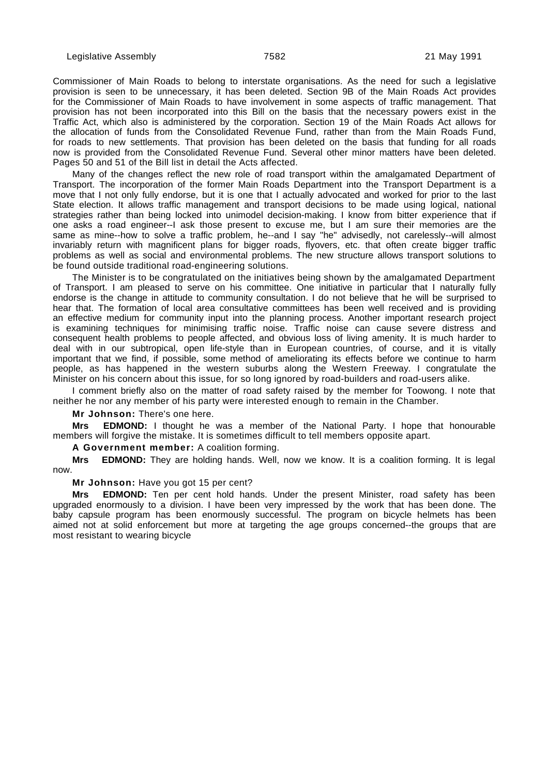Commissioner of Main Roads to belong to interstate organisations. As the need for such a legislative provision is seen to be unnecessary, it has been deleted. Section 9B of the Main Roads Act provides for the Commissioner of Main Roads to have involvement in some aspects of traffic management. That provision has not been incorporated into this Bill on the basis that the necessary powers exist in the Traffic Act, which also is administered by the corporation. Section 19 of the Main Roads Act allows for the allocation of funds from the Consolidated Revenue Fund, rather than from the Main Roads Fund, for roads to new settlements. That provision has been deleted on the basis that funding for all roads now is provided from the Consolidated Revenue Fund. Several other minor matters have been deleted. Pages 50 and 51 of the Bill list in detail the Acts affected.

Many of the changes reflect the new role of road transport within the amalgamated Department of Transport. The incorporation of the former Main Roads Department into the Transport Department is a move that I not only fully endorse, but it is one that I actually advocated and worked for prior to the last State election. It allows traffic management and transport decisions to be made using logical, national strategies rather than being locked into unimodel decision-making. I know from bitter experience that if one asks a road engineer--I ask those present to excuse me, but I am sure their memories are the same as mine--how to solve a traffic problem, he--and I say "he" advisedly, not carelessly--will almost invariably return with magnificent plans for bigger roads, flyovers, etc. that often create bigger traffic problems as well as social and environmental problems. The new structure allows transport solutions to be found outside traditional road-engineering solutions.

The Minister is to be congratulated on the initiatives being shown by the amalgamated Department of Transport. I am pleased to serve on his committee. One initiative in particular that I naturally fully endorse is the change in attitude to community consultation. I do not believe that he will be surprised to hear that. The formation of local area consultative committees has been well received and is providing an effective medium for community input into the planning process. Another important research project is examining techniques for minimising traffic noise. Traffic noise can cause severe distress and consequent health problems to people affected, and obvious loss of living amenity. It is much harder to deal with in our subtropical, open life-style than in European countries, of course, and it is vitally important that we find, if possible, some method of ameliorating its effects before we continue to harm people, as has happened in the western suburbs along the Western Freeway. I congratulate the Minister on his concern about this issue, for so long ignored by road-builders and road-users alike.

I comment briefly also on the matter of road safety raised by the member for Toowong. I note that neither he nor any member of his party were interested enough to remain in the Chamber.

**Mr Johnson:** There's one here.

**Mrs EDMOND:** I thought he was a member of the National Party. I hope that honourable members will forgive the mistake. It is sometimes difficult to tell members opposite apart.

**A Government member:** A coalition forming.

**Mrs EDMOND:** They are holding hands. Well, now we know. It is a coalition forming. It is legal now.

**Mr Johnson:** Have you got 15 per cent?

**EDMOND:** Ten per cent hold hands. Under the present Minister, road safety has been upgraded enormously to a division. I have been very impressed by the work that has been done. The baby capsule program has been enormously successful. The program on bicycle helmets has been aimed not at solid enforcement but more at targeting the age groups concerned--the groups that are most resistant to wearing bicycle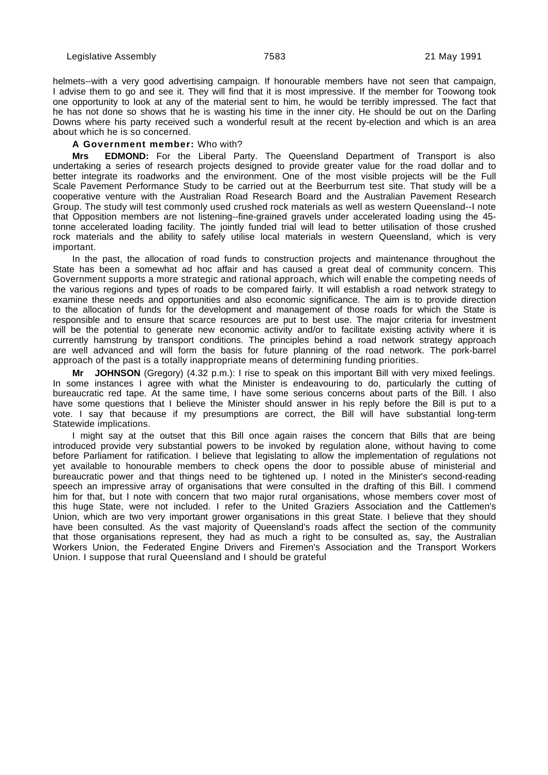helmets--with a very good advertising campaign. If honourable members have not seen that campaign, I advise them to go and see it. They will find that it is most impressive. If the member for Toowong took one opportunity to look at any of the material sent to him, he would be terribly impressed. The fact that he has not done so shows that he is wasting his time in the inner city. He should be out on the Darling Downs where his party received such a wonderful result at the recent by-election and which is an area about which he is so concerned.

## **A Government member:** Who with?

**Mrs EDMOND:** For the Liberal Party. The Queensland Department of Transport is also undertaking a series of research projects designed to provide greater value for the road dollar and to better integrate its roadworks and the environment. One of the most visible projects will be the Full Scale Pavement Performance Study to be carried out at the Beerburrum test site. That study will be a cooperative venture with the Australian Road Research Board and the Australian Pavement Research Group. The study will test commonly used crushed rock materials as well as western Queensland--I note that Opposition members are not listening--fine-grained gravels under accelerated loading using the 45 tonne accelerated loading facility. The jointly funded trial will lead to better utilisation of those crushed rock materials and the ability to safely utilise local materials in western Queensland, which is very important.

In the past, the allocation of road funds to construction projects and maintenance throughout the State has been a somewhat ad hoc affair and has caused a great deal of community concern. This Government supports a more strategic and rational approach, which will enable the competing needs of the various regions and types of roads to be compared fairly. It will establish a road network strategy to examine these needs and opportunities and also economic significance. The aim is to provide direction to the allocation of funds for the development and management of those roads for which the State is responsible and to ensure that scarce resources are put to best use. The major criteria for investment will be the potential to generate new economic activity and/or to facilitate existing activity where it is currently hamstrung by transport conditions. The principles behind a road network strategy approach are well advanced and will form the basis for future planning of the road network. The pork-barrel approach of the past is a totally inappropriate means of determining funding priorities.

**Mr JOHNSON** (Gregory) (4.32 p.m.): I rise to speak on this important Bill with very mixed feelings. In some instances I agree with what the Minister is endeavouring to do, particularly the cutting of bureaucratic red tape. At the same time, I have some serious concerns about parts of the Bill. I also have some questions that I believe the Minister should answer in his reply before the Bill is put to a vote. I say that because if my presumptions are correct, the Bill will have substantial long-term Statewide implications.

I might say at the outset that this Bill once again raises the concern that Bills that are being introduced provide very substantial powers to be invoked by regulation alone, without having to come before Parliament for ratification. I believe that legislating to allow the implementation of regulations not yet available to honourable members to check opens the door to possible abuse of ministerial and bureaucratic power and that things need to be tightened up. I noted in the Minister's second-reading speech an impressive array of organisations that were consulted in the drafting of this Bill. I commend him for that, but I note with concern that two major rural organisations, whose members cover most of this huge State, were not included. I refer to the United Graziers Association and the Cattlemen's Union, which are two very important grower organisations in this great State. I believe that they should have been consulted. As the vast majority of Queensland's roads affect the section of the community that those organisations represent, they had as much a right to be consulted as, say, the Australian Workers Union, the Federated Engine Drivers and Firemen's Association and the Transport Workers Union. I suppose that rural Queensland and I should be grateful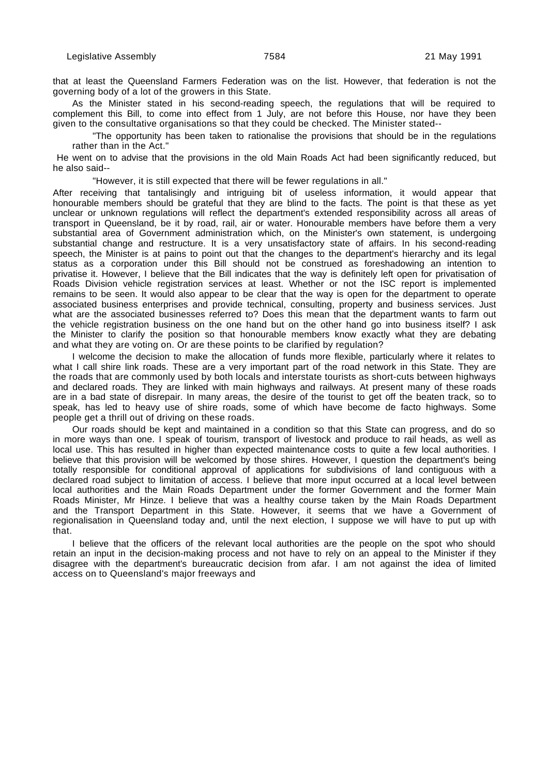that at least the Queensland Farmers Federation was on the list. However, that federation is not the governing body of a lot of the growers in this State.

As the Minister stated in his second-reading speech, the regulations that will be required to complement this Bill, to come into effect from 1 July, are not before this House, nor have they been given to the consultative organisations so that they could be checked. The Minister stated--

"The opportunity has been taken to rationalise the provisions that should be in the regulations rather than in the Act."

 He went on to advise that the provisions in the old Main Roads Act had been significantly reduced, but he also said--

"However, it is still expected that there will be fewer regulations in all."

After receiving that tantalisingly and intriguing bit of useless information, it would appear that honourable members should be grateful that they are blind to the facts. The point is that these as yet unclear or unknown regulations will reflect the department's extended responsibility across all areas of transport in Queensland, be it by road, rail, air or water. Honourable members have before them a very substantial area of Government administration which, on the Minister's own statement, is undergoing substantial change and restructure. It is a very unsatisfactory state of affairs. In his second-reading speech, the Minister is at pains to point out that the changes to the department's hierarchy and its legal status as a corporation under this Bill should not be construed as foreshadowing an intention to privatise it. However, I believe that the Bill indicates that the way is definitely left open for privatisation of Roads Division vehicle registration services at least. Whether or not the ISC report is implemented remains to be seen. It would also appear to be clear that the way is open for the department to operate associated business enterprises and provide technical, consulting, property and business services. Just what are the associated businesses referred to? Does this mean that the department wants to farm out the vehicle registration business on the one hand but on the other hand go into business itself? I ask the Minister to clarify the position so that honourable members know exactly what they are debating and what they are voting on. Or are these points to be clarified by regulation?

I welcome the decision to make the allocation of funds more flexible, particularly where it relates to what I call shire link roads. These are a very important part of the road network in this State. They are the roads that are commonly used by both locals and interstate tourists as short-cuts between highways and declared roads. They are linked with main highways and railways. At present many of these roads are in a bad state of disrepair. In many areas, the desire of the tourist to get off the beaten track, so to speak, has led to heavy use of shire roads, some of which have become de facto highways. Some people get a thrill out of driving on these roads.

Our roads should be kept and maintained in a condition so that this State can progress, and do so in more ways than one. I speak of tourism, transport of livestock and produce to rail heads, as well as local use. This has resulted in higher than expected maintenance costs to quite a few local authorities. I believe that this provision will be welcomed by those shires. However, I question the department's being totally responsible for conditional approval of applications for subdivisions of land contiguous with a declared road subject to limitation of access. I believe that more input occurred at a local level between local authorities and the Main Roads Department under the former Government and the former Main Roads Minister, Mr Hinze. I believe that was a healthy course taken by the Main Roads Department and the Transport Department in this State. However, it seems that we have a Government of regionalisation in Queensland today and, until the next election, I suppose we will have to put up with that.

I believe that the officers of the relevant local authorities are the people on the spot who should retain an input in the decision-making process and not have to rely on an appeal to the Minister if they disagree with the department's bureaucratic decision from afar. I am not against the idea of limited access on to Queensland's major freeways and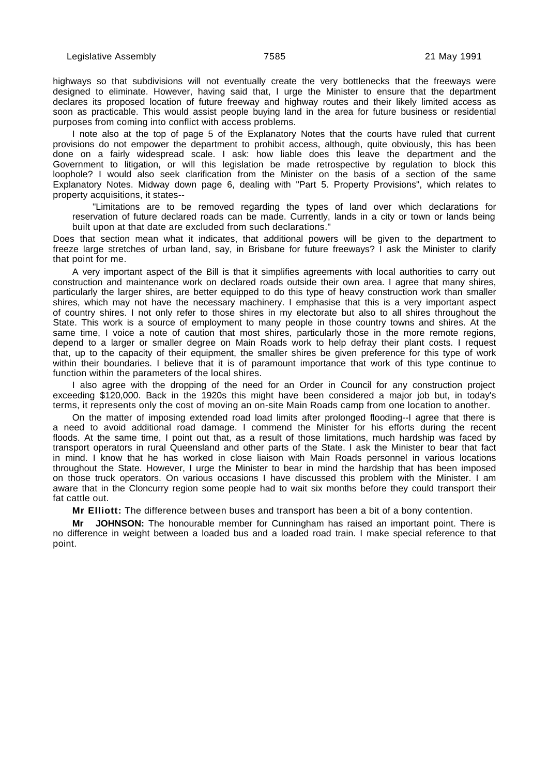highways so that subdivisions will not eventually create the very bottlenecks that the freeways were designed to eliminate. However, having said that, I urge the Minister to ensure that the department declares its proposed location of future freeway and highway routes and their likely limited access as soon as practicable. This would assist people buying land in the area for future business or residential purposes from coming into conflict with access problems.

I note also at the top of page 5 of the Explanatory Notes that the courts have ruled that current provisions do not empower the department to prohibit access, although, quite obviously, this has been done on a fairly widespread scale. I ask: how liable does this leave the department and the Government to litigation, or will this legislation be made retrospective by regulation to block this loophole? I would also seek clarification from the Minister on the basis of a section of the same Explanatory Notes. Midway down page 6, dealing with "Part 5. Property Provisions", which relates to property acquisitions, it states--

"Limitations are to be removed regarding the types of land over which declarations for reservation of future declared roads can be made. Currently, lands in a city or town or lands being built upon at that date are excluded from such declarations.

Does that section mean what it indicates, that additional powers will be given to the department to freeze large stretches of urban land, say, in Brisbane for future freeways? I ask the Minister to clarify that point for me.

A very important aspect of the Bill is that it simplifies agreements with local authorities to carry out construction and maintenance work on declared roads outside their own area. I agree that many shires, particularly the larger shires, are better equipped to do this type of heavy construction work than smaller shires, which may not have the necessary machinery. I emphasise that this is a very important aspect of country shires. I not only refer to those shires in my electorate but also to all shires throughout the State. This work is a source of employment to many people in those country towns and shires. At the same time, I voice a note of caution that most shires, particularly those in the more remote regions, depend to a larger or smaller degree on Main Roads work to help defray their plant costs. I request that, up to the capacity of their equipment, the smaller shires be given preference for this type of work within their boundaries. I believe that it is of paramount importance that work of this type continue to function within the parameters of the local shires.

I also agree with the dropping of the need for an Order in Council for any construction project exceeding \$120,000. Back in the 1920s this might have been considered a major job but, in today's terms, it represents only the cost of moving an on-site Main Roads camp from one location to another.

On the matter of imposing extended road load limits after prolonged flooding--I agree that there is a need to avoid additional road damage. I commend the Minister for his efforts during the recent floods. At the same time, I point out that, as a result of those limitations, much hardship was faced by transport operators in rural Queensland and other parts of the State. I ask the Minister to bear that fact in mind. I know that he has worked in close liaison with Main Roads personnel in various locations throughout the State. However, I urge the Minister to bear in mind the hardship that has been imposed on those truck operators. On various occasions I have discussed this problem with the Minister. I am aware that in the Cloncurry region some people had to wait six months before they could transport their fat cattle out.

**Mr Elliott:** The difference between buses and transport has been a bit of a bony contention.

**Mr JOHNSON:** The honourable member for Cunningham has raised an important point. There is no difference in weight between a loaded bus and a loaded road train. I make special reference to that point.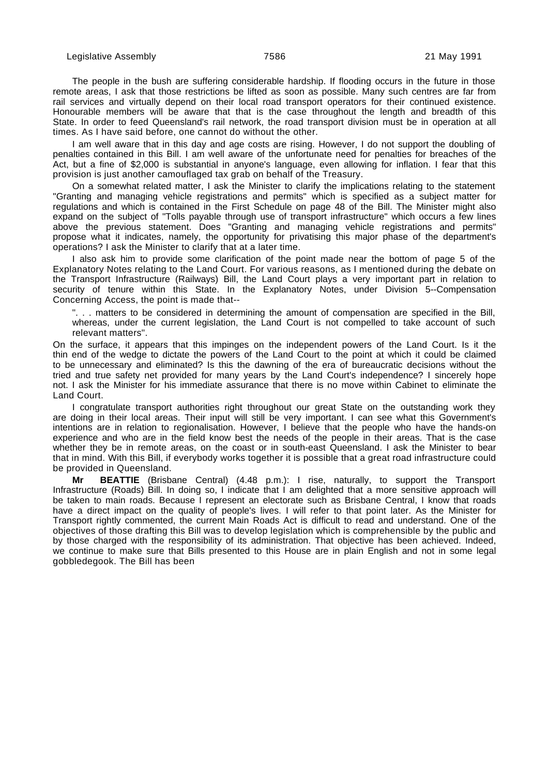The people in the bush are suffering considerable hardship. If flooding occurs in the future in those remote areas, I ask that those restrictions be lifted as soon as possible. Many such centres are far from rail services and virtually depend on their local road transport operators for their continued existence. Honourable members will be aware that that is the case throughout the length and breadth of this State. In order to feed Queensland's rail network, the road transport division must be in operation at all times. As I have said before, one cannot do without the other.

I am well aware that in this day and age costs are rising. However, I do not support the doubling of penalties contained in this Bill. I am well aware of the unfortunate need for penalties for breaches of the Act, but a fine of \$2,000 is substantial in anyone's language, even allowing for inflation. I fear that this provision is just another camouflaged tax grab on behalf of the Treasury.

On a somewhat related matter, I ask the Minister to clarify the implications relating to the statement "Granting and managing vehicle registrations and permits" which is specified as a subject matter for regulations and which is contained in the First Schedule on page 48 of the Bill. The Minister might also expand on the subject of "Tolls payable through use of transport infrastructure" which occurs a few lines above the previous statement. Does "Granting and managing vehicle registrations and permits" propose what it indicates, namely, the opportunity for privatising this major phase of the department's operations? I ask the Minister to clarify that at a later time.

I also ask him to provide some clarification of the point made near the bottom of page 5 of the Explanatory Notes relating to the Land Court. For various reasons, as I mentioned during the debate on the Transport Infrastructure (Railways) Bill, the Land Court plays a very important part in relation to security of tenure within this State. In the Explanatory Notes, under Division 5--Compensation Concerning Access, the point is made that--

". . . matters to be considered in determining the amount of compensation are specified in the Bill, whereas, under the current legislation, the Land Court is not compelled to take account of such relevant matters".

On the surface, it appears that this impinges on the independent powers of the Land Court. Is it the thin end of the wedge to dictate the powers of the Land Court to the point at which it could be claimed to be unnecessary and eliminated? Is this the dawning of the era of bureaucratic decisions without the tried and true safety net provided for many years by the Land Court's independence? I sincerely hope not. I ask the Minister for his immediate assurance that there is no move within Cabinet to eliminate the Land Court.

I congratulate transport authorities right throughout our great State on the outstanding work they are doing in their local areas. Their input will still be very important. I can see what this Government's intentions are in relation to regionalisation. However, I believe that the people who have the hands-on experience and who are in the field know best the needs of the people in their areas. That is the case whether they be in remote areas, on the coast or in south-east Queensland. I ask the Minister to bear that in mind. With this Bill, if everybody works together it is possible that a great road infrastructure could be provided in Queensland.

**Mr BEATTIE** (Brisbane Central) (4.48 p.m.): I rise, naturally, to support the Transport Infrastructure (Roads) Bill. In doing so, I indicate that I am delighted that a more sensitive approach will be taken to main roads. Because I represent an electorate such as Brisbane Central, I know that roads have a direct impact on the quality of people's lives. I will refer to that point later. As the Minister for Transport rightly commented, the current Main Roads Act is difficult to read and understand. One of the objectives of those drafting this Bill was to develop legislation which is comprehensible by the public and by those charged with the responsibility of its administration. That objective has been achieved. Indeed, we continue to make sure that Bills presented to this House are in plain English and not in some legal gobbledegook. The Bill has been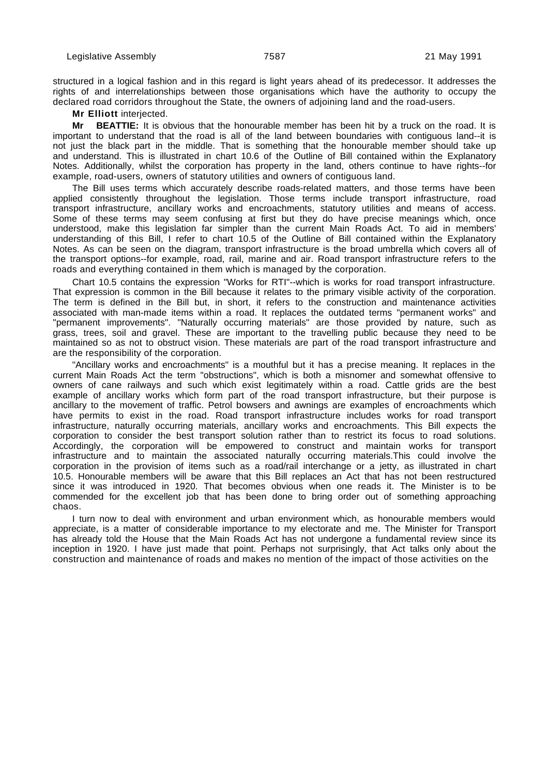structured in a logical fashion and in this regard is light years ahead of its predecessor. It addresses the rights of and interrelationships between those organisations which have the authority to occupy the declared road corridors throughout the State, the owners of adjoining land and the road-users.

**Mr Elliott** interjected.

**Mr BEATTIE:** It is obvious that the honourable member has been hit by a truck on the road. It is important to understand that the road is all of the land between boundaries with contiguous land--it is not just the black part in the middle. That is something that the honourable member should take up and understand. This is illustrated in chart 10.6 of the Outline of Bill contained within the Explanatory Notes. Additionally, whilst the corporation has property in the land, others continue to have rights--for example, road-users, owners of statutory utilities and owners of contiguous land.

The Bill uses terms which accurately describe roads-related matters, and those terms have been applied consistently throughout the legislation. Those terms include transport infrastructure, road transport infrastructure, ancillary works and encroachments, statutory utilities and means of access. Some of these terms may seem confusing at first but they do have precise meanings which, once understood, make this legislation far simpler than the current Main Roads Act. To aid in members' understanding of this Bill, I refer to chart 10.5 of the Outline of Bill contained within the Explanatory Notes. As can be seen on the diagram, transport infrastructure is the broad umbrella which covers all of the transport options--for example, road, rail, marine and air. Road transport infrastructure refers to the roads and everything contained in them which is managed by the corporation.

Chart 10.5 contains the expression "Works for RTI"--which is works for road transport infrastructure. That expression is common in the Bill because it relates to the primary visible activity of the corporation. The term is defined in the Bill but, in short, it refers to the construction and maintenance activities associated with man-made items within a road. It replaces the outdated terms "permanent works" and "permanent improvements". "Naturally occurring materials" are those provided by nature, such as grass, trees, soil and gravel. These are important to the travelling public because they need to be maintained so as not to obstruct vision. These materials are part of the road transport infrastructure and are the responsibility of the corporation.

"Ancillary works and encroachments" is a mouthful but it has a precise meaning. It replaces in the current Main Roads Act the term "obstructions", which is both a misnomer and somewhat offensive to owners of cane railways and such which exist legitimately within a road. Cattle grids are the best example of ancillary works which form part of the road transport infrastructure, but their purpose is ancillary to the movement of traffic. Petrol bowsers and awnings are examples of encroachments which have permits to exist in the road. Road transport infrastructure includes works for road transport infrastructure, naturally occurring materials, ancillary works and encroachments. This Bill expects the corporation to consider the best transport solution rather than to restrict its focus to road solutions. Accordingly, the corporation will be empowered to construct and maintain works for transport infrastructure and to maintain the associated naturally occurring materials.This could involve the corporation in the provision of items such as a road/rail interchange or a jetty, as illustrated in chart 10.5. Honourable members will be aware that this Bill replaces an Act that has not been restructured since it was introduced in 1920. That becomes obvious when one reads it. The Minister is to be commended for the excellent job that has been done to bring order out of something approaching chaos.

I turn now to deal with environment and urban environment which, as honourable members would appreciate, is a matter of considerable importance to my electorate and me. The Minister for Transport has already told the House that the Main Roads Act has not undergone a fundamental review since its inception in 1920. I have just made that point. Perhaps not surprisingly, that Act talks only about the construction and maintenance of roads and makes no mention of the impact of those activities on the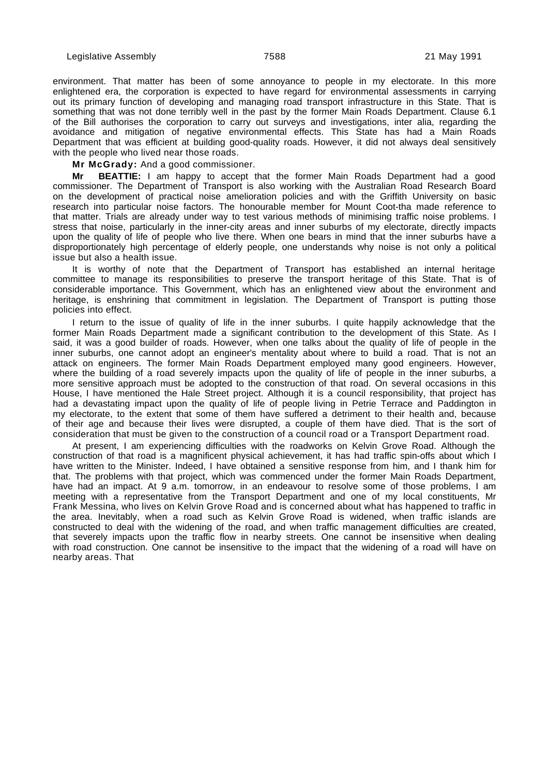environment. That matter has been of some annoyance to people in my electorate. In this more enlightened era, the corporation is expected to have regard for environmental assessments in carrying out its primary function of developing and managing road transport infrastructure in this State. That is something that was not done terribly well in the past by the former Main Roads Department. Clause 6.1 of the Bill authorises the corporation to carry out surveys and investigations, inter alia, regarding the avoidance and mitigation of negative environmental effects. This State has had a Main Roads Department that was efficient at building good-quality roads. However, it did not always deal sensitively with the people who lived near those roads.

**Mr McGrady:** And a good commissioner.

**Mr BEATTIE:** I am happy to accept that the former Main Roads Department had a good commissioner. The Department of Transport is also working with the Australian Road Research Board on the development of practical noise amelioration policies and with the Griffith University on basic research into particular noise factors. The honourable member for Mount Coot-tha made reference to that matter. Trials are already under way to test various methods of minimising traffic noise problems. I stress that noise, particularly in the inner-city areas and inner suburbs of my electorate, directly impacts upon the quality of life of people who live there. When one bears in mind that the inner suburbs have a disproportionately high percentage of elderly people, one understands why noise is not only a political issue but also a health issue.

It is worthy of note that the Department of Transport has established an internal heritage committee to manage its responsibilities to preserve the transport heritage of this State. That is of considerable importance. This Government, which has an enlightened view about the environment and heritage, is enshrining that commitment in legislation. The Department of Transport is putting those policies into effect.

I return to the issue of quality of life in the inner suburbs. I quite happily acknowledge that the former Main Roads Department made a significant contribution to the development of this State. As I said, it was a good builder of roads. However, when one talks about the quality of life of people in the inner suburbs, one cannot adopt an engineer's mentality about where to build a road. That is not an attack on engineers. The former Main Roads Department employed many good engineers. However, where the building of a road severely impacts upon the quality of life of people in the inner suburbs, a more sensitive approach must be adopted to the construction of that road. On several occasions in this House, I have mentioned the Hale Street project. Although it is a council responsibility, that project has had a devastating impact upon the quality of life of people living in Petrie Terrace and Paddington in my electorate, to the extent that some of them have suffered a detriment to their health and, because of their age and because their lives were disrupted, a couple of them have died. That is the sort of consideration that must be given to the construction of a council road or a Transport Department road.

At present, I am experiencing difficulties with the roadworks on Kelvin Grove Road. Although the construction of that road is a magnificent physical achievement, it has had traffic spin-offs about which I have written to the Minister. Indeed, I have obtained a sensitive response from him, and I thank him for that. The problems with that project, which was commenced under the former Main Roads Department, have had an impact. At 9 a.m. tomorrow, in an endeavour to resolve some of those problems, I am meeting with a representative from the Transport Department and one of my local constituents, Mr Frank Messina, who lives on Kelvin Grove Road and is concerned about what has happened to traffic in the area. Inevitably, when a road such as Kelvin Grove Road is widened, when traffic islands are constructed to deal with the widening of the road, and when traffic management difficulties are created, that severely impacts upon the traffic flow in nearby streets. One cannot be insensitive when dealing with road construction. One cannot be insensitive to the impact that the widening of a road will have on nearby areas. That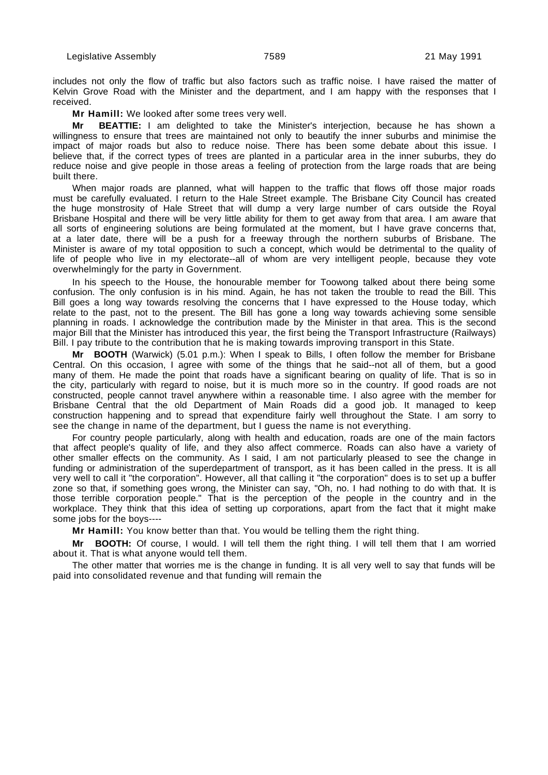includes not only the flow of traffic but also factors such as traffic noise. I have raised the matter of Kelvin Grove Road with the Minister and the department, and I am happy with the responses that I received.

**Mr Hamill:** We looked after some trees very well.

**Mr BEATTIE:** I am delighted to take the Minister's interjection, because he has shown a willingness to ensure that trees are maintained not only to beautify the inner suburbs and minimise the impact of major roads but also to reduce noise. There has been some debate about this issue. I believe that, if the correct types of trees are planted in a particular area in the inner suburbs, they do reduce noise and give people in those areas a feeling of protection from the large roads that are being built there.

When major roads are planned, what will happen to the traffic that flows off those major roads must be carefully evaluated. I return to the Hale Street example. The Brisbane City Council has created the huge monstrosity of Hale Street that will dump a very large number of cars outside the Royal Brisbane Hospital and there will be very little ability for them to get away from that area. I am aware that all sorts of engineering solutions are being formulated at the moment, but I have grave concerns that, at a later date, there will be a push for a freeway through the northern suburbs of Brisbane. The Minister is aware of my total opposition to such a concept, which would be detrimental to the quality of life of people who live in my electorate--all of whom are very intelligent people, because they vote overwhelmingly for the party in Government.

In his speech to the House, the honourable member for Toowong talked about there being some confusion. The only confusion is in his mind. Again, he has not taken the trouble to read the Bill. This Bill goes a long way towards resolving the concerns that I have expressed to the House today, which relate to the past, not to the present. The Bill has gone a long way towards achieving some sensible planning in roads. I acknowledge the contribution made by the Minister in that area. This is the second major Bill that the Minister has introduced this year, the first being the Transport Infrastructure (Railways) Bill. I pay tribute to the contribution that he is making towards improving transport in this State.

**Mr BOOTH** (Warwick) (5.01 p.m.): When I speak to Bills, I often follow the member for Brisbane Central. On this occasion, I agree with some of the things that he said--not all of them, but a good many of them. He made the point that roads have a significant bearing on quality of life. That is so in the city, particularly with regard to noise, but it is much more so in the country. If good roads are not constructed, people cannot travel anywhere within a reasonable time. I also agree with the member for Brisbane Central that the old Department of Main Roads did a good job. It managed to keep construction happening and to spread that expenditure fairly well throughout the State. I am sorry to see the change in name of the department, but I guess the name is not everything.

For country people particularly, along with health and education, roads are one of the main factors that affect people's quality of life, and they also affect commerce. Roads can also have a variety of other smaller effects on the community. As I said, I am not particularly pleased to see the change in funding or administration of the superdepartment of transport, as it has been called in the press. It is all very well to call it "the corporation". However, all that calling it "the corporation" does is to set up a buffer zone so that, if something goes wrong, the Minister can say, "Oh, no. I had nothing to do with that. It is those terrible corporation people." That is the perception of the people in the country and in the workplace. They think that this idea of setting up corporations, apart from the fact that it might make some jobs for the boys----

**Mr Hamill:** You know better than that. You would be telling them the right thing.

**Mr BOOTH:** Of course, I would. I will tell them the right thing. I will tell them that I am worried about it. That is what anyone would tell them.

The other matter that worries me is the change in funding. It is all very well to say that funds will be paid into consolidated revenue and that funding will remain the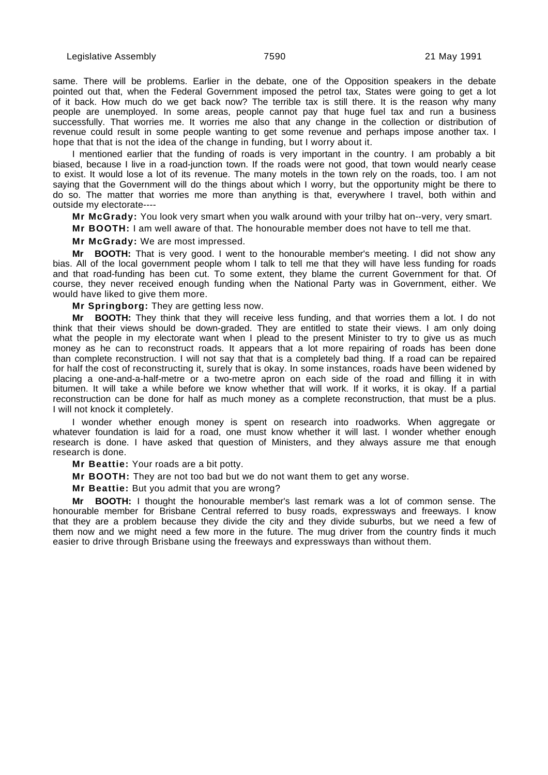same. There will be problems. Earlier in the debate, one of the Opposition speakers in the debate pointed out that, when the Federal Government imposed the petrol tax, States were going to get a lot of it back. How much do we get back now? The terrible tax is still there. It is the reason why many people are unemployed. In some areas, people cannot pay that huge fuel tax and run a business successfully. That worries me. It worries me also that any change in the collection or distribution of revenue could result in some people wanting to get some revenue and perhaps impose another tax. I hope that that is not the idea of the change in funding, but I worry about it.

I mentioned earlier that the funding of roads is very important in the country. I am probably a bit biased, because I live in a road-junction town. If the roads were not good, that town would nearly cease to exist. It would lose a lot of its revenue. The many motels in the town rely on the roads, too. I am not saying that the Government will do the things about which I worry, but the opportunity might be there to do so. The matter that worries me more than anything is that, everywhere I travel, both within and outside my electorate----

**Mr McGrady:** You look very smart when you walk around with your trilby hat on--very, very smart.

**Mr BOOTH:** I am well aware of that. The honourable member does not have to tell me that.

**Mr McGrady:** We are most impressed.

**Mr BOOTH:** That is very good. I went to the honourable member's meeting. I did not show any bias. All of the local government people whom I talk to tell me that they will have less funding for roads and that road-funding has been cut. To some extent, they blame the current Government for that. Of course, they never received enough funding when the National Party was in Government, either. We would have liked to give them more.

**Mr Springborg:** They are getting less now.

**Mr BOOTH:** They think that they will receive less funding, and that worries them a lot. I do not think that their views should be down-graded. They are entitled to state their views. I am only doing what the people in my electorate want when I plead to the present Minister to try to give us as much money as he can to reconstruct roads. It appears that a lot more repairing of roads has been done than complete reconstruction. I will not say that that is a completely bad thing. If a road can be repaired for half the cost of reconstructing it, surely that is okay. In some instances, roads have been widened by placing a one-and-a-half-metre or a two-metre apron on each side of the road and filling it in with bitumen. It will take a while before we know whether that will work. If it works, it is okay. If a partial reconstruction can be done for half as much money as a complete reconstruction, that must be a plus. I will not knock it completely.

I wonder whether enough money is spent on research into roadworks. When aggregate or whatever foundation is laid for a road, one must know whether it will last. I wonder whether enough research is done. I have asked that question of Ministers, and they always assure me that enough research is done.

**Mr Beattie:** Your roads are a bit potty.

**Mr BOOTH:** They are not too bad but we do not want them to get any worse.

**Mr Beattie:** But you admit that you are wrong?

**Mr BOOTH:** I thought the honourable member's last remark was a lot of common sense. The honourable member for Brisbane Central referred to busy roads, expressways and freeways. I know that they are a problem because they divide the city and they divide suburbs, but we need a few of them now and we might need a few more in the future. The mug driver from the country finds it much easier to drive through Brisbane using the freeways and expressways than without them.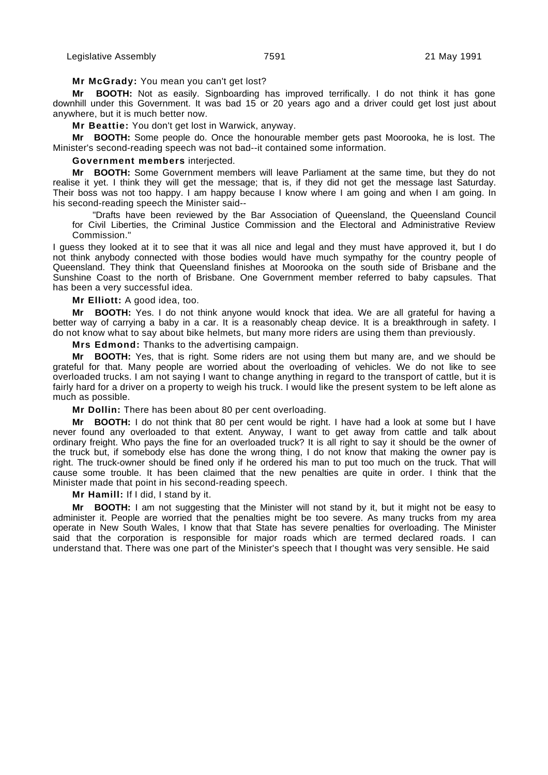## **Mr McGrady:** You mean you can't get lost?

**Mr BOOTH:** Not as easily. Signboarding has improved terrifically. I do not think it has gone downhill under this Government. It was bad 15 or 20 years ago and a driver could get lost just about anywhere, but it is much better now.

**Mr Beattie:** You don't get lost in Warwick, anyway.

**Mr BOOTH:** Some people do. Once the honourable member gets past Moorooka, he is lost. The Minister's second-reading speech was not bad--it contained some information.

**Government members** interjected.

**Mr BOOTH:** Some Government members will leave Parliament at the same time, but they do not realise it yet. I think they will get the message; that is, if they did not get the message last Saturday. Their boss was not too happy. I am happy because I know where I am going and when I am going. In his second-reading speech the Minister said--

"Drafts have been reviewed by the Bar Association of Queensland, the Queensland Council for Civil Liberties, the Criminal Justice Commission and the Electoral and Administrative Review Commission."

I guess they looked at it to see that it was all nice and legal and they must have approved it, but I do not think anybody connected with those bodies would have much sympathy for the country people of Queensland. They think that Queensland finishes at Moorooka on the south side of Brisbane and the Sunshine Coast to the north of Brisbane. One Government member referred to baby capsules. That has been a very successful idea.

**Mr Elliott:** A good idea, too.

**Mr BOOTH:** Yes. I do not think anyone would knock that idea. We are all grateful for having a better way of carrying a baby in a car. It is a reasonably cheap device. It is a breakthrough in safety. I do not know what to say about bike helmets, but many more riders are using them than previously.

**Mrs Edmond:** Thanks to the advertising campaign.

**Mr BOOTH:** Yes, that is right. Some riders are not using them but many are, and we should be grateful for that. Many people are worried about the overloading of vehicles. We do not like to see overloaded trucks. I am not saying I want to change anything in regard to the transport of cattle, but it is fairly hard for a driver on a property to weigh his truck. I would like the present system to be left alone as much as possible.

**Mr Dollin:** There has been about 80 per cent overloading.

**Mr BOOTH:** I do not think that 80 per cent would be right. I have had a look at some but I have never found any overloaded to that extent. Anyway, I want to get away from cattle and talk about ordinary freight. Who pays the fine for an overloaded truck? It is all right to say it should be the owner of the truck but, if somebody else has done the wrong thing, I do not know that making the owner pay is right. The truck-owner should be fined only if he ordered his man to put too much on the truck. That will cause some trouble. It has been claimed that the new penalties are quite in order. I think that the Minister made that point in his second-reading speech.

**Mr Hamill:** If I did, I stand by it.

**Mr BOOTH:** I am not suggesting that the Minister will not stand by it, but it might not be easy to administer it. People are worried that the penalties might be too severe. As many trucks from my area operate in New South Wales, I know that that State has severe penalties for overloading. The Minister said that the corporation is responsible for major roads which are termed declared roads. I can understand that. There was one part of the Minister's speech that I thought was very sensible. He said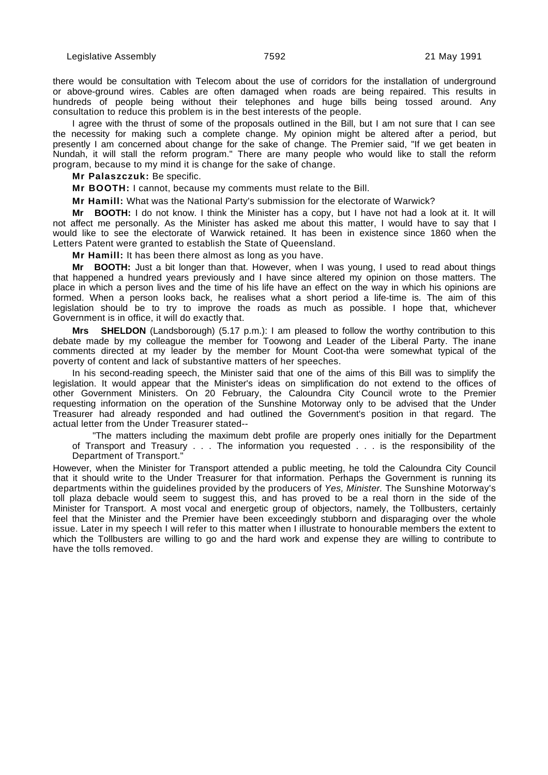there would be consultation with Telecom about the use of corridors for the installation of underground or above-ground wires. Cables are often damaged when roads are being repaired. This results in hundreds of people being without their telephones and huge bills being tossed around. Any consultation to reduce this problem is in the best interests of the people.

I agree with the thrust of some of the proposals outlined in the Bill, but I am not sure that I can see the necessity for making such a complete change. My opinion might be altered after a period, but presently I am concerned about change for the sake of change. The Premier said, "If we get beaten in Nundah, it will stall the reform program." There are many people who would like to stall the reform program, because to my mind it is change for the sake of change.

**Mr Palaszczuk:** Be specific.

**Mr BOOTH:** I cannot, because my comments must relate to the Bill.

**Mr Hamill:** What was the National Party's submission for the electorate of Warwick?

**Mr BOOTH:** I do not know. I think the Minister has a copy, but I have not had a look at it. It will not affect me personally. As the Minister has asked me about this matter, I would have to say that I would like to see the electorate of Warwick retained. It has been in existence since 1860 when the Letters Patent were granted to establish the State of Queensland.

**Mr Hamill:** It has been there almost as long as you have.

**Mr BOOTH:** Just a bit longer than that. However, when I was young, I used to read about things that happened a hundred years previously and I have since altered my opinion on those matters. The place in which a person lives and the time of his life have an effect on the way in which his opinions are formed. When a person looks back, he realises what a short period a life-time is. The aim of this legislation should be to try to improve the roads as much as possible. I hope that, whichever Government is in office, it will do exactly that.

**Mrs SHELDON** (Landsborough) (5.17 p.m.): I am pleased to follow the worthy contribution to this debate made by my colleague the member for Toowong and Leader of the Liberal Party. The inane comments directed at my leader by the member for Mount Coot-tha were somewhat typical of the poverty of content and lack of substantive matters of her speeches.

In his second-reading speech, the Minister said that one of the aims of this Bill was to simplify the legislation. It would appear that the Minister's ideas on simplification do not extend to the offices of other Government Ministers. On 20 February, the Caloundra City Council wrote to the Premier requesting information on the operation of the Sunshine Motorway only to be advised that the Under Treasurer had already responded and had outlined the Government's position in that regard. The actual letter from the Under Treasurer stated--

"The matters including the maximum debt profile are properly ones initially for the Department of Transport and Treasury . . . The information you requested . . . is the responsibility of the Department of Transport."

However, when the Minister for Transport attended a public meeting, he told the Caloundra City Council that it should write to the Under Treasurer for that information. Perhaps the Government is running its departments within the guidelines provided by the producers of Yes, Minister. The Sunshine Motorway's toll plaza debacle would seem to suggest this, and has proved to be a real thorn in the side of the Minister for Transport. A most vocal and energetic group of objectors, namely, the Tollbusters, certainly feel that the Minister and the Premier have been exceedingly stubborn and disparaging over the whole issue. Later in my speech I will refer to this matter when I illustrate to honourable members the extent to which the Tollbusters are willing to go and the hard work and expense they are willing to contribute to have the tolls removed.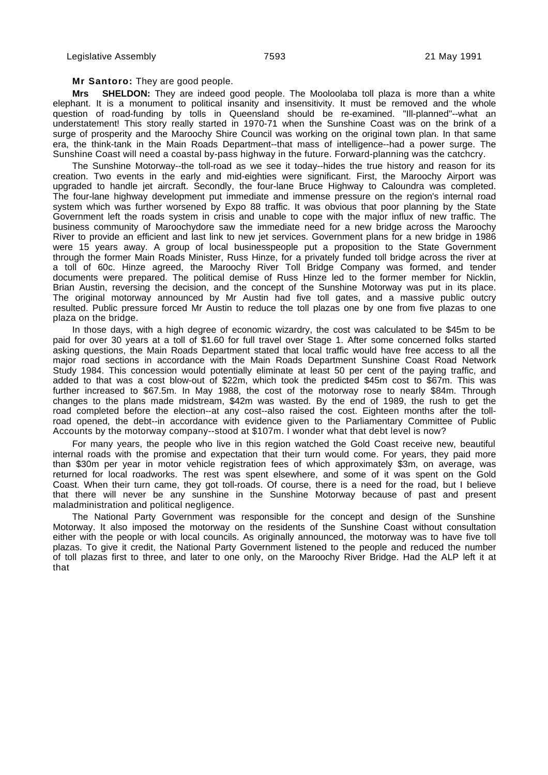### **Mr Santoro:** They are good people.

**Mrs SHELDON:** They are indeed good people. The Mooloolaba toll plaza is more than a white elephant. It is a monument to political insanity and insensitivity. It must be removed and the whole question of road-funding by tolls in Queensland should be re-examined. "Ill-planned"--what an understatement! This story really started in 1970-71 when the Sunshine Coast was on the brink of a surge of prosperity and the Maroochy Shire Council was working on the original town plan. In that same era, the think-tank in the Main Roads Department--that mass of intelligence--had a power surge. The Sunshine Coast will need a coastal by-pass highway in the future. Forward-planning was the catchcry.

The Sunshine Motorway--the toll-road as we see it today--hides the true history and reason for its creation. Two events in the early and mid-eighties were significant. First, the Maroochy Airport was upgraded to handle jet aircraft. Secondly, the four-lane Bruce Highway to Caloundra was completed. The four-lane highway development put immediate and immense pressure on the region's internal road system which was further worsened by Expo 88 traffic. It was obvious that poor planning by the State Government left the roads system in crisis and unable to cope with the major influx of new traffic. The business community of Maroochydore saw the immediate need for a new bridge across the Maroochy River to provide an efficient and last link to new jet services. Government plans for a new bridge in 1986 were 15 years away. A group of local businesspeople put a proposition to the State Government through the former Main Roads Minister, Russ Hinze, for a privately funded toll bridge across the river at a toll of 60c. Hinze agreed, the Maroochy River Toll Bridge Company was formed, and tender documents were prepared. The political demise of Russ Hinze led to the former member for Nicklin, Brian Austin, reversing the decision, and the concept of the Sunshine Motorway was put in its place. The original motorway announced by Mr Austin had five toll gates, and a massive public outcry resulted. Public pressure forced Mr Austin to reduce the toll plazas one by one from five plazas to one plaza on the bridge.

In those days, with a high degree of economic wizardry, the cost was calculated to be \$45m to be paid for over 30 years at a toll of \$1.60 for full travel over Stage 1. After some concerned folks started asking questions, the Main Roads Department stated that local traffic would have free access to all the major road sections in accordance with the Main Roads Department Sunshine Coast Road Network Study 1984. This concession would potentially eliminate at least 50 per cent of the paying traffic, and added to that was a cost blow-out of \$22m, which took the predicted \$45m cost to \$67m. This was further increased to \$67.5m. In May 1988, the cost of the motorway rose to nearly \$84m. Through changes to the plans made midstream, \$42m was wasted. By the end of 1989, the rush to get the road completed before the election--at any cost--also raised the cost. Eighteen months after the tollroad opened, the debt--in accordance with evidence given to the Parliamentary Committee of Public Accounts by the motorway company--stood at \$107m. I wonder what that debt level is now?

For many years, the people who live in this region watched the Gold Coast receive new, beautiful internal roads with the promise and expectation that their turn would come. For years, they paid more than \$30m per year in motor vehicle registration fees of which approximately \$3m, on average, was returned for local roadworks. The rest was spent elsewhere, and some of it was spent on the Gold Coast. When their turn came, they got toll-roads. Of course, there is a need for the road, but I believe that there will never be any sunshine in the Sunshine Motorway because of past and present maladministration and political negligence.

The National Party Government was responsible for the concept and design of the Sunshine Motorway. It also imposed the motorway on the residents of the Sunshine Coast without consultation either with the people or with local councils. As originally announced, the motorway was to have five toll plazas. To give it credit, the National Party Government listened to the people and reduced the number of toll plazas first to three, and later to one only, on the Maroochy River Bridge. Had the ALP left it at that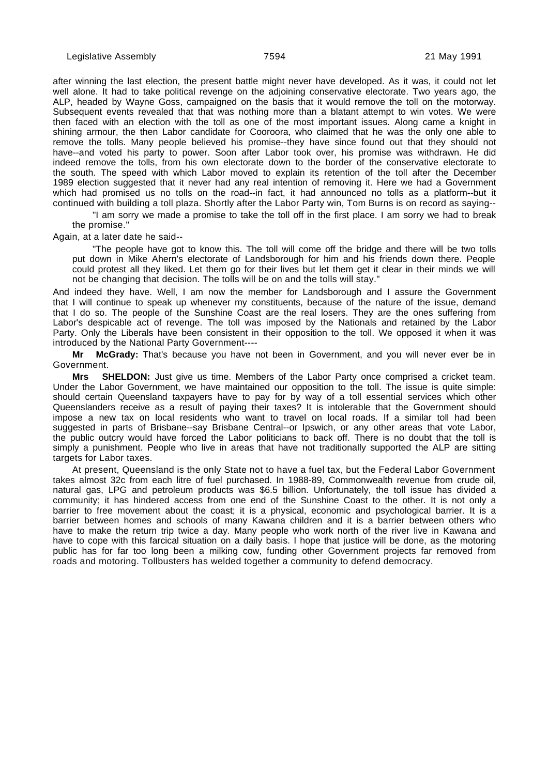after winning the last election, the present battle might never have developed. As it was, it could not let well alone. It had to take political revenge on the adjoining conservative electorate. Two years ago, the ALP, headed by Wayne Goss, campaigned on the basis that it would remove the toll on the motorway. Subsequent events revealed that that was nothing more than a blatant attempt to win votes. We were then faced with an election with the toll as one of the most important issues. Along came a knight in shining armour, the then Labor candidate for Cooroora, who claimed that he was the only one able to remove the tolls. Many people believed his promise--they have since found out that they should not have--and voted his party to power. Soon after Labor took over, his promise was withdrawn. He did indeed remove the tolls, from his own electorate down to the border of the conservative electorate to the south. The speed with which Labor moved to explain its retention of the toll after the December 1989 election suggested that it never had any real intention of removing it. Here we had a Government which had promised us no tolls on the road--in fact, it had announced no tolls as a platform--but it continued with building a toll plaza. Shortly after the Labor Party win, Tom Burns is on record as saying--

"I am sorry we made a promise to take the toll off in the first place. I am sorry we had to break the promise."

Again, at a later date he said--

"The people have got to know this. The toll will come off the bridge and there will be two tolls put down in Mike Ahern's electorate of Landsborough for him and his friends down there. People could protest all they liked. Let them go for their lives but let them get it clear in their minds we will not be changing that decision. The tolls will be on and the tolls will stay."

And indeed they have. Well, I am now the member for Landsborough and I assure the Government that I will continue to speak up whenever my constituents, because of the nature of the issue, demand that I do so. The people of the Sunshine Coast are the real losers. They are the ones suffering from Labor's despicable act of revenge. The toll was imposed by the Nationals and retained by the Labor Party. Only the Liberals have been consistent in their opposition to the toll. We opposed it when it was introduced by the National Party Government----

**Mr McGrady:** That's because you have not been in Government, and you will never ever be in Government.

**Mrs SHELDON:** Just give us time. Members of the Labor Party once comprised a cricket team. Under the Labor Government, we have maintained our opposition to the toll. The issue is quite simple: should certain Queensland taxpayers have to pay for by way of a toll essential services which other Queenslanders receive as a result of paying their taxes? It is intolerable that the Government should impose a new tax on local residents who want to travel on local roads. If a similar toll had been suggested in parts of Brisbane--say Brisbane Central--or Ipswich, or any other areas that vote Labor, the public outcry would have forced the Labor politicians to back off. There is no doubt that the toll is simply a punishment. People who live in areas that have not traditionally supported the ALP are sitting targets for Labor taxes.

At present, Queensland is the only State not to have a fuel tax, but the Federal Labor Government takes almost 32c from each litre of fuel purchased. In 1988-89, Commonwealth revenue from crude oil, natural gas, LPG and petroleum products was \$6.5 billion. Unfortunately, the toll issue has divided a community; it has hindered access from one end of the Sunshine Coast to the other. It is not only a barrier to free movement about the coast; it is a physical, economic and psychological barrier. It is a barrier between homes and schools of many Kawana children and it is a barrier between others who have to make the return trip twice a day. Many people who work north of the river live in Kawana and have to cope with this farcical situation on a daily basis. I hope that justice will be done, as the motoring public has for far too long been a milking cow, funding other Government projects far removed from roads and motoring. Tollbusters has welded together a community to defend democracy.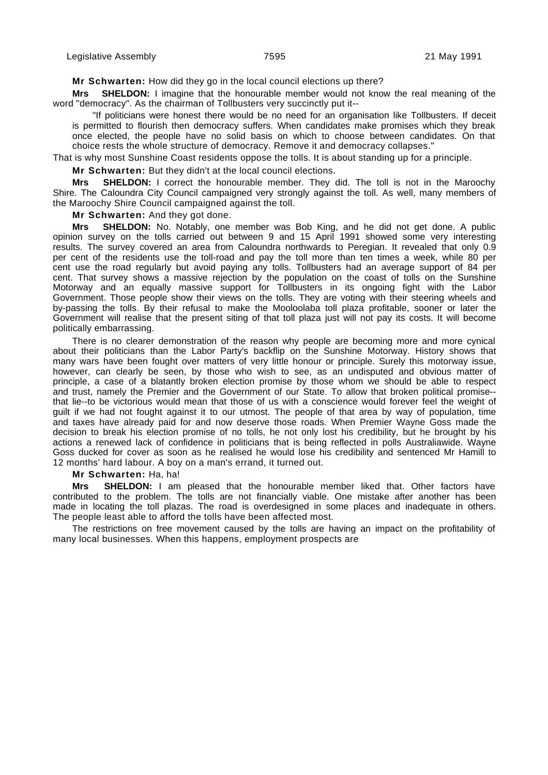**Mr Schwarten:** How did they go in the local council elections up there?

**Mrs SHELDON:** I imagine that the honourable member would not know the real meaning of the word "democracy". As the chairman of Tollbusters very succinctly put it--

"If politicians were honest there would be no need for an organisation like Tollbusters. If deceit is permitted to flourish then democracy suffers. When candidates make promises which they break once elected, the people have no solid basis on which to choose between candidates. On that choice rests the whole structure of democracy. Remove it and democracy collapses."

That is why most Sunshine Coast residents oppose the tolls. It is about standing up for a principle.

**Mr Schwarten:** But they didn't at the local council elections.

**Mrs SHELDON:** I correct the honourable member. They did. The toll is not in the Maroochy Shire. The Caloundra City Council campaigned very strongly against the toll. As well, many members of the Maroochy Shire Council campaigned against the toll.

**Mr Schwarten:** And they got done.

**Mrs SHELDON:** No. Notably, one member was Bob King, and he did not get done. A public opinion survey on the tolls carried out between 9 and 15 April 1991 showed some very interesting results. The survey covered an area from Caloundra northwards to Peregian. It revealed that only 0.9 per cent of the residents use the toll-road and pay the toll more than ten times a week, while 80 per cent use the road regularly but avoid paying any tolls. Tollbusters had an average support of 84 per cent. That survey shows a massive rejection by the population on the coast of tolls on the Sunshine Motorway and an equally massive support for Tollbusters in its ongoing fight with the Labor Government. Those people show their views on the tolls. They are voting with their steering wheels and by-passing the tolls. By their refusal to make the Mooloolaba toll plaza profitable, sooner or later the Government will realise that the present siting of that toll plaza just will not pay its costs. It will become politically embarrassing.

There is no clearer demonstration of the reason why people are becoming more and more cynical about their politicians than the Labor Party's backflip on the Sunshine Motorway. History shows that many wars have been fought over matters of very little honour or principle. Surely this motorway issue, however, can clearly be seen, by those who wish to see, as an undisputed and obvious matter of principle, a case of a blatantly broken election promise by those whom we should be able to respect and trust, namely the Premier and the Government of our State. To allow that broken political promise- that lie--to be victorious would mean that those of us with a conscience would forever feel the weight of guilt if we had not fought against it to our utmost. The people of that area by way of population, time and taxes have already paid for and now deserve those roads. When Premier Wayne Goss made the decision to break his election promise of no tolls, he not only lost his credibility, but he brought by his actions a renewed lack of confidence in politicians that is being reflected in polls Australiawide. Wayne Goss ducked for cover as soon as he realised he would lose his credibility and sentenced Mr Hamill to 12 months' hard labour. A boy on a man's errand, it turned out.

**Mr Schwarten:** Ha, ha!

**Mrs SHELDON:** I am pleased that the honourable member liked that. Other factors have contributed to the problem. The tolls are not financially viable. One mistake after another has been made in locating the toll plazas. The road is overdesigned in some places and inadequate in others. The people least able to afford the tolls have been affected most.

The restrictions on free movement caused by the tolls are having an impact on the profitability of many local businesses. When this happens, employment prospects are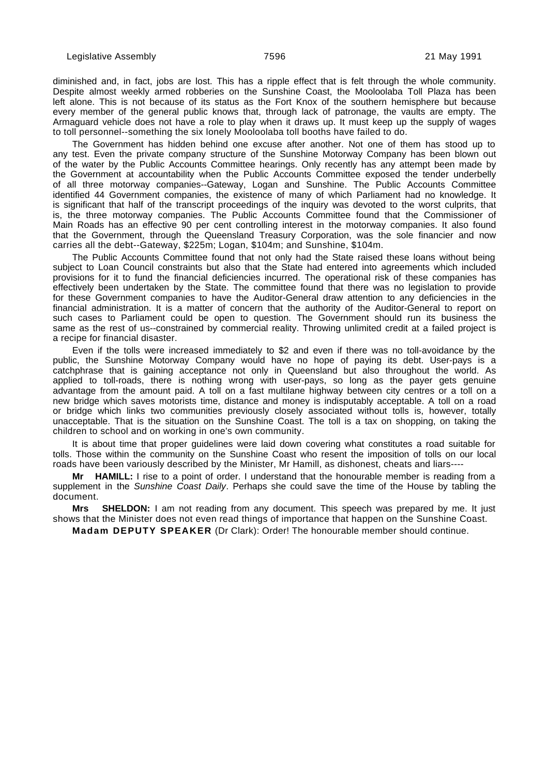diminished and, in fact, jobs are lost. This has a ripple effect that is felt through the whole community. Despite almost weekly armed robberies on the Sunshine Coast, the Mooloolaba Toll Plaza has been left alone. This is not because of its status as the Fort Knox of the southern hemisphere but because every member of the general public knows that, through lack of patronage, the vaults are empty. The Armaguard vehicle does not have a role to play when it draws up. It must keep up the supply of wages to toll personnel--something the six lonely Mooloolaba toll booths have failed to do.

The Government has hidden behind one excuse after another. Not one of them has stood up to any test. Even the private company structure of the Sunshine Motorway Company has been blown out of the water by the Public Accounts Committee hearings. Only recently has any attempt been made by the Government at accountability when the Public Accounts Committee exposed the tender underbelly of all three motorway companies--Gateway, Logan and Sunshine. The Public Accounts Committee identified 44 Government companies, the existence of many of which Parliament had no knowledge. It is significant that half of the transcript proceedings of the inquiry was devoted to the worst culprits, that is, the three motorway companies. The Public Accounts Committee found that the Commissioner of Main Roads has an effective 90 per cent controlling interest in the motorway companies. It also found that the Government, through the Queensland Treasury Corporation, was the sole financier and now carries all the debt--Gateway, \$225m; Logan, \$104m; and Sunshine, \$104m.

The Public Accounts Committee found that not only had the State raised these loans without being subject to Loan Council constraints but also that the State had entered into agreements which included provisions for it to fund the financial deficiencies incurred. The operational risk of these companies has effectively been undertaken by the State. The committee found that there was no legislation to provide for these Government companies to have the Auditor-General draw attention to any deficiencies in the financial administration. It is a matter of concern that the authority of the Auditor-General to report on such cases to Parliament could be open to question. The Government should run its business the same as the rest of us--constrained by commercial reality. Throwing unlimited credit at a failed project is a recipe for financial disaster.

Even if the tolls were increased immediately to \$2 and even if there was no toll-avoidance by the public, the Sunshine Motorway Company would have no hope of paying its debt. User-pays is a catchphrase that is gaining acceptance not only in Queensland but also throughout the world. As applied to toll-roads, there is nothing wrong with user-pays, so long as the payer gets genuine advantage from the amount paid. A toll on a fast multilane highway between city centres or a toll on a new bridge which saves motorists time, distance and money is indisputably acceptable. A toll on a road or bridge which links two communities previously closely associated without tolls is, however, totally unacceptable. That is the situation on the Sunshine Coast. The toll is a tax on shopping, on taking the children to school and on working in one's own community.

It is about time that proper guidelines were laid down covering what constitutes a road suitable for tolls. Those within the community on the Sunshine Coast who resent the imposition of tolls on our local roads have been variously described by the Minister, Mr Hamill, as dishonest, cheats and liars----

**Mr HAMILL:** I rise to a point of order. I understand that the honourable member is reading from a supplement in the Sunshine Coast Daily. Perhaps she could save the time of the House by tabling the document.

**Mrs SHELDON:** I am not reading from any document. This speech was prepared by me. It just shows that the Minister does not even read things of importance that happen on the Sunshine Coast.

**Madam DEPUTY SPEAKER** (Dr Clark): Order! The honourable member should continue.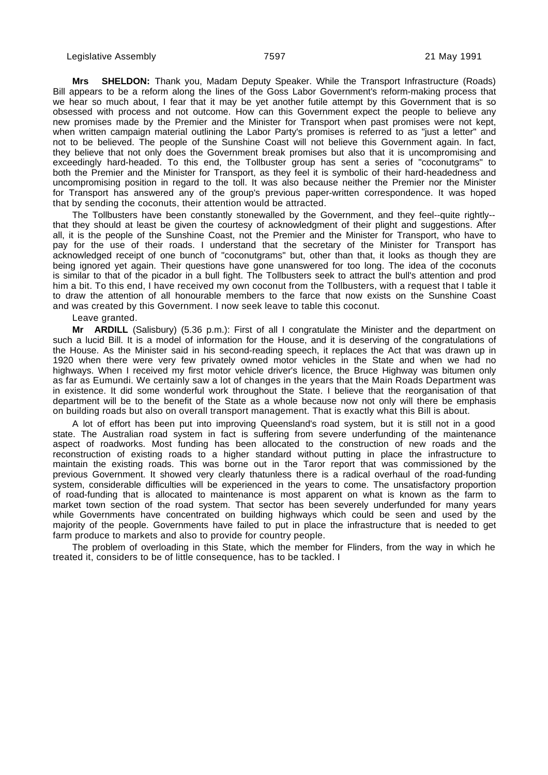**Mrs SHELDON:** Thank you, Madam Deputy Speaker. While the Transport Infrastructure (Roads) Bill appears to be a reform along the lines of the Goss Labor Government's reform-making process that we hear so much about, I fear that it may be yet another futile attempt by this Government that is so obsessed with process and not outcome. How can this Government expect the people to believe any new promises made by the Premier and the Minister for Transport when past promises were not kept, when written campaign material outlining the Labor Party's promises is referred to as "just a letter" and not to be believed. The people of the Sunshine Coast will not believe this Government again. In fact, they believe that not only does the Government break promises but also that it is uncompromising and exceedingly hard-headed. To this end, the Tollbuster group has sent a series of "coconutgrams" to both the Premier and the Minister for Transport, as they feel it is symbolic of their hard-headedness and uncompromising position in regard to the toll. It was also because neither the Premier nor the Minister for Transport has answered any of the group's previous paper-written correspondence. It was hoped that by sending the coconuts, their attention would be attracted.

The Tollbusters have been constantly stonewalled by the Government, and they feel--quite rightly- that they should at least be given the courtesy of acknowledgment of their plight and suggestions. After all, it is the people of the Sunshine Coast, not the Premier and the Minister for Transport, who have to pay for the use of their roads. I understand that the secretary of the Minister for Transport has acknowledged receipt of one bunch of "coconutgrams" but, other than that, it looks as though they are being ignored yet again. Their questions have gone unanswered for too long. The idea of the coconuts is similar to that of the picador in a bull fight. The Tollbusters seek to attract the bull's attention and prod him a bit. To this end, I have received my own coconut from the Tollbusters, with a request that I table it to draw the attention of all honourable members to the farce that now exists on the Sunshine Coast and was created by this Government. I now seek leave to table this coconut.

#### Leave granted.

**Mr ARDILL** (Salisbury) (5.36 p.m.): First of all I congratulate the Minister and the department on such a lucid Bill. It is a model of information for the House, and it is deserving of the congratulations of the House. As the Minister said in his second-reading speech, it replaces the Act that was drawn up in 1920 when there were very few privately owned motor vehicles in the State and when we had no highways. When I received my first motor vehicle driver's licence, the Bruce Highway was bitumen only as far as Eumundi. We certainly saw a lot of changes in the years that the Main Roads Department was in existence. It did some wonderful work throughout the State. I believe that the reorganisation of that department will be to the benefit of the State as a whole because now not only will there be emphasis on building roads but also on overall transport management. That is exactly what this Bill is about.

A lot of effort has been put into improving Queensland's road system, but it is still not in a good state. The Australian road system in fact is suffering from severe underfunding of the maintenance aspect of roadworks. Most funding has been allocated to the construction of new roads and the reconstruction of existing roads to a higher standard without putting in place the infrastructure to maintain the existing roads. This was borne out in the Taror report that was commissioned by the previous Government. It showed very clearly thatunless there is a radical overhaul of the road-funding system, considerable difficulties will be experienced in the years to come. The unsatisfactory proportion of road-funding that is allocated to maintenance is most apparent on what is known as the farm to market town section of the road system. That sector has been severely underfunded for many years while Governments have concentrated on building highways which could be seen and used by the majority of the people. Governments have failed to put in place the infrastructure that is needed to get farm produce to markets and also to provide for country people.

The problem of overloading in this State, which the member for Flinders, from the way in which he treated it, considers to be of little consequence, has to be tackled. I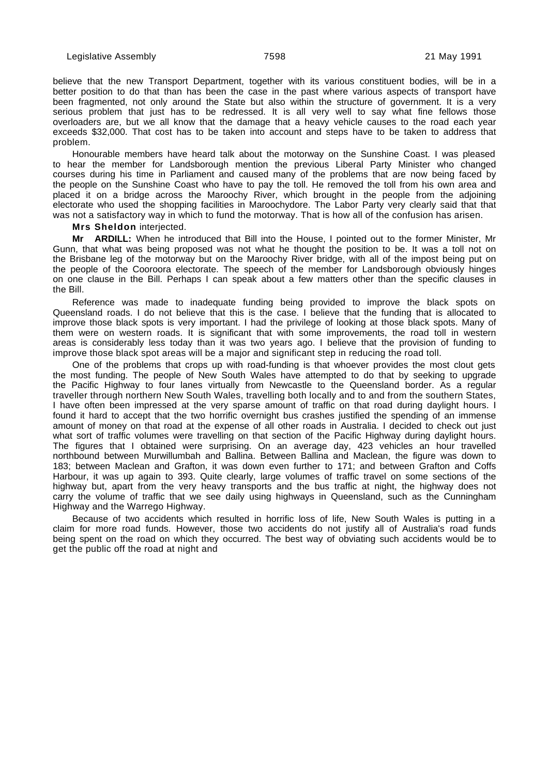believe that the new Transport Department, together with its various constituent bodies, will be in a better position to do that than has been the case in the past where various aspects of transport have been fragmented, not only around the State but also within the structure of government. It is a very serious problem that just has to be redressed. It is all very well to say what fine fellows those overloaders are, but we all know that the damage that a heavy vehicle causes to the road each year exceeds \$32,000. That cost has to be taken into account and steps have to be taken to address that problem.

Honourable members have heard talk about the motorway on the Sunshine Coast. I was pleased to hear the member for Landsborough mention the previous Liberal Party Minister who changed courses during his time in Parliament and caused many of the problems that are now being faced by the people on the Sunshine Coast who have to pay the toll. He removed the toll from his own area and placed it on a bridge across the Maroochy River, which brought in the people from the adjoining electorate who used the shopping facilities in Maroochydore. The Labor Party very clearly said that that was not a satisfactory way in which to fund the motorway. That is how all of the confusion has arisen.

**Mrs Sheldon** interjected.

**Mr ARDILL:** When he introduced that Bill into the House, I pointed out to the former Minister, Mr Gunn, that what was being proposed was not what he thought the position to be. It was a toll not on the Brisbane leg of the motorway but on the Maroochy River bridge, with all of the impost being put on the people of the Cooroora electorate. The speech of the member for Landsborough obviously hinges on one clause in the Bill. Perhaps I can speak about a few matters other than the specific clauses in the Bill.

Reference was made to inadequate funding being provided to improve the black spots on Queensland roads. I do not believe that this is the case. I believe that the funding that is allocated to improve those black spots is very important. I had the privilege of looking at those black spots. Many of them were on western roads. It is significant that with some improvements, the road toll in western areas is considerably less today than it was two years ago. I believe that the provision of funding to improve those black spot areas will be a major and significant step in reducing the road toll.

One of the problems that crops up with road-funding is that whoever provides the most clout gets the most funding. The people of New South Wales have attempted to do that by seeking to upgrade the Pacific Highway to four lanes virtually from Newcastle to the Queensland border. As a regular traveller through northern New South Wales, travelling both locally and to and from the southern States, I have often been impressed at the very sparse amount of traffic on that road during daylight hours. I found it hard to accept that the two horrific overnight bus crashes justified the spending of an immense amount of money on that road at the expense of all other roads in Australia. I decided to check out just what sort of traffic volumes were travelling on that section of the Pacific Highway during daylight hours. The figures that I obtained were surprising. On an average day, 423 vehicles an hour travelled northbound between Murwillumbah and Ballina. Between Ballina and Maclean, the figure was down to 183; between Maclean and Grafton, it was down even further to 171; and between Grafton and Coffs Harbour, it was up again to 393. Quite clearly, large volumes of traffic travel on some sections of the highway but, apart from the very heavy transports and the bus traffic at night, the highway does not carry the volume of traffic that we see daily using highways in Queensland, such as the Cunningham Highway and the Warrego Highway.

Because of two accidents which resulted in horrific loss of life, New South Wales is putting in a claim for more road funds. However, those two accidents do not justify all of Australia's road funds being spent on the road on which they occurred. The best way of obviating such accidents would be to get the public off the road at night and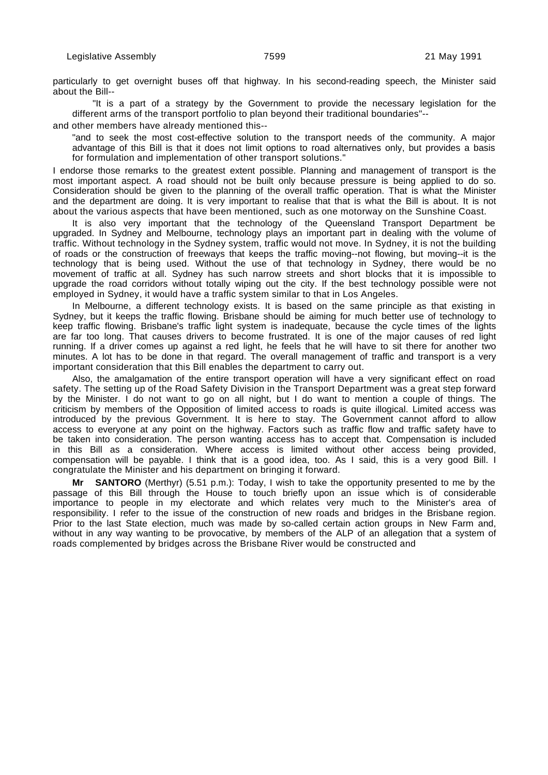particularly to get overnight buses off that highway. In his second-reading speech, the Minister said about the Bill--

"It is a part of a strategy by the Government to provide the necessary legislation for the different arms of the transport portfolio to plan beyond their traditional boundaries"--

and other members have already mentioned this--

"and to seek the most cost-effective solution to the transport needs of the community. A major advantage of this Bill is that it does not limit options to road alternatives only, but provides a basis for formulation and implementation of other transport solutions."

I endorse those remarks to the greatest extent possible. Planning and management of transport is the most important aspect. A road should not be built only because pressure is being applied to do so. Consideration should be given to the planning of the overall traffic operation. That is what the Minister and the department are doing. It is very important to realise that that is what the Bill is about. It is not about the various aspects that have been mentioned, such as one motorway on the Sunshine Coast.

It is also very important that the technology of the Queensland Transport Department be upgraded. In Sydney and Melbourne, technology plays an important part in dealing with the volume of traffic. Without technology in the Sydney system, traffic would not move. In Sydney, it is not the building of roads or the construction of freeways that keeps the traffic moving--not flowing, but moving--it is the technology that is being used. Without the use of that technology in Sydney, there would be no movement of traffic at all. Sydney has such narrow streets and short blocks that it is impossible to upgrade the road corridors without totally wiping out the city. If the best technology possible were not employed in Sydney, it would have a traffic system similar to that in Los Angeles.

In Melbourne, a different technology exists. It is based on the same principle as that existing in Sydney, but it keeps the traffic flowing. Brisbane should be aiming for much better use of technology to keep traffic flowing. Brisbane's traffic light system is inadequate, because the cycle times of the lights are far too long. That causes drivers to become frustrated. It is one of the major causes of red light running. If a driver comes up against a red light, he feels that he will have to sit there for another two minutes. A lot has to be done in that regard. The overall management of traffic and transport is a very important consideration that this Bill enables the department to carry out.

Also, the amalgamation of the entire transport operation will have a very significant effect on road safety. The setting up of the Road Safety Division in the Transport Department was a great step forward by the Minister. I do not want to go on all night, but I do want to mention a couple of things. The criticism by members of the Opposition of limited access to roads is quite illogical. Limited access was introduced by the previous Government. It is here to stay. The Government cannot afford to allow access to everyone at any point on the highway. Factors such as traffic flow and traffic safety have to be taken into consideration. The person wanting access has to accept that. Compensation is included in this Bill as a consideration. Where access is limited without other access being provided, compensation will be payable. I think that is a good idea, too. As I said, this is a very good Bill. I congratulate the Minister and his department on bringing it forward.

**Mr SANTORO** (Merthyr) (5.51 p.m.): Today, I wish to take the opportunity presented to me by the passage of this Bill through the House to touch briefly upon an issue which is of considerable importance to people in my electorate and which relates very much to the Minister's area of responsibility. I refer to the issue of the construction of new roads and bridges in the Brisbane region. Prior to the last State election, much was made by so-called certain action groups in New Farm and, without in any way wanting to be provocative, by members of the ALP of an allegation that a system of roads complemented by bridges across the Brisbane River would be constructed and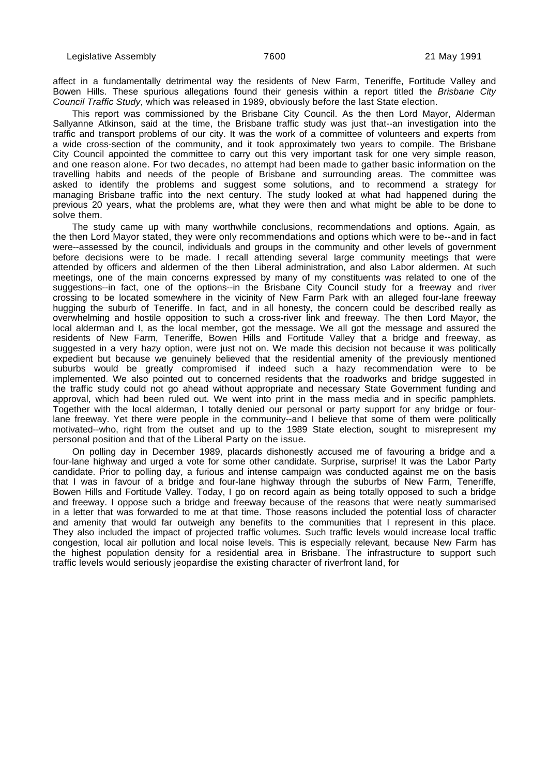affect in a fundamentally detrimental way the residents of New Farm, Teneriffe, Fortitude Valley and Bowen Hills. These spurious allegations found their genesis within a report titled the Brisbane City Council Traffic Study, which was released in 1989, obviously before the last State election.

This report was commissioned by the Brisbane City Council. As the then Lord Mayor, Alderman Sallyanne Atkinson, said at the time, the Brisbane traffic study was just that--an investigation into the traffic and transport problems of our city. It was the work of a committee of volunteers and experts from a wide cross-section of the community, and it took approximately two years to compile. The Brisbane City Council appointed the committee to carry out this very important task for one very simple reason, and one reason alone. For two decades, no attempt had been made to gather basic information on the travelling habits and needs of the people of Brisbane and surrounding areas. The committee was asked to identify the problems and suggest some solutions, and to recommend a strategy for managing Brisbane traffic into the next century. The study looked at what had happened during the previous 20 years, what the problems are, what they were then and what might be able to be done to solve them.

The study came up with many worthwhile conclusions, recommendations and options. Again, as the then Lord Mayor stated, they were only recommendations and options which were to be--and in fact were--assessed by the council, individuals and groups in the community and other levels of government before decisions were to be made. I recall attending several large community meetings that were attended by officers and aldermen of the then Liberal administration, and also Labor aldermen. At such meetings, one of the main concerns expressed by many of my constituents was related to one of the suggestions--in fact, one of the options--in the Brisbane City Council study for a freeway and river crossing to be located somewhere in the vicinity of New Farm Park with an alleged four-lane freeway hugging the suburb of Teneriffe. In fact, and in all honesty, the concern could be described really as overwhelming and hostile opposition to such a cross-river link and freeway. The then Lord Mayor, the local alderman and I, as the local member, got the message. We all got the message and assured the residents of New Farm, Teneriffe, Bowen Hills and Fortitude Valley that a bridge and freeway, as suggested in a very hazy option, were just not on. We made this decision not because it was politically expedient but because we genuinely believed that the residential amenity of the previously mentioned suburbs would be greatly compromised if indeed such a hazy recommendation were to be implemented. We also pointed out to concerned residents that the roadworks and bridge suggested in the traffic study could not go ahead without appropriate and necessary State Government funding and approval, which had been ruled out. We went into print in the mass media and in specific pamphlets. Together with the local alderman, I totally denied our personal or party support for any bridge or fourlane freeway. Yet there were people in the community--and I believe that some of them were politically motivated--who, right from the outset and up to the 1989 State election, sought to misrepresent my personal position and that of the Liberal Party on the issue.

On polling day in December 1989, placards dishonestly accused me of favouring a bridge and a four-lane highway and urged a vote for some other candidate. Surprise, surprise! It was the Labor Party candidate. Prior to polling day, a furious and intense campaign was conducted against me on the basis that I was in favour of a bridge and four-lane highway through the suburbs of New Farm, Teneriffe, Bowen Hills and Fortitude Valley. Today, I go on record again as being totally opposed to such a bridge and freeway. I oppose such a bridge and freeway because of the reasons that were neatly summarised in a letter that was forwarded to me at that time. Those reasons included the potential loss of character and amenity that would far outweigh any benefits to the communities that I represent in this place. They also included the impact of projected traffic volumes. Such traffic levels would increase local traffic congestion, local air pollution and local noise levels. This is especially relevant, because New Farm has the highest population density for a residential area in Brisbane. The infrastructure to support such traffic levels would seriously jeopardise the existing character of riverfront land, for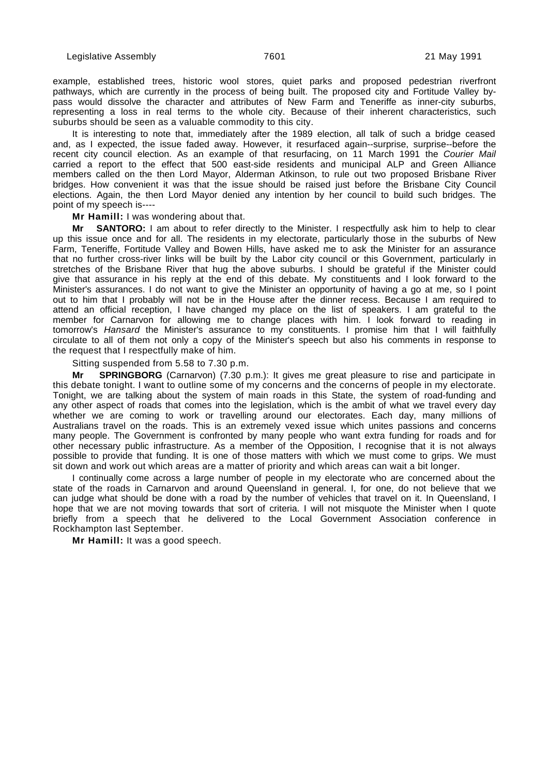example, established trees, historic wool stores, quiet parks and proposed pedestrian riverfront pathways, which are currently in the process of being built. The proposed city and Fortitude Valley bypass would dissolve the character and attributes of New Farm and Teneriffe as inner-city suburbs, representing a loss in real terms to the whole city. Because of their inherent characteristics, such suburbs should be seen as a valuable commodity to this city.

It is interesting to note that, immediately after the 1989 election, all talk of such a bridge ceased and, as I expected, the issue faded away. However, it resurfaced again--surprise, surprise--before the recent city council election. As an example of that resurfacing, on 11 March 1991 the Courier Mail carried a report to the effect that 500 east-side residents and municipal ALP and Green Alliance members called on the then Lord Mayor, Alderman Atkinson, to rule out two proposed Brisbane River bridges. How convenient it was that the issue should be raised just before the Brisbane City Council elections. Again, the then Lord Mayor denied any intention by her council to build such bridges. The point of my speech is----

**Mr Hamill:** I was wondering about that.

**Mr SANTORO:** I am about to refer directly to the Minister. I respectfully ask him to help to clear up this issue once and for all. The residents in my electorate, particularly those in the suburbs of New Farm, Teneriffe, Fortitude Valley and Bowen Hills, have asked me to ask the Minister for an assurance that no further cross-river links will be built by the Labor city council or this Government, particularly in stretches of the Brisbane River that hug the above suburbs. I should be grateful if the Minister could give that assurance in his reply at the end of this debate. My constituents and I look forward to the Minister's assurances. I do not want to give the Minister an opportunity of having a go at me, so I point out to him that I probably will not be in the House after the dinner recess. Because I am required to attend an official reception, I have changed my place on the list of speakers. I am grateful to the member for Carnarvon for allowing me to change places with him. I look forward to reading in tomorrow's Hansard the Minister's assurance to my constituents. I promise him that I will faithfully circulate to all of them not only a copy of the Minister's speech but also his comments in response to the request that I respectfully make of him.

Sitting suspended from 5.58 to 7.30 p.m.

**Mr SPRINGBORG** (Carnarvon) (7.30 p.m.): It gives me great pleasure to rise and participate in this debate tonight. I want to outline some of my concerns and the concerns of people in my electorate. Tonight, we are talking about the system of main roads in this State, the system of road-funding and any other aspect of roads that comes into the legislation, which is the ambit of what we travel every day whether we are coming to work or travelling around our electorates. Each day, many millions of Australians travel on the roads. This is an extremely vexed issue which unites passions and concerns many people. The Government is confronted by many people who want extra funding for roads and for other necessary public infrastructure. As a member of the Opposition, I recognise that it is not always possible to provide that funding. It is one of those matters with which we must come to grips. We must sit down and work out which areas are a matter of priority and which areas can wait a bit longer.

I continually come across a large number of people in my electorate who are concerned about the state of the roads in Carnarvon and around Queensland in general. I, for one, do not believe that we can judge what should be done with a road by the number of vehicles that travel on it. In Queensland, I hope that we are not moving towards that sort of criteria. I will not misquote the Minister when I quote briefly from a speech that he delivered to the Local Government Association conference in Rockhampton last September.

**Mr Hamill:** It was a good speech.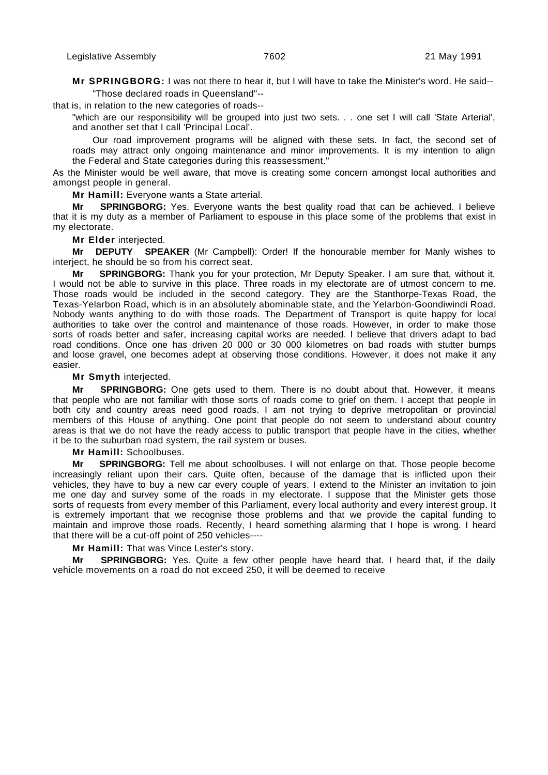**Mr SPRINGBORG:** I was not there to hear it, but I will have to take the Minister's word. He said-- "Those declared roads in Queensland"--

that is, in relation to the new categories of roads--

"which are our responsibility will be grouped into just two sets. . . one set I will call 'State Arterial', and another set that I call 'Principal Local'.

Our road improvement programs will be aligned with these sets. In fact, the second set of roads may attract only ongoing maintenance and minor improvements. It is my intention to align the Federal and State categories during this reassessment."

As the Minister would be well aware, that move is creating some concern amongst local authorities and amongst people in general.

**Mr Hamill:** Everyone wants a State arterial.

**Mr SPRINGBORG:** Yes. Everyone wants the best quality road that can be achieved. I believe that it is my duty as a member of Parliament to espouse in this place some of the problems that exist in my electorate.

**Mr Elder** interjected.

**Mr DEPUTY SPEAKER** (Mr Campbell): Order! If the honourable member for Manly wishes to interject, he should be so from his correct seat.

**Mr SPRINGBORG:** Thank you for your protection, Mr Deputy Speaker. I am sure that, without it, I would not be able to survive in this place. Three roads in my electorate are of utmost concern to me. Those roads would be included in the second category. They are the Stanthorpe-Texas Road, the Texas-Yelarbon Road, which is in an absolutely abominable state, and the Yelarbon-Goondiwindi Road. Nobody wants anything to do with those roads. The Department of Transport is quite happy for local authorities to take over the control and maintenance of those roads. However, in order to make those sorts of roads better and safer, increasing capital works are needed. I believe that drivers adapt to bad road conditions. Once one has driven 20 000 or 30 000 kilometres on bad roads with stutter bumps and loose gravel, one becomes adept at observing those conditions. However, it does not make it any easier.

# **Mr Smyth** interjected.

**Mr SPRINGBORG:** One gets used to them. There is no doubt about that. However, it means that people who are not familiar with those sorts of roads come to grief on them. I accept that people in both city and country areas need good roads. I am not trying to deprive metropolitan or provincial members of this House of anything. One point that people do not seem to understand about country areas is that we do not have the ready access to public transport that people have in the cities, whether it be to the suburban road system, the rail system or buses.

**Mr Hamill:** Schoolbuses.

**Mr SPRINGBORG:** Tell me about schoolbuses. I will not enlarge on that. Those people become increasingly reliant upon their cars. Quite often, because of the damage that is inflicted upon their vehicles, they have to buy a new car every couple of years. I extend to the Minister an invitation to join me one day and survey some of the roads in my electorate. I suppose that the Minister gets those sorts of requests from every member of this Parliament, every local authority and every interest group. It is extremely important that we recognise those problems and that we provide the capital funding to maintain and improve those roads. Recently, I heard something alarming that I hope is wrong. I heard that there will be a cut-off point of 250 vehicles----

# **Mr Hamill:** That was Vince Lester's story.

**Mr SPRINGBORG:** Yes. Quite a few other people have heard that. I heard that, if the daily vehicle movements on a road do not exceed 250, it will be deemed to receive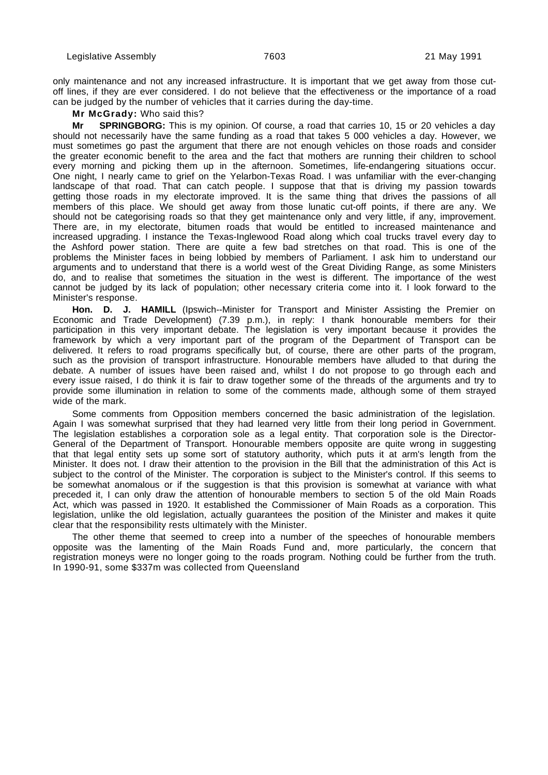only maintenance and not any increased infrastructure. It is important that we get away from those cutoff lines, if they are ever considered. I do not believe that the effectiveness or the importance of a road can be judged by the number of vehicles that it carries during the day-time.

#### **Mr McGrady:** Who said this?

**Mr SPRINGBORG:** This is my opinion. Of course, a road that carries 10, 15 or 20 vehicles a day should not necessarily have the same funding as a road that takes 5 000 vehicles a day. However, we must sometimes go past the argument that there are not enough vehicles on those roads and consider the greater economic benefit to the area and the fact that mothers are running their children to school every morning and picking them up in the afternoon. Sometimes, life-endangering situations occur. One night, I nearly came to grief on the Yelarbon-Texas Road. I was unfamiliar with the ever-changing landscape of that road. That can catch people. I suppose that that is driving my passion towards getting those roads in my electorate improved. It is the same thing that drives the passions of all members of this place. We should get away from those lunatic cut-off points, if there are any. We should not be categorising roads so that they get maintenance only and very little, if any, improvement. There are, in my electorate, bitumen roads that would be entitled to increased maintenance and increased upgrading. I instance the Texas-Inglewood Road along which coal trucks travel every day to the Ashford power station. There are quite a few bad stretches on that road. This is one of the problems the Minister faces in being lobbied by members of Parliament. I ask him to understand our arguments and to understand that there is a world west of the Great Dividing Range, as some Ministers do, and to realise that sometimes the situation in the west is different. The importance of the west cannot be judged by its lack of population; other necessary criteria come into it. I look forward to the Minister's response.

**Hon. D. J. HAMILL** (Ipswich--Minister for Transport and Minister Assisting the Premier on Economic and Trade Development) (7.39 p.m.), in reply: I thank honourable members for their participation in this very important debate. The legislation is very important because it provides the framework by which a very important part of the program of the Department of Transport can be delivered. It refers to road programs specifically but, of course, there are other parts of the program, such as the provision of transport infrastructure. Honourable members have alluded to that during the debate. A number of issues have been raised and, whilst I do not propose to go through each and every issue raised, I do think it is fair to draw together some of the threads of the arguments and try to provide some illumination in relation to some of the comments made, although some of them strayed wide of the mark.

Some comments from Opposition members concerned the basic administration of the legislation. Again I was somewhat surprised that they had learned very little from their long period in Government. The legislation establishes a corporation sole as a legal entity. That corporation sole is the Director-General of the Department of Transport. Honourable members opposite are quite wrong in suggesting that that legal entity sets up some sort of statutory authority, which puts it at arm's length from the Minister. It does not. I draw their attention to the provision in the Bill that the administration of this Act is subject to the control of the Minister. The corporation is subject to the Minister's control. If this seems to be somewhat anomalous or if the suggestion is that this provision is somewhat at variance with what preceded it, I can only draw the attention of honourable members to section 5 of the old Main Roads Act, which was passed in 1920. It established the Commissioner of Main Roads as a corporation. This legislation, unlike the old legislation, actually guarantees the position of the Minister and makes it quite clear that the responsibility rests ultimately with the Minister.

The other theme that seemed to creep into a number of the speeches of honourable members opposite was the lamenting of the Main Roads Fund and, more particularly, the concern that registration moneys were no longer going to the roads program. Nothing could be further from the truth. In 1990-91, some \$337m was collected from Queensland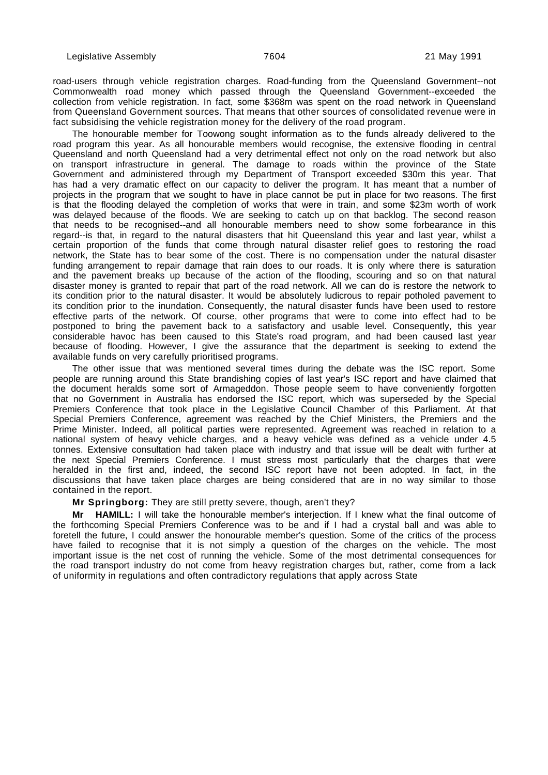road-users through vehicle registration charges. Road-funding from the Queensland Government--not Commonwealth road money which passed through the Queensland Government--exceeded the collection from vehicle registration. In fact, some \$368m was spent on the road network in Queensland from Queensland Government sources. That means that other sources of consolidated revenue were in fact subsidising the vehicle registration money for the delivery of the road program.

The honourable member for Toowong sought information as to the funds already delivered to the road program this year. As all honourable members would recognise, the extensive flooding in central Queensland and north Queensland had a very detrimental effect not only on the road network but also on transport infrastructure in general. The damage to roads within the province of the State Government and administered through my Department of Transport exceeded \$30m this year. That has had a very dramatic effect on our capacity to deliver the program. It has meant that a number of projects in the program that we sought to have in place cannot be put in place for two reasons. The first is that the flooding delayed the completion of works that were in train, and some \$23m worth of work was delayed because of the floods. We are seeking to catch up on that backlog. The second reason that needs to be recognised--and all honourable members need to show some forbearance in this regard--is that, in regard to the natural disasters that hit Queensland this year and last year, whilst a certain proportion of the funds that come through natural disaster relief goes to restoring the road network, the State has to bear some of the cost. There is no compensation under the natural disaster funding arrangement to repair damage that rain does to our roads. It is only where there is saturation and the pavement breaks up because of the action of the flooding, scouring and so on that natural disaster money is granted to repair that part of the road network. All we can do is restore the network to its condition prior to the natural disaster. It would be absolutely ludicrous to repair potholed pavement to its condition prior to the inundation. Consequently, the natural disaster funds have been used to restore effective parts of the network. Of course, other programs that were to come into effect had to be postponed to bring the pavement back to a satisfactory and usable level. Consequently, this year considerable havoc has been caused to this State's road program, and had been caused last year because of flooding. However, I give the assurance that the department is seeking to extend the available funds on very carefully prioritised programs.

The other issue that was mentioned several times during the debate was the ISC report. Some people are running around this State brandishing copies of last year's ISC report and have claimed that the document heralds some sort of Armageddon. Those people seem to have conveniently forgotten that no Government in Australia has endorsed the ISC report, which was superseded by the Special Premiers Conference that took place in the Legislative Council Chamber of this Parliament. At that Special Premiers Conference, agreement was reached by the Chief Ministers, the Premiers and the Prime Minister. Indeed, all political parties were represented. Agreement was reached in relation to a national system of heavy vehicle charges, and a heavy vehicle was defined as a vehicle under 4.5 tonnes. Extensive consultation had taken place with industry and that issue will be dealt with further at the next Special Premiers Conference. I must stress most particularly that the charges that were heralded in the first and, indeed, the second ISC report have not been adopted. In fact, in the discussions that have taken place charges are being considered that are in no way similar to those contained in the report.

**Mr Springborg:** They are still pretty severe, though, aren't they?

**Mr HAMILL:** I will take the honourable member's interjection. If I knew what the final outcome of the forthcoming Special Premiers Conference was to be and if I had a crystal ball and was able to foretell the future, I could answer the honourable member's question. Some of the critics of the process have failed to recognise that it is not simply a question of the charges on the vehicle. The most important issue is the net cost of running the vehicle. Some of the most detrimental consequences for the road transport industry do not come from heavy registration charges but, rather, come from a lack of uniformity in regulations and often contradictory regulations that apply across State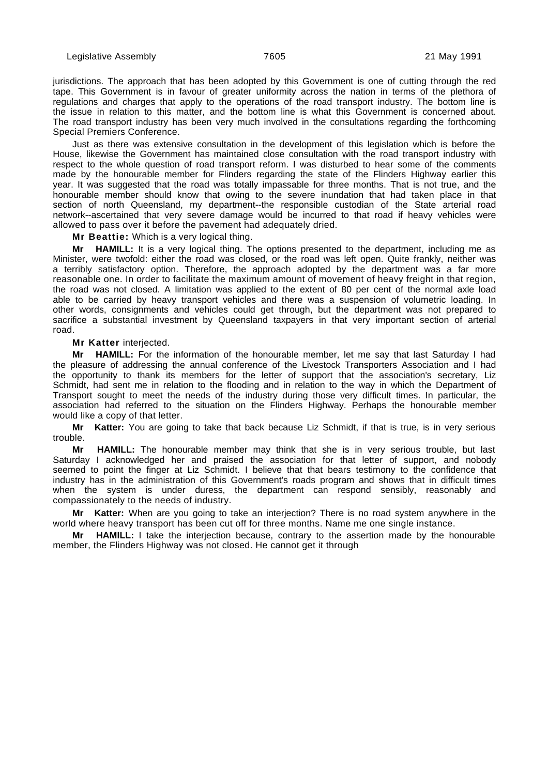jurisdictions. The approach that has been adopted by this Government is one of cutting through the red tape. This Government is in favour of greater uniformity across the nation in terms of the plethora of regulations and charges that apply to the operations of the road transport industry. The bottom line is the issue in relation to this matter, and the bottom line is what this Government is concerned about. The road transport industry has been very much involved in the consultations regarding the forthcoming Special Premiers Conference.

Just as there was extensive consultation in the development of this legislation which is before the House, likewise the Government has maintained close consultation with the road transport industry with respect to the whole question of road transport reform. I was disturbed to hear some of the comments made by the honourable member for Flinders regarding the state of the Flinders Highway earlier this year. It was suggested that the road was totally impassable for three months. That is not true, and the honourable member should know that owing to the severe inundation that had taken place in that section of north Queensland, my department--the responsible custodian of the State arterial road network--ascertained that very severe damage would be incurred to that road if heavy vehicles were allowed to pass over it before the pavement had adequately dried.

**Mr Beattie:** Which is a very logical thing.

**Mr HAMILL:** It is a very logical thing. The options presented to the department, including me as Minister, were twofold: either the road was closed, or the road was left open. Quite frankly, neither was a terribly satisfactory option. Therefore, the approach adopted by the department was a far more reasonable one. In order to facilitate the maximum amount of movement of heavy freight in that region, the road was not closed. A limitation was applied to the extent of 80 per cent of the normal axle load able to be carried by heavy transport vehicles and there was a suspension of volumetric loading. In other words, consignments and vehicles could get through, but the department was not prepared to sacrifice a substantial investment by Queensland taxpayers in that very important section of arterial road.

**Mr Katter** interjected.

**Mr HAMILL:** For the information of the honourable member, let me say that last Saturday I had the pleasure of addressing the annual conference of the Livestock Transporters Association and I had the opportunity to thank its members for the letter of support that the association's secretary, Liz Schmidt, had sent me in relation to the flooding and in relation to the way in which the Department of Transport sought to meet the needs of the industry during those very difficult times. In particular, the association had referred to the situation on the Flinders Highway. Perhaps the honourable member would like a copy of that letter.

**Mr Katter:** You are going to take that back because Liz Schmidt, if that is true, is in very serious trouble.

**Mr HAMILL:** The honourable member may think that she is in very serious trouble, but last Saturday I acknowledged her and praised the association for that letter of support, and nobody seemed to point the finger at Liz Schmidt. I believe that that bears testimony to the confidence that industry has in the administration of this Government's roads program and shows that in difficult times when the system is under duress, the department can respond sensibly, reasonably and compassionately to the needs of industry.

**Mr Katter:** When are you going to take an interjection? There is no road system anywhere in the world where heavy transport has been cut off for three months. Name me one single instance.

**Mr HAMILL:** I take the interjection because, contrary to the assertion made by the honourable member, the Flinders Highway was not closed. He cannot get it through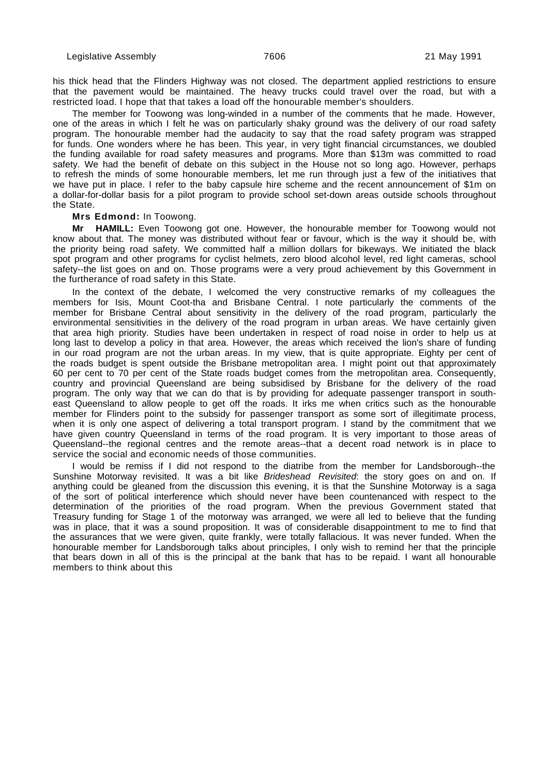his thick head that the Flinders Highway was not closed. The department applied restrictions to ensure that the pavement would be maintained. The heavy trucks could travel over the road, but with a restricted load. I hope that that takes a load off the honourable member's shoulders.

The member for Toowong was long-winded in a number of the comments that he made. However, one of the areas in which I felt he was on particularly shaky ground was the delivery of our road safety program. The honourable member had the audacity to say that the road safety program was strapped for funds. One wonders where he has been. This year, in very tight financial circumstances, we doubled the funding available for road safety measures and programs. More than \$13m was committed to road safety. We had the benefit of debate on this subject in the House not so long ago. However, perhaps to refresh the minds of some honourable members, let me run through just a few of the initiatives that we have put in place. I refer to the baby capsule hire scheme and the recent announcement of \$1m on a dollar-for-dollar basis for a pilot program to provide school set-down areas outside schools throughout the State.

## **Mrs Edmond:** In Toowong.

**Mr HAMILL:** Even Toowong got one. However, the honourable member for Toowong would not know about that. The money was distributed without fear or favour, which is the way it should be, with the priority being road safety. We committed half a million dollars for bikeways. We initiated the black spot program and other programs for cyclist helmets, zero blood alcohol level, red light cameras, school safety--the list goes on and on. Those programs were a very proud achievement by this Government in the furtherance of road safety in this State.

In the context of the debate, I welcomed the very constructive remarks of my colleagues the members for Isis, Mount Coot-tha and Brisbane Central. I note particularly the comments of the member for Brisbane Central about sensitivity in the delivery of the road program, particularly the environmental sensitivities in the delivery of the road program in urban areas. We have certainly given that area high priority. Studies have been undertaken in respect of road noise in order to help us at long last to develop a policy in that area. However, the areas which received the lion's share of funding in our road program are not the urban areas. In my view, that is quite appropriate. Eighty per cent of the roads budget is spent outside the Brisbane metropolitan area. I might point out that approximately 60 per cent to 70 per cent of the State roads budget comes from the metropolitan area. Consequently, country and provincial Queensland are being subsidised by Brisbane for the delivery of the road program. The only way that we can do that is by providing for adequate passenger transport in southeast Queensland to allow people to get off the roads. It irks me when critics such as the honourable member for Flinders point to the subsidy for passenger transport as some sort of illegitimate process, when it is only one aspect of delivering a total transport program. I stand by the commitment that we have given country Queensland in terms of the road program. It is very important to those areas of Queensland--the regional centres and the remote areas--that a decent road network is in place to service the social and economic needs of those communities.

I would be remiss if I did not respond to the diatribe from the member for Landsborough--the Sunshine Motorway revisited. It was a bit like Brideshead Revisited: the story goes on and on. If anything could be gleaned from the discussion this evening, it is that the Sunshine Motorway is a saga of the sort of political interference which should never have been countenanced with respect to the determination of the priorities of the road program. When the previous Government stated that Treasury funding for Stage 1 of the motorway was arranged, we were all led to believe that the funding was in place, that it was a sound proposition. It was of considerable disappointment to me to find that the assurances that we were given, quite frankly, were totally fallacious. It was never funded. When the honourable member for Landsborough talks about principles, I only wish to remind her that the principle that bears down in all of this is the principal at the bank that has to be repaid. I want all honourable members to think about this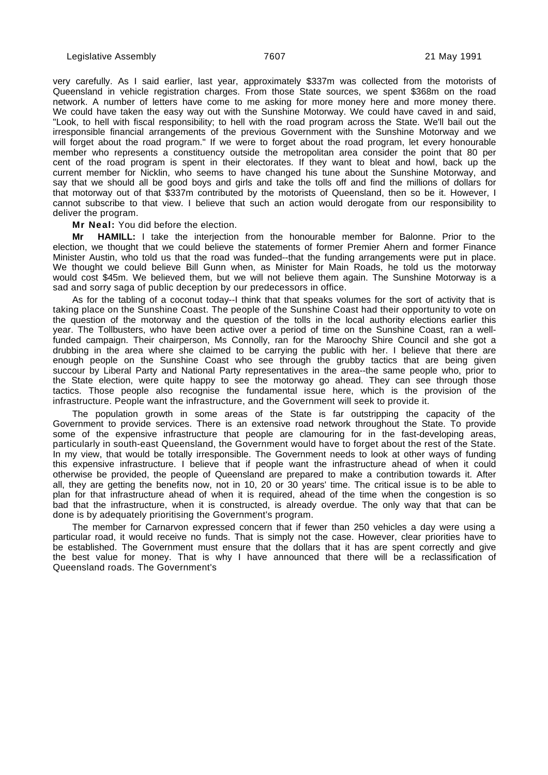very carefully. As I said earlier, last year, approximately \$337m was collected from the motorists of Queensland in vehicle registration charges. From those State sources, we spent \$368m on the road network. A number of letters have come to me asking for more money here and more money there. We could have taken the easy way out with the Sunshine Motorway. We could have caved in and said, "Look, to hell with fiscal responsibility; to hell with the road program across the State. We'll bail out the irresponsible financial arrangements of the previous Government with the Sunshine Motorway and we will forget about the road program." If we were to forget about the road program, let every honourable member who represents a constituency outside the metropolitan area consider the point that 80 per cent of the road program is spent in their electorates. If they want to bleat and howl, back up the current member for Nicklin, who seems to have changed his tune about the Sunshine Motorway, and say that we should all be good boys and girls and take the tolls off and find the millions of dollars for that motorway out of that \$337m contributed by the motorists of Queensland, then so be it. However, I cannot subscribe to that view. I believe that such an action would derogate from our responsibility to deliver the program.

#### **Mr Neal:** You did before the election.

**Mr HAMILL:** I take the interjection from the honourable member for Balonne. Prior to the election, we thought that we could believe the statements of former Premier Ahern and former Finance Minister Austin, who told us that the road was funded--that the funding arrangements were put in place. We thought we could believe Bill Gunn when, as Minister for Main Roads, he told us the motorway would cost \$45m. We believed them, but we will not believe them again. The Sunshine Motorway is a sad and sorry saga of public deception by our predecessors in office.

As for the tabling of a coconut today--I think that that speaks volumes for the sort of activity that is taking place on the Sunshine Coast. The people of the Sunshine Coast had their opportunity to vote on the question of the motorway and the question of the tolls in the local authority elections earlier this year. The Tollbusters, who have been active over a period of time on the Sunshine Coast, ran a wellfunded campaign. Their chairperson, Ms Connolly, ran for the Maroochy Shire Council and she got a drubbing in the area where she claimed to be carrying the public with her. I believe that there are enough people on the Sunshine Coast who see through the grubby tactics that are being given succour by Liberal Party and National Party representatives in the area--the same people who, prior to the State election, were quite happy to see the motorway go ahead. They can see through those tactics. Those people also recognise the fundamental issue here, which is the provision of the infrastructure. People want the infrastructure, and the Government will seek to provide it.

The population growth in some areas of the State is far outstripping the capacity of the Government to provide services. There is an extensive road network throughout the State. To provide some of the expensive infrastructure that people are clamouring for in the fast-developing areas, particularly in south-east Queensland, the Government would have to forget about the rest of the State. In my view, that would be totally irresponsible. The Government needs to look at other ways of funding this expensive infrastructure. I believe that if people want the infrastructure ahead of when it could otherwise be provided, the people of Queensland are prepared to make a contribution towards it. After all, they are getting the benefits now, not in 10, 20 or 30 years' time. The critical issue is to be able to plan for that infrastructure ahead of when it is required, ahead of the time when the congestion is so bad that the infrastructure, when it is constructed, is already overdue. The only way that that can be done is by adequately prioritising the Government's program.

The member for Carnarvon expressed concern that if fewer than 250 vehicles a day were using a particular road, it would receive no funds. That is simply not the case. However, clear priorities have to be established. The Government must ensure that the dollars that it has are spent correctly and give the best value for money. That is why I have announced that there will be a reclassification of Queensland roads. The Government's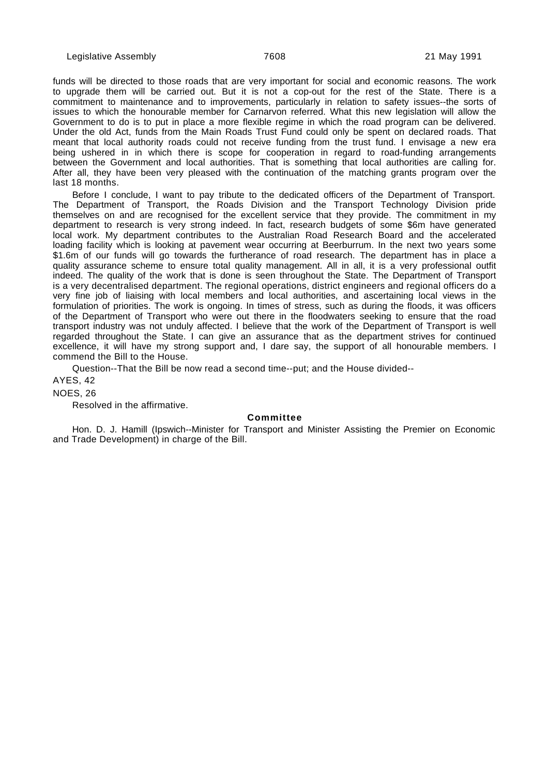funds will be directed to those roads that are very important for social and economic reasons. The work to upgrade them will be carried out. But it is not a cop-out for the rest of the State. There is a commitment to maintenance and to improvements, particularly in relation to safety issues--the sorts of issues to which the honourable member for Carnarvon referred. What this new legislation will allow the Government to do is to put in place a more flexible regime in which the road program can be delivered. Under the old Act, funds from the Main Roads Trust Fund could only be spent on declared roads. That meant that local authority roads could not receive funding from the trust fund. I envisage a new era being ushered in in which there is scope for cooperation in regard to road-funding arrangements between the Government and local authorities. That is something that local authorities are calling for. After all, they have been very pleased with the continuation of the matching grants program over the last 18 months.

Before I conclude, I want to pay tribute to the dedicated officers of the Department of Transport. The Department of Transport, the Roads Division and the Transport Technology Division pride themselves on and are recognised for the excellent service that they provide. The commitment in my department to research is very strong indeed. In fact, research budgets of some \$6m have generated local work. My department contributes to the Australian Road Research Board and the accelerated loading facility which is looking at pavement wear occurring at Beerburrum. In the next two years some \$1.6m of our funds will go towards the furtherance of road research. The department has in place a quality assurance scheme to ensure total quality management. All in all, it is a very professional outfit indeed. The quality of the work that is done is seen throughout the State. The Department of Transport is a very decentralised department. The regional operations, district engineers and regional officers do a very fine job of liaising with local members and local authorities, and ascertaining local views in the formulation of priorities. The work is ongoing. In times of stress, such as during the floods, it was officers of the Department of Transport who were out there in the floodwaters seeking to ensure that the road transport industry was not unduly affected. I believe that the work of the Department of Transport is well regarded throughout the State. I can give an assurance that as the department strives for continued excellence, it will have my strong support and, I dare say, the support of all honourable members. I commend the Bill to the House.

Question--That the Bill be now read a second time--put; and the House divided--

AYES, 42

NOES, 26

Resolved in the affirmative.

#### **Committee**

Hon. D. J. Hamill (Ipswich--Minister for Transport and Minister Assisting the Premier on Economic and Trade Development) in charge of the Bill.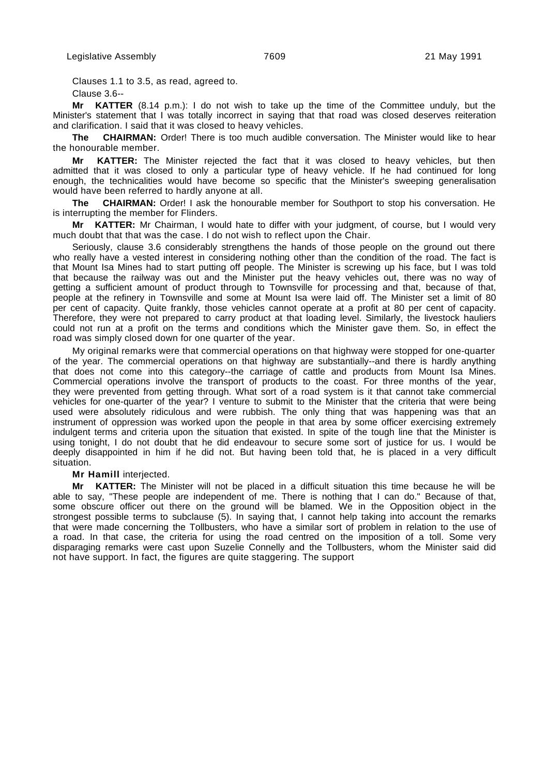Clauses 1.1 to 3.5, as read, agreed to.

Clause 3.6--

**Mr KATTER** (8.14 p.m.): I do not wish to take up the time of the Committee unduly, but the Minister's statement that I was totally incorrect in saying that that road was closed deserves reiteration and clarification. I said that it was closed to heavy vehicles.

**The CHAIRMAN:** Order! There is too much audible conversation. The Minister would like to hear the honourable member.

**Mr KATTER:** The Minister rejected the fact that it was closed to heavy vehicles, but then admitted that it was closed to only a particular type of heavy vehicle. If he had continued for long enough, the technicalities would have become so specific that the Minister's sweeping generalisation would have been referred to hardly anyone at all.

**The CHAIRMAN:** Order! I ask the honourable member for Southport to stop his conversation. He is interrupting the member for Flinders.

**Mr KATTER:** Mr Chairman, I would hate to differ with your judgment, of course, but I would very much doubt that that was the case. I do not wish to reflect upon the Chair.

Seriously, clause 3.6 considerably strengthens the hands of those people on the ground out there who really have a vested interest in considering nothing other than the condition of the road. The fact is that Mount Isa Mines had to start putting off people. The Minister is screwing up his face, but I was told that because the railway was out and the Minister put the heavy vehicles out, there was no way of getting a sufficient amount of product through to Townsville for processing and that, because of that, people at the refinery in Townsville and some at Mount Isa were laid off. The Minister set a limit of 80 per cent of capacity. Quite frankly, those vehicles cannot operate at a profit at 80 per cent of capacity. Therefore, they were not prepared to carry product at that loading level. Similarly, the livestock hauliers could not run at a profit on the terms and conditions which the Minister gave them. So, in effect the road was simply closed down for one quarter of the year.

My original remarks were that commercial operations on that highway were stopped for one-quarter of the year. The commercial operations on that highway are substantially--and there is hardly anything that does not come into this category--the carriage of cattle and products from Mount Isa Mines. Commercial operations involve the transport of products to the coast. For three months of the year, they were prevented from getting through. What sort of a road system is it that cannot take commercial vehicles for one-quarter of the year? I venture to submit to the Minister that the criteria that were being used were absolutely ridiculous and were rubbish. The only thing that was happening was that an instrument of oppression was worked upon the people in that area by some officer exercising extremely indulgent terms and criteria upon the situation that existed. In spite of the tough line that the Minister is using tonight, I do not doubt that he did endeavour to secure some sort of justice for us. I would be deeply disappointed in him if he did not. But having been told that, he is placed in a very difficult situation.

# **Mr Hamill** interjected.

**Mr KATTER:** The Minister will not be placed in a difficult situation this time because he will be able to say, "These people are independent of me. There is nothing that I can do." Because of that, some obscure officer out there on the ground will be blamed. We in the Opposition object in the strongest possible terms to subclause (5). In saying that, I cannot help taking into account the remarks that were made concerning the Tollbusters, who have a similar sort of problem in relation to the use of a road. In that case, the criteria for using the road centred on the imposition of a toll. Some very disparaging remarks were cast upon Suzelie Connelly and the Tollbusters, whom the Minister said did not have support. In fact, the figures are quite staggering. The support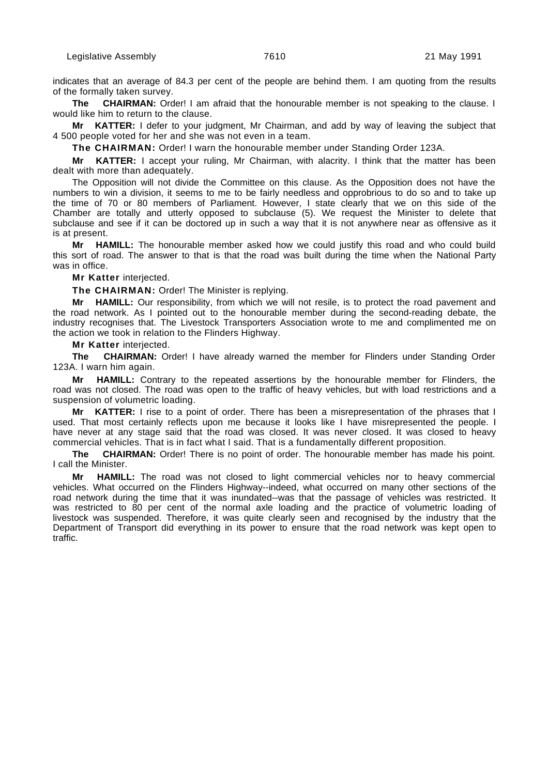indicates that an average of 84.3 per cent of the people are behind them. I am quoting from the results of the formally taken survey.

**The CHAIRMAN:** Order! I am afraid that the honourable member is not speaking to the clause. I would like him to return to the clause.

**Mr KATTER:** I defer to your judgment, Mr Chairman, and add by way of leaving the subject that 4 500 people voted for her and she was not even in a team.

**The CHAIRMAN:** Order! I warn the honourable member under Standing Order 123A.

**Mr KATTER:** I accept your ruling, Mr Chairman, with alacrity. I think that the matter has been dealt with more than adequately.

The Opposition will not divide the Committee on this clause. As the Opposition does not have the numbers to win a division, it seems to me to be fairly needless and opprobrious to do so and to take up the time of 70 or 80 members of Parliament. However, I state clearly that we on this side of the Chamber are totally and utterly opposed to subclause (5). We request the Minister to delete that subclause and see if it can be doctored up in such a way that it is not anywhere near as offensive as it is at present.

**Mr HAMILL:** The honourable member asked how we could justify this road and who could build this sort of road. The answer to that is that the road was built during the time when the National Party was in office.

**Mr Katter** interjected.

**The CHAIRMAN:** Order! The Minister is replying.

**Mr HAMILL:** Our responsibility, from which we will not resile, is to protect the road pavement and the road network. As I pointed out to the honourable member during the second-reading debate, the industry recognises that. The Livestock Transporters Association wrote to me and complimented me on the action we took in relation to the Flinders Highway.

**Mr Katter** interjected.

**The CHAIRMAN:** Order! I have already warned the member for Flinders under Standing Order 123A. I warn him again.

**HAMILL:** Contrary to the repeated assertions by the honourable member for Flinders, the road was not closed. The road was open to the traffic of heavy vehicles, but with load restrictions and a suspension of volumetric loading.

**Mr KATTER:** I rise to a point of order. There has been a misrepresentation of the phrases that I used. That most certainly reflects upon me because it looks like I have misrepresented the people. I have never at any stage said that the road was closed. It was never closed. It was closed to heavy commercial vehicles. That is in fact what I said. That is a fundamentally different proposition.

**The CHAIRMAN:** Order! There is no point of order. The honourable member has made his point. I call the Minister.

**Mr HAMILL:** The road was not closed to light commercial vehicles nor to heavy commercial vehicles. What occurred on the Flinders Highway--indeed, what occurred on many other sections of the road network during the time that it was inundated--was that the passage of vehicles was restricted. It was restricted to 80 per cent of the normal axle loading and the practice of volumetric loading of livestock was suspended. Therefore, it was quite clearly seen and recognised by the industry that the Department of Transport did everything in its power to ensure that the road network was kept open to traffic.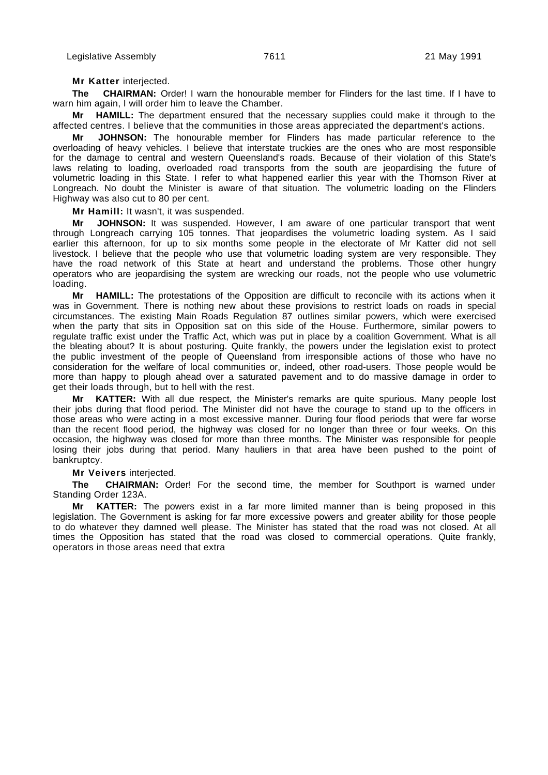#### **Mr Katter** interjected.

**The CHAIRMAN:** Order! I warn the honourable member for Flinders for the last time. If I have to warn him again, I will order him to leave the Chamber.

**Mr HAMILL:** The department ensured that the necessary supplies could make it through to the affected centres. I believe that the communities in those areas appreciated the department's actions.

**Mr JOHNSON:** The honourable member for Flinders has made particular reference to the overloading of heavy vehicles. I believe that interstate truckies are the ones who are most responsible for the damage to central and western Queensland's roads. Because of their violation of this State's laws relating to loading, overloaded road transports from the south are jeopardising the future of volumetric loading in this State. I refer to what happened earlier this year with the Thomson River at Longreach. No doubt the Minister is aware of that situation. The volumetric loading on the Flinders Highway was also cut to 80 per cent.

**Mr Hamill:** It wasn't, it was suspended.

**Mr JOHNSON:** It was suspended. However, I am aware of one particular transport that went through Longreach carrying 105 tonnes. That jeopardises the volumetric loading system. As I said earlier this afternoon, for up to six months some people in the electorate of Mr Katter did not sell livestock. I believe that the people who use that volumetric loading system are very responsible. They have the road network of this State at heart and understand the problems. Those other hungry operators who are jeopardising the system are wrecking our roads, not the people who use volumetric loading.

**Mr HAMILL:** The protestations of the Opposition are difficult to reconcile with its actions when it was in Government. There is nothing new about these provisions to restrict loads on roads in special circumstances. The existing Main Roads Regulation 87 outlines similar powers, which were exercised when the party that sits in Opposition sat on this side of the House. Furthermore, similar powers to regulate traffic exist under the Traffic Act, which was put in place by a coalition Government. What is all the bleating about? It is about posturing. Quite frankly, the powers under the legislation exist to protect the public investment of the people of Queensland from irresponsible actions of those who have no consideration for the welfare of local communities or, indeed, other road-users. Those people would be more than happy to plough ahead over a saturated pavement and to do massive damage in order to get their loads through, but to hell with the rest.

**Mr KATTER:** With all due respect, the Minister's remarks are quite spurious. Many people lost their jobs during that flood period. The Minister did not have the courage to stand up to the officers in those areas who were acting in a most excessive manner. During four flood periods that were far worse than the recent flood period, the highway was closed for no longer than three or four weeks. On this occasion, the highway was closed for more than three months. The Minister was responsible for people losing their jobs during that period. Many hauliers in that area have been pushed to the point of bankruptcy.

#### **Mr Veivers** interjected.

**The CHAIRMAN:** Order! For the second time, the member for Southport is warned under Standing Order 123A.

**Mr KATTER:** The powers exist in a far more limited manner than is being proposed in this legislation. The Government is asking for far more excessive powers and greater ability for those people to do whatever they damned well please. The Minister has stated that the road was not closed. At all times the Opposition has stated that the road was closed to commercial operations. Quite frankly, operators in those areas need that extra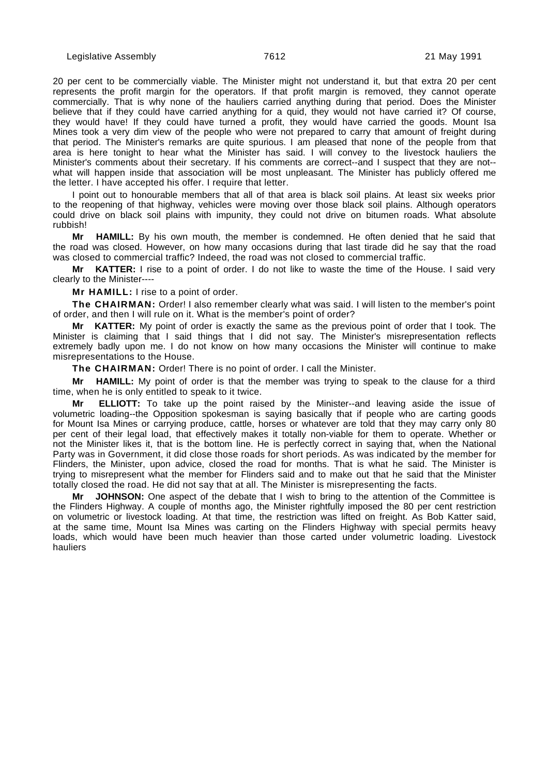20 per cent to be commercially viable. The Minister might not understand it, but that extra 20 per cent represents the profit margin for the operators. If that profit margin is removed, they cannot operate commercially. That is why none of the hauliers carried anything during that period. Does the Minister believe that if they could have carried anything for a quid, they would not have carried it? Of course, they would have! If they could have turned a profit, they would have carried the goods. Mount Isa Mines took a very dim view of the people who were not prepared to carry that amount of freight during that period. The Minister's remarks are quite spurious. I am pleased that none of the people from that area is here tonight to hear what the Minister has said. I will convey to the livestock hauliers the Minister's comments about their secretary. If his comments are correct--and I suspect that they are not- what will happen inside that association will be most unpleasant. The Minister has publicly offered me the letter. I have accepted his offer. I require that letter.

I point out to honourable members that all of that area is black soil plains. At least six weeks prior to the reopening of that highway, vehicles were moving over those black soil plains. Although operators could drive on black soil plains with impunity, they could not drive on bitumen roads. What absolute rubbish!

**Mr HAMILL:** By his own mouth, the member is condemned. He often denied that he said that the road was closed. However, on how many occasions during that last tirade did he say that the road was closed to commercial traffic? Indeed, the road was not closed to commercial traffic.

**Mr KATTER:** I rise to a point of order. I do not like to waste the time of the House. I said very clearly to the Minister----

**Mr HAMILL:** I rise to a point of order.

**The CHAIRMAN:** Order! I also remember clearly what was said. I will listen to the member's point of order, and then I will rule on it. What is the member's point of order?

**Mr KATTER:** My point of order is exactly the same as the previous point of order that I took. The Minister is claiming that I said things that I did not say. The Minister's misrepresentation reflects extremely badly upon me. I do not know on how many occasions the Minister will continue to make misrepresentations to the House.

**The CHAIRMAN:** Order! There is no point of order. I call the Minister.

**Mr HAMILL:** My point of order is that the member was trying to speak to the clause for a third time, when he is only entitled to speak to it twice.

**Mr ELLIOTT:** To take up the point raised by the Minister--and leaving aside the issue of volumetric loading--the Opposition spokesman is saying basically that if people who are carting goods for Mount Isa Mines or carrying produce, cattle, horses or whatever are told that they may carry only 80 per cent of their legal load, that effectively makes it totally non-viable for them to operate. Whether or not the Minister likes it, that is the bottom line. He is perfectly correct in saying that, when the National Party was in Government, it did close those roads for short periods. As was indicated by the member for Flinders, the Minister, upon advice, closed the road for months. That is what he said. The Minister is trying to misrepresent what the member for Flinders said and to make out that he said that the Minister totally closed the road. He did not say that at all. The Minister is misrepresenting the facts.

**Mr JOHNSON:** One aspect of the debate that I wish to bring to the attention of the Committee is the Flinders Highway. A couple of months ago, the Minister rightfully imposed the 80 per cent restriction on volumetric or livestock loading. At that time, the restriction was lifted on freight. As Bob Katter said, at the same time, Mount Isa Mines was carting on the Flinders Highway with special permits heavy loads, which would have been much heavier than those carted under volumetric loading. Livestock hauliers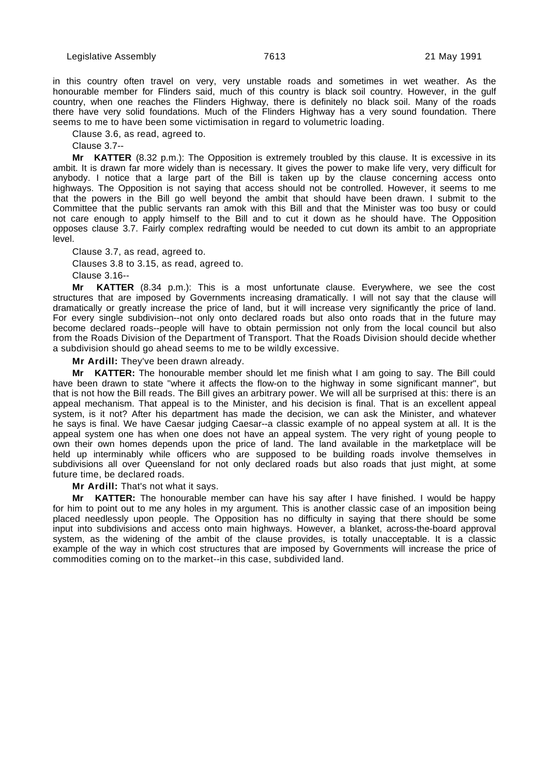in this country often travel on very, very unstable roads and sometimes in wet weather. As the honourable member for Flinders said, much of this country is black soil country. However, in the gulf country, when one reaches the Flinders Highway, there is definitely no black soil. Many of the roads there have very solid foundations. Much of the Flinders Highway has a very sound foundation. There seems to me to have been some victimisation in regard to volumetric loading.

Clause 3.6, as read, agreed to.

Clause 3.7--

**Mr KATTER** (8.32 p.m.): The Opposition is extremely troubled by this clause. It is excessive in its ambit. It is drawn far more widely than is necessary. It gives the power to make life very, very difficult for anybody. I notice that a large part of the Bill is taken up by the clause concerning access onto highways. The Opposition is not saying that access should not be controlled. However, it seems to me that the powers in the Bill go well beyond the ambit that should have been drawn. I submit to the Committee that the public servants ran amok with this Bill and that the Minister was too busy or could not care enough to apply himself to the Bill and to cut it down as he should have. The Opposition opposes clause 3.7. Fairly complex redrafting would be needed to cut down its ambit to an appropriate level.

Clause 3.7, as read, agreed to.

Clauses 3.8 to 3.15, as read, agreed to.

Clause 3.16--

**Mr KATTER** (8.34 p.m.): This is a most unfortunate clause. Everywhere, we see the cost structures that are imposed by Governments increasing dramatically. I will not say that the clause will dramatically or greatly increase the price of land, but it will increase very significantly the price of land. For every single subdivision--not only onto declared roads but also onto roads that in the future may become declared roads--people will have to obtain permission not only from the local council but also from the Roads Division of the Department of Transport. That the Roads Division should decide whether a subdivision should go ahead seems to me to be wildly excessive.

**Mr Ardill:** They've been drawn already.

**Mr KATTER:** The honourable member should let me finish what I am going to say. The Bill could have been drawn to state "where it affects the flow-on to the highway in some significant manner", but that is not how the Bill reads. The Bill gives an arbitrary power. We will all be surprised at this: there is an appeal mechanism. That appeal is to the Minister, and his decision is final. That is an excellent appeal system, is it not? After his department has made the decision, we can ask the Minister, and whatever he says is final. We have Caesar judging Caesar--a classic example of no appeal system at all. It is the appeal system one has when one does not have an appeal system. The very right of young people to own their own homes depends upon the price of land. The land available in the marketplace will be held up interminably while officers who are supposed to be building roads involve themselves in subdivisions all over Queensland for not only declared roads but also roads that just might, at some future time, be declared roads.

**Mr Ardill:** That's not what it says.

**KATTER:** The honourable member can have his say after I have finished. I would be happy for him to point out to me any holes in my argument. This is another classic case of an imposition being placed needlessly upon people. The Opposition has no difficulty in saying that there should be some input into subdivisions and access onto main highways. However, a blanket, across-the-board approval system, as the widening of the ambit of the clause provides, is totally unacceptable. It is a classic example of the way in which cost structures that are imposed by Governments will increase the price of commodities coming on to the market--in this case, subdivided land.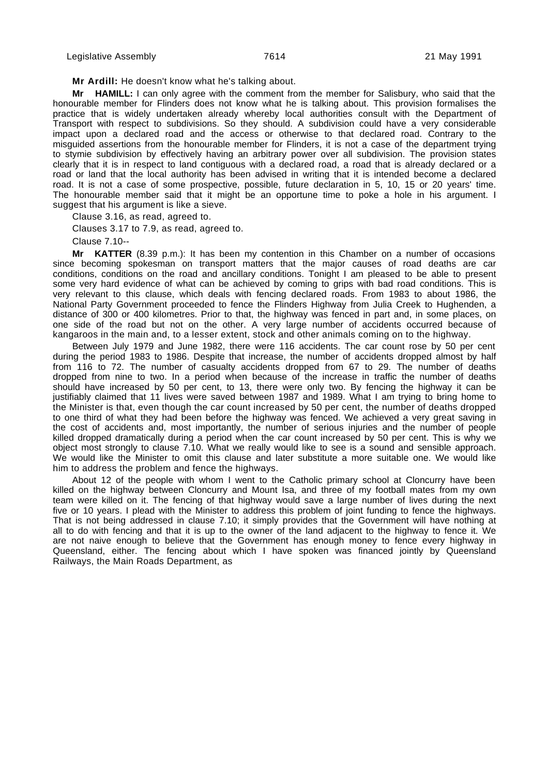**Mr Ardill:** He doesn't know what he's talking about.

**Mr HAMILL:** I can only agree with the comment from the member for Salisbury, who said that the honourable member for Flinders does not know what he is talking about. This provision formalises the practice that is widely undertaken already whereby local authorities consult with the Department of Transport with respect to subdivisions. So they should. A subdivision could have a very considerable impact upon a declared road and the access or otherwise to that declared road. Contrary to the misguided assertions from the honourable member for Flinders, it is not a case of the department trying to stymie subdivision by effectively having an arbitrary power over all subdivision. The provision states clearly that it is in respect to land contiguous with a declared road, a road that is already declared or a road or land that the local authority has been advised in writing that it is intended become a declared road. It is not a case of some prospective, possible, future declaration in 5, 10, 15 or 20 years' time. The honourable member said that it might be an opportune time to poke a hole in his argument. I suggest that his argument is like a sieve.

Clause 3.16, as read, agreed to.

Clauses 3.17 to 7.9, as read, agreed to.

Clause 7.10--

**Mr KATTER** (8.39 p.m.): It has been my contention in this Chamber on a number of occasions since becoming spokesman on transport matters that the major causes of road deaths are car conditions, conditions on the road and ancillary conditions. Tonight I am pleased to be able to present some very hard evidence of what can be achieved by coming to grips with bad road conditions. This is very relevant to this clause, which deals with fencing declared roads. From 1983 to about 1986, the National Party Government proceeded to fence the Flinders Highway from Julia Creek to Hughenden, a distance of 300 or 400 kilometres. Prior to that, the highway was fenced in part and, in some places, on one side of the road but not on the other. A very large number of accidents occurred because of kangaroos in the main and, to a lesser extent, stock and other animals coming on to the highway.

Between July 1979 and June 1982, there were 116 accidents. The car count rose by 50 per cent during the period 1983 to 1986. Despite that increase, the number of accidents dropped almost by half from 116 to 72. The number of casualty accidents dropped from 67 to 29. The number of deaths dropped from nine to two. In a period when because of the increase in traffic the number of deaths should have increased by 50 per cent, to 13, there were only two. By fencing the highway it can be justifiably claimed that 11 lives were saved between 1987 and 1989. What I am trying to bring home to the Minister is that, even though the car count increased by 50 per cent, the number of deaths dropped to one third of what they had been before the highway was fenced. We achieved a very great saving in the cost of accidents and, most importantly, the number of serious injuries and the number of people killed dropped dramatically during a period when the car count increased by 50 per cent. This is why we object most strongly to clause 7.10. What we really would like to see is a sound and sensible approach. We would like the Minister to omit this clause and later substitute a more suitable one. We would like him to address the problem and fence the highways.

About 12 of the people with whom I went to the Catholic primary school at Cloncurry have been killed on the highway between Cloncurry and Mount Isa, and three of my football mates from my own team were killed on it. The fencing of that highway would save a large number of lives during the next five or 10 years. I plead with the Minister to address this problem of joint funding to fence the highways. That is not being addressed in clause 7.10; it simply provides that the Government will have nothing at all to do with fencing and that it is up to the owner of the land adjacent to the highway to fence it. We are not naive enough to believe that the Government has enough money to fence every highway in Queensland, either. The fencing about which I have spoken was financed jointly by Queensland Railways, the Main Roads Department, as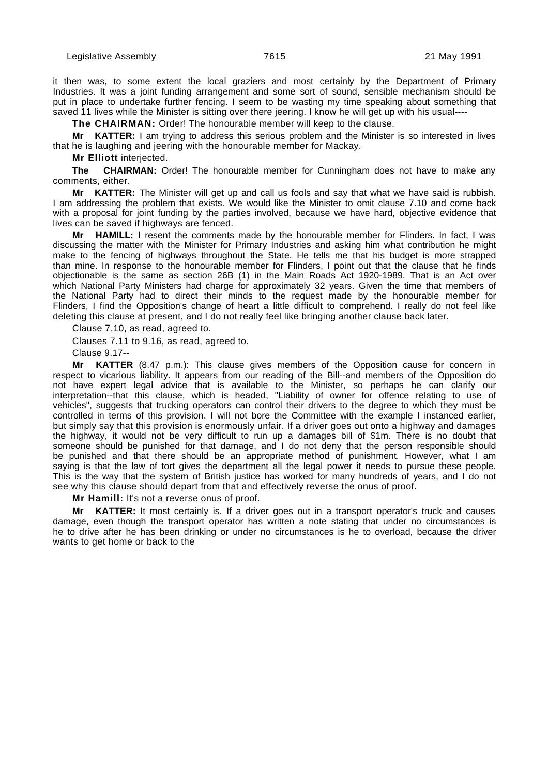it then was, to some extent the local graziers and most certainly by the Department of Primary Industries. It was a joint funding arrangement and some sort of sound, sensible mechanism should be put in place to undertake further fencing. I seem to be wasting my time speaking about something that saved 11 lives while the Minister is sitting over there jeering. I know he will get up with his usual----

**The CHAIRMAN:** Order! The honourable member will keep to the clause.

**Mr KATTER:** I am trying to address this serious problem and the Minister is so interested in lives that he is laughing and jeering with the honourable member for Mackay.

**Mr Elliott** interjected.

**The CHAIRMAN:** Order! The honourable member for Cunningham does not have to make any comments, either.

**Mr KATTER:** The Minister will get up and call us fools and say that what we have said is rubbish. I am addressing the problem that exists. We would like the Minister to omit clause 7.10 and come back with a proposal for joint funding by the parties involved, because we have hard, objective evidence that lives can be saved if highways are fenced.

**Mr HAMILL:** I resent the comments made by the honourable member for Flinders. In fact, I was discussing the matter with the Minister for Primary Industries and asking him what contribution he might make to the fencing of highways throughout the State. He tells me that his budget is more strapped than mine. In response to the honourable member for Flinders, I point out that the clause that he finds objectionable is the same as section 26B (1) in the Main Roads Act 1920-1989. That is an Act over which National Party Ministers had charge for approximately 32 years. Given the time that members of the National Party had to direct their minds to the request made by the honourable member for Flinders, I find the Opposition's change of heart a little difficult to comprehend. I really do not feel like deleting this clause at present, and I do not really feel like bringing another clause back later.

Clause 7.10, as read, agreed to.

Clauses 7.11 to 9.16, as read, agreed to.

Clause 9.17--

**Mr KATTER** (8.47 p.m.): This clause gives members of the Opposition cause for concern in respect to vicarious liability. It appears from our reading of the Bill--and members of the Opposition do not have expert legal advice that is available to the Minister, so perhaps he can clarify our interpretation--that this clause, which is headed, "Liability of owner for offence relating to use of vehicles", suggests that trucking operators can control their drivers to the degree to which they must be controlled in terms of this provision. I will not bore the Committee with the example I instanced earlier, but simply say that this provision is enormously unfair. If a driver goes out onto a highway and damages the highway, it would not be very difficult to run up a damages bill of \$1m. There is no doubt that someone should be punished for that damage, and I do not deny that the person responsible should be punished and that there should be an appropriate method of punishment. However, what I am saying is that the law of tort gives the department all the legal power it needs to pursue these people. This is the way that the system of British justice has worked for many hundreds of years, and I do not see why this clause should depart from that and effectively reverse the onus of proof.

**Mr Hamill:** It's not a reverse onus of proof.

**KATTER:** It most certainly is. If a driver goes out in a transport operator's truck and causes damage, even though the transport operator has written a note stating that under no circumstances is he to drive after he has been drinking or under no circumstances is he to overload, because the driver wants to get home or back to the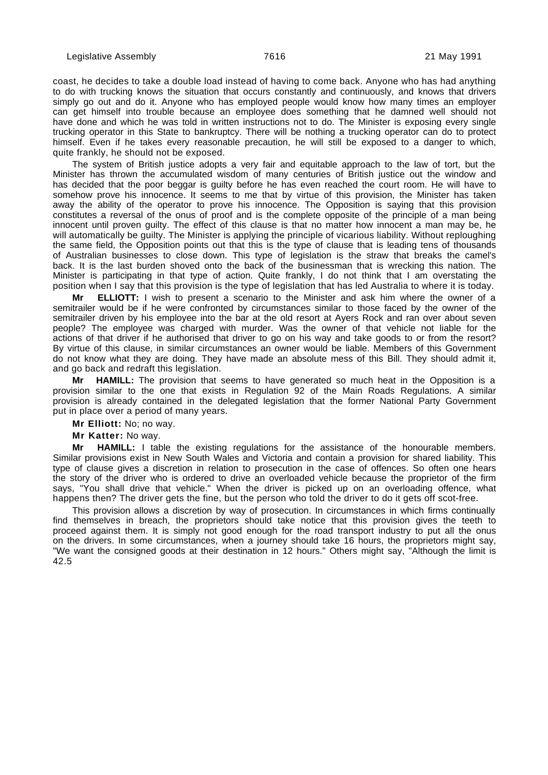coast, he decides to take a double load instead of having to come back. Anyone who has had anything to do with trucking knows the situation that occurs constantly and continuously, and knows that drivers simply go out and do it. Anyone who has employed people would know how many times an employer can get himself into trouble because an employee does something that he damned well should not have done and which he was told in written instructions not to do. The Minister is exposing every single trucking operator in this State to bankruptcy. There will be nothing a trucking operator can do to protect himself. Even if he takes every reasonable precaution, he will still be exposed to a danger to which, quite frankly, he should not be exposed.

The system of British justice adopts a very fair and equitable approach to the law of tort, but the Minister has thrown the accumulated wisdom of many centuries of British justice out the window and has decided that the poor beggar is guilty before he has even reached the court room. He will have to somehow prove his innocence. It seems to me that by virtue of this provision, the Minister has taken away the ability of the operator to prove his innocence. The Opposition is saying that this provision constitutes a reversal of the onus of proof and is the complete opposite of the principle of a man being innocent until proven guilty. The effect of this clause is that no matter how innocent a man mav be, he will automatically be guilty. The Minister is applying the principle of vicarious liability. Without reploughing the same field, the Opposition points out that this is the type of clause that is leading tens of thousands of Australian businesses to close down. This type of legislation is the straw that breaks the camel's back. It is the last burden shoved onto the back of the businessman that is wrecking this nation. The Minister is participating in that type of action. Quite frankly, I do not think that I am overstating the position when I say that this provision is the type of legislation that has led Australia to where it is today.

**Mr ELLIOTT:** I wish to present a scenario to the Minister and ask him where the owner of a semitrailer would be if he were confronted by circumstances similar to those faced by the owner of the semitrailer driven by his employee into the bar at the old resort at Ayers Rock and ran over about seven people? The employee was charged with murder. Was the owner of that vehicle not liable for the actions of that driver if he authorised that driver to go on his way and take goods to or from the resort? By virtue of this clause, in similar circumstances an owner would be liable. Members of this Government do not know what they are doing. They have made an absolute mess of this Bill. They should admit it, and go back and redraft this legislation.

**Mr HAMILL:** The provision that seems to have generated so much heat in the Opposition is a provision similar to the one that exists in Regulation 92 of the Main Roads Regulations. A similar provision is already contained in the delegated legislation that the former National Party Government put in place over a period of many years.

**Mr Elliott:** No; no way.

**Mr Katter:** No way.

**Mr HAMILL:** I table the existing regulations for the assistance of the honourable members. Similar provisions exist in New South Wales and Victoria and contain a provision for shared liability. This type of clause gives a discretion in relation to prosecution in the case of offences. So often one hears the story of the driver who is ordered to drive an overloaded vehicle because the proprietor of the firm says, "You shall drive that vehicle." When the driver is picked up on an overloading offence, what happens then? The driver gets the fine, but the person who told the driver to do it gets off scot-free.

This provision allows a discretion by way of prosecution. In circumstances in which firms continually find themselves in breach, the proprietors should take notice that this provision gives the teeth to proceed against them. It is simply not good enough for the road transport industry to put all the onus on the drivers. In some circumstances, when a journey should take 16 hours, the proprietors might say, "We want the consigned goods at their destination in 12 hours." Others might say, "Although the limit is 42.5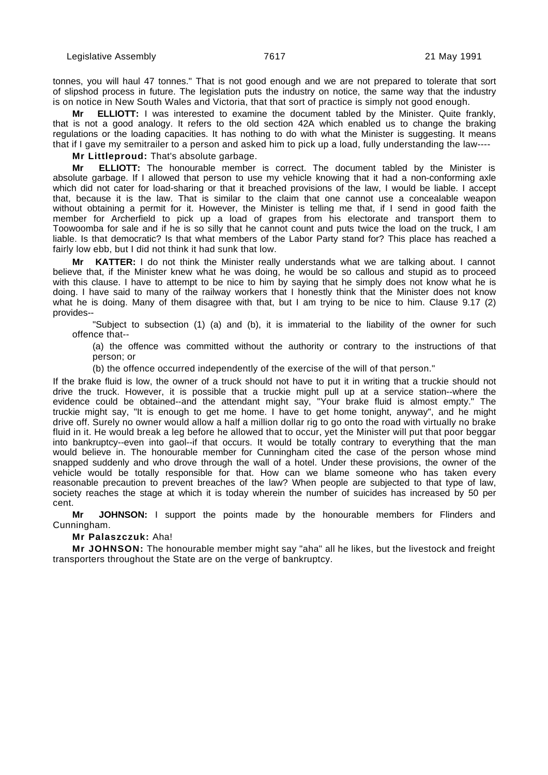tonnes, you will haul 47 tonnes." That is not good enough and we are not prepared to tolerate that sort of slipshod process in future. The legislation puts the industry on notice, the same way that the industry is on notice in New South Wales and Victoria, that that sort of practice is simply not good enough.

**Mr ELLIOTT:** I was interested to examine the document tabled by the Minister. Quite frankly, that is not a good analogy. It refers to the old section 42A which enabled us to change the braking regulations or the loading capacities. It has nothing to do with what the Minister is suggesting. It means that if I gave my semitrailer to a person and asked him to pick up a load, fully understanding the law----

**Mr Littleproud:** That's absolute garbage.

**Mr ELLIOTT:** The honourable member is correct. The document tabled by the Minister is absolute garbage. If I allowed that person to use my vehicle knowing that it had a non-conforming axle which did not cater for load-sharing or that it breached provisions of the law, I would be liable. I accept that, because it is the law. That is similar to the claim that one cannot use a concealable weapon without obtaining a permit for it. However, the Minister is telling me that, if I send in good faith the member for Archerfield to pick up a load of grapes from his electorate and transport them to Toowoomba for sale and if he is so silly that he cannot count and puts twice the load on the truck, I am liable. Is that democratic? Is that what members of the Labor Party stand for? This place has reached a fairly low ebb, but I did not think it had sunk that low.

**Mr KATTER:** I do not think the Minister really understands what we are talking about. I cannot believe that, if the Minister knew what he was doing, he would be so callous and stupid as to proceed with this clause. I have to attempt to be nice to him by saying that he simply does not know what he is doing. I have said to many of the railway workers that I honestly think that the Minister does not know what he is doing. Many of them disagree with that, but I am trying to be nice to him. Clause 9.17 (2) provides--

"Subject to subsection (1) (a) and (b), it is immaterial to the liability of the owner for such offence that--

(a) the offence was committed without the authority or contrary to the instructions of that person; or

(b) the offence occurred independently of the exercise of the will of that person."

If the brake fluid is low, the owner of a truck should not have to put it in writing that a truckie should not drive the truck. However, it is possible that a truckie might pull up at a service station--where the evidence could be obtained--and the attendant might say, "Your brake fluid is almost empty." The truckie might say, "It is enough to get me home. I have to get home tonight, anyway", and he might drive off. Surely no owner would allow a half a million dollar rig to go onto the road with virtually no brake fluid in it. He would break a leg before he allowed that to occur, yet the Minister will put that poor beggar into bankruptcy--even into gaol--if that occurs. It would be totally contrary to everything that the man would believe in. The honourable member for Cunningham cited the case of the person whose mind snapped suddenly and who drove through the wall of a hotel. Under these provisions, the owner of the vehicle would be totally responsible for that. How can we blame someone who has taken every reasonable precaution to prevent breaches of the law? When people are subjected to that type of law, society reaches the stage at which it is today wherein the number of suicides has increased by 50 per cent.

**Mr JOHNSON:** I support the points made by the honourable members for Flinders and Cunningham.

**Mr Palaszczuk:** Aha!

**Mr JOHNSON:** The honourable member might say "aha" all he likes, but the livestock and freight transporters throughout the State are on the verge of bankruptcy.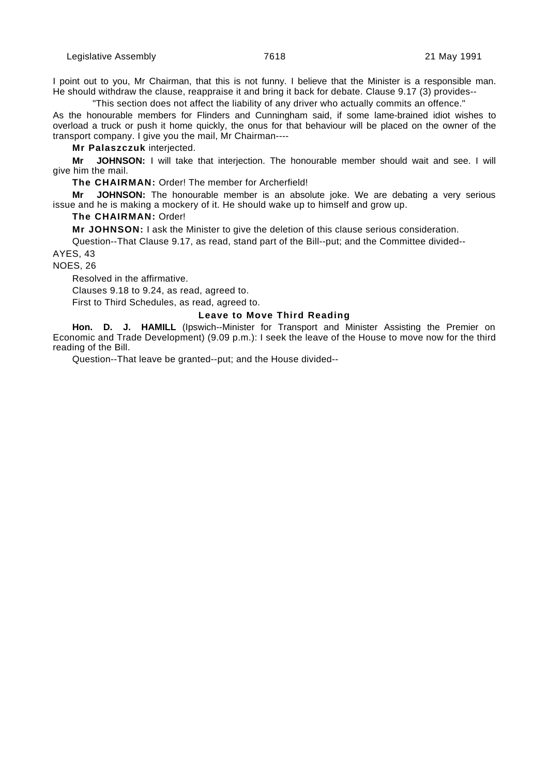I point out to you, Mr Chairman, that this is not funny. I believe that the Minister is a responsible man. He should withdraw the clause, reappraise it and bring it back for debate. Clause 9.17 (3) provides--

"This section does not affect the liability of any driver who actually commits an offence."

As the honourable members for Flinders and Cunningham said, if some lame-brained idiot wishes to overload a truck or push it home quickly, the onus for that behaviour will be placed on the owner of the transport company. I give you the mail, Mr Chairman----

**Mr Palaszczuk** interjected.

**Mr JOHNSON:** I will take that interjection. The honourable member should wait and see. I will give him the mail.

**The CHAIRMAN:** Order! The member for Archerfield!

**Mr JOHNSON:** The honourable member is an absolute joke. We are debating a very serious issue and he is making a mockery of it. He should wake up to himself and grow up.

## **The CHAIRMAN:** Order!

**Mr JOHNSON:** I ask the Minister to give the deletion of this clause serious consideration.

Question--That Clause 9.17, as read, stand part of the Bill--put; and the Committee divided-- AYES, 43

NOES, 26

Resolved in the affirmative.

Clauses 9.18 to 9.24, as read, agreed to.

First to Third Schedules, as read, agreed to.

## **Leave to Move Third Reading**

Hon. D. J. HAMILL (Ipswich--Minister for Transport and Minister Assisting the Premier on Economic and Trade Development) (9.09 p.m.): I seek the leave of the House to move now for the third reading of the Bill.

Question--That leave be granted--put; and the House divided--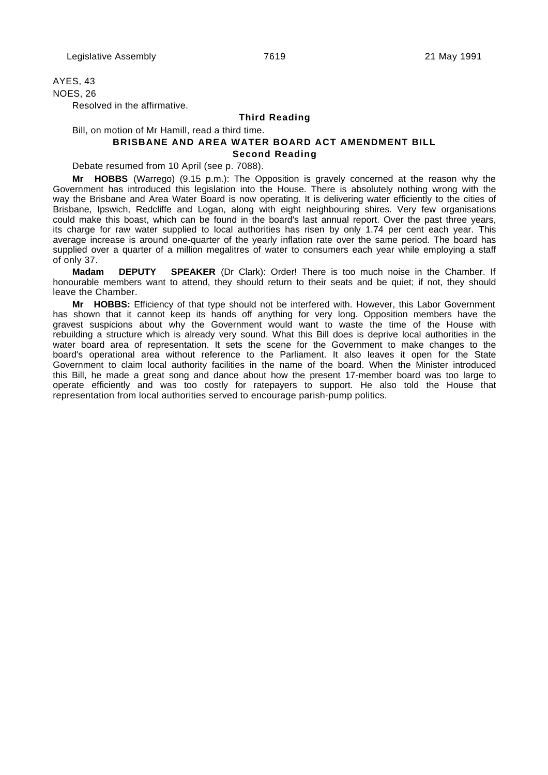# AYES, 43

NOES, 26

Resolved in the affirmative.

# **Third Reading**

Bill, on motion of Mr Hamill, read a third time.

# **BRISBANE AND AREA WATER BOARD ACT AMENDMENT BILL Second Reading**

Debate resumed from 10 April (see p. 7088).

**Mr HOBBS** (Warrego) (9.15 p.m.): The Opposition is gravely concerned at the reason why the Government has introduced this legislation into the House. There is absolutely nothing wrong with the way the Brisbane and Area Water Board is now operating. It is delivering water efficiently to the cities of Brisbane, Ipswich, Redcliffe and Logan, along with eight neighbouring shires. Very few organisations could make this boast, which can be found in the board's last annual report. Over the past three years, its charge for raw water supplied to local authorities has risen by only 1.74 per cent each year. This average increase is around one-quarter of the yearly inflation rate over the same period. The board has supplied over a quarter of a million megalitres of water to consumers each year while employing a staff of only 37.

**Madam DEPUTY SPEAKER** (Dr Clark): Order! There is too much noise in the Chamber. If honourable members want to attend, they should return to their seats and be quiet; if not, they should leave the Chamber.

**Mr HOBBS:** Efficiency of that type should not be interfered with. However, this Labor Government has shown that it cannot keep its hands off anything for very long. Opposition members have the gravest suspicions about why the Government would want to waste the time of the House with rebuilding a structure which is already very sound. What this Bill does is deprive local authorities in the water board area of representation. It sets the scene for the Government to make changes to the board's operational area without reference to the Parliament. It also leaves it open for the State Government to claim local authority facilities in the name of the board. When the Minister introduced this Bill, he made a great song and dance about how the present 17-member board was too large to operate efficiently and was too costly for ratepayers to support. He also told the House that representation from local authorities served to encourage parish-pump politics.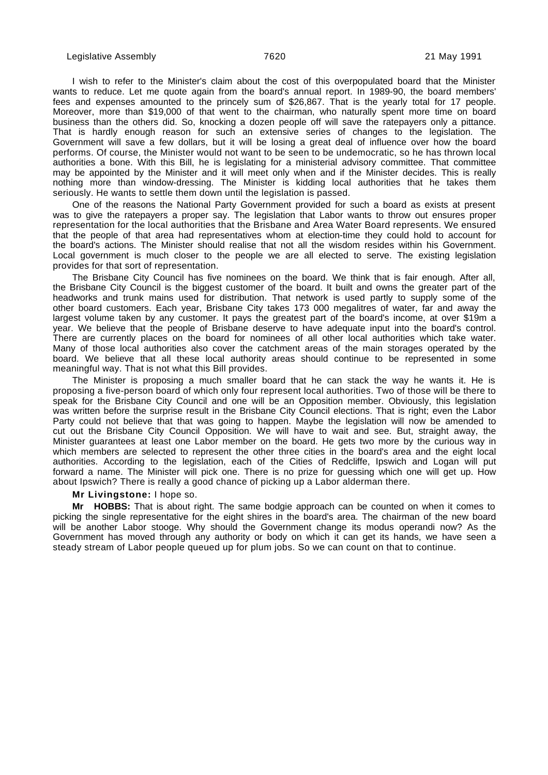I wish to refer to the Minister's claim about the cost of this overpopulated board that the Minister wants to reduce. Let me quote again from the board's annual report. In 1989-90, the board members' fees and expenses amounted to the princely sum of \$26,867. That is the yearly total for 17 people. Moreover, more than \$19,000 of that went to the chairman, who naturally spent more time on board business than the others did. So, knocking a dozen people off will save the ratepayers only a pittance. That is hardly enough reason for such an extensive series of changes to the legislation. The Government will save a few dollars, but it will be losing a great deal of influence over how the board performs. Of course, the Minister would not want to be seen to be undemocratic, so he has thrown local authorities a bone. With this Bill, he is legislating for a ministerial advisory committee. That committee may be appointed by the Minister and it will meet only when and if the Minister decides. This is really nothing more than window-dressing. The Minister is kidding local authorities that he takes them seriously. He wants to settle them down until the legislation is passed.

One of the reasons the National Party Government provided for such a board as exists at present was to give the ratepayers a proper say. The legislation that Labor wants to throw out ensures proper representation for the local authorities that the Brisbane and Area Water Board represents. We ensured that the people of that area had representatives whom at election-time they could hold to account for the board's actions. The Minister should realise that not all the wisdom resides within his Government. Local government is much closer to the people we are all elected to serve. The existing legislation provides for that sort of representation.

The Brisbane City Council has five nominees on the board. We think that is fair enough. After all, the Brisbane City Council is the biggest customer of the board. It built and owns the greater part of the headworks and trunk mains used for distribution. That network is used partly to supply some of the other board customers. Each year, Brisbane City takes 173 000 megalitres of water, far and away the largest volume taken by any customer. It pays the greatest part of the board's income, at over \$19m a year. We believe that the people of Brisbane deserve to have adequate input into the board's control. There are currently places on the board for nominees of all other local authorities which take water. Many of those local authorities also cover the catchment areas of the main storages operated by the board. We believe that all these local authority areas should continue to be represented in some meaningful way. That is not what this Bill provides.

The Minister is proposing a much smaller board that he can stack the way he wants it. He is proposing a five-person board of which only four represent local authorities. Two of those will be there to speak for the Brisbane City Council and one will be an Opposition member. Obviously, this legislation was written before the surprise result in the Brisbane City Council elections. That is right; even the Labor Party could not believe that that was going to happen. Maybe the legislation will now be amended to cut out the Brisbane City Council Opposition. We will have to wait and see. But, straight away, the Minister guarantees at least one Labor member on the board. He gets two more by the curious way in which members are selected to represent the other three cities in the board's area and the eight local authorities. According to the legislation, each of the Cities of Redcliffe, Ipswich and Logan will put forward a name. The Minister will pick one. There is no prize for guessing which one will get up. How about Ipswich? There is really a good chance of picking up a Labor alderman there.

#### **Mr Livingstone:** I hope so.

**Mr HOBBS:** That is about right. The same bodgie approach can be counted on when it comes to picking the single representative for the eight shires in the board's area. The chairman of the new board will be another Labor stooge. Why should the Government change its modus operandi now? As the Government has moved through any authority or body on which it can get its hands, we have seen a steady stream of Labor people queued up for plum jobs. So we can count on that to continue.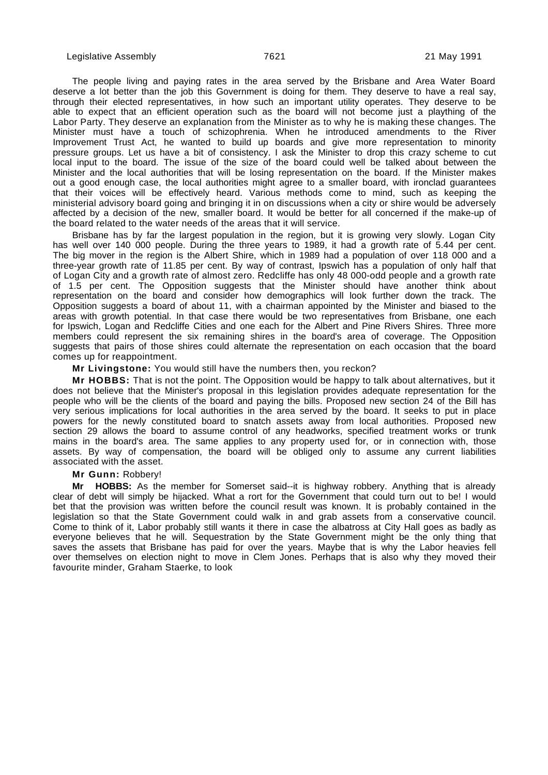The people living and paying rates in the area served by the Brisbane and Area Water Board deserve a lot better than the job this Government is doing for them. They deserve to have a real say, through their elected representatives, in how such an important utility operates. They deserve to be able to expect that an efficient operation such as the board will not become just a plaything of the Labor Party. They deserve an explanation from the Minister as to why he is making these changes. The Minister must have a touch of schizophrenia. When he introduced amendments to the River Improvement Trust Act, he wanted to build up boards and give more representation to minority pressure groups. Let us have a bit of consistency. I ask the Minister to drop this crazy scheme to cut local input to the board. The issue of the size of the board could well be talked about between the Minister and the local authorities that will be losing representation on the board. If the Minister makes out a good enough case, the local authorities might agree to a smaller board, with ironclad guarantees that their voices will be effectively heard. Various methods come to mind, such as keeping the ministerial advisory board going and bringing it in on discussions when a city or shire would be adversely affected by a decision of the new, smaller board. It would be better for all concerned if the make-up of the board related to the water needs of the areas that it will service.

Brisbane has by far the largest population in the region, but it is growing very slowly. Logan City has well over 140 000 people. During the three years to 1989, it had a growth rate of 5.44 per cent. The big mover in the region is the Albert Shire, which in 1989 had a population of over 118 000 and a three-year growth rate of 11.85 per cent. By way of contrast, Ipswich has a population of only half that of Logan City and a growth rate of almost zero. Redcliffe has only 48 000-odd people and a growth rate of 1.5 per cent. The Opposition suggests that the Minister should have another think about representation on the board and consider how demographics will look further down the track. The Opposition suggests a board of about 11, with a chairman appointed by the Minister and biased to the areas with growth potential. In that case there would be two representatives from Brisbane, one each for Ipswich, Logan and Redcliffe Cities and one each for the Albert and Pine Rivers Shires. Three more members could represent the six remaining shires in the board's area of coverage. The Opposition suggests that pairs of those shires could alternate the representation on each occasion that the board comes up for reappointment.

## **Mr Livingstone:** You would still have the numbers then, you reckon?

**Mr HOBBS:** That is not the point. The Opposition would be happy to talk about alternatives, but it does not believe that the Minister's proposal in this legislation provides adequate representation for the people who will be the clients of the board and paying the bills. Proposed new section 24 of the Bill has very serious implications for local authorities in the area served by the board. It seeks to put in place powers for the newly constituted board to snatch assets away from local authorities. Proposed new section 29 allows the board to assume control of any headworks, specified treatment works or trunk mains in the board's area. The same applies to any property used for, or in connection with, those assets. By way of compensation, the board will be obliged only to assume any current liabilities associated with the asset.

#### **Mr Gunn:** Robbery!

**Mr HOBBS:** As the member for Somerset said--it is highway robbery. Anything that is already clear of debt will simply be hijacked. What a rort for the Government that could turn out to be! I would bet that the provision was written before the council result was known. It is probably contained in the legislation so that the State Government could walk in and grab assets from a conservative council. Come to think of it, Labor probably still wants it there in case the albatross at City Hall goes as badly as everyone believes that he will. Sequestration by the State Government might be the only thing that saves the assets that Brisbane has paid for over the years. Maybe that is why the Labor heavies fell over themselves on election night to move in Clem Jones. Perhaps that is also why they moved their favourite minder, Graham Staerke, to look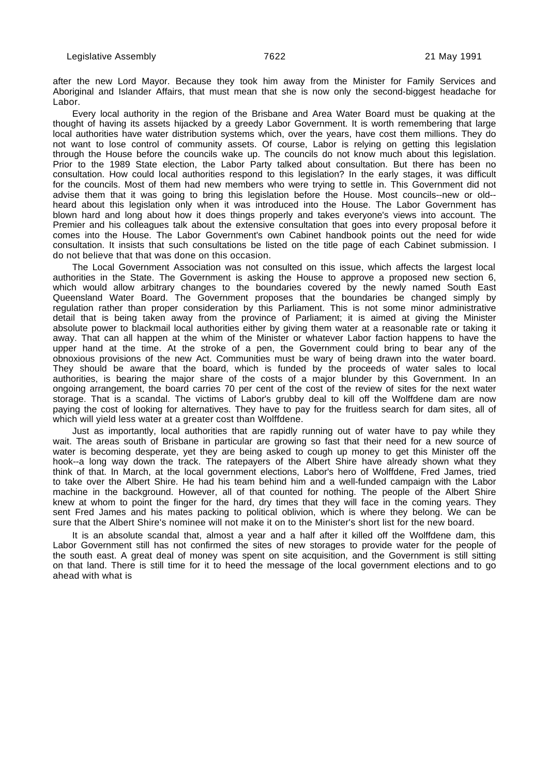after the new Lord Mayor. Because they took him away from the Minister for Family Services and Aboriginal and Islander Affairs, that must mean that she is now only the second-biggest headache for Labor.

Every local authority in the region of the Brisbane and Area Water Board must be quaking at the thought of having its assets hijacked by a greedy Labor Government. It is worth remembering that large local authorities have water distribution systems which, over the years, have cost them millions. They do not want to lose control of community assets. Of course, Labor is relying on getting this legislation through the House before the councils wake up. The councils do not know much about this legislation. Prior to the 1989 State election, the Labor Party talked about consultation. But there has been no consultation. How could local authorities respond to this legislation? In the early stages, it was difficult for the councils. Most of them had new members who were trying to settle in. This Government did not advise them that it was going to bring this legislation before the House. Most councils--new or old- heard about this legislation only when it was introduced into the House. The Labor Government has blown hard and long about how it does things properly and takes everyone's views into account. The Premier and his colleagues talk about the extensive consultation that goes into every proposal before it comes into the House. The Labor Government's own Cabinet handbook points out the need for wide consultation. It insists that such consultations be listed on the title page of each Cabinet submission. I do not believe that that was done on this occasion.

The Local Government Association was not consulted on this issue, which affects the largest local authorities in the State. The Government is asking the House to approve a proposed new section 6, which would allow arbitrary changes to the boundaries covered by the newly named South East Queensland Water Board. The Government proposes that the boundaries be changed simply by regulation rather than proper consideration by this Parliament. This is not some minor administrative detail that is being taken away from the province of Parliament; it is aimed at giving the Minister absolute power to blackmail local authorities either by giving them water at a reasonable rate or taking it away. That can all happen at the whim of the Minister or whatever Labor faction happens to have the upper hand at the time. At the stroke of a pen, the Government could bring to bear any of the obnoxious provisions of the new Act. Communities must be wary of being drawn into the water board. They should be aware that the board, which is funded by the proceeds of water sales to local authorities, is bearing the major share of the costs of a major blunder by this Government. In an ongoing arrangement, the board carries 70 per cent of the cost of the review of sites for the next water storage. That is a scandal. The victims of Labor's grubby deal to kill off the Wolffdene dam are now paying the cost of looking for alternatives. They have to pay for the fruitless search for dam sites, all of which will yield less water at a greater cost than Wolffdene.

Just as importantly, local authorities that are rapidly running out of water have to pay while they wait. The areas south of Brisbane in particular are growing so fast that their need for a new source of water is becoming desperate, yet they are being asked to cough up money to get this Minister off the hook--a long way down the track. The ratepayers of the Albert Shire have already shown what they think of that. In March, at the local government elections, Labor's hero of Wolffdene, Fred James, tried to take over the Albert Shire. He had his team behind him and a well-funded campaign with the Labor machine in the background. However, all of that counted for nothing. The people of the Albert Shire knew at whom to point the finger for the hard, dry times that they will face in the coming years. They sent Fred James and his mates packing to political oblivion, which is where they belong. We can be sure that the Albert Shire's nominee will not make it on to the Minister's short list for the new board.

It is an absolute scandal that, almost a year and a half after it killed off the Wolffdene dam, this Labor Government still has not confirmed the sites of new storages to provide water for the people of the south east. A great deal of money was spent on site acquisition, and the Government is still sitting on that land. There is still time for it to heed the message of the local government elections and to go ahead with what is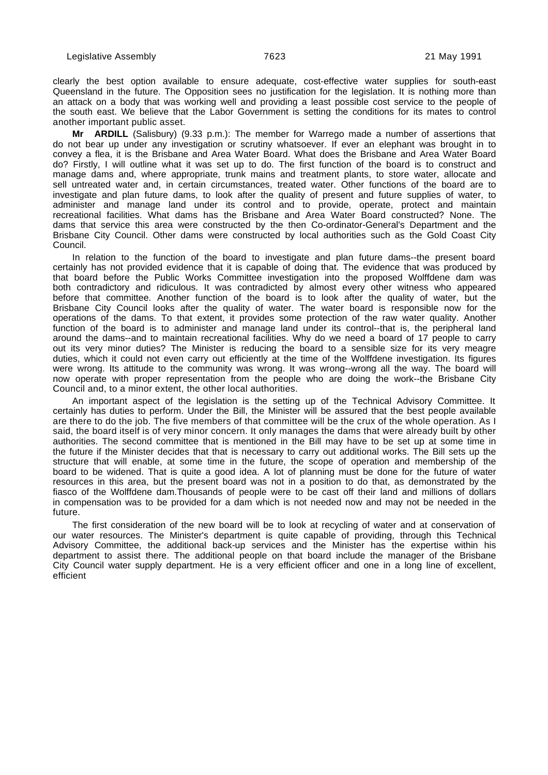clearly the best option available to ensure adequate, cost-effective water supplies for south-east Queensland in the future. The Opposition sees no justification for the legislation. It is nothing more than an attack on a body that was working well and providing a least possible cost service to the people of the south east. We believe that the Labor Government is setting the conditions for its mates to control another important public asset.

**Mr ARDILL** (Salisbury) (9.33 p.m.): The member for Warrego made a number of assertions that do not bear up under any investigation or scrutiny whatsoever. If ever an elephant was brought in to convey a flea, it is the Brisbane and Area Water Board. What does the Brisbane and Area Water Board do? Firstly, I will outline what it was set up to do. The first function of the board is to construct and manage dams and, where appropriate, trunk mains and treatment plants, to store water, allocate and sell untreated water and, in certain circumstances, treated water. Other functions of the board are to investigate and plan future dams, to look after the quality of present and future supplies of water, to administer and manage land under its control and to provide, operate, protect and maintain recreational facilities. What dams has the Brisbane and Area Water Board constructed? None. The dams that service this area were constructed by the then Co-ordinator-General's Department and the Brisbane City Council. Other dams were constructed by local authorities such as the Gold Coast City Council.

In relation to the function of the board to investigate and plan future dams--the present board certainly has not provided evidence that it is capable of doing that. The evidence that was produced by that board before the Public Works Committee investigation into the proposed Wolffdene dam was both contradictory and ridiculous. It was contradicted by almost every other witness who appeared before that committee. Another function of the board is to look after the quality of water, but the Brisbane City Council looks after the quality of water. The water board is responsible now for the operations of the dams. To that extent, it provides some protection of the raw water quality. Another function of the board is to administer and manage land under its control--that is, the peripheral land around the dams--and to maintain recreational facilities. Why do we need a board of 17 people to carry out its very minor duties? The Minister is reducing the board to a sensible size for its very meagre duties, which it could not even carry out efficiently at the time of the Wolffdene investigation. Its figures were wrong. Its attitude to the community was wrong. It was wrong--wrong all the way. The board will now operate with proper representation from the people who are doing the work--the Brisbane City Council and, to a minor extent, the other local authorities.

An important aspect of the legislation is the setting up of the Technical Advisory Committee. It certainly has duties to perform. Under the Bill, the Minister will be assured that the best people available are there to do the job. The five members of that committee will be the crux of the whole operation. As I said, the board itself is of very minor concern. It only manages the dams that were already built by other authorities. The second committee that is mentioned in the Bill may have to be set up at some time in the future if the Minister decides that that is necessary to carry out additional works. The Bill sets up the structure that will enable, at some time in the future, the scope of operation and membership of the board to be widened. That is quite a good idea. A lot of planning must be done for the future of water resources in this area, but the present board was not in a position to do that, as demonstrated by the fiasco of the Wolffdene dam.Thousands of people were to be cast off their land and millions of dollars in compensation was to be provided for a dam which is not needed now and may not be needed in the future.

The first consideration of the new board will be to look at recycling of water and at conservation of our water resources. The Minister's department is quite capable of providing, through this Technical Advisory Committee, the additional back-up services and the Minister has the expertise within his department to assist there. The additional people on that board include the manager of the Brisbane City Council water supply department. He is a very efficient officer and one in a long line of excellent, efficient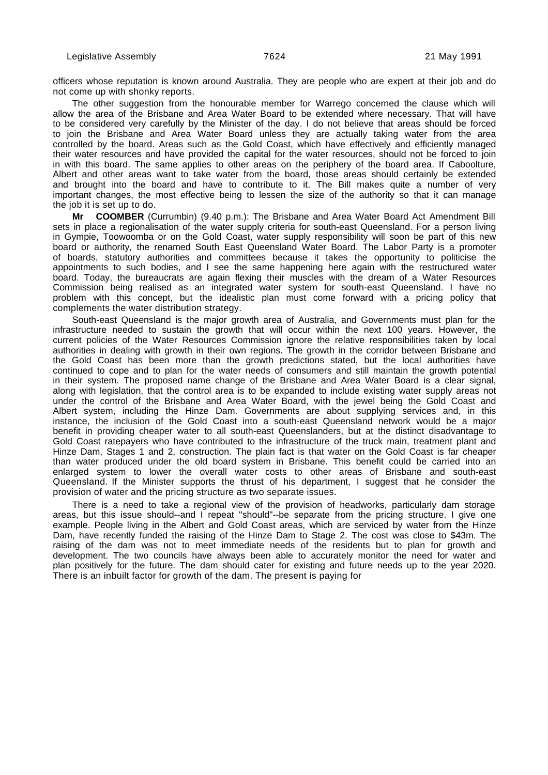officers whose reputation is known around Australia. They are people who are expert at their job and do not come up with shonky reports.

The other suggestion from the honourable member for Warrego concerned the clause which will allow the area of the Brisbane and Area Water Board to be extended where necessary. That will have to be considered very carefully by the Minister of the day. I do not believe that areas should be forced to join the Brisbane and Area Water Board unless they are actually taking water from the area controlled by the board. Areas such as the Gold Coast, which have effectively and efficiently managed their water resources and have provided the capital for the water resources, should not be forced to join in with this board. The same applies to other areas on the periphery of the board area. If Caboolture, Albert and other areas want to take water from the board, those areas should certainly be extended and brought into the board and have to contribute to it. The Bill makes quite a number of very important changes, the most effective being to lessen the size of the authority so that it can manage the job it is set up to do.

**Mr COOMBER** (Currumbin) (9.40 p.m.): The Brisbane and Area Water Board Act Amendment Bill sets in place a regionalisation of the water supply criteria for south-east Queensland. For a person living in Gympie, Toowoomba or on the Gold Coast, water supply responsibility will soon be part of this new board or authority, the renamed South East Queensland Water Board. The Labor Party is a promoter of boards, statutory authorities and committees because it takes the opportunity to politicise the appointments to such bodies, and I see the same happening here again with the restructured water board. Today, the bureaucrats are again flexing their muscles with the dream of a Water Resources Commission being realised as an integrated water system for south-east Queensland. I have no problem with this concept, but the idealistic plan must come forward with a pricing policy that complements the water distribution strategy.

South-east Queensland is the major growth area of Australia, and Governments must plan for the infrastructure needed to sustain the growth that will occur within the next 100 years. However, the current policies of the Water Resources Commission ignore the relative responsibilities taken by local authorities in dealing with growth in their own regions. The growth in the corridor between Brisbane and the Gold Coast has been more than the growth predictions stated, but the local authorities have continued to cope and to plan for the water needs of consumers and still maintain the growth potential in their system. The proposed name change of the Brisbane and Area Water Board is a clear signal, along with legislation, that the control area is to be expanded to include existing water supply areas not under the control of the Brisbane and Area Water Board, with the jewel being the Gold Coast and Albert system, including the Hinze Dam. Governments are about supplying services and, in this instance, the inclusion of the Gold Coast into a south-east Queensland network would be a major benefit in providing cheaper water to all south-east Queenslanders, but at the distinct disadvantage to Gold Coast ratepayers who have contributed to the infrastructure of the truck main, treatment plant and Hinze Dam, Stages 1 and 2, construction. The plain fact is that water on the Gold Coast is far cheaper than water produced under the old board system in Brisbane. This benefit could be carried into an enlarged system to lower the overall water costs to other areas of Brisbane and south-east Queensland. If the Minister supports the thrust of his department, I suggest that he consider the provision of water and the pricing structure as two separate issues.

There is a need to take a regional view of the provision of headworks, particularly dam storage areas, but this issue should--and I repeat "should"--be separate from the pricing structure. I give one example. People living in the Albert and Gold Coast areas, which are serviced by water from the Hinze Dam, have recently funded the raising of the Hinze Dam to Stage 2. The cost was close to \$43m. The raising of the dam was not to meet immediate needs of the residents but to plan for growth and development. The two councils have always been able to accurately monitor the need for water and plan positively for the future. The dam should cater for existing and future needs up to the year 2020. There is an inbuilt factor for growth of the dam. The present is paying for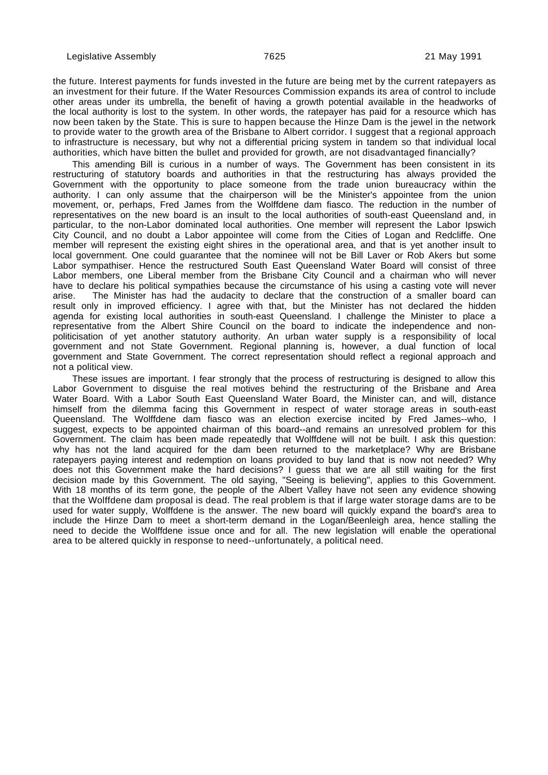the future. Interest payments for funds invested in the future are being met by the current ratepayers as an investment for their future. If the Water Resources Commission expands its area of control to include other areas under its umbrella, the benefit of having a growth potential available in the headworks of the local authority is lost to the system. In other words, the ratepayer has paid for a resource which has now been taken by the State. This is sure to happen because the Hinze Dam is the jewel in the network to provide water to the growth area of the Brisbane to Albert corridor. I suggest that a regional approach to infrastructure is necessary, but why not a differential pricing system in tandem so that individual local authorities, which have bitten the bullet and provided for growth, are not disadvantaged financially?

This amending Bill is curious in a number of ways. The Government has been consistent in its restructuring of statutory boards and authorities in that the restructuring has always provided the Government with the opportunity to place someone from the trade union bureaucracy within the authority. I can only assume that the chairperson will be the Minister's appointee from the union movement, or, perhaps, Fred James from the Wolffdene dam fiasco. The reduction in the number of representatives on the new board is an insult to the local authorities of south-east Queensland and, in particular, to the non-Labor dominated local authorities. One member will represent the Labor Ipswich City Council, and no doubt a Labor appointee will come from the Cities of Logan and Redcliffe. One member will represent the existing eight shires in the operational area, and that is yet another insult to local government. One could guarantee that the nominee will not be Bill Laver or Rob Akers but some Labor sympathiser. Hence the restructured South East Queensland Water Board will consist of three Labor members, one Liberal member from the Brisbane City Council and a chairman who will never have to declare his political sympathies because the circumstance of his using a casting vote will never<br>arise. The Minister has had the audacity to declare that the construction of a smaller board can The Minister has had the audacity to declare that the construction of a smaller board can result only in improved efficiency. I agree with that, but the Minister has not declared the hidden agenda for existing local authorities in south-east Queensland. I challenge the Minister to place a representative from the Albert Shire Council on the board to indicate the independence and nonpoliticisation of yet another statutory authority. An urban water supply is a responsibility of local government and not State Government. Regional planning is, however, a dual function of local government and State Government. The correct representation should reflect a regional approach and not a political view.

These issues are important. I fear strongly that the process of restructuring is designed to allow this Labor Government to disguise the real motives behind the restructuring of the Brisbane and Area Water Board. With a Labor South East Queensland Water Board, the Minister can, and will, distance himself from the dilemma facing this Government in respect of water storage areas in south-east Queensland. The Wolffdene dam fiasco was an election exercise incited by Fred James--who, I suggest, expects to be appointed chairman of this board--and remains an unresolved problem for this Government. The claim has been made repeatedly that Wolffdene will not be built. I ask this question: why has not the land acquired for the dam been returned to the marketplace? Why are Brisbane ratepayers paying interest and redemption on loans provided to buy land that is now not needed? Why does not this Government make the hard decisions? I guess that we are all still waiting for the first decision made by this Government. The old saying, "Seeing is believing", applies to this Government. With 18 months of its term gone, the people of the Albert Valley have not seen any evidence showing that the Wolffdene dam proposal is dead. The real problem is that if large water storage dams are to be used for water supply, Wolffdene is the answer. The new board will quickly expand the board's area to include the Hinze Dam to meet a short-term demand in the Logan/Beenleigh area, hence stalling the need to decide the Wolffdene issue once and for all. The new legislation will enable the operational area to be altered quickly in response to need--unfortunately, a political need.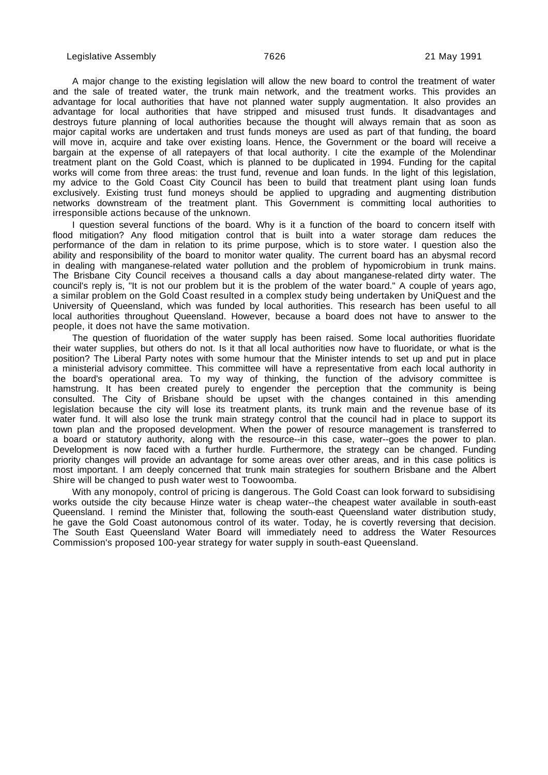A major change to the existing legislation will allow the new board to control the treatment of water and the sale of treated water, the trunk main network, and the treatment works. This provides an advantage for local authorities that have not planned water supply augmentation. It also provides an advantage for local authorities that have stripped and misused trust funds. It disadvantages and destroys future planning of local authorities because the thought will always remain that as soon as major capital works are undertaken and trust funds moneys are used as part of that funding, the board will move in, acquire and take over existing loans. Hence, the Government or the board will receive a bargain at the expense of all ratepayers of that local authority. I cite the example of the Molendinar treatment plant on the Gold Coast, which is planned to be duplicated in 1994. Funding for the capital works will come from three areas: the trust fund, revenue and loan funds. In the light of this legislation, my advice to the Gold Coast City Council has been to build that treatment plant using loan funds exclusively. Existing trust fund moneys should be applied to upgrading and augmenting distribution networks downstream of the treatment plant. This Government is committing local authorities to irresponsible actions because of the unknown.

I question several functions of the board. Why is it a function of the board to concern itself with flood mitigation? Any flood mitigation control that is built into a water storage dam reduces the performance of the dam in relation to its prime purpose, which is to store water. I question also the ability and responsibility of the board to monitor water quality. The current board has an abysmal record in dealing with manganese-related water pollution and the problem of hypomicrobium in trunk mains. The Brisbane City Council receives a thousand calls a day about manganese-related dirty water. The council's reply is, "It is not our problem but it is the problem of the water board." A couple of years ago, a similar problem on the Gold Coast resulted in a complex study being undertaken by UniQuest and the University of Queensland, which was funded by local authorities. This research has been useful to all local authorities throughout Queensland. However, because a board does not have to answer to the people, it does not have the same motivation.

The question of fluoridation of the water supply has been raised. Some local authorities fluoridate their water supplies, but others do not. Is it that all local authorities now have to fluoridate, or what is the position? The Liberal Party notes with some humour that the Minister intends to set up and put in place a ministerial advisory committee. This committee will have a representative from each local authority in the board's operational area. To my way of thinking, the function of the advisory committee is hamstrung. It has been created purely to engender the perception that the community is being consulted. The City of Brisbane should be upset with the changes contained in this amending legislation because the city will lose its treatment plants, its trunk main and the revenue base of its water fund. It will also lose the trunk main strategy control that the council had in place to support its town plan and the proposed development. When the power of resource management is transferred to a board or statutory authority, along with the resource--in this case, water--goes the power to plan. Development is now faced with a further hurdle. Furthermore, the strategy can be changed. Funding priority changes will provide an advantage for some areas over other areas, and in this case politics is most important. I am deeply concerned that trunk main strategies for southern Brisbane and the Albert Shire will be changed to push water west to Toowoomba.

With any monopoly, control of pricing is dangerous. The Gold Coast can look forward to subsidising works outside the city because Hinze water is cheap water--the cheapest water available in south-east Queensland. I remind the Minister that, following the south-east Queensland water distribution study, he gave the Gold Coast autonomous control of its water. Today, he is covertly reversing that decision. The South East Queensland Water Board will immediately need to address the Water Resources Commission's proposed 100-year strategy for water supply in south-east Queensland.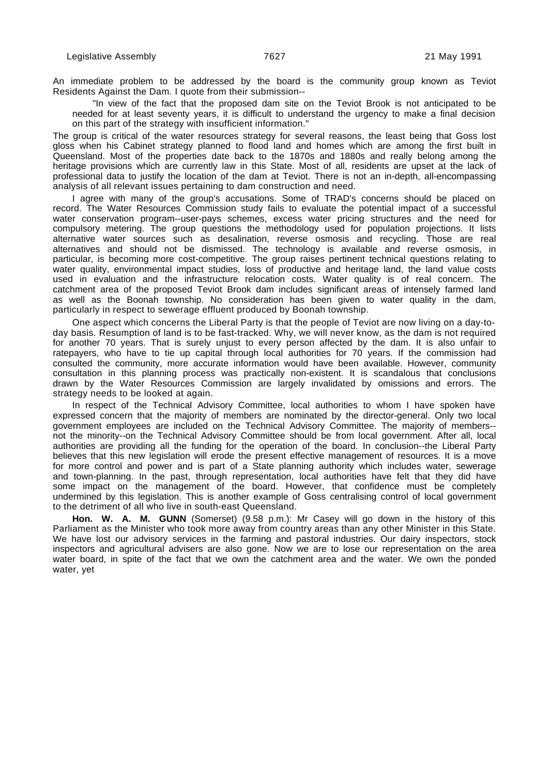An immediate problem to be addressed by the board is the community group known as Teviot Residents Against the Dam. I quote from their submission--

"In view of the fact that the proposed dam site on the Teviot Brook is not anticipated to be needed for at least seventy years, it is difficult to understand the urgency to make a final decision on this part of the strategy with insufficient information."

The group is critical of the water resources strategy for several reasons, the least being that Goss lost gloss when his Cabinet strategy planned to flood land and homes which are among the first built in Queensland. Most of the properties date back to the 1870s and 1880s and really belong among the heritage provisions which are currently law in this State. Most of all, residents are upset at the lack of professional data to justify the location of the dam at Teviot. There is not an in-depth, all-encompassing analysis of all relevant issues pertaining to dam construction and need.

I agree with many of the group's accusations. Some of TRAD's concerns should be placed on record. The Water Resources Commission study fails to evaluate the potential impact of a successful water conservation program--user-pays schemes, excess water pricing structures and the need for compulsory metering. The group questions the methodology used for population projections. It lists alternative water sources such as desalination, reverse osmosis and recycling. Those are real alternatives and should not be dismissed. The technology is available and reverse osmosis, in particular, is becoming more cost-competitive. The group raises pertinent technical questions relating to water quality, environmental impact studies, loss of productive and heritage land, the land value costs used in evaluation and the infrastructure relocation costs. Water quality is of real concern. The catchment area of the proposed Teviot Brook dam includes significant areas of intensely farmed land as well as the Boonah township. No consideration has been given to water quality in the dam, particularly in respect to sewerage effluent produced by Boonah township.

One aspect which concerns the Liberal Party is that the people of Teviot are now living on a day-today basis. Resumption of land is to be fast-tracked. Why, we will never know, as the dam is not required for another 70 years. That is surely unjust to every person affected by the dam. It is also unfair to ratepayers, who have to tie up capital through local authorities for 70 years. If the commission had consulted the community, more accurate information would have been available. However, community consultation in this planning process was practically non-existent. It is scandalous that conclusions drawn by the Water Resources Commission are largely invalidated by omissions and errors. The strategy needs to be looked at again.

In respect of the Technical Advisory Committee, local authorities to whom I have spoken have expressed concern that the majority of members are nominated by the director-general. Only two local government employees are included on the Technical Advisory Committee. The majority of members- not the minority--on the Technical Advisory Committee should be from local government. After all, local authorities are providing all the funding for the operation of the board. In conclusion--the Liberal Party believes that this new legislation will erode the present effective management of resources. It is a move for more control and power and is part of a State planning authority which includes water, sewerage and town-planning. In the past, through representation, local authorities have felt that they did have some impact on the management of the board. However, that confidence must be completely undermined by this legislation. This is another example of Goss centralising control of local government to the detriment of all who live in south-east Queensland.

**Hon. W. A. M. GUNN** (Somerset) (9.58 p.m.): Mr Casey will go down in the history of this Parliament as the Minister who took more away from country areas than any other Minister in this State. We have lost our advisory services in the farming and pastoral industries. Our dairy inspectors, stock inspectors and agricultural advisers are also gone. Now we are to lose our representation on the area water board, in spite of the fact that we own the catchment area and the water. We own the ponded water, yet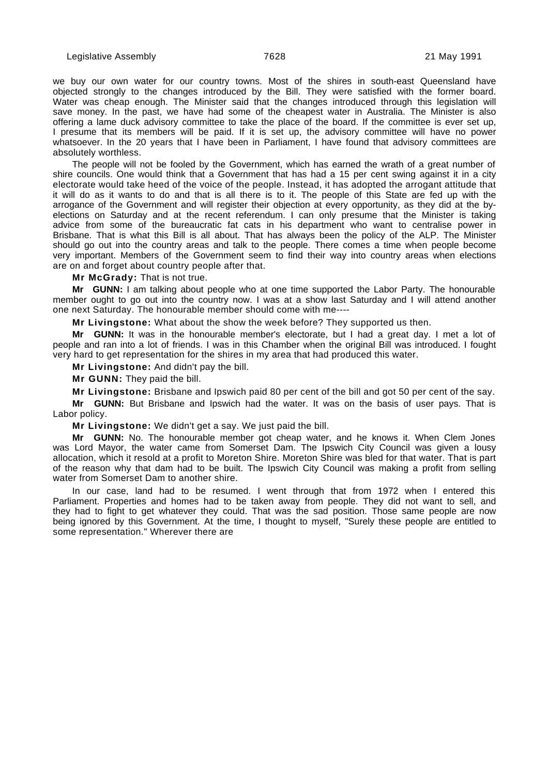we buy our own water for our country towns. Most of the shires in south-east Queensland have objected strongly to the changes introduced by the Bill. They were satisfied with the former board. Water was cheap enough. The Minister said that the changes introduced through this legislation will save money. In the past, we have had some of the cheapest water in Australia. The Minister is also offering a lame duck advisory committee to take the place of the board. If the committee is ever set up, I presume that its members will be paid. If it is set up, the advisory committee will have no power whatsoever. In the 20 years that I have been in Parliament, I have found that advisory committees are absolutely worthless.

The people will not be fooled by the Government, which has earned the wrath of a great number of shire councils. One would think that a Government that has had a 15 per cent swing against it in a city electorate would take heed of the voice of the people. Instead, it has adopted the arrogant attitude that it will do as it wants to do and that is all there is to it. The people of this State are fed up with the arrogance of the Government and will register their objection at every opportunity, as they did at the byelections on Saturday and at the recent referendum. I can only presume that the Minister is taking advice from some of the bureaucratic fat cats in his department who want to centralise power in Brisbane. That is what this Bill is all about. That has always been the policy of the ALP. The Minister should go out into the country areas and talk to the people. There comes a time when people become very important. Members of the Government seem to find their way into country areas when elections are on and forget about country people after that.

**Mr McGrady:** That is not true.

**Mr GUNN:** I am talking about people who at one time supported the Labor Party. The honourable member ought to go out into the country now. I was at a show last Saturday and I will attend another one next Saturday. The honourable member should come with me----

**Mr Livingstone:** What about the show the week before? They supported us then.

**Mr GUNN:** It was in the honourable member's electorate, but I had a great day. I met a lot of people and ran into a lot of friends. I was in this Chamber when the original Bill was introduced. I fought very hard to get representation for the shires in my area that had produced this water.

**Mr Livingstone:** And didn't pay the bill.

**Mr GUNN:** They paid the bill.

**Mr Livingstone:** Brisbane and Ipswich paid 80 per cent of the bill and got 50 per cent of the say.

**Mr GUNN:** But Brisbane and Ipswich had the water. It was on the basis of user pays. That is Labor policy.

**Mr Livingstone:** We didn't get a say. We just paid the bill.

**Mr GUNN:** No. The honourable member got cheap water, and he knows it. When Clem Jones was Lord Mayor, the water came from Somerset Dam. The Ipswich City Council was given a lousy allocation, which it resold at a profit to Moreton Shire. Moreton Shire was bled for that water. That is part of the reason why that dam had to be built. The Ipswich City Council was making a profit from selling water from Somerset Dam to another shire.

In our case, land had to be resumed. I went through that from 1972 when I entered this Parliament. Properties and homes had to be taken away from people. They did not want to sell, and they had to fight to get whatever they could. That was the sad position. Those same people are now being ignored by this Government. At the time, I thought to myself, "Surely these people are entitled to some representation." Wherever there are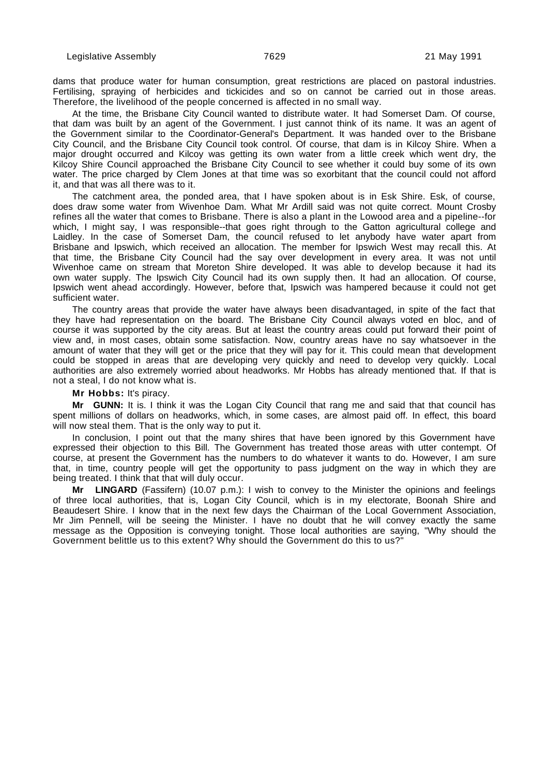dams that produce water for human consumption, great restrictions are placed on pastoral industries. Fertilising, spraying of herbicides and tickicides and so on cannot be carried out in those areas. Therefore, the livelihood of the people concerned is affected in no small way.

At the time, the Brisbane City Council wanted to distribute water. It had Somerset Dam. Of course, that dam was built by an agent of the Government. I just cannot think of its name. It was an agent of the Government similar to the Coordinator-General's Department. It was handed over to the Brisbane City Council, and the Brisbane City Council took control. Of course, that dam is in Kilcoy Shire. When a major drought occurred and Kilcoy was getting its own water from a little creek which went dry, the Kilcoy Shire Council approached the Brisbane City Council to see whether it could buy some of its own water. The price charged by Clem Jones at that time was so exorbitant that the council could not afford it, and that was all there was to it.

The catchment area, the ponded area, that I have spoken about is in Esk Shire. Esk, of course, does draw some water from Wivenhoe Dam. What Mr Ardill said was not quite correct. Mount Crosby refines all the water that comes to Brisbane. There is also a plant in the Lowood area and a pipeline--for which, I might say, I was responsible--that goes right through to the Gatton agricultural college and Laidley. In the case of Somerset Dam, the council refused to let anybody have water apart from Brisbane and Ipswich, which received an allocation. The member for Ipswich West may recall this. At that time, the Brisbane City Council had the say over development in every area. It was not until Wivenhoe came on stream that Moreton Shire developed. It was able to develop because it had its own water supply. The Ipswich City Council had its own supply then. It had an allocation. Of course, Ipswich went ahead accordingly. However, before that, Ipswich was hampered because it could not get sufficient water.

The country areas that provide the water have always been disadvantaged, in spite of the fact that they have had representation on the board. The Brisbane City Council always voted en bloc, and of course it was supported by the city areas. But at least the country areas could put forward their point of view and, in most cases, obtain some satisfaction. Now, country areas have no say whatsoever in the amount of water that they will get or the price that they will pay for it. This could mean that development could be stopped in areas that are developing very quickly and need to develop very quickly. Local authorities are also extremely worried about headworks. Mr Hobbs has already mentioned that. If that is not a steal, I do not know what is.

#### **Mr Hobbs:** It's piracy.

**Mr GUNN:** It is. I think it was the Logan City Council that rang me and said that that council has spent millions of dollars on headworks, which, in some cases, are almost paid off. In effect, this board will now steal them. That is the only way to put it.

In conclusion, I point out that the many shires that have been ignored by this Government have expressed their objection to this Bill. The Government has treated those areas with utter contempt. Of course, at present the Government has the numbers to do whatever it wants to do. However, I am sure that, in time, country people will get the opportunity to pass judgment on the way in which they are being treated. I think that that will duly occur.

**Mr LINGARD** (Fassifern) (10.07 p.m.): I wish to convey to the Minister the opinions and feelings of three local authorities, that is, Logan City Council, which is in my electorate, Boonah Shire and Beaudesert Shire. I know that in the next few days the Chairman of the Local Government Association, Mr Jim Pennell, will be seeing the Minister. I have no doubt that he will convey exactly the same message as the Opposition is conveying tonight. Those local authorities are saying, "Why should the Government belittle us to this extent? Why should the Government do this to us?"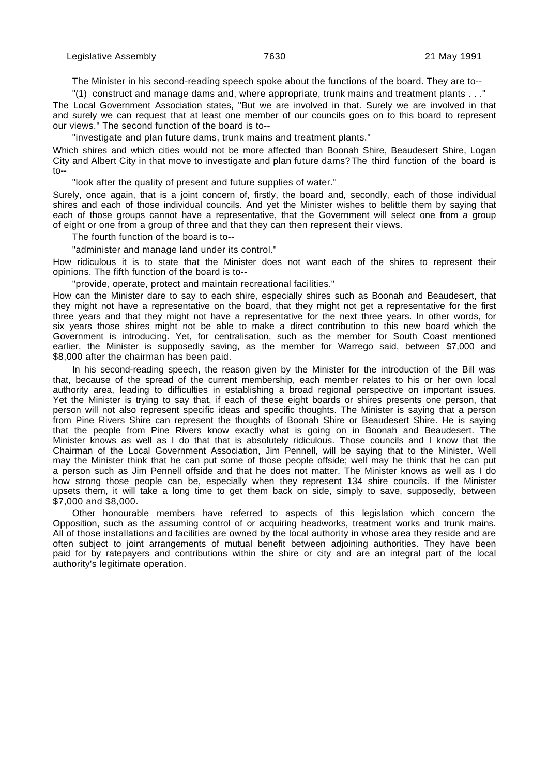The Minister in his second-reading speech spoke about the functions of the board. They are to--

"(1) construct and manage dams and, where appropriate, trunk mains and treatment plants . . ."

The Local Government Association states, "But we are involved in that. Surely we are involved in that and surely we can request that at least one member of our councils goes on to this board to represent our views." The second function of the board is to--

"investigate and plan future dams, trunk mains and treatment plants."

Which shires and which cities would not be more affected than Boonah Shire, Beaudesert Shire, Logan City and Albert City in that move to investigate and plan future dams?The third function of the board is to--

"look after the quality of present and future supplies of water."

Surely, once again, that is a joint concern of, firstly, the board and, secondly, each of those individual shires and each of those individual councils. And yet the Minister wishes to belittle them by saying that each of those groups cannot have a representative, that the Government will select one from a group of eight or one from a group of three and that they can then represent their views.

The fourth function of the board is to--

"administer and manage land under its control."

How ridiculous it is to state that the Minister does not want each of the shires to represent their opinions. The fifth function of the board is to--

"provide, operate, protect and maintain recreational facilities."

How can the Minister dare to say to each shire, especially shires such as Boonah and Beaudesert, that they might not have a representative on the board, that they might not get a representative for the first three years and that they might not have a representative for the next three years. In other words, for six years those shires might not be able to make a direct contribution to this new board which the Government is introducing. Yet, for centralisation, such as the member for South Coast mentioned earlier, the Minister is supposedly saving, as the member for Warrego said, between \$7,000 and \$8,000 after the chairman has been paid.

In his second-reading speech, the reason given by the Minister for the introduction of the Bill was that, because of the spread of the current membership, each member relates to his or her own local authority area, leading to difficulties in establishing a broad regional perspective on important issues. Yet the Minister is trying to say that, if each of these eight boards or shires presents one person, that person will not also represent specific ideas and specific thoughts. The Minister is saying that a person from Pine Rivers Shire can represent the thoughts of Boonah Shire or Beaudesert Shire. He is saying that the people from Pine Rivers know exactly what is going on in Boonah and Beaudesert. The Minister knows as well as I do that that is absolutely ridiculous. Those councils and I know that the Chairman of the Local Government Association, Jim Pennell, will be saying that to the Minister. Well may the Minister think that he can put some of those people offside; well may he think that he can put a person such as Jim Pennell offside and that he does not matter. The Minister knows as well as I do how strong those people can be, especially when they represent 134 shire councils. If the Minister upsets them, it will take a long time to get them back on side, simply to save, supposedly, between \$7,000 and \$8,000.

Other honourable members have referred to aspects of this legislation which concern the Opposition, such as the assuming control of or acquiring headworks, treatment works and trunk mains. All of those installations and facilities are owned by the local authority in whose area they reside and are often subject to joint arrangements of mutual benefit between adjoining authorities. They have been paid for by ratepayers and contributions within the shire or city and are an integral part of the local authority's legitimate operation.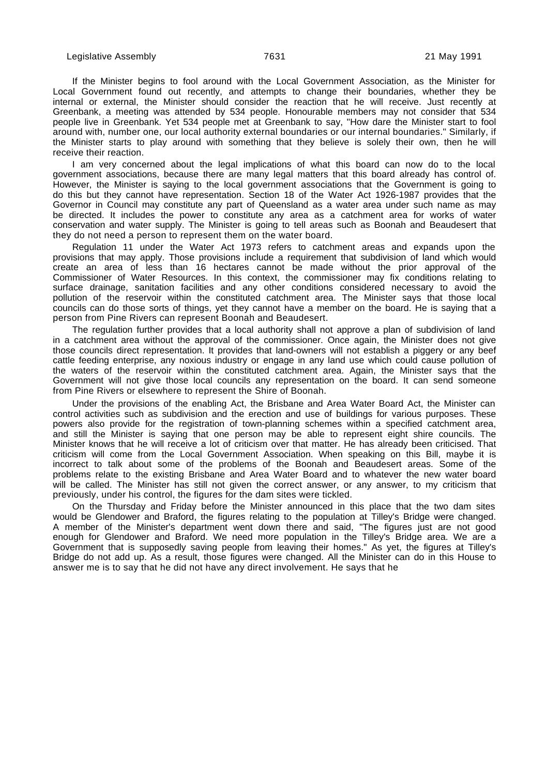If the Minister begins to fool around with the Local Government Association, as the Minister for Local Government found out recently, and attempts to change their boundaries, whether they be internal or external, the Minister should consider the reaction that he will receive. Just recently at Greenbank, a meeting was attended by 534 people. Honourable members may not consider that 534 people live in Greenbank. Yet 534 people met at Greenbank to say, "How dare the Minister start to fool around with, number one, our local authority external boundaries or our internal boundaries." Similarly, if the Minister starts to play around with something that they believe is solely their own, then he will receive their reaction.

I am very concerned about the legal implications of what this board can now do to the local government associations, because there are many legal matters that this board already has control of. However, the Minister is saying to the local government associations that the Government is going to do this but they cannot have representation. Section 18 of the Water Act 1926-1987 provides that the Governor in Council may constitute any part of Queensland as a water area under such name as may be directed. It includes the power to constitute any area as a catchment area for works of water conservation and water supply. The Minister is going to tell areas such as Boonah and Beaudesert that they do not need a person to represent them on the water board.

Regulation 11 under the Water Act 1973 refers to catchment areas and expands upon the provisions that may apply. Those provisions include a requirement that subdivision of land which would create an area of less than 16 hectares cannot be made without the prior approval of the Commissioner of Water Resources. In this context, the commissioner may fix conditions relating to surface drainage, sanitation facilities and any other conditions considered necessary to avoid the pollution of the reservoir within the constituted catchment area. The Minister says that those local councils can do those sorts of things, yet they cannot have a member on the board. He is saying that a person from Pine Rivers can represent Boonah and Beaudesert.

The regulation further provides that a local authority shall not approve a plan of subdivision of land in a catchment area without the approval of the commissioner. Once again, the Minister does not give those councils direct representation. It provides that land-owners will not establish a piggery or any beef cattle feeding enterprise, any noxious industry or engage in any land use which could cause pollution of the waters of the reservoir within the constituted catchment area. Again, the Minister says that the Government will not give those local councils any representation on the board. It can send someone from Pine Rivers or elsewhere to represent the Shire of Boonah.

Under the provisions of the enabling Act, the Brisbane and Area Water Board Act, the Minister can control activities such as subdivision and the erection and use of buildings for various purposes. These powers also provide for the registration of town-planning schemes within a specified catchment area, and still the Minister is saying that one person may be able to represent eight shire councils. The Minister knows that he will receive a lot of criticism over that matter. He has already been criticised. That criticism will come from the Local Government Association. When speaking on this Bill, maybe it is incorrect to talk about some of the problems of the Boonah and Beaudesert areas. Some of the problems relate to the existing Brisbane and Area Water Board and to whatever the new water board will be called. The Minister has still not given the correct answer, or any answer, to my criticism that previously, under his control, the figures for the dam sites were tickled.

On the Thursday and Friday before the Minister announced in this place that the two dam sites would be Glendower and Braford, the figures relating to the population at Tilley's Bridge were changed. A member of the Minister's department went down there and said, "The figures just are not good enough for Glendower and Braford. We need more population in the Tilley's Bridge area. We are a Government that is supposedly saving people from leaving their homes." As yet, the figures at Tilley's Bridge do not add up. As a result, those figures were changed. All the Minister can do in this House to answer me is to say that he did not have any direct involvement. He says that he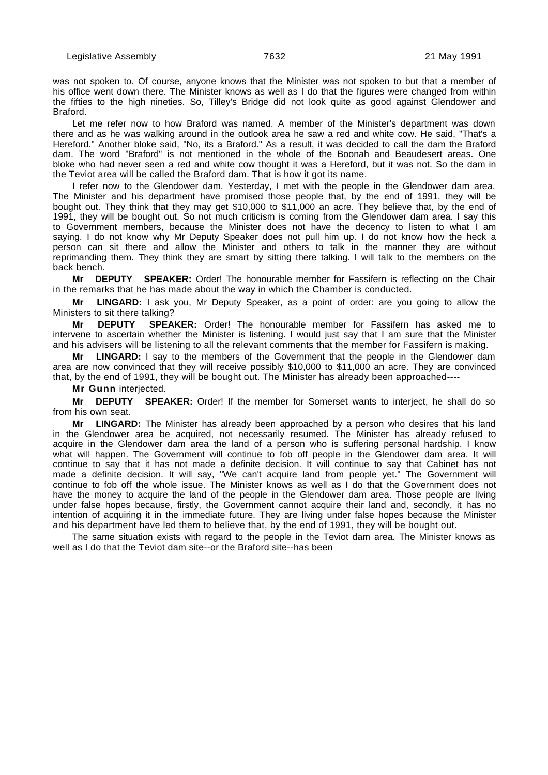was not spoken to. Of course, anyone knows that the Minister was not spoken to but that a member of his office went down there. The Minister knows as well as I do that the figures were changed from within the fifties to the high nineties. So, Tilley's Bridge did not look quite as good against Glendower and Braford.

Let me refer now to how Braford was named. A member of the Minister's department was down there and as he was walking around in the outlook area he saw a red and white cow. He said, "That's a Hereford." Another bloke said, "No, its a Braford." As a result, it was decided to call the dam the Braford dam. The word "Braford" is not mentioned in the whole of the Boonah and Beaudesert areas. One bloke who had never seen a red and white cow thought it was a Hereford, but it was not. So the dam in the Teviot area will be called the Braford dam. That is how it got its name.

I refer now to the Glendower dam. Yesterday, I met with the people in the Glendower dam area. The Minister and his department have promised those people that, by the end of 1991, they will be bought out. They think that they may get \$10,000 to \$11,000 an acre. They believe that, by the end of 1991, they will be bought out. So not much criticism is coming from the Glendower dam area. I say this to Government members, because the Minister does not have the decency to listen to what I am saying. I do not know why Mr Deputy Speaker does not pull him up. I do not know how the heck a person can sit there and allow the Minister and others to talk in the manner they are without reprimanding them. They think they are smart by sitting there talking. I will talk to the members on the back bench.

**Mr DEPUTY SPEAKER:** Order! The honourable member for Fassifern is reflecting on the Chair in the remarks that he has made about the way in which the Chamber is conducted.

**Mr LINGARD:** I ask you, Mr Deputy Speaker, as a point of order: are you going to allow the Ministers to sit there talking?

**Mr DEPUTY SPEAKER:** Order! The honourable member for Fassifern has asked me to intervene to ascertain whether the Minister is listening. I would just say that I am sure that the Minister and his advisers will be listening to all the relevant comments that the member for Fassifern is making.

**Mr LINGARD:** I say to the members of the Government that the people in the Glendower dam area are now convinced that they will receive possibly \$10,000 to \$11,000 an acre. They are convinced that, by the end of 1991, they will be bought out. The Minister has already been approached----

**Mr Gunn** interjected.

**Mr DEPUTY SPEAKER:** Order! If the member for Somerset wants to interject, he shall do so from his own seat.

**Mr LINGARD:** The Minister has already been approached by a person who desires that his land in the Glendower area be acquired, not necessarily resumed. The Minister has already refused to acquire in the Glendower dam area the land of a person who is suffering personal hardship. I know what will happen. The Government will continue to fob off people in the Glendower dam area. It will continue to say that it has not made a definite decision. It will continue to say that Cabinet has not made a definite decision. It will say, "We can't acquire land from people yet." The Government will continue to fob off the whole issue. The Minister knows as well as I do that the Government does not have the money to acquire the land of the people in the Glendower dam area. Those people are living under false hopes because, firstly, the Government cannot acquire their land and, secondly, it has no intention of acquiring it in the immediate future. They are living under false hopes because the Minister and his department have led them to believe that, by the end of 1991, they will be bought out.

The same situation exists with regard to the people in the Teviot dam area. The Minister knows as well as I do that the Teviot dam site--or the Braford site--has been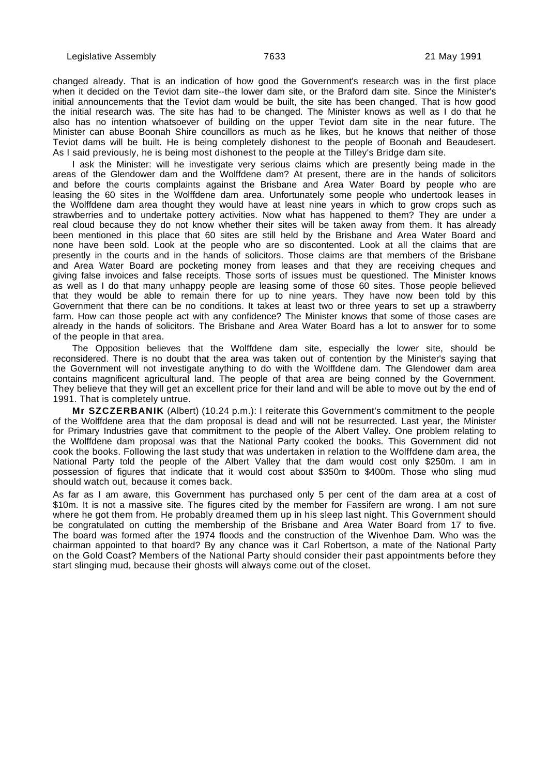changed already. That is an indication of how good the Government's research was in the first place when it decided on the Teviot dam site--the lower dam site, or the Braford dam site. Since the Minister's initial announcements that the Teviot dam would be built, the site has been changed. That is how good the initial research was. The site has had to be changed. The Minister knows as well as I do that he also has no intention whatsoever of building on the upper Teviot dam site in the near future. The Minister can abuse Boonah Shire councillors as much as he likes, but he knows that neither of those Teviot dams will be built. He is being completely dishonest to the people of Boonah and Beaudesert. As I said previously, he is being most dishonest to the people at the Tilley's Bridge dam site.

I ask the Minister: will he investigate very serious claims which are presently being made in the areas of the Glendower dam and the Wolffdene dam? At present, there are in the hands of solicitors and before the courts complaints against the Brisbane and Area Water Board by people who are leasing the 60 sites in the Wolffdene dam area. Unfortunately some people who undertook leases in the Wolffdene dam area thought they would have at least nine years in which to grow crops such as strawberries and to undertake pottery activities. Now what has happened to them? They are under a real cloud because they do not know whether their sites will be taken away from them. It has already been mentioned in this place that 60 sites are still held by the Brisbane and Area Water Board and none have been sold. Look at the people who are so discontented. Look at all the claims that are presently in the courts and in the hands of solicitors. Those claims are that members of the Brisbane and Area Water Board are pocketing money from leases and that they are receiving cheques and giving false invoices and false receipts. Those sorts of issues must be questioned. The Minister knows as well as I do that many unhappy people are leasing some of those 60 sites. Those people believed that they would be able to remain there for up to nine years. They have now been told by this Government that there can be no conditions. It takes at least two or three years to set up a strawberry farm. How can those people act with any confidence? The Minister knows that some of those cases are already in the hands of solicitors. The Brisbane and Area Water Board has a lot to answer for to some of the people in that area.

The Opposition believes that the Wolffdene dam site, especially the lower site, should be reconsidered. There is no doubt that the area was taken out of contention by the Minister's saying that the Government will not investigate anything to do with the Wolffdene dam. The Glendower dam area contains magnificent agricultural land. The people of that area are being conned by the Government. They believe that they will get an excellent price for their land and will be able to move out by the end of 1991. That is completely untrue.

**Mr SZCZERBANIK** (Albert) (10.24 p.m.): I reiterate this Government's commitment to the people of the Wolffdene area that the dam proposal is dead and will not be resurrected. Last year, the Minister for Primary Industries gave that commitment to the people of the Albert Valley. One problem relating to the Wolffdene dam proposal was that the National Party cooked the books. This Government did not cook the books. Following the last study that was undertaken in relation to the Wolffdene dam area, the National Party told the people of the Albert Valley that the dam would cost only \$250m. I am in possession of figures that indicate that it would cost about \$350m to \$400m. Those who sling mud should watch out, because it comes back.

As far as I am aware, this Government has purchased only 5 per cent of the dam area at a cost of \$10m. It is not a massive site. The figures cited by the member for Fassifern are wrong. I am not sure where he got them from. He probably dreamed them up in his sleep last night. This Government should be congratulated on cutting the membership of the Brisbane and Area Water Board from 17 to five. The board was formed after the 1974 floods and the construction of the Wivenhoe Dam. Who was the chairman appointed to that board? By any chance was it Carl Robertson, a mate of the National Party on the Gold Coast? Members of the National Party should consider their past appointments before they start slinging mud, because their ghosts will always come out of the closet.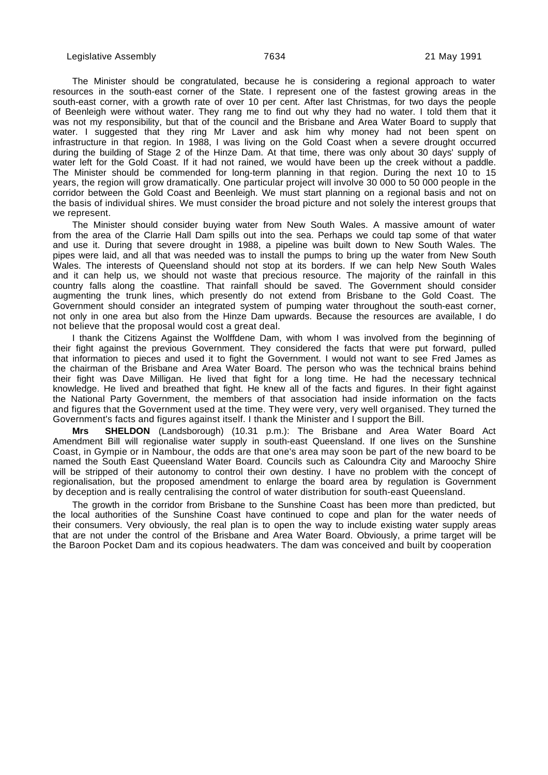The Minister should be congratulated, because he is considering a regional approach to water resources in the south-east corner of the State. I represent one of the fastest growing areas in the south-east corner, with a growth rate of over 10 per cent. After last Christmas, for two days the people of Beenleigh were without water. They rang me to find out why they had no water. I told them that it was not my responsibility, but that of the council and the Brisbane and Area Water Board to supply that water. I suggested that they ring Mr Laver and ask him why money had not been spent on infrastructure in that region. In 1988, I was living on the Gold Coast when a severe drought occurred during the building of Stage 2 of the Hinze Dam. At that time, there was only about 30 days' supply of water left for the Gold Coast. If it had not rained, we would have been up the creek without a paddle. The Minister should be commended for long-term planning in that region. During the next 10 to 15 years, the region will grow dramatically. One particular project will involve 30 000 to 50 000 people in the corridor between the Gold Coast and Beenleigh. We must start planning on a regional basis and not on the basis of individual shires. We must consider the broad picture and not solely the interest groups that we represent.

The Minister should consider buying water from New South Wales. A massive amount of water from the area of the Clarrie Hall Dam spills out into the sea. Perhaps we could tap some of that water and use it. During that severe drought in 1988, a pipeline was built down to New South Wales. The pipes were laid, and all that was needed was to install the pumps to bring up the water from New South Wales. The interests of Queensland should not stop at its borders. If we can help New South Wales and it can help us, we should not waste that precious resource. The majority of the rainfall in this country falls along the coastline. That rainfall should be saved. The Government should consider augmenting the trunk lines, which presently do not extend from Brisbane to the Gold Coast. The Government should consider an integrated system of pumping water throughout the south-east corner, not only in one area but also from the Hinze Dam upwards. Because the resources are available, I do not believe that the proposal would cost a great deal.

I thank the Citizens Against the Wolffdene Dam, with whom I was involved from the beginning of their fight against the previous Government. They considered the facts that were put forward, pulled that information to pieces and used it to fight the Government. I would not want to see Fred James as the chairman of the Brisbane and Area Water Board. The person who was the technical brains behind their fight was Dave Milligan. He lived that fight for a long time. He had the necessary technical knowledge. He lived and breathed that fight. He knew all of the facts and figures. In their fight against the National Party Government, the members of that association had inside information on the facts and figures that the Government used at the time. They were very, very well organised. They turned the Government's facts and figures against itself. I thank the Minister and I support the Bill.

**SHELDON** (Landsborough) (10.31 p.m.): The Brisbane and Area Water Board Act Amendment Bill will regionalise water supply in south-east Queensland. If one lives on the Sunshine Coast, in Gympie or in Nambour, the odds are that one's area may soon be part of the new board to be named the South East Queensland Water Board. Councils such as Caloundra City and Maroochy Shire will be stripped of their autonomy to control their own destiny. I have no problem with the concept of regionalisation, but the proposed amendment to enlarge the board area by regulation is Government by deception and is really centralising the control of water distribution for south-east Queensland.

The growth in the corridor from Brisbane to the Sunshine Coast has been more than predicted, but the local authorities of the Sunshine Coast have continued to cope and plan for the water needs of their consumers. Very obviously, the real plan is to open the way to include existing water supply areas that are not under the control of the Brisbane and Area Water Board. Obviously, a prime target will be the Baroon Pocket Dam and its copious headwaters. The dam was conceived and built by cooperation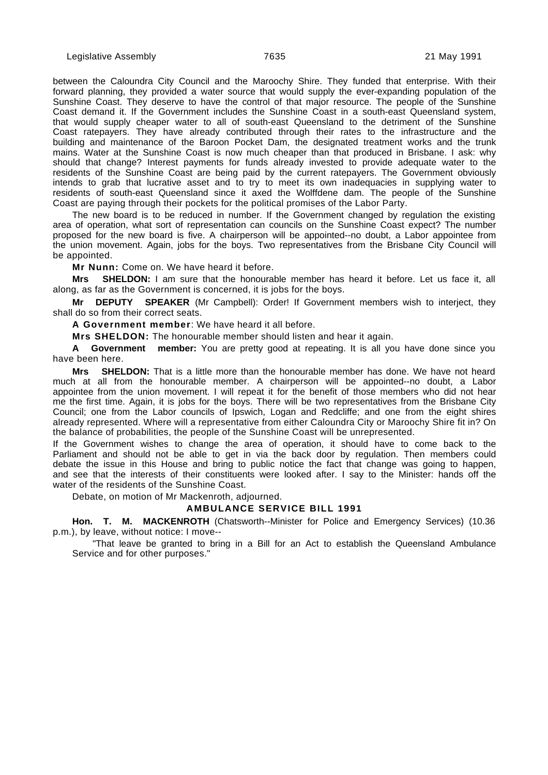between the Caloundra City Council and the Maroochy Shire. They funded that enterprise. With their forward planning, they provided a water source that would supply the ever-expanding population of the Sunshine Coast. They deserve to have the control of that major resource. The people of the Sunshine Coast demand it. If the Government includes the Sunshine Coast in a south-east Queensland system, that would supply cheaper water to all of south-east Queensland to the detriment of the Sunshine Coast ratepayers. They have already contributed through their rates to the infrastructure and the building and maintenance of the Baroon Pocket Dam, the designated treatment works and the trunk mains. Water at the Sunshine Coast is now much cheaper than that produced in Brisbane. I ask: why should that change? Interest payments for funds already invested to provide adequate water to the residents of the Sunshine Coast are being paid by the current ratepayers. The Government obviously intends to grab that lucrative asset and to try to meet its own inadequacies in supplying water to residents of south-east Queensland since it axed the Wolffdene dam. The people of the Sunshine Coast are paying through their pockets for the political promises of the Labor Party.

The new board is to be reduced in number. If the Government changed by regulation the existing area of operation, what sort of representation can councils on the Sunshine Coast expect? The number proposed for the new board is five. A chairperson will be appointed--no doubt, a Labor appointee from the union movement. Again, jobs for the boys. Two representatives from the Brisbane City Council will be appointed.

**Mr Nunn:** Come on. We have heard it before.

**Mrs SHELDON:** I am sure that the honourable member has heard it before. Let us face it, all along, as far as the Government is concerned, it is jobs for the boys.

**Mr DEPUTY SPEAKER** (Mr Campbell): Order! If Government members wish to interject, they shall do so from their correct seats.

**A Government member**: We have heard it all before.

**Mrs SHELDON:** The honourable member should listen and hear it again.

**A Government member:** You are pretty good at repeating. It is all you have done since you have been here.

**Mrs SHELDON:** That is a little more than the honourable member has done. We have not heard much at all from the honourable member. A chairperson will be appointed--no doubt, a Labor appointee from the union movement. I will repeat it for the benefit of those members who did not hear me the first time. Again, it is jobs for the boys. There will be two representatives from the Brisbane City Council; one from the Labor councils of Ipswich, Logan and Redcliffe; and one from the eight shires already represented. Where will a representative from either Caloundra City or Maroochy Shire fit in? On the balance of probabilities, the people of the Sunshine Coast will be unrepresented.

If the Government wishes to change the area of operation, it should have to come back to the Parliament and should not be able to get in via the back door by regulation. Then members could debate the issue in this House and bring to public notice the fact that change was going to happen, and see that the interests of their constituents were looked after. I say to the Minister: hands off the water of the residents of the Sunshine Coast.

Debate, on motion of Mr Mackenroth, adjourned.

### **AMBULANCE SERVICE BILL 1991**

**Hon. T. M. MACKENROTH** (Chatsworth--Minister for Police and Emergency Services) (10.36 p.m.), by leave, without notice: I move--

"That leave be granted to bring in a Bill for an Act to establish the Queensland Ambulance Service and for other purposes."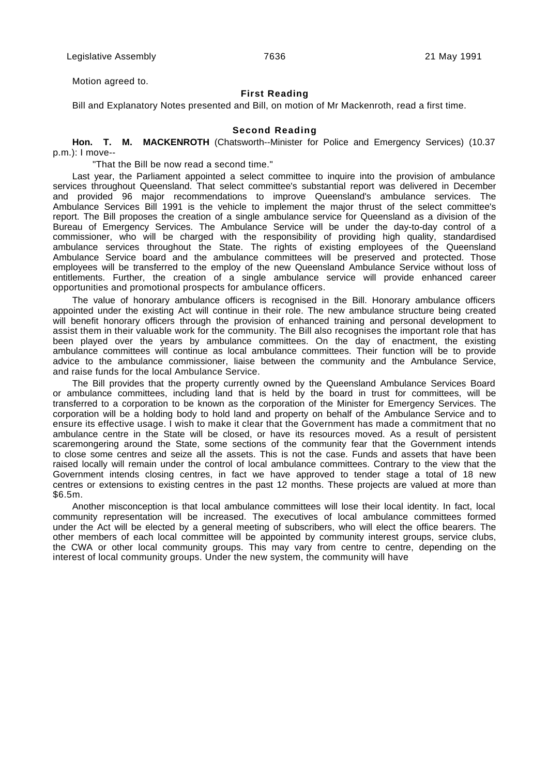Motion agreed to.

### **First Reading**

Bill and Explanatory Notes presented and Bill, on motion of Mr Mackenroth, read a first time.

### **Second Reading**

**Hon. T. M. MACKENROTH** (Chatsworth--Minister for Police and Emergency Services) (10.37 p.m.): I move--

"That the Bill be now read a second time."

Last year, the Parliament appointed a select committee to inquire into the provision of ambulance services throughout Queensland. That select committee's substantial report was delivered in December and provided 96 major recommendations to improve Queensland's ambulance services. The Ambulance Services Bill 1991 is the vehicle to implement the major thrust of the select committee's report. The Bill proposes the creation of a single ambulance service for Queensland as a division of the Bureau of Emergency Services. The Ambulance Service will be under the day-to-day control of a commissioner, who will be charged with the responsibility of providing high quality, standardised ambulance services throughout the State. The rights of existing employees of the Queensland Ambulance Service board and the ambulance committees will be preserved and protected. Those employees will be transferred to the employ of the new Queensland Ambulance Service without loss of entitlements. Further, the creation of a single ambulance service will provide enhanced career opportunities and promotional prospects for ambulance officers.

The value of honorary ambulance officers is recognised in the Bill. Honorary ambulance officers appointed under the existing Act will continue in their role. The new ambulance structure being created will benefit honorary officers through the provision of enhanced training and personal development to assist them in their valuable work for the community. The Bill also recognises the important role that has been played over the years by ambulance committees. On the day of enactment, the existing ambulance committees will continue as local ambulance committees. Their function will be to provide advice to the ambulance commissioner, liaise between the community and the Ambulance Service, and raise funds for the local Ambulance Service.

The Bill provides that the property currently owned by the Queensland Ambulance Services Board or ambulance committees, including land that is held by the board in trust for committees, will be transferred to a corporation to be known as the corporation of the Minister for Emergency Services. The corporation will be a holding body to hold land and property on behalf of the Ambulance Service and to ensure its effective usage. I wish to make it clear that the Government has made a commitment that no ambulance centre in the State will be closed, or have its resources moved. As a result of persistent scaremongering around the State, some sections of the community fear that the Government intends to close some centres and seize all the assets. This is not the case. Funds and assets that have been raised locally will remain under the control of local ambulance committees. Contrary to the view that the Government intends closing centres, in fact we have approved to tender stage a total of 18 new centres or extensions to existing centres in the past 12 months. These projects are valued at more than \$6.5m.

Another misconception is that local ambulance committees will lose their local identity. In fact, local community representation will be increased. The executives of local ambulance committees formed under the Act will be elected by a general meeting of subscribers, who will elect the office bearers. The other members of each local committee will be appointed by community interest groups, service clubs, the CWA or other local community groups. This may vary from centre to centre, depending on the interest of local community groups. Under the new system, the community will have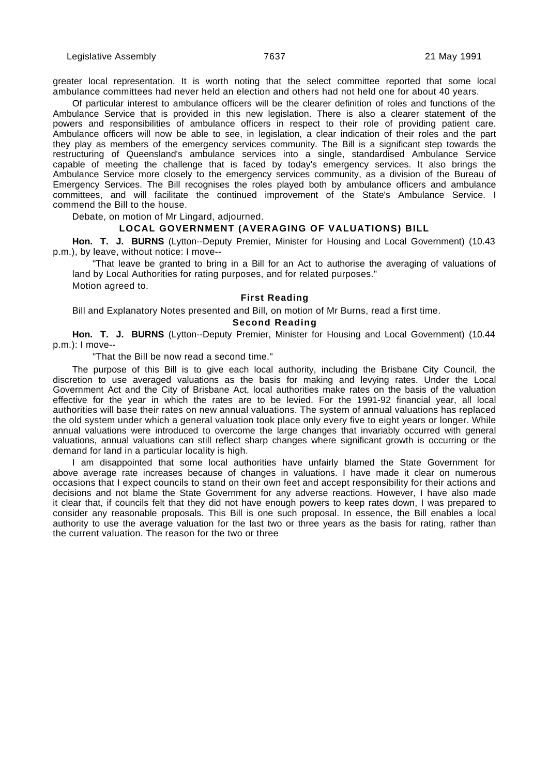greater local representation. It is worth noting that the select committee reported that some local ambulance committees had never held an election and others had not held one for about 40 years.

Of particular interest to ambulance officers will be the clearer definition of roles and functions of the Ambulance Service that is provided in this new legislation. There is also a clearer statement of the powers and responsibilities of ambulance officers in respect to their role of providing patient care. Ambulance officers will now be able to see, in legislation, a clear indication of their roles and the part they play as members of the emergency services community. The Bill is a significant step towards the restructuring of Queensland's ambulance services into a single, standardised Ambulance Service capable of meeting the challenge that is faced by today's emergency services. It also brings the Ambulance Service more closely to the emergency services community, as a division of the Bureau of Emergency Services. The Bill recognises the roles played both by ambulance officers and ambulance committees, and will facilitate the continued improvement of the State's Ambulance Service. I commend the Bill to the house.

Debate, on motion of Mr Lingard, adjourned.

## **LOCAL GOVERNMENT (AVERAGING OF VALUATIONS) BILL**

**Hon. T. J. BURNS** (Lytton--Deputy Premier, Minister for Housing and Local Government) (10.43 p.m.), by leave, without notice: I move--

"That leave be granted to bring in a Bill for an Act to authorise the averaging of valuations of land by Local Authorities for rating purposes, and for related purposes."

Motion agreed to.

### **First Reading**

Bill and Explanatory Notes presented and Bill, on motion of Mr Burns, read a first time.

## **Second Reading**

**Hon. T. J. BURNS** (Lytton--Deputy Premier, Minister for Housing and Local Government) (10.44 p.m.): I move--

"That the Bill be now read a second time."

The purpose of this Bill is to give each local authority, including the Brisbane City Council, the discretion to use averaged valuations as the basis for making and levying rates. Under the Local Government Act and the City of Brisbane Act, local authorities make rates on the basis of the valuation effective for the year in which the rates are to be levied. For the 1991-92 financial year, all local authorities will base their rates on new annual valuations. The system of annual valuations has replaced the old system under which a general valuation took place only every five to eight years or longer. While annual valuations were introduced to overcome the large changes that invariably occurred with general valuations, annual valuations can still reflect sharp changes where significant growth is occurring or the demand for land in a particular locality is high.

I am disappointed that some local authorities have unfairly blamed the State Government for above average rate increases because of changes in valuations. I have made it clear on numerous occasions that I expect councils to stand on their own feet and accept responsibility for their actions and decisions and not blame the State Government for any adverse reactions. However, I have also made it clear that, if councils felt that they did not have enough powers to keep rates down, I was prepared to consider any reasonable proposals. This Bill is one such proposal. In essence, the Bill enables a local authority to use the average valuation for the last two or three years as the basis for rating, rather than the current valuation. The reason for the two or three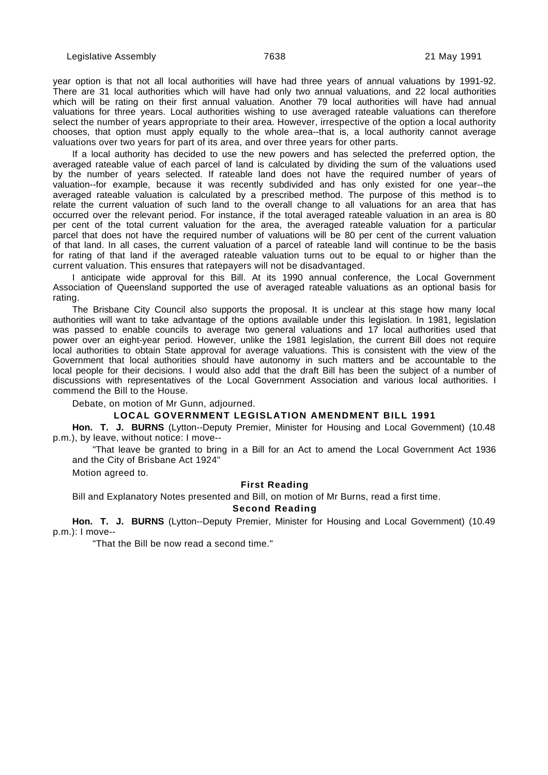year option is that not all local authorities will have had three years of annual valuations by 1991-92. There are 31 local authorities which will have had only two annual valuations, and 22 local authorities which will be rating on their first annual valuation. Another 79 local authorities will have had annual valuations for three years. Local authorities wishing to use averaged rateable valuations can therefore select the number of years appropriate to their area. However, irrespective of the option a local authority chooses, that option must apply equally to the whole area--that is, a local authority cannot average valuations over two years for part of its area, and over three years for other parts.

If a local authority has decided to use the new powers and has selected the preferred option, the averaged rateable value of each parcel of land is calculated by dividing the sum of the valuations used by the number of years selected. If rateable land does not have the required number of years of valuation--for example, because it was recently subdivided and has only existed for one year--the averaged rateable valuation is calculated by a prescribed method. The purpose of this method is to relate the current valuation of such land to the overall change to all valuations for an area that has occurred over the relevant period. For instance, if the total averaged rateable valuation in an area is 80 per cent of the total current valuation for the area, the averaged rateable valuation for a particular parcel that does not have the required number of valuations will be 80 per cent of the current valuation of that land. In all cases, the current valuation of a parcel of rateable land will continue to be the basis for rating of that land if the averaged rateable valuation turns out to be equal to or higher than the current valuation. This ensures that ratepayers will not be disadvantaged.

I anticipate wide approval for this Bill. At its 1990 annual conference, the Local Government Association of Queensland supported the use of averaged rateable valuations as an optional basis for rating.

The Brisbane City Council also supports the proposal. It is unclear at this stage how many local authorities will want to take advantage of the options available under this legislation. In 1981, legislation was passed to enable councils to average two general valuations and 17 local authorities used that power over an eight-year period. However, unlike the 1981 legislation, the current Bill does not require local authorities to obtain State approval for average valuations. This is consistent with the view of the Government that local authorities should have autonomy in such matters and be accountable to the local people for their decisions. I would also add that the draft Bill has been the subject of a number of discussions with representatives of the Local Government Association and various local authorities. I commend the Bill to the House.

Debate, on motion of Mr Gunn, adjourned.

## **LOCAL GOVERNMENT LEGISLATION AMENDMENT BILL 1991**

**Hon. T. J. BURNS** (Lytton--Deputy Premier, Minister for Housing and Local Government) (10.48 p.m.), by leave, without notice: I move--

"That leave be granted to bring in a Bill for an Act to amend the Local Government Act 1936 and the City of Brisbane Act 1924"

Motion agreed to.

#### **First Reading**

Bill and Explanatory Notes presented and Bill, on motion of Mr Burns, read a first time.

#### **Second Reading**

**Hon. T. J. BURNS** (Lytton--Deputy Premier, Minister for Housing and Local Government) (10.49 p.m.): I move--

"That the Bill be now read a second time."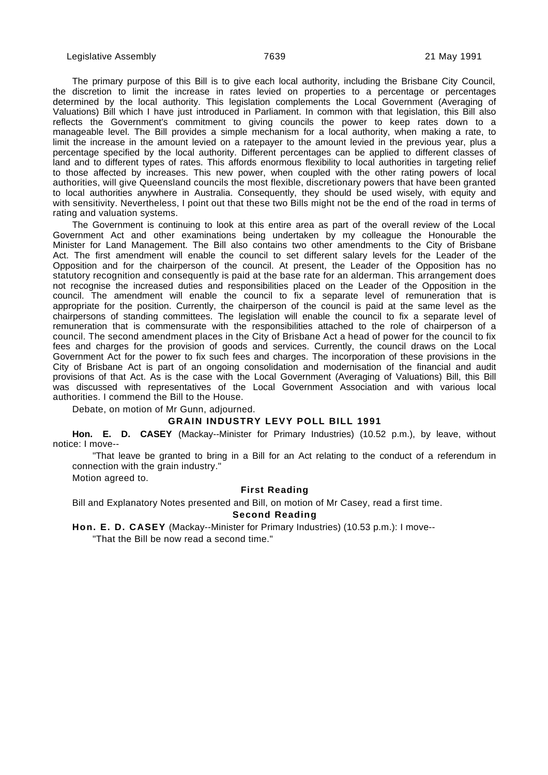The primary purpose of this Bill is to give each local authority, including the Brisbane City Council, the discretion to limit the increase in rates levied on properties to a percentage or percentages determined by the local authority. This legislation complements the Local Government (Averaging of Valuations) Bill which I have just introduced in Parliament. In common with that legislation, this Bill also reflects the Government's commitment to giving councils the power to keep rates down to a manageable level. The Bill provides a simple mechanism for a local authority, when making a rate, to limit the increase in the amount levied on a ratepayer to the amount levied in the previous year, plus a percentage specified by the local authority. Different percentages can be applied to different classes of land and to different types of rates. This affords enormous flexibility to local authorities in targeting relief to those affected by increases. This new power, when coupled with the other rating powers of local authorities, will give Queensland councils the most flexible, discretionary powers that have been granted to local authorities anywhere in Australia. Consequently, they should be used wisely, with equity and with sensitivity. Nevertheless, I point out that these two Bills might not be the end of the road in terms of rating and valuation systems.

The Government is continuing to look at this entire area as part of the overall review of the Local Government Act and other examinations being undertaken by my colleague the Honourable the Minister for Land Management. The Bill also contains two other amendments to the City of Brisbane Act. The first amendment will enable the council to set different salary levels for the Leader of the Opposition and for the chairperson of the council. At present, the Leader of the Opposition has no statutory recognition and consequently is paid at the base rate for an alderman. This arrangement does not recognise the increased duties and responsibilities placed on the Leader of the Opposition in the council. The amendment will enable the council to fix a separate level of remuneration that is appropriate for the position. Currently, the chairperson of the council is paid at the same level as the chairpersons of standing committees. The legislation will enable the council to fix a separate level of remuneration that is commensurate with the responsibilities attached to the role of chairperson of a council. The second amendment places in the City of Brisbane Act a head of power for the council to fix fees and charges for the provision of goods and services. Currently, the council draws on the Local Government Act for the power to fix such fees and charges. The incorporation of these provisions in the City of Brisbane Act is part of an ongoing consolidation and modernisation of the financial and audit provisions of that Act. As is the case with the Local Government (Averaging of Valuations) Bill, this Bill was discussed with representatives of the Local Government Association and with various local authorities. I commend the Bill to the House.

Debate, on motion of Mr Gunn, adjourned.

### **GRAIN INDUSTRY LEVY POLL BILL 1991**

**Hon. E. D. CASEY** (Mackay--Minister for Primary Industries) (10.52 p.m.), by leave, without notice: I move--

"That leave be granted to bring in a Bill for an Act relating to the conduct of a referendum in connection with the grain industry."

Motion agreed to.

### **First Reading**

Bill and Explanatory Notes presented and Bill, on motion of Mr Casey, read a first time.

### **Second Reading**

**Hon. E. D. CASEY** (Mackay--Minister for Primary Industries) (10.53 p.m.): I move--

"That the Bill be now read a second time."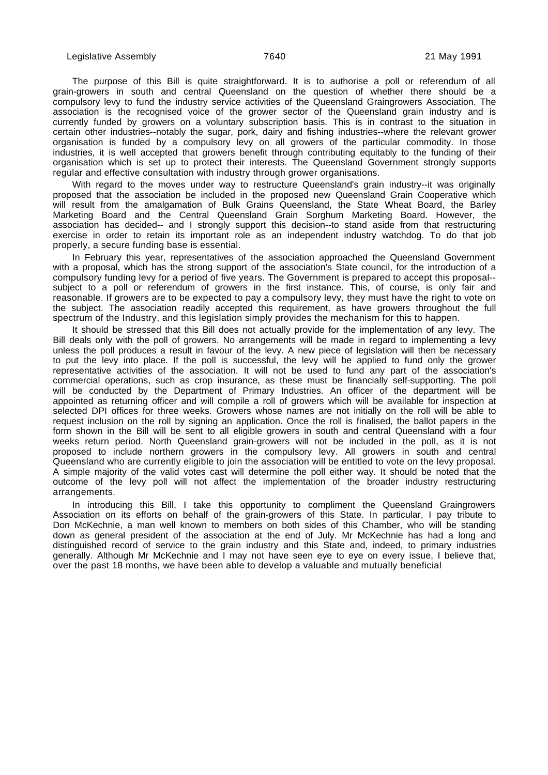The purpose of this Bill is quite straightforward. It is to authorise a poll or referendum of all grain-growers in south and central Queensland on the question of whether there should be a compulsory levy to fund the industry service activities of the Queensland Graingrowers Association. The association is the recognised voice of the grower sector of the Queensland grain industry and is currently funded by growers on a voluntary subscription basis. This is in contrast to the situation in certain other industries--notably the sugar, pork, dairy and fishing industries--where the relevant grower organisation is funded by a compulsory levy on all growers of the particular commodity. In those industries, it is well accepted that growers benefit through contributing equitably to the funding of their organisation which is set up to protect their interests. The Queensland Government strongly supports regular and effective consultation with industry through grower organisations.

With regard to the moves under way to restructure Queensland's grain industry--it was originally proposed that the association be included in the proposed new Queensland Grain Cooperative which will result from the amalgamation of Bulk Grains Queensland, the State Wheat Board, the Barley Marketing Board and the Central Queensland Grain Sorghum Marketing Board. However, the association has decided-- and I strongly support this decision--to stand aside from that restructuring exercise in order to retain its important role as an independent industry watchdog. To do that job properly, a secure funding base is essential.

In February this year, representatives of the association approached the Queensland Government with a proposal, which has the strong support of the association's State council, for the introduction of a compulsory funding levy for a period of five years. The Government is prepared to accept this proposal- subject to a poll or referendum of growers in the first instance. This, of course, is only fair and reasonable. If growers are to be expected to pay a compulsory levy, they must have the right to vote on the subject. The association readily accepted this requirement, as have growers throughout the full spectrum of the Industry, and this legislation simply provides the mechanism for this to happen.

It should be stressed that this Bill does not actually provide for the implementation of any levy. The Bill deals only with the poll of growers. No arrangements will be made in regard to implementing a levy unless the poll produces a result in favour of the levy. A new piece of legislation will then be necessary to put the levy into place. If the poll is successful, the levy will be applied to fund only the grower representative activities of the association. It will not be used to fund any part of the association's commercial operations, such as crop insurance, as these must be financially self-supporting. The poll will be conducted by the Department of Primary Industries. An officer of the department will be appointed as returning officer and will compile a roll of growers which will be available for inspection at selected DPI offices for three weeks. Growers whose names are not initially on the roll will be able to request inclusion on the roll by signing an application. Once the roll is finalised, the ballot papers in the form shown in the Bill will be sent to all eligible growers in south and central Queensland with a four weeks return period. North Queensland grain-growers will not be included in the poll, as it is not proposed to include northern growers in the compulsory levy. All growers in south and central Queensland who are currently eligible to join the association will be entitled to vote on the levy proposal. A simple majority of the valid votes cast will determine the poll either way. It should be noted that the outcome of the levy poll will not affect the implementation of the broader industry restructuring arrangements.

In introducing this Bill, I take this opportunity to compliment the Queensland Graingrowers Association on its efforts on behalf of the grain-growers of this State. In particular, I pay tribute to Don McKechnie, a man well known to members on both sides of this Chamber, who will be standing down as general president of the association at the end of July. Mr McKechnie has had a long and distinguished record of service to the grain industry and this State and, indeed, to primary industries generally. Although Mr McKechnie and I may not have seen eye to eye on every issue, I believe that, over the past 18 months, we have been able to develop a valuable and mutually beneficial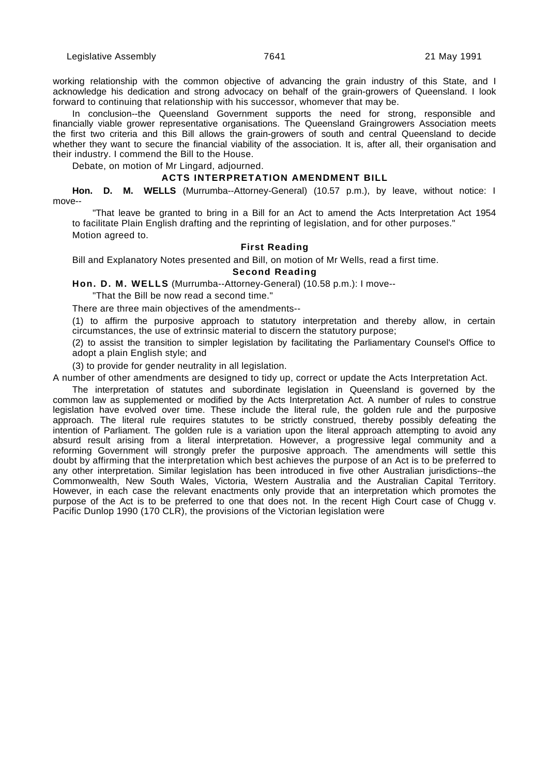working relationship with the common objective of advancing the grain industry of this State, and I acknowledge his dedication and strong advocacy on behalf of the grain-growers of Queensland. I look forward to continuing that relationship with his successor, whomever that may be.

In conclusion--the Queensland Government supports the need for strong, responsible and financially viable grower representative organisations. The Queensland Graingrowers Association meets the first two criteria and this Bill allows the grain-growers of south and central Queensland to decide whether they want to secure the financial viability of the association. It is, after all, their organisation and their industry. I commend the Bill to the House.

Debate, on motion of Mr Lingard, adjourned.

## **ACTS INTERPRETATION AMENDMENT BILL**

**Hon. D. M. WELLS** (Murrumba--Attorney-General) (10.57 p.m.), by leave, without notice: I move--

"That leave be granted to bring in a Bill for an Act to amend the Acts Interpretation Act 1954 to facilitate Plain English drafting and the reprinting of legislation, and for other purposes." Motion agreed to.

## **First Reading**

Bill and Explanatory Notes presented and Bill, on motion of Mr Wells, read a first time.

## **Second Reading**

**Hon. D. M. WELLS** (Murrumba--Attorney-General) (10.58 p.m.): I move--

"That the Bill be now read a second time."

There are three main objectives of the amendments--

(1) to affirm the purposive approach to statutory interpretation and thereby allow, in certain circumstances, the use of extrinsic material to discern the statutory purpose;

(2) to assist the transition to simpler legislation by facilitating the Parliamentary Counsel's Office to adopt a plain English style; and

(3) to provide for gender neutrality in all legislation.

A number of other amendments are designed to tidy up, correct or update the Acts Interpretation Act.

The interpretation of statutes and subordinate legislation in Queensland is governed by the common law as supplemented or modified by the Acts Interpretation Act. A number of rules to construe legislation have evolved over time. These include the literal rule, the golden rule and the purposive approach. The literal rule requires statutes to be strictly construed, thereby possibly defeating the intention of Parliament. The golden rule is a variation upon the literal approach attempting to avoid any absurd result arising from a literal interpretation. However, a progressive legal community and a reforming Government will strongly prefer the purposive approach. The amendments will settle this doubt by affirming that the interpretation which best achieves the purpose of an Act is to be preferred to any other interpretation. Similar legislation has been introduced in five other Australian jurisdictions--the Commonwealth, New South Wales, Victoria, Western Australia and the Australian Capital Territory. However, in each case the relevant enactments only provide that an interpretation which promotes the purpose of the Act is to be preferred to one that does not. In the recent High Court case of Chugg v. Pacific Dunlop 1990 (170 CLR), the provisions of the Victorian legislation were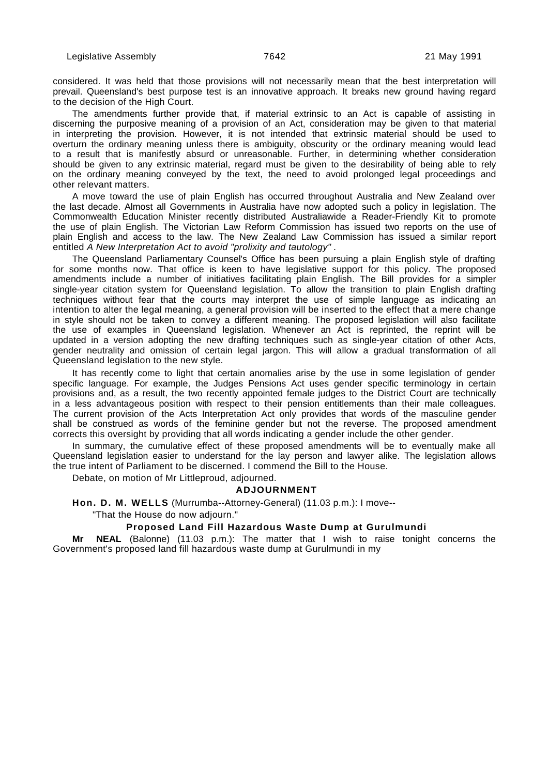considered. It was held that those provisions will not necessarily mean that the best interpretation will prevail. Queensland's best purpose test is an innovative approach. It breaks new ground having regard to the decision of the High Court.

The amendments further provide that, if material extrinsic to an Act is capable of assisting in discerning the purposive meaning of a provision of an Act, consideration may be given to that material in interpreting the provision. However, it is not intended that extrinsic material should be used to overturn the ordinary meaning unless there is ambiguity, obscurity or the ordinary meaning would lead to a result that is manifestly absurd or unreasonable. Further, in determining whether consideration should be given to any extrinsic material, regard must be given to the desirability of being able to rely on the ordinary meaning conveyed by the text, the need to avoid prolonged legal proceedings and other relevant matters.

A move toward the use of plain English has occurred throughout Australia and New Zealand over the last decade. Almost all Governments in Australia have now adopted such a policy in legislation. The Commonwealth Education Minister recently distributed Australiawide a Reader-Friendly Kit to promote the use of plain English. The Victorian Law Reform Commission has issued two reports on the use of plain English and access to the law. The New Zealand Law Commission has issued a similar report entitled A New Interpretation Act to avoid "prolixity and tautology".

The Queensland Parliamentary Counsel's Office has been pursuing a plain English style of drafting for some months now. That office is keen to have legislative support for this policy. The proposed amendments include a number of initiatives facilitating plain English. The Bill provides for a simpler single-year citation system for Queensland legislation. To allow the transition to plain English drafting techniques without fear that the courts may interpret the use of simple language as indicating an intention to alter the legal meaning, a general provision will be inserted to the effect that a mere change in style should not be taken to convey a different meaning. The proposed legislation will also facilitate the use of examples in Queensland legislation. Whenever an Act is reprinted, the reprint will be updated in a version adopting the new drafting techniques such as single-year citation of other Acts, gender neutrality and omission of certain legal jargon. This will allow a gradual transformation of all Queensland legislation to the new style.

It has recently come to light that certain anomalies arise by the use in some legislation of gender specific language. For example, the Judges Pensions Act uses gender specific terminology in certain provisions and, as a result, the two recently appointed female judges to the District Court are technically in a less advantageous position with respect to their pension entitlements than their male colleagues. The current provision of the Acts Interpretation Act only provides that words of the masculine gender shall be construed as words of the feminine gender but not the reverse. The proposed amendment corrects this oversight by providing that all words indicating a gender include the other gender.

In summary, the cumulative effect of these proposed amendments will be to eventually make all Queensland legislation easier to understand for the lay person and lawyer alike. The legislation allows the true intent of Parliament to be discerned. I commend the Bill to the House.

Debate, on motion of Mr Littleproud, adjourned.

### **ADJOURNMENT**

**Hon. D. M. WELLS** (Murrumba--Attorney-General) (11.03 p.m.): I move--

"That the House do now adjourn."

### **Proposed Land Fill Hazardous Waste Dump at Gurulmundi**

**Mr NEAL** (Balonne) (11.03 p.m.): The matter that I wish to raise tonight concerns the Government's proposed land fill hazardous waste dump at Gurulmundi in my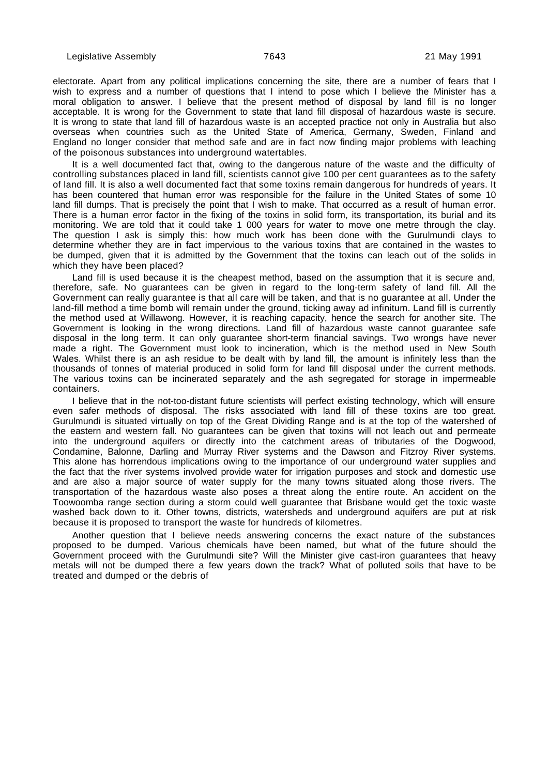electorate. Apart from any political implications concerning the site, there are a number of fears that I wish to express and a number of questions that I intend to pose which I believe the Minister has a moral obligation to answer. I believe that the present method of disposal by land fill is no longer acceptable. It is wrong for the Government to state that land fill disposal of hazardous waste is secure. It is wrong to state that land fill of hazardous waste is an accepted practice not only in Australia but also overseas when countries such as the United State of America, Germany, Sweden, Finland and England no longer consider that method safe and are in fact now finding major problems with leaching of the poisonous substances into underground watertables.

It is a well documented fact that, owing to the dangerous nature of the waste and the difficulty of controlling substances placed in land fill, scientists cannot give 100 per cent guarantees as to the safety of land fill. It is also a well documented fact that some toxins remain dangerous for hundreds of years. It has been countered that human error was responsible for the failure in the United States of some 10 land fill dumps. That is precisely the point that I wish to make. That occurred as a result of human error. There is a human error factor in the fixing of the toxins in solid form, its transportation, its burial and its monitoring. We are told that it could take 1 000 years for water to move one metre through the clay. The question I ask is simply this: how much work has been done with the Gurulmundi clays to determine whether they are in fact impervious to the various toxins that are contained in the wastes to be dumped, given that it is admitted by the Government that the toxins can leach out of the solids in which they have been placed?

Land fill is used because it is the cheapest method, based on the assumption that it is secure and, therefore, safe. No guarantees can be given in regard to the long-term safety of land fill. All the Government can really guarantee is that all care will be taken, and that is no guarantee at all. Under the land-fill method a time bomb will remain under the ground, ticking away ad infinitum. Land fill is currently the method used at Willawong. However, it is reaching capacity, hence the search for another site. The Government is looking in the wrong directions. Land fill of hazardous waste cannot guarantee safe disposal in the long term. It can only guarantee short-term financial savings. Two wrongs have never made a right. The Government must look to incineration, which is the method used in New South Wales. Whilst there is an ash residue to be dealt with by land fill, the amount is infinitely less than the thousands of tonnes of material produced in solid form for land fill disposal under the current methods. The various toxins can be incinerated separately and the ash segregated for storage in impermeable containers.

I believe that in the not-too-distant future scientists will perfect existing technology, which will ensure even safer methods of disposal. The risks associated with land fill of these toxins are too great. Gurulmundi is situated virtually on top of the Great Dividing Range and is at the top of the watershed of the eastern and western fall. No guarantees can be given that toxins will not leach out and permeate into the underground aquifers or directly into the catchment areas of tributaries of the Dogwood, Condamine, Balonne, Darling and Murray River systems and the Dawson and Fitzroy River systems. This alone has horrendous implications owing to the importance of our underground water supplies and the fact that the river systems involved provide water for irrigation purposes and stock and domestic use and are also a major source of water supply for the many towns situated along those rivers. The transportation of the hazardous waste also poses a threat along the entire route. An accident on the Toowoomba range section during a storm could well guarantee that Brisbane would get the toxic waste washed back down to it. Other towns, districts, watersheds and underground aquifers are put at risk because it is proposed to transport the waste for hundreds of kilometres.

Another question that I believe needs answering concerns the exact nature of the substances proposed to be dumped. Various chemicals have been named, but what of the future should the Government proceed with the Gurulmundi site? Will the Minister give cast-iron guarantees that heavy metals will not be dumped there a few years down the track? What of polluted soils that have to be treated and dumped or the debris of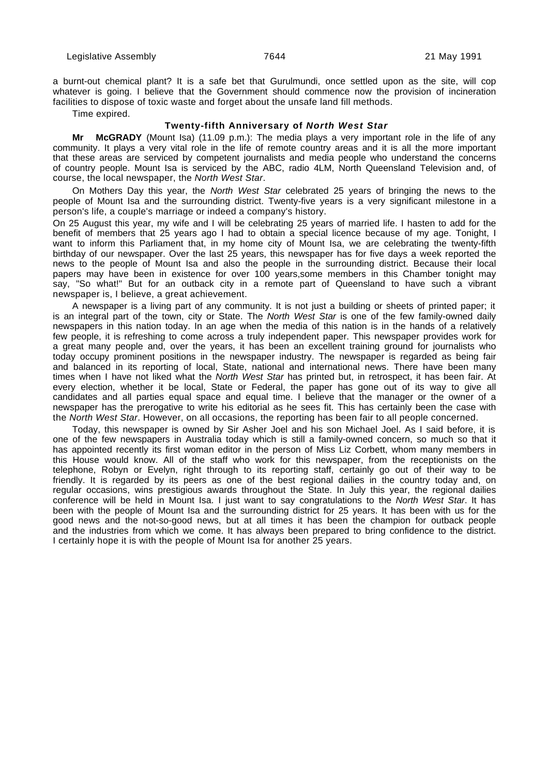a burnt-out chemical plant? It is a safe bet that Gurulmundi, once settled upon as the site, will cop whatever is going. I believe that the Government should commence now the provision of incineration facilities to dispose of toxic waste and forget about the unsafe land fill methods.

Time expired.

### **Twenty-fifth Anniversary of North West Star**

**Mr McGRADY** (Mount Isa) (11.09 p.m.): The media plays a very important role in the life of any community. It plays a very vital role in the life of remote country areas and it is all the more important that these areas are serviced by competent journalists and media people who understand the concerns of country people. Mount Isa is serviced by the ABC, radio 4LM, North Queensland Television and, of course, the local newspaper, the North West Star.

On Mothers Day this year, the North West Star celebrated 25 years of bringing the news to the people of Mount Isa and the surrounding district. Twenty-five years is a very significant milestone in a person's life, a couple's marriage or indeed a company's history.

On 25 August this year, my wife and I will be celebrating 25 years of married life. I hasten to add for the benefit of members that 25 years ago I had to obtain a special licence because of my age. Tonight, I want to inform this Parliament that, in my home city of Mount Isa, we are celebrating the twenty-fifth birthday of our newspaper. Over the last 25 years, this newspaper has for five days a week reported the news to the people of Mount Isa and also the people in the surrounding district. Because their local papers may have been in existence for over 100 years,some members in this Chamber tonight may say, "So what!" But for an outback city in a remote part of Queensland to have such a vibrant newspaper is, I believe, a great achievement.

A newspaper is a living part of any community. It is not just a building or sheets of printed paper; it is an integral part of the town, city or State. The North West Star is one of the few family-owned daily newspapers in this nation today. In an age when the media of this nation is in the hands of a relatively few people, it is refreshing to come across a truly independent paper. This newspaper provides work for a great many people and, over the years, it has been an excellent training ground for journalists who today occupy prominent positions in the newspaper industry. The newspaper is regarded as being fair and balanced in its reporting of local, State, national and international news. There have been many times when I have not liked what the North West Star has printed but, in retrospect, it has been fair. At every election, whether it be local, State or Federal, the paper has gone out of its way to give all candidates and all parties equal space and equal time. I believe that the manager or the owner of a newspaper has the prerogative to write his editorial as he sees fit. This has certainly been the case with the North West Star. However, on all occasions, the reporting has been fair to all people concerned.

Today, this newspaper is owned by Sir Asher Joel and his son Michael Joel. As I said before, it is one of the few newspapers in Australia today which is still a family-owned concern, so much so that it has appointed recently its first woman editor in the person of Miss Liz Corbett, whom many members in this House would know. All of the staff who work for this newspaper, from the receptionists on the telephone, Robyn or Evelyn, right through to its reporting staff, certainly go out of their way to be friendly. It is regarded by its peers as one of the best regional dailies in the country today and, on regular occasions, wins prestigious awards throughout the State. In July this year, the regional dailies conference will be held in Mount Isa. I just want to say congratulations to the North West Star. It has been with the people of Mount Isa and the surrounding district for 25 years. It has been with us for the good news and the not-so-good news, but at all times it has been the champion for outback people and the industries from which we come. It has always been prepared to bring confidence to the district. I certainly hope it is with the people of Mount Isa for another 25 years.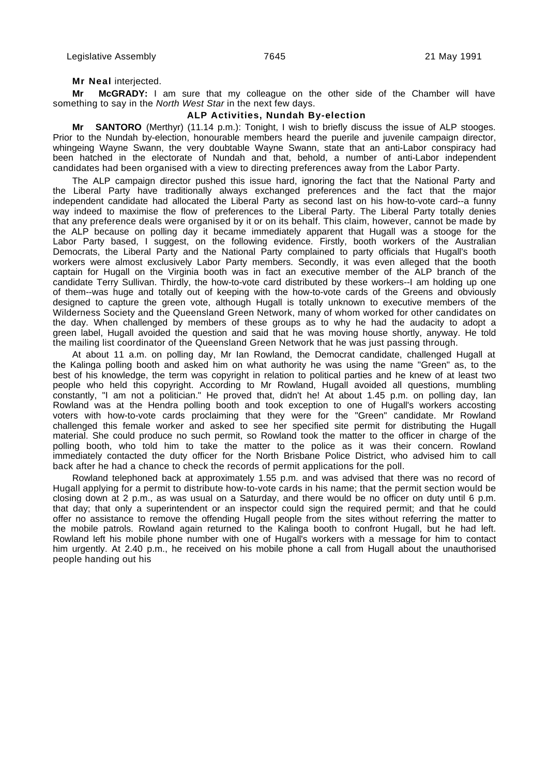#### **Mr Neal** interjected.

**Mr McGRADY:** I am sure that my colleague on the other side of the Chamber will have something to say in the North West Star in the next few days.

# **ALP Activities, Nundah By-election**

**Mr SANTORO** (Merthyr) (11.14 p.m.): Tonight, I wish to briefly discuss the issue of ALP stooges. Prior to the Nundah by-election, honourable members heard the puerile and juvenile campaign director, whingeing Wayne Swann, the very doubtable Wayne Swann, state that an anti-Labor conspiracy had been hatched in the electorate of Nundah and that, behold, a number of anti-Labor independent candidates had been organised with a view to directing preferences away from the Labor Party.

The ALP campaign director pushed this issue hard, ignoring the fact that the National Party and the Liberal Party have traditionally always exchanged preferences and the fact that the major independent candidate had allocated the Liberal Party as second last on his how-to-vote card--a funny way indeed to maximise the flow of preferences to the Liberal Party. The Liberal Party totally denies that any preference deals were organised by it or on its behalf. This claim, however, cannot be made by the ALP because on polling day it became immediately apparent that Hugall was a stooge for the Labor Party based, I suggest, on the following evidence. Firstly, booth workers of the Australian Democrats, the Liberal Party and the National Party complained to party officials that Hugall's booth workers were almost exclusively Labor Party members. Secondly, it was even alleged that the booth captain for Hugall on the Virginia booth was in fact an executive member of the ALP branch of the candidate Terry Sullivan. Thirdly, the how-to-vote card distributed by these workers--I am holding up one of them--was huge and totally out of keeping with the how-to-vote cards of the Greens and obviously designed to capture the green vote, although Hugall is totally unknown to executive members of the Wilderness Society and the Queensland Green Network, many of whom worked for other candidates on the day. When challenged by members of these groups as to why he had the audacity to adopt a green label, Hugall avoided the question and said that he was moving house shortly, anyway. He told the mailing list coordinator of the Queensland Green Network that he was just passing through.

At about 11 a.m. on polling day, Mr Ian Rowland, the Democrat candidate, challenged Hugall at the Kalinga polling booth and asked him on what authority he was using the name "Green" as, to the best of his knowledge, the term was copyright in relation to political parties and he knew of at least two people who held this copyright. According to Mr Rowland, Hugall avoided all questions, mumbling constantly, "I am not a politician." He proved that, didn't he! At about 1.45 p.m. on polling day, Ian Rowland was at the Hendra polling booth and took exception to one of Hugall's workers accosting voters with how-to-vote cards proclaiming that they were for the "Green" candidate. Mr Rowland challenged this female worker and asked to see her specified site permit for distributing the Hugall material. She could produce no such permit, so Rowland took the matter to the officer in charge of the polling booth, who told him to take the matter to the police as it was their concern. Rowland immediately contacted the duty officer for the North Brisbane Police District, who advised him to call back after he had a chance to check the records of permit applications for the poll.

Rowland telephoned back at approximately 1.55 p.m. and was advised that there was no record of Hugall applying for a permit to distribute how-to-vote cards in his name; that the permit section would be closing down at 2 p.m., as was usual on a Saturday, and there would be no officer on duty until 6 p.m. that day; that only a superintendent or an inspector could sign the required permit; and that he could offer no assistance to remove the offending Hugall people from the sites without referring the matter to the mobile patrols. Rowland again returned to the Kalinga booth to confront Hugall, but he had left. Rowland left his mobile phone number with one of Hugall's workers with a message for him to contact him urgently. At 2.40 p.m., he received on his mobile phone a call from Hugall about the unauthorised people handing out his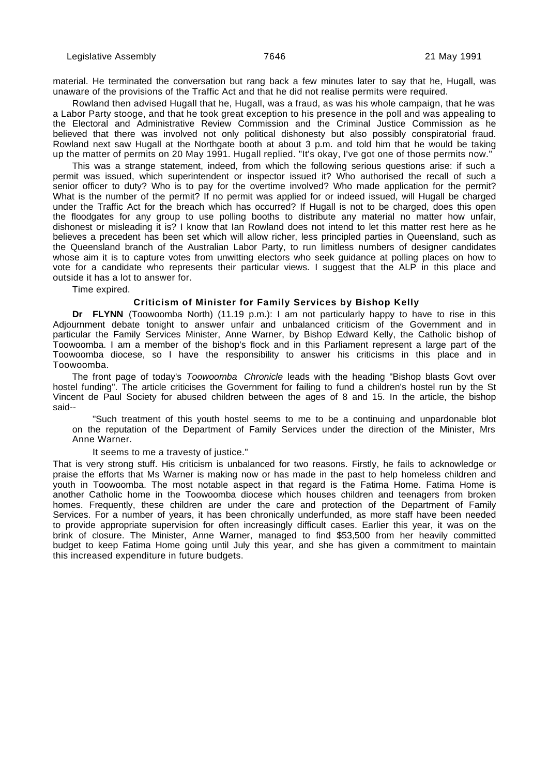material. He terminated the conversation but rang back a few minutes later to say that he, Hugall, was unaware of the provisions of the Traffic Act and that he did not realise permits were required.

Rowland then advised Hugall that he, Hugall, was a fraud, as was his whole campaign, that he was a Labor Party stooge, and that he took great exception to his presence in the poll and was appealing to the Electoral and Administrative Review Commission and the Criminal Justice Commission as he believed that there was involved not only political dishonesty but also possibly conspiratorial fraud. Rowland next saw Hugall at the Northgate booth at about 3 p.m. and told him that he would be taking up the matter of permits on 20 May 1991. Hugall replied. "It's okay, I've got one of those permits now."

This was a strange statement, indeed, from which the following serious questions arise: if such a permit was issued, which superintendent or inspector issued it? Who authorised the recall of such a senior officer to duty? Who is to pay for the overtime involved? Who made application for the permit? What is the number of the permit? If no permit was applied for or indeed issued, will Hugall be charged under the Traffic Act for the breach which has occurred? If Hugall is not to be charged, does this open the floodgates for any group to use polling booths to distribute any material no matter how unfair, dishonest or misleading it is? I know that Ian Rowland does not intend to let this matter rest here as he believes a precedent has been set which will allow richer, less principled parties in Queensland, such as the Queensland branch of the Australian Labor Party, to run limitless numbers of designer candidates whose aim it is to capture votes from unwitting electors who seek guidance at polling places on how to vote for a candidate who represents their particular views. I suggest that the ALP in this place and outside it has a lot to answer for.

Time expired.

### **Criticism of Minister for Family Services by Bishop Kelly**

**Dr FLYNN** (Toowoomba North) (11.19 p.m.): I am not particularly happy to have to rise in this Adjournment debate tonight to answer unfair and unbalanced criticism of the Government and in particular the Family Services Minister, Anne Warner, by Bishop Edward Kelly, the Catholic bishop of Toowoomba. I am a member of the bishop's flock and in this Parliament represent a large part of the Toowoomba diocese, so I have the responsibility to answer his criticisms in this place and in Toowoomba.

The front page of today's Toowoomba Chronicle leads with the heading "Bishop blasts Govt over hostel funding". The article criticises the Government for failing to fund a children's hostel run by the St Vincent de Paul Society for abused children between the ages of 8 and 15. In the article, the bishop said--

"Such treatment of this youth hostel seems to me to be a continuing and unpardonable blot on the reputation of the Department of Family Services under the direction of the Minister, Mrs Anne Warner.

#### It seems to me a travesty of justice."

That is very strong stuff. His criticism is unbalanced for two reasons. Firstly, he fails to acknowledge or praise the efforts that Ms Warner is making now or has made in the past to help homeless children and youth in Toowoomba. The most notable aspect in that regard is the Fatima Home. Fatima Home is another Catholic home in the Toowoomba diocese which houses children and teenagers from broken homes. Frequently, these children are under the care and protection of the Department of Family Services. For a number of years, it has been chronically underfunded, as more staff have been needed to provide appropriate supervision for often increasingly difficult cases. Earlier this year, it was on the brink of closure. The Minister, Anne Warner, managed to find \$53,500 from her heavily committed budget to keep Fatima Home going until July this year, and she has given a commitment to maintain this increased expenditure in future budgets.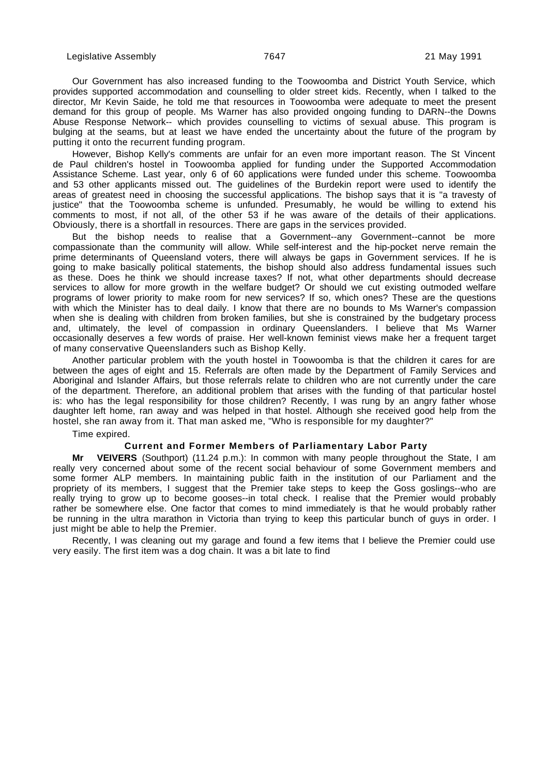Our Government has also increased funding to the Toowoomba and District Youth Service, which provides supported accommodation and counselling to older street kids. Recently, when I talked to the director, Mr Kevin Saide, he told me that resources in Toowoomba were adequate to meet the present demand for this group of people. Ms Warner has also provided ongoing funding to DARN--the Downs Abuse Response Network-- which provides counselling to victims of sexual abuse. This program is bulging at the seams, but at least we have ended the uncertainty about the future of the program by putting it onto the recurrent funding program.

However, Bishop Kelly's comments are unfair for an even more important reason. The St Vincent de Paul children's hostel in Toowoomba applied for funding under the Supported Accommodation Assistance Scheme. Last year, only 6 of 60 applications were funded under this scheme. Toowoomba and 53 other applicants missed out. The guidelines of the Burdekin report were used to identify the areas of greatest need in choosing the successful applications. The bishop says that it is "a travesty of justice" that the Toowoomba scheme is unfunded. Presumably, he would be willing to extend his comments to most, if not all, of the other 53 if he was aware of the details of their applications. Obviously, there is a shortfall in resources. There are gaps in the services provided.

But the bishop needs to realise that a Government--any Government--cannot be more compassionate than the community will allow. While self-interest and the hip-pocket nerve remain the prime determinants of Queensland voters, there will always be gaps in Government services. If he is going to make basically political statements, the bishop should also address fundamental issues such as these. Does he think we should increase taxes? If not, what other departments should decrease services to allow for more growth in the welfare budget? Or should we cut existing outmoded welfare programs of lower priority to make room for new services? If so, which ones? These are the questions with which the Minister has to deal daily. I know that there are no bounds to Ms Warner's compassion when she is dealing with children from broken families, but she is constrained by the budgetary process and, ultimately, the level of compassion in ordinary Queenslanders. I believe that Ms Warner occasionally deserves a few words of praise. Her well-known feminist views make her a frequent target of many conservative Queenslanders such as Bishop Kelly.

Another particular problem with the youth hostel in Toowoomba is that the children it cares for are between the ages of eight and 15. Referrals are often made by the Department of Family Services and Aboriginal and Islander Affairs, but those referrals relate to children who are not currently under the care of the department. Therefore, an additional problem that arises with the funding of that particular hostel is: who has the legal responsibility for those children? Recently, I was rung by an angry father whose daughter left home, ran away and was helped in that hostel. Although she received good help from the hostel, she ran away from it. That man asked me, "Who is responsible for my daughter?"

Time expired.

#### **Current and Former Members of Parliamentary Labor Party**

**Mr VEIVERS** (Southport) (11.24 p.m.): In common with many people throughout the State, I am really very concerned about some of the recent social behaviour of some Government members and some former ALP members. In maintaining public faith in the institution of our Parliament and the propriety of its members, I suggest that the Premier take steps to keep the Goss goslings--who are really trying to grow up to become gooses--in total check. I realise that the Premier would probably rather be somewhere else. One factor that comes to mind immediately is that he would probably rather be running in the ultra marathon in Victoria than trying to keep this particular bunch of guys in order. I just might be able to help the Premier.

Recently, I was cleaning out my garage and found a few items that I believe the Premier could use very easily. The first item was a dog chain. It was a bit late to find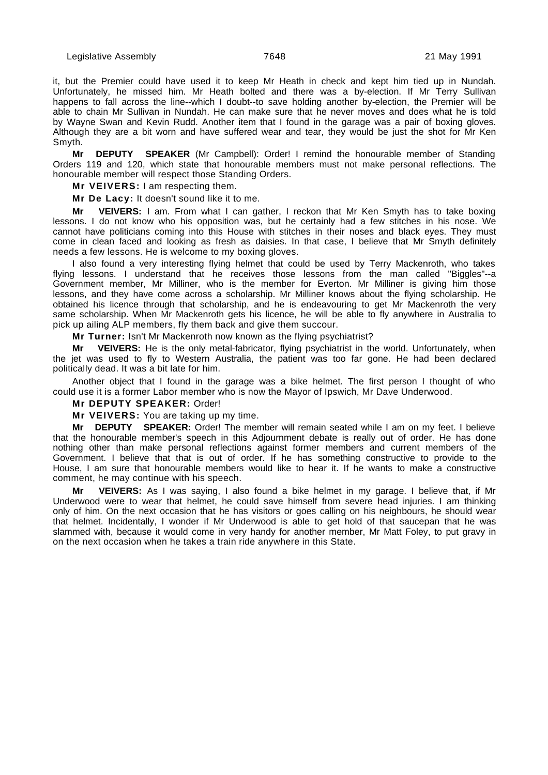it, but the Premier could have used it to keep Mr Heath in check and kept him tied up in Nundah. Unfortunately, he missed him. Mr Heath bolted and there was a by-election. If Mr Terry Sullivan happens to fall across the line--which I doubt--to save holding another by-election, the Premier will be able to chain Mr Sullivan in Nundah. He can make sure that he never moves and does what he is told by Wayne Swan and Kevin Rudd. Another item that I found in the garage was a pair of boxing gloves. Although they are a bit worn and have suffered wear and tear, they would be just the shot for Mr Ken Smyth.

**Mr DEPUTY SPEAKER** (Mr Campbell): Order! I remind the honourable member of Standing Orders 119 and 120, which state that honourable members must not make personal reflections. The honourable member will respect those Standing Orders.

**Mr VEIVERS:** I am respecting them.

**Mr De Lacy:** It doesn't sound like it to me.

**Mr VEIVERS:** I am. From what I can gather, I reckon that Mr Ken Smyth has to take boxing lessons. I do not know who his opposition was, but he certainly had a few stitches in his nose. We cannot have politicians coming into this House with stitches in their noses and black eyes. They must come in clean faced and looking as fresh as daisies. In that case, I believe that Mr Smyth definitely needs a few lessons. He is welcome to my boxing gloves.

I also found a very interesting flying helmet that could be used by Terry Mackenroth, who takes flying lessons. I understand that he receives those lessons from the man called "Biggles"--a Government member, Mr Milliner, who is the member for Everton. Mr Milliner is giving him those lessons, and they have come across a scholarship. Mr Milliner knows about the flying scholarship. He obtained his licence through that scholarship, and he is endeavouring to get Mr Mackenroth the very same scholarship. When Mr Mackenroth gets his licence, he will be able to fly anywhere in Australia to pick up ailing ALP members, fly them back and give them succour.

**Mr Turner:** Isn't Mr Mackenroth now known as the flying psychiatrist?

**Mr VEIVERS:** He is the only metal-fabricator, flying psychiatrist in the world. Unfortunately, when the jet was used to fly to Western Australia, the patient was too far gone. He had been declared politically dead. It was a bit late for him.

Another object that I found in the garage was a bike helmet. The first person I thought of who could use it is a former Labor member who is now the Mayor of Ipswich, Mr Dave Underwood.

#### **Mr DEPUTY SPEAKER:** Order!

**Mr VEIVERS:** You are taking up my time.

**Mr DEPUTY SPEAKER:** Order! The member will remain seated while I am on my feet. I believe that the honourable member's speech in this Adjournment debate is really out of order. He has done nothing other than make personal reflections against former members and current members of the Government. I believe that that is out of order. If he has something constructive to provide to the House, I am sure that honourable members would like to hear it. If he wants to make a constructive comment, he may continue with his speech.

VEIVERS: As I was saying, I also found a bike helmet in my garage. I believe that, if Mr Underwood were to wear that helmet, he could save himself from severe head injuries. I am thinking only of him. On the next occasion that he has visitors or goes calling on his neighbours, he should wear that helmet. Incidentally, I wonder if Mr Underwood is able to get hold of that saucepan that he was slammed with, because it would come in very handy for another member, Mr Matt Foley, to put gravy in on the next occasion when he takes a train ride anywhere in this State.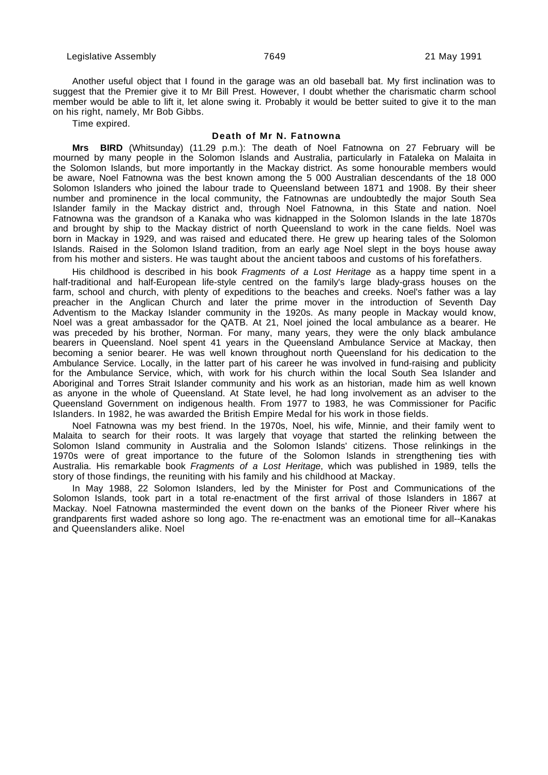Another useful object that I found in the garage was an old baseball bat. My first inclination was to suggest that the Premier give it to Mr Bill Prest. However, I doubt whether the charismatic charm school member would be able to lift it, let alone swing it. Probably it would be better suited to give it to the man on his right, namely, Mr Bob Gibbs.

Time expired.

### **Death of Mr N. Fatnowna**

**Mrs BIRD** (Whitsunday) (11.29 p.m.): The death of Noel Fatnowna on 27 February will be mourned by many people in the Solomon Islands and Australia, particularly in Fataleka on Malaita in the Solomon Islands, but more importantly in the Mackay district. As some honourable members would be aware, Noel Fatnowna was the best known among the 5 000 Australian descendants of the 18 000 Solomon Islanders who joined the labour trade to Queensland between 1871 and 1908. By their sheer number and prominence in the local community, the Fatnownas are undoubtedly the major South Sea Islander family in the Mackay district and, through Noel Fatnowna, in this State and nation. Noel Fatnowna was the grandson of a Kanaka who was kidnapped in the Solomon Islands in the late 1870s and brought by ship to the Mackay district of north Queensland to work in the cane fields. Noel was born in Mackay in 1929, and was raised and educated there. He grew up hearing tales of the Solomon Islands. Raised in the Solomon Island tradition, from an early age Noel slept in the boys house away from his mother and sisters. He was taught about the ancient taboos and customs of his forefathers.

His childhood is described in his book Fragments of a Lost Heritage as a happy time spent in a half-traditional and half-European life-style centred on the family's large blady-grass houses on the farm, school and church, with plenty of expeditions to the beaches and creeks. Noel's father was a lay preacher in the Anglican Church and later the prime mover in the introduction of Seventh Day Adventism to the Mackay Islander community in the 1920s. As many people in Mackay would know, Noel was a great ambassador for the QATB. At 21, Noel joined the local ambulance as a bearer. He was preceded by his brother, Norman. For many, many years, they were the only black ambulance bearers in Queensland. Noel spent 41 years in the Queensland Ambulance Service at Mackay, then becoming a senior bearer. He was well known throughout north Queensland for his dedication to the Ambulance Service. Locally, in the latter part of his career he was involved in fund-raising and publicity for the Ambulance Service, which, with work for his church within the local South Sea Islander and Aboriginal and Torres Strait Islander community and his work as an historian, made him as well known as anyone in the whole of Queensland. At State level, he had long involvement as an adviser to the Queensland Government on indigenous health. From 1977 to 1983, he was Commissioner for Pacific Islanders. In 1982, he was awarded the British Empire Medal for his work in those fields.

Noel Fatnowna was my best friend. In the 1970s, Noel, his wife, Minnie, and their family went to Malaita to search for their roots. It was largely that voyage that started the relinking between the Solomon Island community in Australia and the Solomon Islands' citizens. Those relinkings in the 1970s were of great importance to the future of the Solomon Islands in strengthening ties with Australia. His remarkable book Fragments of a Lost Heritage, which was published in 1989, tells the story of those findings, the reuniting with his family and his childhood at Mackay.

In May 1988, 22 Solomon Islanders, led by the Minister for Post and Communications of the Solomon Islands, took part in a total re-enactment of the first arrival of those Islanders in 1867 at Mackay. Noel Fatnowna masterminded the event down on the banks of the Pioneer River where his grandparents first waded ashore so long ago. The re-enactment was an emotional time for all--Kanakas and Queenslanders alike. Noel